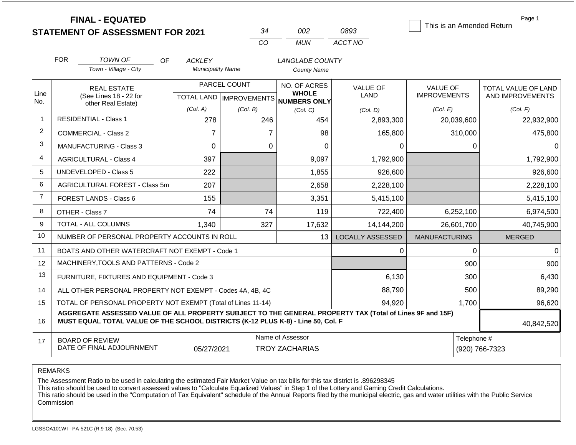|                | <b>FINAL - EQUATED</b>                                                                                                                                                                       |     |                          |                           | 34                                        | 002                          | 0893                    |                      |                               | Page 1<br>This is an Amended Return |
|----------------|----------------------------------------------------------------------------------------------------------------------------------------------------------------------------------------------|-----|--------------------------|---------------------------|-------------------------------------------|------------------------------|-------------------------|----------------------|-------------------------------|-------------------------------------|
|                | <b>STATEMENT OF ASSESSMENT FOR 2021</b>                                                                                                                                                      |     |                          | <b>CO</b>                 |                                           | <b>MUN</b>                   | ACCT NO                 |                      |                               |                                     |
|                |                                                                                                                                                                                              |     |                          |                           |                                           |                              |                         |                      |                               |                                     |
|                | <b>FOR</b><br><b>TOWN OF</b>                                                                                                                                                                 | OF. | ACKLEY                   |                           |                                           | <b>LANGLADE COUNTY</b>       |                         |                      |                               |                                     |
|                | Town - Village - City                                                                                                                                                                        |     | <b>Municipality Name</b> |                           |                                           | <b>County Name</b>           |                         |                      |                               |                                     |
|                | <b>REAL ESTATE</b>                                                                                                                                                                           |     |                          | PARCEL COUNT              |                                           | NO. OF ACRES                 | <b>VALUE OF</b>         | <b>VALUE OF</b>      |                               | TOTAL VALUE OF LAND                 |
| Line<br>No.    | (See Lines 18 - 22 for<br>other Real Estate)                                                                                                                                                 |     |                          | TOTAL LAND   IMPROVEMENTS |                                           | <b>WHOLE</b><br>NUMBERS ONLY | <b>LAND</b>             | <b>IMPROVEMENTS</b>  |                               | AND IMPROVEMENTS                    |
|                |                                                                                                                                                                                              |     | (Col. A)                 | (Col. B)                  |                                           | (Col, C)                     | (Col, D)                | (Col. E)             |                               | (Col. F)                            |
| 1              | <b>RESIDENTIAL - Class 1</b>                                                                                                                                                                 |     | 278                      |                           | 246                                       | 454                          | 2,893,300               |                      | 20,039,600                    | 22,932,900                          |
| 2              | <b>COMMERCIAL - Class 2</b>                                                                                                                                                                  |     | $\overline{7}$           |                           | $\overline{7}$                            | 98                           | 165,800                 |                      | 310,000                       | 475,800                             |
| 3              | <b>MANUFACTURING - Class 3</b>                                                                                                                                                               |     | $\overline{0}$           |                           | $\mathbf{0}$                              | $\Omega$                     |                         | 0                    | $\Omega$                      | $\Omega$                            |
| 4              | <b>AGRICULTURAL - Class 4</b>                                                                                                                                                                |     | 397                      |                           |                                           | 9,097                        | 1,792,900               |                      |                               | 1,792,900                           |
| 5              | <b>UNDEVELOPED - Class 5</b>                                                                                                                                                                 |     | 222                      |                           |                                           | 1,855                        | 926,600                 |                      |                               | 926,600                             |
| 6              | AGRICULTURAL FOREST - Class 5m                                                                                                                                                               |     | 207                      |                           |                                           | 2,658                        | 2,228,100               |                      |                               | 2,228,100                           |
| $\overline{7}$ | FOREST LANDS - Class 6                                                                                                                                                                       |     | 155                      |                           |                                           | 3,351                        | 5,415,100               |                      |                               | 5,415,100                           |
| 8              | OTHER - Class 7                                                                                                                                                                              |     | 74                       |                           | 74                                        | 119                          | 722,400                 |                      | 6,252,100                     | 6,974,500                           |
| 9              | <b>TOTAL - ALL COLUMNS</b>                                                                                                                                                                   |     | 1,340                    |                           | 327                                       | 17,632                       | 14,144,200              |                      | 26,601,700                    | 40,745,900                          |
| 10             | NUMBER OF PERSONAL PROPERTY ACCOUNTS IN ROLL                                                                                                                                                 |     |                          |                           |                                           | 13                           | <b>LOCALLY ASSESSED</b> | <b>MANUFACTURING</b> |                               | <b>MERGED</b>                       |
| 11             | BOATS AND OTHER WATERCRAFT NOT EXEMPT - Code 1                                                                                                                                               |     |                          |                           |                                           |                              |                         | 0                    | $\mathbf 0$                   | $\Omega$                            |
| 12             | MACHINERY, TOOLS AND PATTERNS - Code 2                                                                                                                                                       |     |                          |                           |                                           |                              |                         |                      | 900                           | 900                                 |
| 13             | FURNITURE, FIXTURES AND EQUIPMENT - Code 3                                                                                                                                                   |     |                          |                           |                                           |                              | 6,130                   |                      | 300                           | 6,430                               |
| 14             | ALL OTHER PERSONAL PROPERTY NOT EXEMPT - Codes 4A, 4B, 4C                                                                                                                                    |     |                          |                           |                                           |                              | 88,790                  |                      | 500                           | 89,290                              |
| 15             | TOTAL OF PERSONAL PROPERTY NOT EXEMPT (Total of Lines 11-14)                                                                                                                                 |     |                          | 94.920                    |                                           | 1,700                        | 96,620                  |                      |                               |                                     |
| 16             | AGGREGATE ASSESSED VALUE OF ALL PROPERTY SUBJECT TO THE GENERAL PROPERTY TAX (Total of Lines 9F and 15F)<br>MUST EQUAL TOTAL VALUE OF THE SCHOOL DISTRICTS (K-12 PLUS K-8) - Line 50, Col. F |     |                          |                           |                                           |                              |                         |                      |                               | 40,842,520                          |
| 17             | <b>BOARD OF REVIEW</b><br>DATE OF FINAL ADJOURNMENT                                                                                                                                          |     | 05/27/2021               |                           | Name of Assessor<br><b>TROY ZACHARIAS</b> |                              |                         |                      | Telephone #<br>(920) 766-7323 |                                     |

The Assessment Ratio to be used in calculating the estimated Fair Market Value on tax bills for this tax district is .896298345

This ratio should be used to convert assessed values to "Calculate Equalized Values" in Step 1 of the Lottery and Gaming Credit Calculations.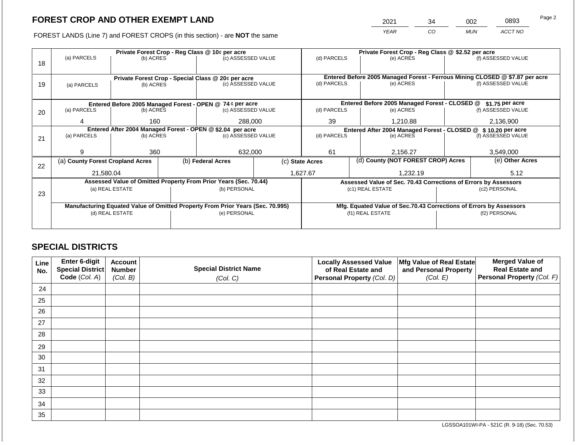2021 34 002 0893

FOREST LANDS (Line 7) and FOREST CROPS (in this section) - are **NOT** the same *YEAR CO MUN ACCT NO*

|    |                                                                                |                 |  | Private Forest Crop - Reg Class @ 10¢ per acre                           |    | Private Forest Crop - Reg Class @ \$2.52 per acre              |                  |                                                                    |                                                                              |                    |  |
|----|--------------------------------------------------------------------------------|-----------------|--|--------------------------------------------------------------------------|----|----------------------------------------------------------------|------------------|--------------------------------------------------------------------|------------------------------------------------------------------------------|--------------------|--|
|    | (a) PARCELS                                                                    | (b) ACRES       |  | (c) ASSESSED VALUE                                                       |    | (d) PARCELS                                                    |                  | (e) ACRES                                                          |                                                                              | (f) ASSESSED VALUE |  |
| 18 |                                                                                |                 |  |                                                                          |    |                                                                |                  |                                                                    |                                                                              |                    |  |
|    |                                                                                |                 |  |                                                                          |    |                                                                |                  |                                                                    |                                                                              |                    |  |
|    |                                                                                |                 |  | Private Forest Crop - Special Class @ 20¢ per acre<br>(c) ASSESSED VALUE |    |                                                                |                  |                                                                    | Entered Before 2005 Managed Forest - Ferrous Mining CLOSED @ \$7.87 per acre |                    |  |
| 19 | (a) PARCELS                                                                    | (b) ACRES       |  |                                                                          |    | (d) PARCELS                                                    |                  | (e) ACRES                                                          |                                                                              | (f) ASSESSED VALUE |  |
|    |                                                                                |                 |  |                                                                          |    |                                                                |                  |                                                                    |                                                                              |                    |  |
|    |                                                                                |                 |  | Entered Before 2005 Managed Forest - OPEN @ 74 ¢ per acre                |    |                                                                |                  | Entered Before 2005 Managed Forest - CLOSED @                      |                                                                              | $$1.75$ per acre   |  |
| 20 | (a) PARCELS                                                                    | (b) ACRES       |  | (c) ASSESSED VALUE                                                       |    | (d) PARCELS                                                    |                  | (e) ACRES                                                          |                                                                              | (f) ASSESSED VALUE |  |
|    |                                                                                |                 |  |                                                                          |    |                                                                |                  |                                                                    |                                                                              |                    |  |
|    | 160<br>4                                                                       |                 |  | 288,000                                                                  | 39 |                                                                | 1,210.88         |                                                                    | 2,136,900                                                                    |                    |  |
|    | Entered After 2004 Managed Forest - OPEN @ \$2.04 per acre                     |                 |  |                                                                          |    | Entered After 2004 Managed Forest - CLOSED @ \$ 10.20 per acre |                  |                                                                    |                                                                              |                    |  |
| 21 | (a) PARCELS<br>(b) ACRES                                                       |                 |  | (c) ASSESSED VALUE                                                       |    | (d) PARCELS                                                    |                  | (e) ACRES                                                          |                                                                              | (f) ASSESSED VALUE |  |
|    |                                                                                |                 |  |                                                                          |    |                                                                |                  |                                                                    |                                                                              |                    |  |
|    | Й                                                                              | 360             |  | 632,000                                                                  |    | 61                                                             |                  | 2,156.27                                                           |                                                                              | 3,549,000          |  |
|    | (a) County Forest Cropland Acres                                               |                 |  | (b) Federal Acres                                                        |    | (c) State Acres                                                |                  | (d) County (NOT FOREST CROP) Acres                                 |                                                                              | (e) Other Acres    |  |
| 22 |                                                                                |                 |  |                                                                          |    |                                                                |                  |                                                                    |                                                                              |                    |  |
|    | 21.580.04                                                                      |                 |  |                                                                          |    | 1,627.67                                                       |                  | 1.232.19                                                           |                                                                              | 5.12               |  |
|    |                                                                                |                 |  | Assessed Value of Omitted Property From Prior Years (Sec. 70.44)         |    |                                                                |                  |                                                                    | Assessed Value of Sec. 70.43 Corrections of Errors by Assessors              |                    |  |
|    |                                                                                | (a) REAL ESTATE |  | (b) PERSONAL                                                             |    |                                                                |                  | (c1) REAL ESTATE                                                   | (c2) PERSONAL                                                                |                    |  |
| 23 |                                                                                |                 |  |                                                                          |    |                                                                |                  |                                                                    |                                                                              |                    |  |
|    | Manufacturing Equated Value of Omitted Property From Prior Years (Sec. 70.995) |                 |  |                                                                          |    |                                                                |                  | Mfg. Equated Value of Sec.70.43 Corrections of Errors by Assessors |                                                                              |                    |  |
|    | (d) REAL ESTATE                                                                |                 |  | (e) PERSONAL                                                             |    |                                                                | (f1) REAL ESTATE |                                                                    | (f2) PERSONAL                                                                |                    |  |
|    |                                                                                |                 |  |                                                                          |    |                                                                |                  |                                                                    |                                                                              |                    |  |
|    |                                                                                |                 |  |                                                                          |    |                                                                |                  |                                                                    |                                                                              |                    |  |

## **SPECIAL DISTRICTS**

| Line<br>No. | Enter 6-digit<br>Special District<br>Code (Col. A) | <b>Account</b><br><b>Number</b><br>(Col. B) | <b>Special District Name</b><br>(Col. C) | <b>Locally Assessed Value</b><br>of Real Estate and<br><b>Personal Property (Col. D)</b> | Mfg Value of Real Estate<br>and Personal Property<br>(Col. E) | <b>Merged Value of</b><br><b>Real Estate and</b><br>Personal Property (Col. F) |
|-------------|----------------------------------------------------|---------------------------------------------|------------------------------------------|------------------------------------------------------------------------------------------|---------------------------------------------------------------|--------------------------------------------------------------------------------|
| 24          |                                                    |                                             |                                          |                                                                                          |                                                               |                                                                                |
| 25          |                                                    |                                             |                                          |                                                                                          |                                                               |                                                                                |
| 26          |                                                    |                                             |                                          |                                                                                          |                                                               |                                                                                |
| 27          |                                                    |                                             |                                          |                                                                                          |                                                               |                                                                                |
| 28          |                                                    |                                             |                                          |                                                                                          |                                                               |                                                                                |
| 29          |                                                    |                                             |                                          |                                                                                          |                                                               |                                                                                |
| 30          |                                                    |                                             |                                          |                                                                                          |                                                               |                                                                                |
| 31          |                                                    |                                             |                                          |                                                                                          |                                                               |                                                                                |
| 32          |                                                    |                                             |                                          |                                                                                          |                                                               |                                                                                |
| 33          |                                                    |                                             |                                          |                                                                                          |                                                               |                                                                                |
| 34          |                                                    |                                             |                                          |                                                                                          |                                                               |                                                                                |
| 35          |                                                    |                                             |                                          |                                                                                          |                                                               |                                                                                |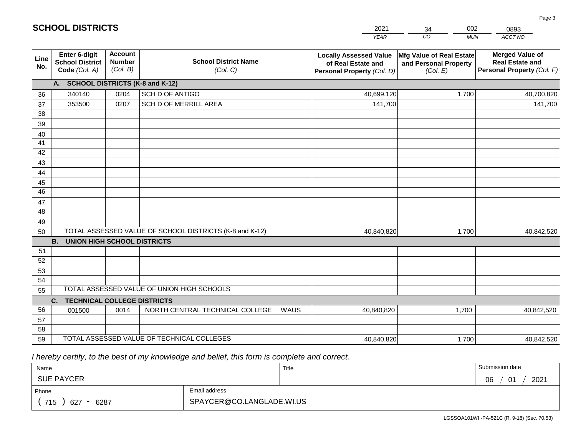|             | <b>SCHOOL DISTRICTS</b>                                  |                                             |                                                         | 2021<br>002<br>34<br>0893 |                                                                                   |                                                               |                                                                                |
|-------------|----------------------------------------------------------|---------------------------------------------|---------------------------------------------------------|---------------------------|-----------------------------------------------------------------------------------|---------------------------------------------------------------|--------------------------------------------------------------------------------|
|             |                                                          |                                             |                                                         |                           | <b>YEAR</b>                                                                       | CO<br><b>MUN</b>                                              | ACCT NO                                                                        |
| Line<br>No. | Enter 6-digit<br><b>School District</b><br>Code (Col. A) | <b>Account</b><br><b>Number</b><br>(Col. B) | <b>School District Name</b><br>(Col. C)                 |                           | <b>Locally Assessed Value</b><br>of Real Estate and<br>Personal Property (Col. D) | Mfg Value of Real Estate<br>and Personal Property<br>(Col. E) | <b>Merged Value of</b><br><b>Real Estate and</b><br>Personal Property (Col. F) |
|             | A.                                                       |                                             | <b>SCHOOL DISTRICTS (K-8 and K-12)</b>                  |                           |                                                                                   |                                                               |                                                                                |
| 36          | 340140                                                   | 0204                                        | SCH D OF ANTIGO                                         |                           | 40,699,120                                                                        | 1,700                                                         | 40,700,820                                                                     |
| 37          | 353500                                                   | 0207                                        | SCH D OF MERRILL AREA                                   |                           | 141,700                                                                           |                                                               | 141,700                                                                        |
| 38          |                                                          |                                             |                                                         |                           |                                                                                   |                                                               |                                                                                |
| 39          |                                                          |                                             |                                                         |                           |                                                                                   |                                                               |                                                                                |
| 40          |                                                          |                                             |                                                         |                           |                                                                                   |                                                               |                                                                                |
| 41          |                                                          |                                             |                                                         |                           |                                                                                   |                                                               |                                                                                |
| 42          |                                                          |                                             |                                                         |                           |                                                                                   |                                                               |                                                                                |
| 43          |                                                          |                                             |                                                         |                           |                                                                                   |                                                               |                                                                                |
| 44          |                                                          |                                             |                                                         |                           |                                                                                   |                                                               |                                                                                |
| 45<br>46    |                                                          |                                             |                                                         |                           |                                                                                   |                                                               |                                                                                |
|             |                                                          |                                             |                                                         |                           |                                                                                   |                                                               |                                                                                |
| 47<br>48    |                                                          |                                             |                                                         |                           |                                                                                   |                                                               |                                                                                |
| 49          |                                                          |                                             |                                                         |                           |                                                                                   |                                                               |                                                                                |
| 50          |                                                          |                                             | TOTAL ASSESSED VALUE OF SCHOOL DISTRICTS (K-8 and K-12) |                           | 40,840,820                                                                        | 1,700                                                         | 40,842,520                                                                     |
|             | <b>B.</b><br><b>UNION HIGH SCHOOL DISTRICTS</b>          |                                             |                                                         |                           |                                                                                   |                                                               |                                                                                |
| 51          |                                                          |                                             |                                                         |                           |                                                                                   |                                                               |                                                                                |
| 52          |                                                          |                                             |                                                         |                           |                                                                                   |                                                               |                                                                                |
| 53          |                                                          |                                             |                                                         |                           |                                                                                   |                                                               |                                                                                |
| 54          |                                                          |                                             |                                                         |                           |                                                                                   |                                                               |                                                                                |
| 55          |                                                          |                                             | TOTAL ASSESSED VALUE OF UNION HIGH SCHOOLS              |                           |                                                                                   |                                                               |                                                                                |
|             | <b>TECHNICAL COLLEGE DISTRICTS</b><br>C.                 |                                             |                                                         |                           |                                                                                   |                                                               |                                                                                |
| 56          | 001500                                                   | 0014                                        | NORTH CENTRAL TECHNICAL COLLEGE                         | WAUS                      | 40,840,820                                                                        | 1,700                                                         | 40,842,520                                                                     |
| 57          |                                                          |                                             |                                                         |                           |                                                                                   |                                                               |                                                                                |
| 58          |                                                          |                                             |                                                         |                           |                                                                                   |                                                               |                                                                                |
| 59          |                                                          |                                             | TOTAL ASSESSED VALUE OF TECHNICAL COLLEGES              |                           | 40,840,820                                                                        | 1,700                                                         | 40,842,520                                                                     |

 *I hereby certify, to the best of my knowledge and belief, this form is complete and correct.*

**SCHOOL DISTRICTS**

| Name               |                           | Title | Submission date                       |
|--------------------|---------------------------|-------|---------------------------------------|
| <b>SUE PAYCER</b>  |                           |       | 2021<br>∩ഭ<br>$\mathbf{A}$<br>νv<br>v |
| Phone              | Email address             |       |                                       |
| 715<br>6287<br>627 | SPAYCER@CO.LANGLADE.WI.US |       |                                       |

Page 3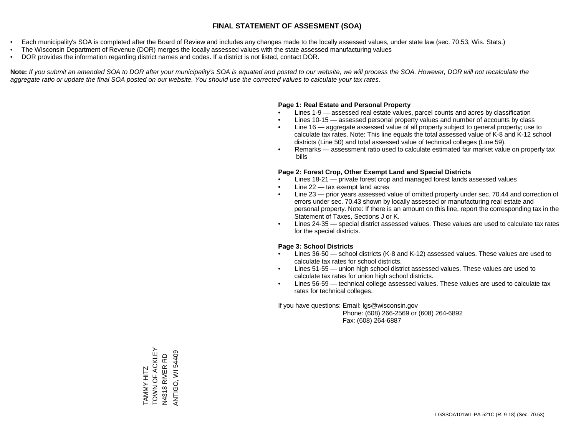- Each municipality's SOA is completed after the Board of Review and includes any changes made to the locally assessed values, under state law (sec. 70.53, Wis. Stats.)
- The Wisconsin Department of Revenue (DOR) merges the locally assessed values with the state assessed manufacturing values
- DOR provides the information regarding district names and codes. If a district is not listed, contact DOR.

Note: If you submit an amended SOA to DOR after your municipality's SOA is equated and posted to our website, we will process the SOA. However, DOR will not recalculate the *aggregate ratio or update the final SOA posted on our website. You should use the corrected values to calculate your tax rates.*

#### **Page 1: Real Estate and Personal Property**

- Lines 1-9 assessed real estate values, parcel counts and acres by classification
- Lines 10-15 assessed personal property values and number of accounts by class
- Line 16 aggregate assessed value of all property subject to general property; use to calculate tax rates. Note: This line equals the total assessed value of K-8 and K-12 school districts (Line 50) and total assessed value of technical colleges (Line 59).
- Remarks assessment ratio used to calculate estimated fair market value on property tax bills

#### **Page 2: Forest Crop, Other Exempt Land and Special Districts**

- Lines 18-21 private forest crop and managed forest lands assessed values
- Line  $22 -$  tax exempt land acres
- Line 23 prior years assessed value of omitted property under sec. 70.44 and correction of errors under sec. 70.43 shown by locally assessed or manufacturing real estate and personal property. Note: If there is an amount on this line, report the corresponding tax in the Statement of Taxes, Sections J or K.
- Lines 24-35 special district assessed values. These values are used to calculate tax rates for the special districts.

#### **Page 3: School Districts**

- Lines 36-50 school districts (K-8 and K-12) assessed values. These values are used to calculate tax rates for school districts.
- Lines 51-55 union high school district assessed values. These values are used to calculate tax rates for union high school districts.
- Lines 56-59 technical college assessed values. These values are used to calculate tax rates for technical colleges.

If you have questions: Email: lgs@wisconsin.gov

 Phone: (608) 266-2569 or (608) 264-6892 Fax: (608) 264-6887

TAMMY HITZ<br>TOWN OF ACKLEY TOWN OF ACKLEY **ANTIGO, WI 54409** ANTIGO, WI 54409N4318 RIVER RD N4318 RIVER RD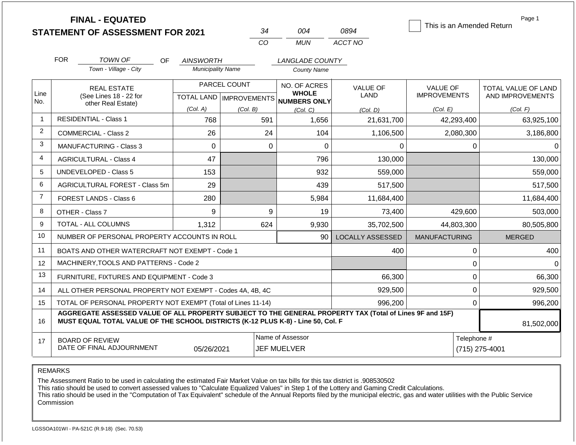|                |                              | <b>FINAL - EQUATED</b><br><b>STATEMENT OF ASSESSMENT FOR 2021</b>                                                                                                                            |                                              | 34                                        |                                                       | 004                                                 | 0894                           | This is an Amended Return              | Page 1                                  |
|----------------|------------------------------|----------------------------------------------------------------------------------------------------------------------------------------------------------------------------------------------|----------------------------------------------|-------------------------------------------|-------------------------------------------------------|-----------------------------------------------------|--------------------------------|----------------------------------------|-----------------------------------------|
|                |                              |                                                                                                                                                                                              |                                              | CO                                        |                                                       | <b>MUN</b>                                          | ACCT NO                        |                                        |                                         |
|                | <b>FOR</b>                   | <b>TOWN OF</b><br>OF.                                                                                                                                                                        |                                              |                                           |                                                       |                                                     |                                |                                        |                                         |
|                |                              | Town - Village - City                                                                                                                                                                        | <b>AINSWORTH</b><br><b>Municipality Name</b> |                                           |                                                       | LANGLADE COUNTY<br><b>County Name</b>               |                                |                                        |                                         |
| Line<br>No.    |                              | <b>REAL ESTATE</b><br>(See Lines 18 - 22 for                                                                                                                                                 |                                              | PARCEL COUNT<br>TOTAL LAND   IMPROVEMENTS |                                                       | NO. OF ACRES<br><b>WHOLE</b><br><b>NUMBERS ONLY</b> | <b>VALUE OF</b><br><b>LAND</b> | <b>VALUE OF</b><br><b>IMPROVEMENTS</b> | TOTAL VALUE OF LAND<br>AND IMPROVEMENTS |
|                |                              | other Real Estate)                                                                                                                                                                           | (Col. A)<br>(Col. B)<br>(Col. C)             |                                           | (Col, D)                                              | (Col. E)                                            | (Col. F)                       |                                        |                                         |
| $\mathbf{1}$   |                              | <b>RESIDENTIAL - Class 1</b>                                                                                                                                                                 | 768                                          |                                           | 591                                                   | 1,656                                               | 21,631,700                     | 42,293,400                             | 63,925,100                              |
| $\overline{2}$ |                              | <b>COMMERCIAL - Class 2</b>                                                                                                                                                                  | 26                                           |                                           | 24                                                    | 104                                                 | 1,106,500                      | 2,080,300                              | 3,186,800                               |
| 3              |                              | <b>MANUFACTURING - Class 3</b>                                                                                                                                                               | $\Omega$                                     |                                           | $\Omega$                                              | 0                                                   | 0                              | $\Omega$                               | $\Omega$                                |
| 4              |                              | <b>AGRICULTURAL - Class 4</b>                                                                                                                                                                | 47                                           |                                           |                                                       | 796                                                 | 130,000                        |                                        | 130,000                                 |
| 5              | <b>UNDEVELOPED - Class 5</b> |                                                                                                                                                                                              | 153                                          |                                           |                                                       | 932                                                 | 559,000                        |                                        | 559,000                                 |
| 6              |                              | AGRICULTURAL FOREST - Class 5m                                                                                                                                                               | 29                                           |                                           |                                                       | 439                                                 | 517,500                        |                                        | 517,500                                 |
| $\overline{7}$ |                              | <b>FOREST LANDS - Class 6</b>                                                                                                                                                                | 280                                          |                                           |                                                       | 5,984                                               | 11,684,400                     |                                        | 11,684,400                              |
| 8              |                              | OTHER - Class 7                                                                                                                                                                              | 9                                            |                                           | 9                                                     | 19                                                  | 73,400                         | 429,600                                | 503,000                                 |
| 9              |                              | <b>TOTAL - ALL COLUMNS</b>                                                                                                                                                                   | 1,312                                        |                                           | 624                                                   | 9,930                                               | 35,702,500                     | 44,803,300                             | 80,505,800                              |
| 10             |                              | NUMBER OF PERSONAL PROPERTY ACCOUNTS IN ROLL                                                                                                                                                 |                                              |                                           |                                                       | 90                                                  | <b>LOCALLY ASSESSED</b>        | <b>MANUFACTURING</b>                   | <b>MERGED</b>                           |
| 11             |                              | BOATS AND OTHER WATERCRAFT NOT EXEMPT - Code 1                                                                                                                                               |                                              |                                           |                                                       |                                                     | 400                            | 0                                      | 400                                     |
| 12             |                              | MACHINERY, TOOLS AND PATTERNS - Code 2                                                                                                                                                       |                                              |                                           |                                                       |                                                     |                                | $\mathbf 0$                            | $\Omega$                                |
| 13             |                              | FURNITURE, FIXTURES AND EQUIPMENT - Code 3                                                                                                                                                   |                                              |                                           |                                                       |                                                     | 66,300                         | $\pmb{0}$                              | 66,300                                  |
| 14             |                              | ALL OTHER PERSONAL PROPERTY NOT EXEMPT - Codes 4A, 4B, 4C                                                                                                                                    |                                              |                                           |                                                       |                                                     | 929,500                        | $\mathbf 0$                            | 929,500                                 |
| 15             |                              | TOTAL OF PERSONAL PROPERTY NOT EXEMPT (Total of Lines 11-14)                                                                                                                                 |                                              |                                           |                                                       |                                                     | 996,200                        | $\mathbf 0$                            | 996,200                                 |
| 16             |                              | AGGREGATE ASSESSED VALUE OF ALL PROPERTY SUBJECT TO THE GENERAL PROPERTY TAX (Total of Lines 9F and 15F)<br>MUST EQUAL TOTAL VALUE OF THE SCHOOL DISTRICTS (K-12 PLUS K-8) - Line 50, Col. F |                                              |                                           |                                                       |                                                     |                                |                                        | 81,502,000                              |
| 17             |                              | <b>BOARD OF REVIEW</b><br>DATE OF FINAL ADJOURNMENT                                                                                                                                          | 05/26/2021                                   |                                           | Name of Assessor<br>Telephone #<br><b>JEF MUELVER</b> |                                                     |                                |                                        | (715) 275-4001                          |

The Assessment Ratio to be used in calculating the estimated Fair Market Value on tax bills for this tax district is .908530502

This ratio should be used to convert assessed values to "Calculate Equalized Values" in Step 1 of the Lottery and Gaming Credit Calculations.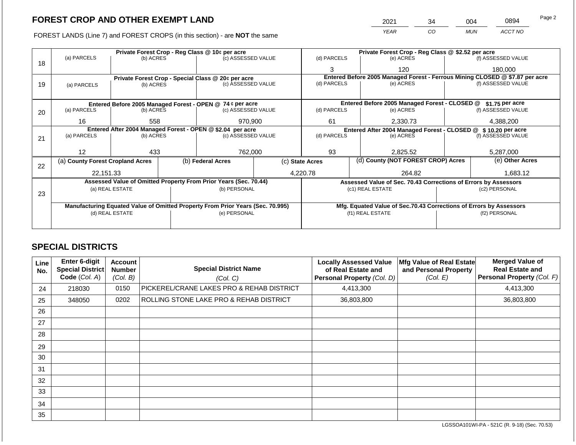FOREST LANDS (Line 7) and FOREST CROPS (in this section) - are **NOT** the same *YEAR CO MUN ACCT NO*

| Private Forest Crop - Reg Class @ 10¢ per acre                                 |    |                 | Private Forest Crop - Reg Class @ \$2.52 per acre |                                                                 |                                                                              |  |  |
|--------------------------------------------------------------------------------|----|-----------------|---------------------------------------------------|-----------------------------------------------------------------|------------------------------------------------------------------------------|--|--|
| (c) ASSESSED VALUE                                                             | 18 |                 | (d) PARCELS                                       | (e) ACRES                                                       | (f) ASSESSED VALUE                                                           |  |  |
|                                                                                |    |                 | 3                                                 | 120                                                             | 180,000                                                                      |  |  |
| Private Forest Crop - Special Class @ 20¢ per acre                             |    |                 |                                                   |                                                                 | Entered Before 2005 Managed Forest - Ferrous Mining CLOSED @ \$7.87 per acre |  |  |
| (c) ASSESSED VALUE                                                             | 19 |                 | (d) PARCELS                                       | (e) ACRES                                                       | (f) ASSESSED VALUE                                                           |  |  |
|                                                                                |    |                 |                                                   |                                                                 |                                                                              |  |  |
| Entered Before 2005 Managed Forest - OPEN @ 74 ¢ per acre                      |    |                 |                                                   | Entered Before 2005 Managed Forest - CLOSED @                   | $$1.75$ per acre                                                             |  |  |
| (c) ASSESSED VALUE                                                             | 20 |                 | (d) PARCELS                                       | (e) ACRES                                                       | (f) ASSESSED VALUE                                                           |  |  |
| 970.900                                                                        |    |                 | 61                                                | 2,330.73                                                        | 4,388,200                                                                    |  |  |
| Entered After 2004 Managed Forest - OPEN @ \$2.04 per acre                     |    |                 |                                                   |                                                                 | Entered After 2004 Managed Forest - CLOSED @ \$10.20 per acre                |  |  |
| (c) ASSESSED VALUE                                                             | 21 |                 | (d) PARCELS                                       | (e) ACRES                                                       | (f) ASSESSED VALUE                                                           |  |  |
|                                                                                |    |                 |                                                   |                                                                 |                                                                              |  |  |
| 762,000                                                                        |    |                 | 93                                                | 2,825.52                                                        | 5,287,000                                                                    |  |  |
| (b) Federal Acres                                                              |    | (c) State Acres |                                                   | (d) County (NOT FOREST CROP) Acres                              | (e) Other Acres                                                              |  |  |
|                                                                                | 22 |                 |                                                   |                                                                 |                                                                              |  |  |
|                                                                                |    | 4,220.78        |                                                   | 264.82                                                          | 1.683.12                                                                     |  |  |
| Assessed Value of Omitted Property From Prior Years (Sec. 70.44)               |    |                 |                                                   | Assessed Value of Sec. 70.43 Corrections of Errors by Assessors |                                                                              |  |  |
|                                                                                |    |                 |                                                   |                                                                 |                                                                              |  |  |
|                                                                                |    |                 |                                                   |                                                                 |                                                                              |  |  |
| Manufacturing Equated Value of Omitted Property From Prior Years (Sec. 70.995) |    |                 |                                                   |                                                                 | Mfg. Equated Value of Sec.70.43 Corrections of Errors by Assessors           |  |  |
| (e) PERSONAL                                                                   |    |                 |                                                   | (f1) REAL ESTATE                                                | (f2) PERSONAL                                                                |  |  |
|                                                                                |    |                 |                                                   |                                                                 |                                                                              |  |  |
| (b) PERSONAL                                                                   | 23 |                 |                                                   | (c1) REAL ESTATE                                                | (c2) PERSONAL                                                                |  |  |

## **SPECIAL DISTRICTS**

| Line<br>No. | Enter 6-digit<br>Special District<br>Code (Col. A) | <b>Account</b><br><b>Number</b><br>(Col. B) | <b>Special District Name</b><br>(Col. C)  | <b>Locally Assessed Value</b><br>of Real Estate and<br>Personal Property (Col. D) | Mfg Value of Real Estate<br>and Personal Property<br>(Col. E) | <b>Merged Value of</b><br><b>Real Estate and</b><br>Personal Property (Col. F) |
|-------------|----------------------------------------------------|---------------------------------------------|-------------------------------------------|-----------------------------------------------------------------------------------|---------------------------------------------------------------|--------------------------------------------------------------------------------|
| 24          | 218030                                             | 0150                                        | PICKEREL/CRANE LAKES PRO & REHAB DISTRICT | 4,413,300                                                                         |                                                               | 4,413,300                                                                      |
| 25          | 348050                                             | 0202                                        | ROLLING STONE LAKE PRO & REHAB DISTRICT   | 36,803,800                                                                        |                                                               | 36,803,800                                                                     |
| 26          |                                                    |                                             |                                           |                                                                                   |                                                               |                                                                                |
| 27          |                                                    |                                             |                                           |                                                                                   |                                                               |                                                                                |
| 28          |                                                    |                                             |                                           |                                                                                   |                                                               |                                                                                |
| 29          |                                                    |                                             |                                           |                                                                                   |                                                               |                                                                                |
| 30          |                                                    |                                             |                                           |                                                                                   |                                                               |                                                                                |
| 31          |                                                    |                                             |                                           |                                                                                   |                                                               |                                                                                |
| 32          |                                                    |                                             |                                           |                                                                                   |                                                               |                                                                                |
| 33          |                                                    |                                             |                                           |                                                                                   |                                                               |                                                                                |
| 34          |                                                    |                                             |                                           |                                                                                   |                                                               |                                                                                |
| 35          |                                                    |                                             |                                           |                                                                                   |                                                               |                                                                                |

2021 34 004 0894 Page 2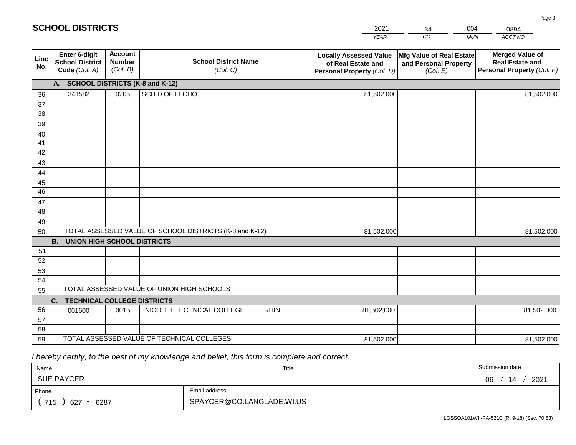| <b>SCHOOL DISTRICTS</b> |                                                          |                                             |                                                         |             | 2021                                                                              | 34                                                            | 004        | 0894                                                                           |
|-------------------------|----------------------------------------------------------|---------------------------------------------|---------------------------------------------------------|-------------|-----------------------------------------------------------------------------------|---------------------------------------------------------------|------------|--------------------------------------------------------------------------------|
|                         |                                                          |                                             |                                                         |             | <b>YEAR</b>                                                                       | CO                                                            | <b>MUN</b> | ACCT NO                                                                        |
| Line<br>No.             | Enter 6-digit<br><b>School District</b><br>Code (Col. A) | <b>Account</b><br><b>Number</b><br>(Col. B) | <b>School District Name</b><br>(Col. C)                 |             | <b>Locally Assessed Value</b><br>of Real Estate and<br>Personal Property (Col. D) | Mfg Value of Real Estate<br>and Personal Property<br>(Col. E) |            | <b>Merged Value of</b><br><b>Real Estate and</b><br>Personal Property (Col. F) |
|                         | A. SCHOOL DISTRICTS (K-8 and K-12)                       |                                             |                                                         |             |                                                                                   |                                                               |            |                                                                                |
| 36                      | 341582                                                   | 0205                                        | SCH D OF ELCHO                                          |             | 81,502,000                                                                        |                                                               |            | 81,502,000                                                                     |
| 37                      |                                                          |                                             |                                                         |             |                                                                                   |                                                               |            |                                                                                |
| 38                      |                                                          |                                             |                                                         |             |                                                                                   |                                                               |            |                                                                                |
| 39                      |                                                          |                                             |                                                         |             |                                                                                   |                                                               |            |                                                                                |
| 40                      |                                                          |                                             |                                                         |             |                                                                                   |                                                               |            |                                                                                |
| 41                      |                                                          |                                             |                                                         |             |                                                                                   |                                                               |            |                                                                                |
| 42                      |                                                          |                                             |                                                         |             |                                                                                   |                                                               |            |                                                                                |
| 43                      |                                                          |                                             |                                                         |             |                                                                                   |                                                               |            |                                                                                |
| 44<br>45                |                                                          |                                             |                                                         |             |                                                                                   |                                                               |            |                                                                                |
| $\overline{46}$         |                                                          |                                             |                                                         |             |                                                                                   |                                                               |            |                                                                                |
| 47                      |                                                          |                                             |                                                         |             |                                                                                   |                                                               |            |                                                                                |
| 48                      |                                                          |                                             |                                                         |             |                                                                                   |                                                               |            |                                                                                |
| 49                      |                                                          |                                             |                                                         |             |                                                                                   |                                                               |            |                                                                                |
| 50                      |                                                          |                                             | TOTAL ASSESSED VALUE OF SCHOOL DISTRICTS (K-8 and K-12) |             | 81,502,000                                                                        |                                                               |            | 81,502,000                                                                     |
|                         | <b>B.</b><br><b>UNION HIGH SCHOOL DISTRICTS</b>          |                                             |                                                         |             |                                                                                   |                                                               |            |                                                                                |
| 51                      |                                                          |                                             |                                                         |             |                                                                                   |                                                               |            |                                                                                |
| 52                      |                                                          |                                             |                                                         |             |                                                                                   |                                                               |            |                                                                                |
| 53                      |                                                          |                                             |                                                         |             |                                                                                   |                                                               |            |                                                                                |
| 54                      |                                                          |                                             |                                                         |             |                                                                                   |                                                               |            |                                                                                |
| 55                      |                                                          |                                             | TOTAL ASSESSED VALUE OF UNION HIGH SCHOOLS              |             |                                                                                   |                                                               |            |                                                                                |
|                         | <b>TECHNICAL COLLEGE DISTRICTS</b><br>C.                 |                                             |                                                         |             |                                                                                   |                                                               |            |                                                                                |
| 56                      | 001600                                                   | 0015                                        | NICOLET TECHNICAL COLLEGE                               | <b>RHIN</b> | 81,502,000                                                                        |                                                               |            | 81,502,000                                                                     |
| 57<br>58                |                                                          |                                             |                                                         |             |                                                                                   |                                                               |            |                                                                                |
| 59                      |                                                          |                                             | TOTAL ASSESSED VALUE OF TECHNICAL COLLEGES              |             | 81,502,000                                                                        |                                                               |            | 81,502,000                                                                     |
|                         |                                                          |                                             |                                                         |             |                                                                                   |                                                               |            |                                                                                |

 *I hereby certify, to the best of my knowledge and belief, this form is complete and correct.*

**SCHOOL DISTRICTS**

| Name                                           |                           | Title | Submission date        |
|------------------------------------------------|---------------------------|-------|------------------------|
| <b>SUE PAYCER</b>                              |                           |       | 2021<br>∩ഭ<br>14<br>νv |
| Phone                                          | Email address             |       |                        |
| 715<br>6287<br>627<br>$\overline{\phantom{0}}$ | SPAYCER@CO.LANGLADE.WI.US |       |                        |

Page 3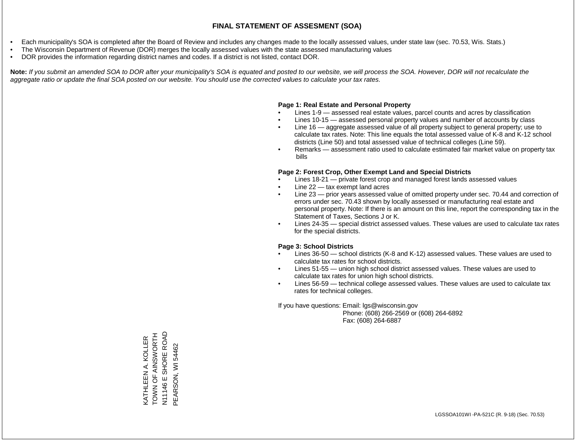- Each municipality's SOA is completed after the Board of Review and includes any changes made to the locally assessed values, under state law (sec. 70.53, Wis. Stats.)
- The Wisconsin Department of Revenue (DOR) merges the locally assessed values with the state assessed manufacturing values
- DOR provides the information regarding district names and codes. If a district is not listed, contact DOR.

Note: If you submit an amended SOA to DOR after your municipality's SOA is equated and posted to our website, we will process the SOA. However, DOR will not recalculate the *aggregate ratio or update the final SOA posted on our website. You should use the corrected values to calculate your tax rates.*

#### **Page 1: Real Estate and Personal Property**

- Lines 1-9 assessed real estate values, parcel counts and acres by classification
- Lines 10-15 assessed personal property values and number of accounts by class
- Line 16 aggregate assessed value of all property subject to general property; use to calculate tax rates. Note: This line equals the total assessed value of K-8 and K-12 school districts (Line 50) and total assessed value of technical colleges (Line 59).
- Remarks assessment ratio used to calculate estimated fair market value on property tax bills

#### **Page 2: Forest Crop, Other Exempt Land and Special Districts**

- Lines 18-21 private forest crop and managed forest lands assessed values
- Line  $22 -$  tax exempt land acres
- Line 23 prior years assessed value of omitted property under sec. 70.44 and correction of errors under sec. 70.43 shown by locally assessed or manufacturing real estate and personal property. Note: If there is an amount on this line, report the corresponding tax in the Statement of Taxes, Sections J or K.
- Lines 24-35 special district assessed values. These values are used to calculate tax rates for the special districts.

#### **Page 3: School Districts**

- Lines 36-50 school districts (K-8 and K-12) assessed values. These values are used to calculate tax rates for school districts.
- Lines 51-55 union high school district assessed values. These values are used to calculate tax rates for union high school districts.
- Lines 56-59 technical college assessed values. These values are used to calculate tax rates for technical colleges.

If you have questions: Email: lgs@wisconsin.gov

 Phone: (608) 266-2569 or (608) 264-6892 Fax: (608) 264-6887

KATHLEEN A. KOLLER<br>TOWN OF AINSWORTH THROMSMIK LO NNOL N1146 E SHORE ROAD N11146 E SHORE ROAD KATHLEEN A. KOLLER PEARSON, WI 54462 PEARSON, WI 54462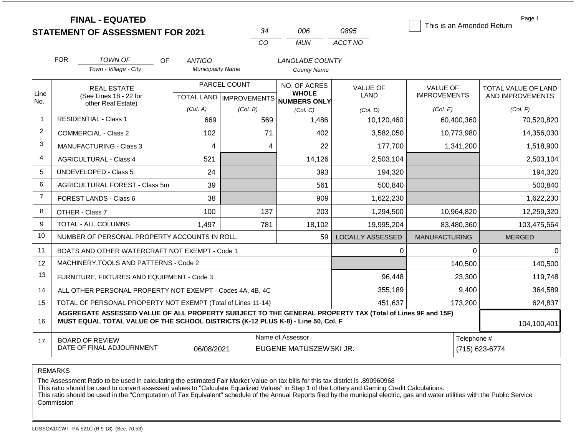|                | <b>FINAL - EQUATED</b><br><b>STATEMENT OF ASSESSMENT FOR 2021</b>                                                                                                                            |                          | 34                        | 006                                        | 0895                    | This is an Amended Return | Page 1                        |  |
|----------------|----------------------------------------------------------------------------------------------------------------------------------------------------------------------------------------------|--------------------------|---------------------------|--------------------------------------------|-------------------------|---------------------------|-------------------------------|--|
|                |                                                                                                                                                                                              |                          | CO                        | <b>MUN</b>                                 | ACCT NO                 |                           |                               |  |
|                | <b>FOR</b><br><b>TOWN OF</b><br><b>OF</b>                                                                                                                                                    | <b>ANTIGO</b>            |                           | <b>LANGLADE COUNTY</b>                     |                         |                           |                               |  |
|                | Town - Village - City                                                                                                                                                                        | <b>Municipality Name</b> |                           | <b>County Name</b>                         |                         |                           |                               |  |
|                | <b>REAL ESTATE</b>                                                                                                                                                                           |                          | PARCEL COUNT              | NO. OF ACRES                               | <b>VALUE OF</b>         | <b>VALUE OF</b>           | TOTAL VALUE OF LAND           |  |
| Line<br>No.    | (See Lines 18 - 22 for<br>other Real Estate)                                                                                                                                                 |                          | TOTAL LAND   IMPROVEMENTS | <b>WHOLE</b><br>NUMBERS ONLY               | LAND                    | <b>IMPROVEMENTS</b>       | AND IMPROVEMENTS              |  |
|                |                                                                                                                                                                                              | (Col. A)                 | (Col. B)                  | (Col, C)                                   | (Col. D)                | (Col. E)                  | (Col. F)                      |  |
| 1              | <b>RESIDENTIAL - Class 1</b>                                                                                                                                                                 | 669                      | 569                       | 1,486                                      | 10,120,460              | 60,400,360                | 70,520,820                    |  |
| 2              | <b>COMMERCIAL - Class 2</b>                                                                                                                                                                  | 102                      | 71                        | 402                                        | 3,582,050               | 10,773,980                | 14,356,030                    |  |
| 3              | <b>MANUFACTURING - Class 3</b>                                                                                                                                                               | 4                        | 4                         | 22                                         | 177,700                 | 1,341,200                 | 1,518,900                     |  |
| 4              | <b>AGRICULTURAL - Class 4</b>                                                                                                                                                                | 521                      |                           | 14,126                                     | 2,503,104               |                           | 2,503,104                     |  |
| 5              | UNDEVELOPED - Class 5                                                                                                                                                                        | 24                       |                           | 393                                        | 194,320                 |                           | 194,320                       |  |
| 6              | AGRICULTURAL FOREST - Class 5m                                                                                                                                                               | 39                       |                           | 561                                        | 500,840                 |                           | 500,840                       |  |
| $\overline{7}$ | FOREST LANDS - Class 6                                                                                                                                                                       | 38                       |                           | 909                                        | 1,622,230               |                           | 1,622,230                     |  |
| 8              | OTHER - Class 7                                                                                                                                                                              | 100                      | 137                       | 203                                        | 1,294,500               | 10,964,820                | 12,259,320                    |  |
| 9              | <b>TOTAL - ALL COLUMNS</b>                                                                                                                                                                   | 1,497                    | 781                       | 18,102                                     | 19,995,204              | 83,480,360                | 103,475,564                   |  |
| 10             | NUMBER OF PERSONAL PROPERTY ACCOUNTS IN ROLL                                                                                                                                                 |                          |                           | 59                                         | <b>LOCALLY ASSESSED</b> | <b>MANUFACTURING</b>      | <b>MERGED</b>                 |  |
| 11             | BOATS AND OTHER WATERCRAFT NOT EXEMPT - Code 1                                                                                                                                               |                          |                           |                                            | 0                       | 0                         | 0                             |  |
| 12             | MACHINERY, TOOLS AND PATTERNS - Code 2                                                                                                                                                       |                          |                           |                                            |                         | 140,500                   | 140,500                       |  |
| 13             | FURNITURE, FIXTURES AND EQUIPMENT - Code 3                                                                                                                                                   |                          |                           |                                            | 96,448                  | 23,300                    | 119,748                       |  |
| 14             | ALL OTHER PERSONAL PROPERTY NOT EXEMPT - Codes 4A, 4B, 4C                                                                                                                                    |                          |                           |                                            | 355,189                 | 9,400                     | 364,589                       |  |
| 15             | TOTAL OF PERSONAL PROPERTY NOT EXEMPT (Total of Lines 11-14)                                                                                                                                 |                          |                           |                                            | 451,637                 | 173,200                   | 624,837                       |  |
| 16             | AGGREGATE ASSESSED VALUE OF ALL PROPERTY SUBJECT TO THE GENERAL PROPERTY TAX (Total of Lines 9F and 15F)<br>MUST EQUAL TOTAL VALUE OF THE SCHOOL DISTRICTS (K-12 PLUS K-8) - Line 50, Col. F |                          |                           |                                            |                         |                           | 104,100,401                   |  |
| 17             | <b>BOARD OF REVIEW</b><br>DATE OF FINAL ADJOURNMENT                                                                                                                                          | 06/08/2021               |                           | Name of Assessor<br>EUGENE MATUSZEWSKI JR. |                         |                           | Telephone #<br>(715) 623-6774 |  |

The Assessment Ratio to be used in calculating the estimated Fair Market Value on tax bills for this tax district is .890960968

This ratio should be used to convert assessed values to "Calculate Equalized Values" in Step 1 of the Lottery and Gaming Credit Calculations.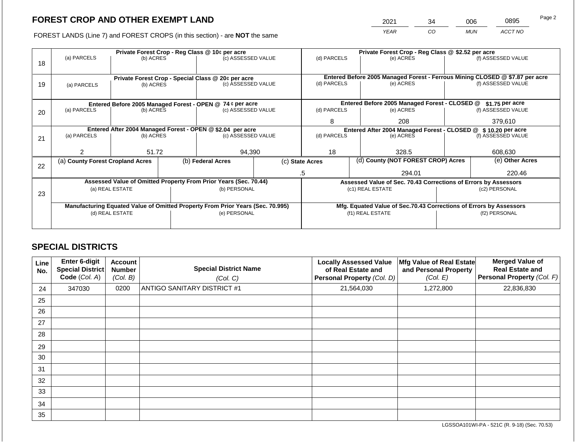2021 34 006 0895

FOREST LANDS (Line 7) and FOREST CROPS (in this section) - are **NOT** the same *YEAR CO MUN ACCT NO*

|    |                                                                                |                 |  | Private Forest Crop - Reg Class @ 10¢ per acre                   |  | Private Forest Crop - Reg Class @ \$2.52 per acre |                  |                                                                              |               |                    |  |
|----|--------------------------------------------------------------------------------|-----------------|--|------------------------------------------------------------------|--|---------------------------------------------------|------------------|------------------------------------------------------------------------------|---------------|--------------------|--|
| 18 | (a) PARCELS                                                                    | (b) ACRES       |  | (c) ASSESSED VALUE                                               |  | (d) PARCELS                                       |                  | (e) ACRES                                                                    |               | (f) ASSESSED VALUE |  |
|    |                                                                                |                 |  |                                                                  |  |                                                   |                  |                                                                              |               |                    |  |
|    |                                                                                |                 |  | Private Forest Crop - Special Class @ 20¢ per acre               |  |                                                   |                  | Entered Before 2005 Managed Forest - Ferrous Mining CLOSED @ \$7.87 per acre |               |                    |  |
| 19 | (a) PARCELS                                                                    | (b) ACRES       |  | (c) ASSESSED VALUE                                               |  | (d) PARCELS                                       |                  | (e) ACRES                                                                    |               | (f) ASSESSED VALUE |  |
|    |                                                                                |                 |  |                                                                  |  |                                                   |                  |                                                                              |               |                    |  |
|    |                                                                                |                 |  |                                                                  |  |                                                   |                  | Entered Before 2005 Managed Forest - CLOSED @                                |               |                    |  |
|    |                                                                                |                 |  | Entered Before 2005 Managed Forest - OPEN @ 74 ¢ per acre        |  |                                                   |                  |                                                                              |               | $$1.75$ per acre   |  |
| 20 | (a) PARCELS<br>(b) ACRES                                                       |                 |  | (c) ASSESSED VALUE                                               |  | (d) PARCELS                                       |                  | (e) ACRES                                                                    |               | (f) ASSESSED VALUE |  |
|    |                                                                                |                 |  |                                                                  |  | 8                                                 |                  | 208                                                                          |               | 379,610            |  |
|    | Entered After 2004 Managed Forest - OPEN @ \$2.04 per acre                     |                 |  |                                                                  |  |                                                   |                  | Entered After 2004 Managed Forest - CLOSED @ \$10.20 per acre                |               |                    |  |
| 21 | (a) PARCELS                                                                    | (b) ACRES       |  | (c) ASSESSED VALUE                                               |  | (d) PARCELS                                       |                  | (e) ACRES                                                                    |               | (f) ASSESSED VALUE |  |
|    |                                                                                |                 |  |                                                                  |  |                                                   |                  |                                                                              |               |                    |  |
|    | っ                                                                              | 51.72           |  | 94,390                                                           |  | 18                                                |                  | 328.5                                                                        |               | 608,630            |  |
|    | (a) County Forest Cropland Acres                                               |                 |  | (b) Federal Acres                                                |  | (c) State Acres                                   |                  | (d) County (NOT FOREST CROP) Acres                                           |               | (e) Other Acres    |  |
| 22 |                                                                                |                 |  |                                                                  |  |                                                   |                  |                                                                              |               |                    |  |
|    |                                                                                |                 |  |                                                                  |  | 294.01<br>.5                                      |                  |                                                                              | 220.46        |                    |  |
|    |                                                                                |                 |  | Assessed Value of Omitted Property From Prior Years (Sec. 70.44) |  |                                                   |                  | Assessed Value of Sec. 70.43 Corrections of Errors by Assessors              |               |                    |  |
|    |                                                                                | (a) REAL ESTATE |  | (b) PERSONAL                                                     |  |                                                   |                  | (c1) REAL ESTATE                                                             | (c2) PERSONAL |                    |  |
| 23 |                                                                                |                 |  |                                                                  |  |                                                   |                  |                                                                              |               |                    |  |
|    | Manufacturing Equated Value of Omitted Property From Prior Years (Sec. 70.995) |                 |  |                                                                  |  |                                                   |                  | Mfg. Equated Value of Sec.70.43 Corrections of Errors by Assessors           |               |                    |  |
|    | (d) REAL ESTATE                                                                |                 |  | (e) PERSONAL                                                     |  |                                                   | (f1) REAL ESTATE |                                                                              | (f2) PERSONAL |                    |  |
|    |                                                                                |                 |  |                                                                  |  |                                                   |                  |                                                                              |               |                    |  |
|    |                                                                                |                 |  |                                                                  |  |                                                   |                  |                                                                              |               |                    |  |

## **SPECIAL DISTRICTS**

| Line<br>No. | <b>Enter 6-digit</b><br>Special District<br>Code (Col. A) | <b>Account</b><br><b>Number</b><br>(Col. B) | <b>Special District Name</b><br>(Col. C) | <b>Locally Assessed Value</b><br>of Real Estate and<br>Personal Property (Col. D) | Mfg Value of Real Estate<br>and Personal Property<br>(Col. E) | <b>Merged Value of</b><br><b>Real Estate and</b><br>Personal Property (Col. F) |
|-------------|-----------------------------------------------------------|---------------------------------------------|------------------------------------------|-----------------------------------------------------------------------------------|---------------------------------------------------------------|--------------------------------------------------------------------------------|
| 24          | 347030                                                    | 0200                                        | <b>ANTIGO SANITARY DISTRICT #1</b>       | 21,564,030                                                                        | 1,272,800                                                     | 22,836,830                                                                     |
| 25          |                                                           |                                             |                                          |                                                                                   |                                                               |                                                                                |
| 26          |                                                           |                                             |                                          |                                                                                   |                                                               |                                                                                |
| 27          |                                                           |                                             |                                          |                                                                                   |                                                               |                                                                                |
| 28          |                                                           |                                             |                                          |                                                                                   |                                                               |                                                                                |
| 29          |                                                           |                                             |                                          |                                                                                   |                                                               |                                                                                |
| 30          |                                                           |                                             |                                          |                                                                                   |                                                               |                                                                                |
| 31          |                                                           |                                             |                                          |                                                                                   |                                                               |                                                                                |
| 32          |                                                           |                                             |                                          |                                                                                   |                                                               |                                                                                |
| 33          |                                                           |                                             |                                          |                                                                                   |                                                               |                                                                                |
| 34          |                                                           |                                             |                                          |                                                                                   |                                                               |                                                                                |
| 35          |                                                           |                                             |                                          |                                                                                   |                                                               |                                                                                |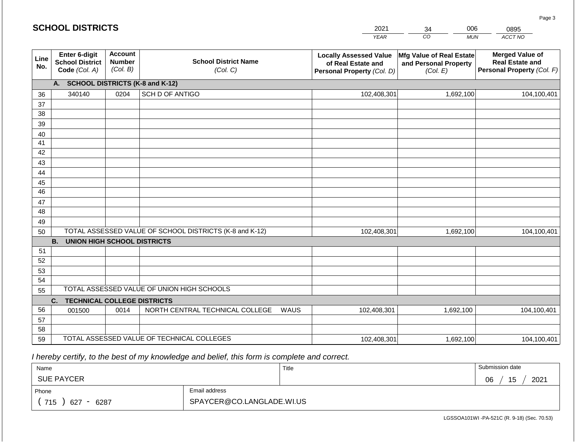|                 | <b>SCHOOL DISTRICTS</b>                                  |                                             |                                                         | 2021        | 006<br>34                                                                         | 0895                                                          |                                                                                |
|-----------------|----------------------------------------------------------|---------------------------------------------|---------------------------------------------------------|-------------|-----------------------------------------------------------------------------------|---------------------------------------------------------------|--------------------------------------------------------------------------------|
|                 |                                                          |                                             |                                                         |             | <b>YEAR</b>                                                                       | CO<br><b>MUN</b>                                              | ACCT NO                                                                        |
| Line<br>No.     | Enter 6-digit<br><b>School District</b><br>Code (Col. A) | <b>Account</b><br><b>Number</b><br>(Col. B) | <b>School District Name</b><br>(Col. C)                 |             | <b>Locally Assessed Value</b><br>of Real Estate and<br>Personal Property (Col. D) | Mfg Value of Real Estate<br>and Personal Property<br>(Col. E) | <b>Merged Value of</b><br><b>Real Estate and</b><br>Personal Property (Col. F) |
|                 | <b>SCHOOL DISTRICTS (K-8 and K-12)</b><br>A.             |                                             |                                                         |             |                                                                                   |                                                               |                                                                                |
| 36              | 340140                                                   | 0204                                        | SCH D OF ANTIGO                                         |             | 102,408,301                                                                       | 1,692,100                                                     | 104,100,401                                                                    |
| 37              |                                                          |                                             |                                                         |             |                                                                                   |                                                               |                                                                                |
| 38              |                                                          |                                             |                                                         |             |                                                                                   |                                                               |                                                                                |
| 39              |                                                          |                                             |                                                         |             |                                                                                   |                                                               |                                                                                |
| 40<br>41        |                                                          |                                             |                                                         |             |                                                                                   |                                                               |                                                                                |
| 42              |                                                          |                                             |                                                         |             |                                                                                   |                                                               |                                                                                |
| 43              |                                                          |                                             |                                                         |             |                                                                                   |                                                               |                                                                                |
| 44              |                                                          |                                             |                                                         |             |                                                                                   |                                                               |                                                                                |
| 45              |                                                          |                                             |                                                         |             |                                                                                   |                                                               |                                                                                |
| $\overline{46}$ |                                                          |                                             |                                                         |             |                                                                                   |                                                               |                                                                                |
| 47              |                                                          |                                             |                                                         |             |                                                                                   |                                                               |                                                                                |
| 48              |                                                          |                                             |                                                         |             |                                                                                   |                                                               |                                                                                |
| 49              |                                                          |                                             |                                                         |             |                                                                                   |                                                               |                                                                                |
| 50              |                                                          |                                             | TOTAL ASSESSED VALUE OF SCHOOL DISTRICTS (K-8 and K-12) |             | 102,408,301                                                                       | 1,692,100                                                     | 104,100,401                                                                    |
|                 | <b>B.</b><br><b>UNION HIGH SCHOOL DISTRICTS</b>          |                                             |                                                         |             |                                                                                   |                                                               |                                                                                |
| 51              |                                                          |                                             |                                                         |             |                                                                                   |                                                               |                                                                                |
| 52<br>53        |                                                          |                                             |                                                         |             |                                                                                   |                                                               |                                                                                |
| 54              |                                                          |                                             |                                                         |             |                                                                                   |                                                               |                                                                                |
| 55              |                                                          |                                             | TOTAL ASSESSED VALUE OF UNION HIGH SCHOOLS              |             |                                                                                   |                                                               |                                                                                |
|                 | <b>TECHNICAL COLLEGE DISTRICTS</b><br>C.                 |                                             |                                                         |             |                                                                                   |                                                               |                                                                                |
| 56              | 001500                                                   | 0014                                        | NORTH CENTRAL TECHNICAL COLLEGE                         | <b>WAUS</b> | 102,408,301                                                                       | 1,692,100                                                     | 104,100,401                                                                    |
| 57              |                                                          |                                             |                                                         |             |                                                                                   |                                                               |                                                                                |
| 58              |                                                          |                                             |                                                         |             |                                                                                   |                                                               |                                                                                |
| 59              |                                                          |                                             | TOTAL ASSESSED VALUE OF TECHNICAL COLLEGES              | 102,408,301 | 1,692,100                                                                         | 104,100,401                                                   |                                                                                |

 *I hereby certify, to the best of my knowledge and belief, this form is complete and correct.*

| Name                         |                           | Title | Submission date  |
|------------------------------|---------------------------|-------|------------------|
| <b>SUE PAYCER</b>            |                           |       | 2021<br>15<br>06 |
| Phone                        | Email address             |       |                  |
| 715<br>627<br>6287<br>$\sim$ | SPAYCER@CO.LANGLADE.WI.US |       |                  |

LGSSOA101WI -PA-521C (R. 9-18) (Sec. 70.53)

Page 3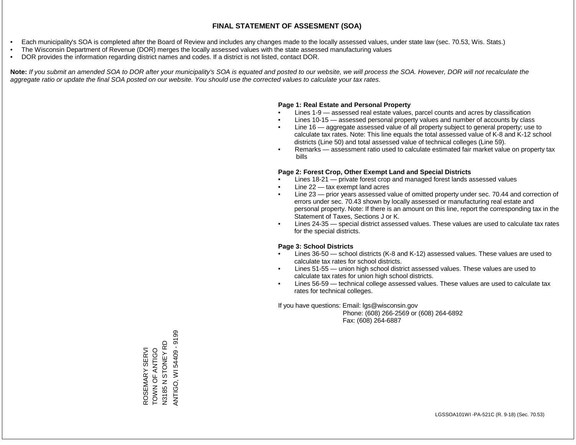- Each municipality's SOA is completed after the Board of Review and includes any changes made to the locally assessed values, under state law (sec. 70.53, Wis. Stats.)
- The Wisconsin Department of Revenue (DOR) merges the locally assessed values with the state assessed manufacturing values
- DOR provides the information regarding district names and codes. If a district is not listed, contact DOR.

Note: If you submit an amended SOA to DOR after your municipality's SOA is equated and posted to our website, we will process the SOA. However, DOR will not recalculate the *aggregate ratio or update the final SOA posted on our website. You should use the corrected values to calculate your tax rates.*

### **Page 1: Real Estate and Personal Property**

- Lines 1-9 assessed real estate values, parcel counts and acres by classification
- Lines 10-15 assessed personal property values and number of accounts by class
- Line 16 aggregate assessed value of all property subject to general property; use to calculate tax rates. Note: This line equals the total assessed value of K-8 and K-12 school districts (Line 50) and total assessed value of technical colleges (Line 59).
- Remarks assessment ratio used to calculate estimated fair market value on property tax bills

### **Page 2: Forest Crop, Other Exempt Land and Special Districts**

- Lines 18-21 private forest crop and managed forest lands assessed values
- Line  $22 -$  tax exempt land acres
- Line 23 prior years assessed value of omitted property under sec. 70.44 and correction of errors under sec. 70.43 shown by locally assessed or manufacturing real estate and personal property. Note: If there is an amount on this line, report the corresponding tax in the Statement of Taxes, Sections J or K.
- Lines 24-35 special district assessed values. These values are used to calculate tax rates for the special districts.

### **Page 3: School Districts**

- Lines 36-50 school districts (K-8 and K-12) assessed values. These values are used to calculate tax rates for school districts.
- Lines 51-55 union high school district assessed values. These values are used to calculate tax rates for union high school districts.
- Lines 56-59 technical college assessed values. These values are used to calculate tax rates for technical colleges.

If you have questions: Email: lgs@wisconsin.gov

 Phone: (608) 266-2569 or (608) 264-6892 Fax: (608) 264-6887

ANTIGO, WI 54409 - 9199 8959 - 90449 IN (OULNY TOWN OF ANTIGO<br>N3185 N STONEY RD N3185 N STONEY RD OOLN ALONSOL ROSEMARY SERVI ROSEMARY SERVI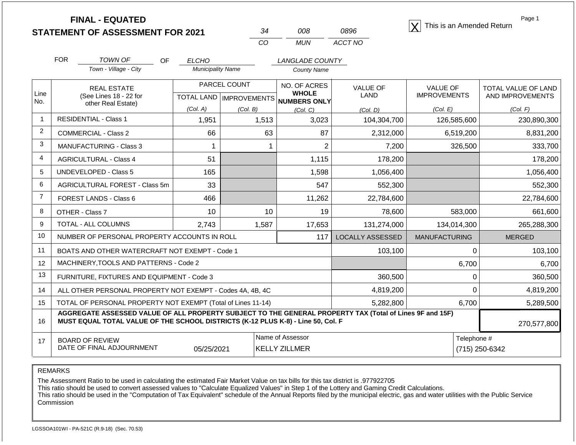| -34 | nnr. | 0896    |
|-----|------|---------|
| ററ  | MUN  | ACCT NO |

**FINAL - EQUATED**<br>  $\overline{X}$  This is an Amended Return

Page 1

|  |               | <b>FOR</b>                                   | TOWN OF<br>OF                  | <b>ELCHO</b>                             |          | <i>LANGLADE COUNTY</i>       |                 |                     |                     |  |
|--|---------------|----------------------------------------------|--------------------------------|------------------------------------------|----------|------------------------------|-----------------|---------------------|---------------------|--|
|  |               |                                              | Town - Village - City          | <b>Municipality Name</b>                 |          | <b>County Name</b>           |                 |                     |                     |  |
|  |               |                                              | <b>REAL ESTATE</b>             | <b>PARCEL COUNT</b>                      |          | NO. OF ACRES                 | <b>VALUE OF</b> | <b>VALUE OF</b>     | TOTAL VALUE OF LAND |  |
|  | Line<br>l No. | (See Lines 18 - 22 for<br>other Real Estate) |                                | <b>TOTAL LAND</b><br><b>IMPROVEMENTS</b> |          | <b>WHOLE</b><br>NUMBERS ONLY | LAND            | <b>IMPROVEMENTS</b> | AND IMPROVEMENTS    |  |
|  |               |                                              |                                | (Col. A)                                 | (Col. B) | (Col. C)                     | (Col. D)        | (Col. E)            | (Col. F)            |  |
|  |               |                                              | <b>RESIDENTIAL - Class 1</b>   | 1,951                                    | 1,513    | 3,023                        | 104,304,700     | 126,585,600         | 230,890,300         |  |
|  | 2             |                                              | COMMERCIAL - Class 2           | 66                                       | 63       | 87                           | 2,312,000       | 6,519,200           | 8,831,200           |  |
|  | 3             |                                              | <b>MANUFACTURING - Class 3</b> |                                          |          |                              | 7,200           | 326,500             | 333,700             |  |
|  |               |                                              | <b>AGRICULTURAL - Class 4</b>  | 51                                       |          | 1,115                        | 178,200         |                     | 178,200             |  |
|  | 5             |                                              | UNDEVELOPED - Class 5          | 165                                      |          | 1,598                        | 1,056,400       |                     | 1,056,400           |  |
|  |               |                                              |                                | $\sim$                                   |          | $-1$                         | --^ ^^^         |                     | $   -$              |  |

|    |                                                                                                                                                                                                             | טטו<br>טטט, ו |       |        | 1,000,700        |                      | 1,000,700     |  |  |
|----|-------------------------------------------------------------------------------------------------------------------------------------------------------------------------------------------------------------|---------------|-------|--------|------------------|----------------------|---------------|--|--|
| 6  | AGRICULTURAL FOREST - Class 5m                                                                                                                                                                              | 33            |       | 547    | 552,300          |                      | 552,300       |  |  |
|    | FOREST LANDS - Class 6                                                                                                                                                                                      | 466           |       | 11,262 | 22,784,600       |                      | 22,784,600    |  |  |
| 8  | OTHER - Class 7                                                                                                                                                                                             | 10            | 10    | 19     | 78,600           | 583,000              | 661,600       |  |  |
| 9  | <b>TOTAL - ALL COLUMNS</b>                                                                                                                                                                                  | 2,743         | 1,587 | 17,653 | 131,274,000      | 134,014,300          | 265,288,300   |  |  |
| 10 | NUMBER OF PERSONAL PROPERTY ACCOUNTS IN ROLL                                                                                                                                                                |               |       | 117    | LOCALLY ASSESSED | <b>MANUFACTURING</b> | <b>MERGED</b> |  |  |
| 11 | BOATS AND OTHER WATERCRAFT NOT EXEMPT - Code 1                                                                                                                                                              |               |       |        | 103,100          |                      | 103,100       |  |  |
| 12 | MACHINERY, TOOLS AND PATTERNS - Code 2                                                                                                                                                                      |               |       |        |                  | 6,700                | 6,700         |  |  |
| 13 | FURNITURE, FIXTURES AND EQUIPMENT - Code 3                                                                                                                                                                  |               |       |        | 360,500          | 0                    | 360,500       |  |  |
| 14 | ALL OTHER PERSONAL PROPERTY NOT EXEMPT - Codes 4A, 4B, 4C                                                                                                                                                   |               |       |        | 4,819,200        | 0                    | 4,819,200     |  |  |
| 15 | TOTAL OF PERSONAL PROPERTY NOT EXEMPT (Total of Lines 11-14)                                                                                                                                                |               |       |        | 5,282,800        | 6,700                | 5,289,500     |  |  |
| 16 | AGGREGATE ASSESSED VALUE OF ALL PROPERTY SUBJECT TO THE GENERAL PROPERTY TAX (Total of Lines 9F and 15F)<br>MUST EQUAL TOTAL VALUE OF THE SCHOOL DISTRICTS (K-12 PLUS K-8) - Line 50, Col. F<br>270,577,800 |               |       |        |                  |                      |               |  |  |
| 17 | Name of Assessor<br>Telephone #<br><b>BOARD OF REVIEW</b><br>DATE OF FINAL ADJOURNMENT<br>(715) 250-6342<br>05/25/2021<br><b>KELLY ZILLMER</b>                                                              |               |       |        |                  |                      |               |  |  |

REMARKS

The Assessment Ratio to be used in calculating the estimated Fair Market Value on tax bills for this tax district is .977922705

This ratio should be used to convert assessed values to "Calculate Equalized Values" in Step 1 of the Lottery and Gaming Credit Calculations.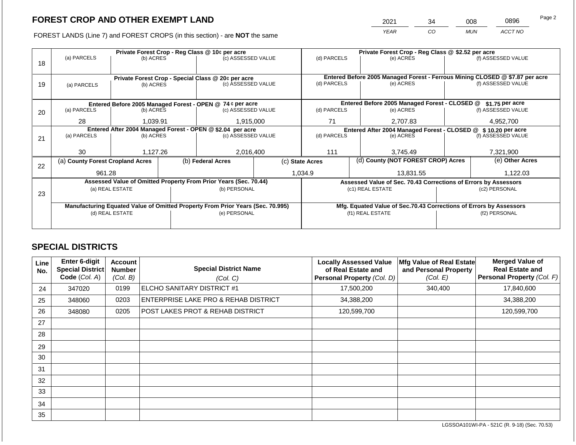2021 34 008 0896

FOREST LANDS (Line 7) and FOREST CROPS (in this section) - are **NOT** the same *YEAR CO MUN ACCT NO*

|    |                                  |                 |                                                            | Private Forest Crop - Reg Class @ 10¢ per acre                                 |                                                                | Private Forest Crop - Reg Class @ \$2.52 per acre                                         |           |                                                                    |                    |                    |
|----|----------------------------------|-----------------|------------------------------------------------------------|--------------------------------------------------------------------------------|----------------------------------------------------------------|-------------------------------------------------------------------------------------------|-----------|--------------------------------------------------------------------|--------------------|--------------------|
|    | (a) PARCELS                      | (b) ACRES       |                                                            | (c) ASSESSED VALUE                                                             |                                                                | (d) PARCELS                                                                               |           | (e) ACRES                                                          |                    | (f) ASSESSED VALUE |
| 18 |                                  |                 |                                                            |                                                                                |                                                                |                                                                                           |           |                                                                    |                    |                    |
|    |                                  |                 |                                                            |                                                                                |                                                                |                                                                                           |           |                                                                    |                    |                    |
|    |                                  |                 |                                                            | Private Forest Crop - Special Class @ 20¢ per acre                             |                                                                | Entered Before 2005 Managed Forest - Ferrous Mining CLOSED @ \$7.87 per acre<br>(e) ACRES |           |                                                                    |                    | (f) ASSESSED VALUE |
| 19 | (a) PARCELS                      | (b) ACRES       |                                                            | (c) ASSESSED VALUE                                                             |                                                                | (d) PARCELS                                                                               |           |                                                                    |                    |                    |
|    |                                  |                 |                                                            |                                                                                |                                                                |                                                                                           |           |                                                                    |                    |                    |
|    |                                  |                 |                                                            | Entered Before 2005 Managed Forest - OPEN @ 74 ¢ per acre                      |                                                                |                                                                                           |           | Entered Before 2005 Managed Forest - CLOSED @                      |                    | \$1.75 per acre    |
| 20 | (a) PARCELS                      | (b) ACRES       |                                                            | (c) ASSESSED VALUE                                                             |                                                                | (d) PARCELS                                                                               |           | (e) ACRES                                                          |                    | (f) ASSESSED VALUE |
|    |                                  |                 |                                                            |                                                                                |                                                                |                                                                                           |           |                                                                    |                    |                    |
|    | 28                               | 1,039.91        |                                                            | 1,915,000                                                                      | 71<br>2,707.83                                                 |                                                                                           | 4,952,700 |                                                                    |                    |                    |
|    |                                  |                 | Entered After 2004 Managed Forest - OPEN @ \$2.04 per acre |                                                                                | Entered After 2004 Managed Forest - CLOSED @ \$ 10.20 per acre |                                                                                           |           |                                                                    |                    |                    |
| 21 | (a) PARCELS                      | (b) ACRES       |                                                            | (c) ASSESSED VALUE                                                             |                                                                | (d) PARCELS                                                                               |           | (e) ACRES                                                          | (f) ASSESSED VALUE |                    |
|    |                                  |                 |                                                            |                                                                                |                                                                |                                                                                           |           |                                                                    |                    |                    |
|    | 30                               | 1,127.26        |                                                            | 2,016,400                                                                      |                                                                | 111                                                                                       |           | 3,745.49                                                           |                    | 7,321,900          |
|    | (a) County Forest Cropland Acres |                 |                                                            | (b) Federal Acres                                                              |                                                                | (c) State Acres                                                                           |           | (d) County (NOT FOREST CROP) Acres                                 |                    | (e) Other Acres    |
| 22 |                                  |                 |                                                            |                                                                                |                                                                |                                                                                           |           |                                                                    |                    |                    |
|    | 961.28                           |                 |                                                            |                                                                                |                                                                | 1,034.9                                                                                   |           | 13,831.55                                                          |                    | 1,122.03           |
|    |                                  |                 |                                                            | Assessed Value of Omitted Property From Prior Years (Sec. 70.44)               |                                                                |                                                                                           |           | Assessed Value of Sec. 70.43 Corrections of Errors by Assessors    |                    |                    |
|    |                                  | (a) REAL ESTATE |                                                            | (b) PERSONAL                                                                   |                                                                |                                                                                           |           | (c1) REAL ESTATE                                                   |                    | (c2) PERSONAL      |
| 23 |                                  |                 |                                                            |                                                                                |                                                                |                                                                                           |           |                                                                    |                    |                    |
|    |                                  |                 |                                                            | Manufacturing Equated Value of Omitted Property From Prior Years (Sec. 70.995) |                                                                |                                                                                           |           | Mfg. Equated Value of Sec.70.43 Corrections of Errors by Assessors |                    |                    |
|    |                                  | (d) REAL ESTATE |                                                            | (e) PERSONAL                                                                   |                                                                |                                                                                           |           | (f1) REAL ESTATE                                                   |                    | (f2) PERSONAL      |
|    |                                  |                 |                                                            |                                                                                |                                                                |                                                                                           |           |                                                                    |                    |                    |
|    |                                  |                 |                                                            |                                                                                |                                                                |                                                                                           |           |                                                                    |                    |                    |

## **SPECIAL DISTRICTS**

| Line<br>No. | Enter 6-digit<br>Special District<br>Code (Col. A) | <b>Account</b><br><b>Number</b><br>(Col. B) | <b>Special District Name</b><br>(Col. C) | <b>Locally Assessed Value</b><br>of Real Estate and<br>Personal Property (Col. D) | Mfg Value of Real Estate<br>and Personal Property<br>(Col. E) | <b>Merged Value of</b><br><b>Real Estate and</b><br>Personal Property (Col. F) |
|-------------|----------------------------------------------------|---------------------------------------------|------------------------------------------|-----------------------------------------------------------------------------------|---------------------------------------------------------------|--------------------------------------------------------------------------------|
| 24          | 347020                                             | 0199                                        | ELCHO SANITARY DISTRICT #1               | 17,500,200                                                                        | 340,400                                                       | 17,840,600                                                                     |
| 25          | 348060                                             | 0203                                        | ENTERPRISE LAKE PRO & REHAB DISTRICT     | 34,388,200                                                                        |                                                               | 34,388,200                                                                     |
| 26          | 348080                                             | 0205                                        | POST LAKES PROT & REHAB DISTRICT         | 120,599,700                                                                       |                                                               | 120,599,700                                                                    |
| 27          |                                                    |                                             |                                          |                                                                                   |                                                               |                                                                                |
| 28          |                                                    |                                             |                                          |                                                                                   |                                                               |                                                                                |
| 29          |                                                    |                                             |                                          |                                                                                   |                                                               |                                                                                |
| 30          |                                                    |                                             |                                          |                                                                                   |                                                               |                                                                                |
| 31          |                                                    |                                             |                                          |                                                                                   |                                                               |                                                                                |
| 32          |                                                    |                                             |                                          |                                                                                   |                                                               |                                                                                |
| 33          |                                                    |                                             |                                          |                                                                                   |                                                               |                                                                                |
| 34          |                                                    |                                             |                                          |                                                                                   |                                                               |                                                                                |
| 35          |                                                    |                                             |                                          |                                                                                   |                                                               |                                                                                |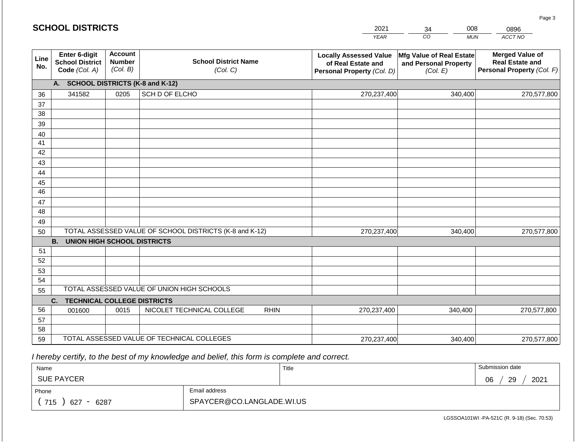|                                                                                        | <b>SCHOOL DISTRICTS</b>                                  |                                             |                                                         |             | 2021                                                                              | 008<br>34                                                            | 0896                                                                           |  |
|----------------------------------------------------------------------------------------|----------------------------------------------------------|---------------------------------------------|---------------------------------------------------------|-------------|-----------------------------------------------------------------------------------|----------------------------------------------------------------------|--------------------------------------------------------------------------------|--|
|                                                                                        |                                                          |                                             |                                                         |             | <b>YEAR</b>                                                                       | CO<br><b>MUN</b>                                                     | ACCT NO                                                                        |  |
| Line<br>No.                                                                            | Enter 6-digit<br><b>School District</b><br>Code (Col. A) | <b>Account</b><br><b>Number</b><br>(Col. B) | <b>School District Name</b><br>(Col. C)                 |             | <b>Locally Assessed Value</b><br>of Real Estate and<br>Personal Property (Col. D) | <b>Mfg Value of Real Estate</b><br>and Personal Property<br>(Col. E) | <b>Merged Value of</b><br><b>Real Estate and</b><br>Personal Property (Col. F) |  |
|                                                                                        | <b>SCHOOL DISTRICTS (K-8 and K-12)</b><br>A.             |                                             |                                                         |             |                                                                                   |                                                                      |                                                                                |  |
| 36                                                                                     | 341582                                                   | 0205                                        | SCH D OF ELCHO                                          |             | 270,237,400                                                                       | 340,400                                                              | 270,577,800                                                                    |  |
| 37                                                                                     |                                                          |                                             |                                                         |             |                                                                                   |                                                                      |                                                                                |  |
| 38                                                                                     |                                                          |                                             |                                                         |             |                                                                                   |                                                                      |                                                                                |  |
| 39                                                                                     |                                                          |                                             |                                                         |             |                                                                                   |                                                                      |                                                                                |  |
| 40                                                                                     |                                                          |                                             |                                                         |             |                                                                                   |                                                                      |                                                                                |  |
| 41<br>42                                                                               |                                                          |                                             |                                                         |             |                                                                                   |                                                                      |                                                                                |  |
| 43                                                                                     |                                                          |                                             |                                                         |             |                                                                                   |                                                                      |                                                                                |  |
| 44                                                                                     |                                                          |                                             |                                                         |             |                                                                                   |                                                                      |                                                                                |  |
| 45                                                                                     |                                                          |                                             |                                                         |             |                                                                                   |                                                                      |                                                                                |  |
| 46                                                                                     |                                                          |                                             |                                                         |             |                                                                                   |                                                                      |                                                                                |  |
| 47                                                                                     |                                                          |                                             |                                                         |             |                                                                                   |                                                                      |                                                                                |  |
| 48                                                                                     |                                                          |                                             |                                                         |             |                                                                                   |                                                                      |                                                                                |  |
| 49                                                                                     |                                                          |                                             |                                                         |             |                                                                                   |                                                                      |                                                                                |  |
| 50                                                                                     |                                                          |                                             | TOTAL ASSESSED VALUE OF SCHOOL DISTRICTS (K-8 and K-12) |             | 270,237,400                                                                       | 340,400                                                              | 270,577,800                                                                    |  |
|                                                                                        | <b>B.</b><br><b>UNION HIGH SCHOOL DISTRICTS</b>          |                                             |                                                         |             |                                                                                   |                                                                      |                                                                                |  |
| 51                                                                                     |                                                          |                                             |                                                         |             |                                                                                   |                                                                      |                                                                                |  |
| 52                                                                                     |                                                          |                                             |                                                         |             |                                                                                   |                                                                      |                                                                                |  |
| 53                                                                                     |                                                          |                                             |                                                         |             |                                                                                   |                                                                      |                                                                                |  |
| 54                                                                                     |                                                          |                                             |                                                         |             |                                                                                   |                                                                      |                                                                                |  |
| TOTAL ASSESSED VALUE OF UNION HIGH SCHOOLS<br>55<br><b>TECHNICAL COLLEGE DISTRICTS</b> |                                                          |                                             |                                                         |             |                                                                                   |                                                                      |                                                                                |  |
| 56                                                                                     | C.<br>001600                                             | 0015                                        | NICOLET TECHNICAL COLLEGE                               | <b>RHIN</b> | 270,237,400                                                                       | 340.400                                                              | 270,577,800                                                                    |  |
| 57                                                                                     |                                                          |                                             |                                                         |             |                                                                                   |                                                                      |                                                                                |  |
| 58                                                                                     |                                                          |                                             |                                                         |             |                                                                                   |                                                                      |                                                                                |  |
| 59                                                                                     |                                                          |                                             | TOTAL ASSESSED VALUE OF TECHNICAL COLLEGES              |             | 270,237,400                                                                       | 340,400                                                              | 270,577,800                                                                    |  |

 *I hereby certify, to the best of my knowledge and belief, this form is complete and correct.*

| Name                                           |                           | Title | Submission date               |
|------------------------------------------------|---------------------------|-------|-------------------------------|
| <b>SUE PAYCER</b>                              |                           |       | 2021<br>29<br><b>OR</b><br>◡◡ |
| Phone                                          | Email address             |       |                               |
| 715<br>6287<br>627<br>$\overline{\phantom{0}}$ | SPAYCER@CO.LANGLADE.WI.US |       |                               |

LGSSOA101WI -PA-521C (R. 9-18) (Sec. 70.53)

Page 3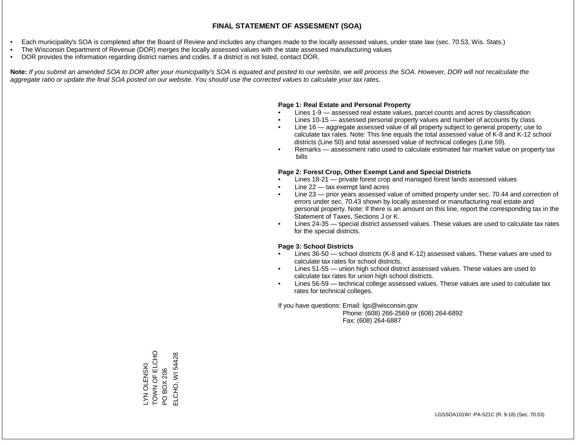- Each municipality's SOA is completed after the Board of Review and includes any changes made to the locally assessed values, under state law (sec. 70.53, Wis. Stats.)
- The Wisconsin Department of Revenue (DOR) merges the locally assessed values with the state assessed manufacturing values
- DOR provides the information regarding district names and codes. If a district is not listed, contact DOR.

Note: If you submit an amended SOA to DOR after your municipality's SOA is equated and posted to our website, we will process the SOA. However, DOR will not recalculate the *aggregate ratio or update the final SOA posted on our website. You should use the corrected values to calculate your tax rates.*

#### **Page 1: Real Estate and Personal Property**

- Lines 1-9 assessed real estate values, parcel counts and acres by classification
- Lines 10-15 assessed personal property values and number of accounts by class
- Line 16 aggregate assessed value of all property subject to general property; use to calculate tax rates. Note: This line equals the total assessed value of K-8 and K-12 school districts (Line 50) and total assessed value of technical colleges (Line 59).
- Remarks assessment ratio used to calculate estimated fair market value on property tax bills

#### **Page 2: Forest Crop, Other Exempt Land and Special Districts**

- Lines 18-21 private forest crop and managed forest lands assessed values
- Line  $22 -$  tax exempt land acres
- Line 23 prior years assessed value of omitted property under sec. 70.44 and correction of errors under sec. 70.43 shown by locally assessed or manufacturing real estate and personal property. Note: If there is an amount on this line, report the corresponding tax in the Statement of Taxes, Sections J or K.
- Lines 24-35 special district assessed values. These values are used to calculate tax rates for the special districts.

#### **Page 3: School Districts**

- Lines 36-50 school districts (K-8 and K-12) assessed values. These values are used to calculate tax rates for school districts.
- Lines 51-55 union high school district assessed values. These values are used to calculate tax rates for union high school districts.
- Lines 56-59 technical college assessed values. These values are used to calculate tax rates for technical colleges.

If you have questions: Email: lgs@wisconsin.gov

 Phone: (608) 266-2569 or (608) 264-6892 Fax: (608) 264-6887

LYN OLENSKI TOWN OF ELCHO LYN OLENSKI<br>TOWN OF ELCHO<br>PO BOX 206<br>ELCHO, WI 54428 ELCHO, WI 54428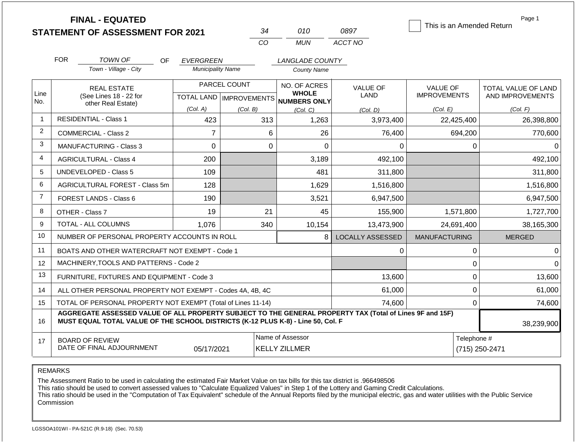|                |                                                                   | <b>FINAL - EQUATED</b><br><b>STATEMENT OF ASSESSMENT FOR 2021</b>                                                                                                                            |                                              |              | 34  | 010                                      | 0897                    | This is an Amended Return |             | Page 1              |
|----------------|-------------------------------------------------------------------|----------------------------------------------------------------------------------------------------------------------------------------------------------------------------------------------|----------------------------------------------|--------------|-----|------------------------------------------|-------------------------|---------------------------|-------------|---------------------|
|                |                                                                   |                                                                                                                                                                                              |                                              |              | CO  | <b>MUN</b>                               | ACCT NO                 |                           |             |                     |
|                |                                                                   |                                                                                                                                                                                              |                                              |              |     |                                          |                         |                           |             |                     |
|                | <b>FOR</b>                                                        | <b>TOWN OF</b><br>OF<br>Town - Village - City                                                                                                                                                | <b>EVERGREEN</b><br><b>Municipality Name</b> |              |     | <b>LANGLADE COUNTY</b>                   |                         |                           |             |                     |
|                |                                                                   |                                                                                                                                                                                              |                                              |              |     | <b>County Name</b>                       |                         |                           |             |                     |
|                |                                                                   | <b>REAL ESTATE</b>                                                                                                                                                                           |                                              | PARCEL COUNT |     | NO. OF ACRES                             | <b>VALUE OF</b>         | VALUE OF                  |             | TOTAL VALUE OF LAND |
| Line<br>No.    |                                                                   | (See Lines 18 - 22 for<br>other Real Estate)                                                                                                                                                 | TOTAL LAND   IMPROVEMENTS                    |              |     | <b>WHOLE</b><br><b>NUMBERS ONLY</b>      | LAND                    | <b>IMPROVEMENTS</b>       |             | AND IMPROVEMENTS    |
|                |                                                                   |                                                                                                                                                                                              | (Col. A)                                     | (Col. B)     |     | (Col, C)                                 | (Col, D)                | (Col. E)                  |             | (Col. F)            |
| $\mathbf{1}$   |                                                                   | <b>RESIDENTIAL - Class 1</b>                                                                                                                                                                 | 423                                          |              | 313 | 1,263                                    | 3,973,400               |                           | 22,425,400  | 26,398,800          |
| $\overline{2}$ |                                                                   | COMMERCIAL - Class 2                                                                                                                                                                         | $\overline{7}$                               |              | 6   | 26                                       | 76,400                  |                           | 694,200     | 770,600             |
| 3              |                                                                   | <b>MANUFACTURING - Class 3</b>                                                                                                                                                               | $\mathbf 0$                                  |              | 0   | $\Omega$                                 | 0                       |                           | 0           | 0                   |
| $\overline{4}$ |                                                                   | <b>AGRICULTURAL - Class 4</b>                                                                                                                                                                | 200                                          |              |     | 3,189                                    | 492,100                 |                           |             | 492,100             |
| 5              |                                                                   | <b>UNDEVELOPED - Class 5</b>                                                                                                                                                                 | 109                                          |              |     | 481                                      | 311,800                 |                           |             | 311,800             |
| 6              |                                                                   | AGRICULTURAL FOREST - Class 5m                                                                                                                                                               | 128                                          |              |     | 1,629                                    | 1,516,800               |                           |             | 1,516,800           |
| $\overline{7}$ |                                                                   | <b>FOREST LANDS - Class 6</b>                                                                                                                                                                | 190                                          |              |     | 3,521                                    | 6,947,500               |                           |             | 6,947,500           |
| 8              |                                                                   | OTHER - Class 7                                                                                                                                                                              | 19                                           |              | 21  | 45                                       | 155,900                 |                           | 1,571,800   | 1,727,700           |
| 9              |                                                                   | TOTAL - ALL COLUMNS                                                                                                                                                                          | 1,076                                        |              | 340 | 10,154                                   | 13,473,900              |                           | 24,691,400  | 38,165,300          |
| 10             |                                                                   | NUMBER OF PERSONAL PROPERTY ACCOUNTS IN ROLL                                                                                                                                                 |                                              |              |     | 8                                        | <b>LOCALLY ASSESSED</b> | <b>MANUFACTURING</b>      |             | <b>MERGED</b>       |
| 11             |                                                                   | BOATS AND OTHER WATERCRAFT NOT EXEMPT - Code 1                                                                                                                                               |                                              |              |     |                                          | 0                       |                           | 0           | $\Omega$            |
| 12             |                                                                   | MACHINERY, TOOLS AND PATTERNS - Code 2                                                                                                                                                       |                                              |              |     |                                          |                         |                           | 0           | $\Omega$            |
| 13             |                                                                   | FURNITURE, FIXTURES AND EQUIPMENT - Code 3                                                                                                                                                   |                                              |              |     |                                          | 13,600                  |                           | 0           | 13,600              |
| 14             |                                                                   | ALL OTHER PERSONAL PROPERTY NOT EXEMPT - Codes 4A, 4B, 4C                                                                                                                                    |                                              |              |     |                                          | 61,000                  |                           | 0           | 61,000              |
| 15             | TOTAL OF PERSONAL PROPERTY NOT EXEMPT (Total of Lines 11-14)      |                                                                                                                                                                                              |                                              |              |     |                                          | 74,600                  |                           | 0           | 74,600              |
| 16             |                                                                   | AGGREGATE ASSESSED VALUE OF ALL PROPERTY SUBJECT TO THE GENERAL PROPERTY TAX (Total of Lines 9F and 15F)<br>MUST EQUAL TOTAL VALUE OF THE SCHOOL DISTRICTS (K-12 PLUS K-8) - Line 50, Col. F |                                              |              |     |                                          |                         |                           |             | 38,239,900          |
| 17             | <b>BOARD OF REVIEW</b><br>DATE OF FINAL ADJOURNMENT<br>05/17/2021 |                                                                                                                                                                                              |                                              |              |     | Name of Assessor<br><b>KELLY ZILLMER</b> |                         |                           | Telephone # | (715) 250-2471      |

The Assessment Ratio to be used in calculating the estimated Fair Market Value on tax bills for this tax district is .966498506

This ratio should be used to convert assessed values to "Calculate Equalized Values" in Step 1 of the Lottery and Gaming Credit Calculations.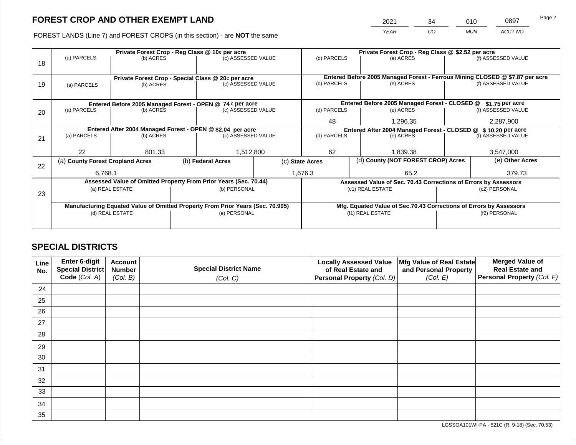2021 34 010 0897

FOREST LANDS (Line 7) and FOREST CROPS (in this section) - are **NOT** the same *YEAR CO MUN ACCT NO*

|    |                                                                                | Private Forest Crop - Reg Class @ 10¢ per acre |              |                                                                          |                  |                                                                                             |  | Private Forest Crop - Reg Class @ \$2.52 per acre                  |                    |                    |  |  |
|----|--------------------------------------------------------------------------------|------------------------------------------------|--------------|--------------------------------------------------------------------------|------------------|---------------------------------------------------------------------------------------------|--|--------------------------------------------------------------------|--------------------|--------------------|--|--|
|    | (a) PARCELS                                                                    | (b) ACRES                                      |              | (c) ASSESSED VALUE                                                       |                  | (d) PARCELS                                                                                 |  | (e) ACRES                                                          |                    | (f) ASSESSED VALUE |  |  |
| 18 |                                                                                |                                                |              |                                                                          |                  |                                                                                             |  |                                                                    |                    |                    |  |  |
|    |                                                                                |                                                |              |                                                                          |                  |                                                                                             |  |                                                                    |                    |                    |  |  |
| 19 |                                                                                |                                                |              | Private Forest Crop - Special Class @ 20¢ per acre<br>(c) ASSESSED VALUE |                  | Entered Before 2005 Managed Forest - Ferrous Mining CLOSED @ \$7.87 per acre<br>(d) PARCELS |  | (e) ACRES                                                          | (f) ASSESSED VALUE |                    |  |  |
|    | (a) PARCELS                                                                    | (b) ACRES                                      |              |                                                                          |                  |                                                                                             |  |                                                                    |                    |                    |  |  |
|    |                                                                                |                                                |              |                                                                          |                  |                                                                                             |  |                                                                    |                    |                    |  |  |
|    |                                                                                |                                                |              | Entered Before 2005 Managed Forest - OPEN @ 74 ¢ per acre                |                  |                                                                                             |  | Entered Before 2005 Managed Forest - CLOSED @                      |                    | \$1.75 per acre    |  |  |
| 20 | (a) PARCELS<br>(b) ACRES                                                       |                                                |              | (c) ASSESSED VALUE                                                       |                  | (d) PARCELS                                                                                 |  | (e) ACRES                                                          |                    | (f) ASSESSED VALUE |  |  |
|    |                                                                                |                                                |              |                                                                          |                  | 48                                                                                          |  | 1.296.35                                                           |                    | 2,287,900          |  |  |
|    |                                                                                |                                                |              |                                                                          |                  |                                                                                             |  |                                                                    |                    |                    |  |  |
|    | Entered After 2004 Managed Forest - OPEN @ \$2.04 per acre                     |                                                |              | (c) ASSESSED VALUE                                                       |                  | Entered After 2004 Managed Forest - CLOSED @ \$10.20 per acre<br>(d) PARCELS                |  |                                                                    |                    |                    |  |  |
| 21 |                                                                                | (a) PARCELS<br>(b) ACRES                       |              |                                                                          |                  |                                                                                             |  | (e) ACRES                                                          |                    | (f) ASSESSED VALUE |  |  |
|    |                                                                                |                                                |              |                                                                          |                  |                                                                                             |  |                                                                    |                    |                    |  |  |
|    | 22                                                                             | 801.33                                         |              | 1,512,800                                                                |                  | 62                                                                                          |  | 1,839.38                                                           |                    | 3,547,000          |  |  |
|    | (a) County Forest Cropland Acres                                               |                                                |              | (b) Federal Acres                                                        |                  | (c) State Acres                                                                             |  | (d) County (NOT FOREST CROP) Acres                                 |                    | (e) Other Acres    |  |  |
| 22 |                                                                                |                                                |              |                                                                          |                  |                                                                                             |  |                                                                    |                    |                    |  |  |
|    | 6,768.1                                                                        |                                                |              |                                                                          |                  | 1,676.3                                                                                     |  | 65.2                                                               | 379.73             |                    |  |  |
|    |                                                                                |                                                |              | Assessed Value of Omitted Property From Prior Years (Sec. 70.44)         |                  |                                                                                             |  | Assessed Value of Sec. 70.43 Corrections of Errors by Assessors    |                    |                    |  |  |
|    |                                                                                | (a) REAL ESTATE                                |              | (b) PERSONAL                                                             |                  |                                                                                             |  | (c1) REAL ESTATE                                                   |                    | (c2) PERSONAL      |  |  |
| 23 |                                                                                |                                                |              |                                                                          |                  |                                                                                             |  |                                                                    |                    |                    |  |  |
|    | Manufacturing Equated Value of Omitted Property From Prior Years (Sec. 70.995) |                                                |              |                                                                          |                  |                                                                                             |  | Mfg. Equated Value of Sec.70.43 Corrections of Errors by Assessors |                    |                    |  |  |
|    | (d) REAL ESTATE                                                                |                                                | (e) PERSONAL |                                                                          | (f1) REAL ESTATE |                                                                                             |  | (f2) PERSONAL                                                      |                    |                    |  |  |
|    |                                                                                |                                                |              |                                                                          |                  |                                                                                             |  |                                                                    |                    |                    |  |  |
|    |                                                                                |                                                |              |                                                                          |                  |                                                                                             |  |                                                                    |                    |                    |  |  |

## **SPECIAL DISTRICTS**

| Line<br>No. | Enter 6-digit<br>Special District | <b>Account</b><br><b>Number</b> | <b>Special District Name</b> | <b>Locally Assessed Value</b><br>of Real Estate and | Mfg Value of Real Estate<br>and Personal Property | <b>Merged Value of</b><br><b>Real Estate and</b> |
|-------------|-----------------------------------|---------------------------------|------------------------------|-----------------------------------------------------|---------------------------------------------------|--------------------------------------------------|
|             | Code (Col. A)                     | (Col. B)                        | (Col. C)                     | Personal Property (Col. D)                          | (Col. E)                                          | Personal Property (Col. F)                       |
| 24          |                                   |                                 |                              |                                                     |                                                   |                                                  |
| 25          |                                   |                                 |                              |                                                     |                                                   |                                                  |
| 26          |                                   |                                 |                              |                                                     |                                                   |                                                  |
| 27          |                                   |                                 |                              |                                                     |                                                   |                                                  |
| 28          |                                   |                                 |                              |                                                     |                                                   |                                                  |
| 29          |                                   |                                 |                              |                                                     |                                                   |                                                  |
| 30          |                                   |                                 |                              |                                                     |                                                   |                                                  |
| 31          |                                   |                                 |                              |                                                     |                                                   |                                                  |
| 32          |                                   |                                 |                              |                                                     |                                                   |                                                  |
| 33          |                                   |                                 |                              |                                                     |                                                   |                                                  |
| 34          |                                   |                                 |                              |                                                     |                                                   |                                                  |
| 35          |                                   |                                 |                              |                                                     |                                                   |                                                  |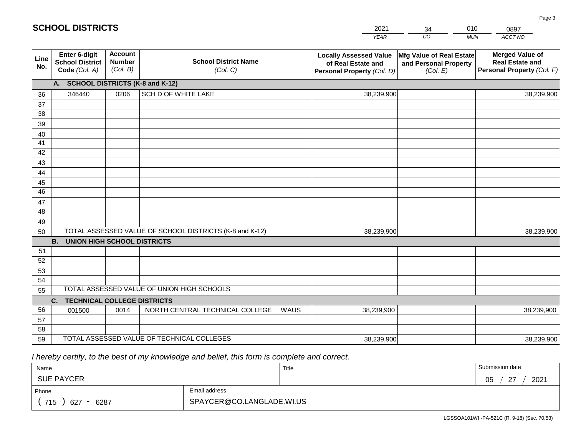|                 | <b>SCHOOL DISTRICTS</b>                                  |                                             |                                                         |      | 2021                                                                              | 34                                                            | 010        | 0897                                                                           |
|-----------------|----------------------------------------------------------|---------------------------------------------|---------------------------------------------------------|------|-----------------------------------------------------------------------------------|---------------------------------------------------------------|------------|--------------------------------------------------------------------------------|
|                 |                                                          |                                             |                                                         |      | <b>YEAR</b>                                                                       | $\overline{co}$                                               | <b>MUN</b> | ACCT NO                                                                        |
| Line<br>No.     | Enter 6-digit<br><b>School District</b><br>Code (Col. A) | <b>Account</b><br><b>Number</b><br>(Col. B) | <b>School District Name</b><br>(Col. C)                 |      | <b>Locally Assessed Value</b><br>of Real Estate and<br>Personal Property (Col. D) | Mfg Value of Real Estate<br>and Personal Property<br>(Col. E) |            | <b>Merged Value of</b><br><b>Real Estate and</b><br>Personal Property (Col. F) |
|                 | A. SCHOOL DISTRICTS (K-8 and K-12)                       |                                             |                                                         |      |                                                                                   |                                                               |            |                                                                                |
| 36              | 346440                                                   | 0206                                        | SCH D OF WHITE LAKE                                     |      | 38,239,900                                                                        |                                                               |            | 38,239,900                                                                     |
| 37              |                                                          |                                             |                                                         |      |                                                                                   |                                                               |            |                                                                                |
| 38              |                                                          |                                             |                                                         |      |                                                                                   |                                                               |            |                                                                                |
| 39              |                                                          |                                             |                                                         |      |                                                                                   |                                                               |            |                                                                                |
| 40              |                                                          |                                             |                                                         |      |                                                                                   |                                                               |            |                                                                                |
| 41              |                                                          |                                             |                                                         |      |                                                                                   |                                                               |            |                                                                                |
| 42              |                                                          |                                             |                                                         |      |                                                                                   |                                                               |            |                                                                                |
| 43<br>44        |                                                          |                                             |                                                         |      |                                                                                   |                                                               |            |                                                                                |
| 45              |                                                          |                                             |                                                         |      |                                                                                   |                                                               |            |                                                                                |
| $\overline{46}$ |                                                          |                                             |                                                         |      |                                                                                   |                                                               |            |                                                                                |
| 47              |                                                          |                                             |                                                         |      |                                                                                   |                                                               |            |                                                                                |
| 48              |                                                          |                                             |                                                         |      |                                                                                   |                                                               |            |                                                                                |
| 49              |                                                          |                                             |                                                         |      |                                                                                   |                                                               |            |                                                                                |
| 50              |                                                          |                                             | TOTAL ASSESSED VALUE OF SCHOOL DISTRICTS (K-8 and K-12) |      | 38,239,900                                                                        |                                                               |            | 38,239,900                                                                     |
|                 | <b>B.</b><br><b>UNION HIGH SCHOOL DISTRICTS</b>          |                                             |                                                         |      |                                                                                   |                                                               |            |                                                                                |
| 51              |                                                          |                                             |                                                         |      |                                                                                   |                                                               |            |                                                                                |
| 52              |                                                          |                                             |                                                         |      |                                                                                   |                                                               |            |                                                                                |
| 53              |                                                          |                                             |                                                         |      |                                                                                   |                                                               |            |                                                                                |
| 54              |                                                          |                                             | TOTAL ASSESSED VALUE OF UNION HIGH SCHOOLS              |      |                                                                                   |                                                               |            |                                                                                |
| 55              |                                                          |                                             |                                                         |      |                                                                                   |                                                               |            |                                                                                |
|                 | <b>TECHNICAL COLLEGE DISTRICTS</b><br>C.                 |                                             |                                                         |      |                                                                                   |                                                               |            |                                                                                |
| 56<br>57        | 001500                                                   | 0014                                        | NORTH CENTRAL TECHNICAL COLLEGE                         | WAUS | 38,239,900                                                                        |                                                               |            | 38,239,900                                                                     |
| 58              |                                                          |                                             |                                                         |      |                                                                                   |                                                               |            |                                                                                |
| 59              |                                                          |                                             | TOTAL ASSESSED VALUE OF TECHNICAL COLLEGES              |      | 38,239,900                                                                        |                                                               |            | 38,239,900                                                                     |

2021

 *I hereby certify, to the best of my knowledge and belief, this form is complete and correct.*

**SCHOOL DISTRICTS**

| Name               |                           | Title | Submission date           |
|--------------------|---------------------------|-------|---------------------------|
| <b>SUE PAYCER</b>  |                           |       | 2021<br>05<br>$\sim$<br>- |
| Phone              | Email address             |       |                           |
| 715<br>6287<br>627 | SPAYCER@CO.LANGLADE.WI.US |       |                           |

LGSSOA101WI -PA-521C (R. 9-18) (Sec. 70.53)

Page 3

010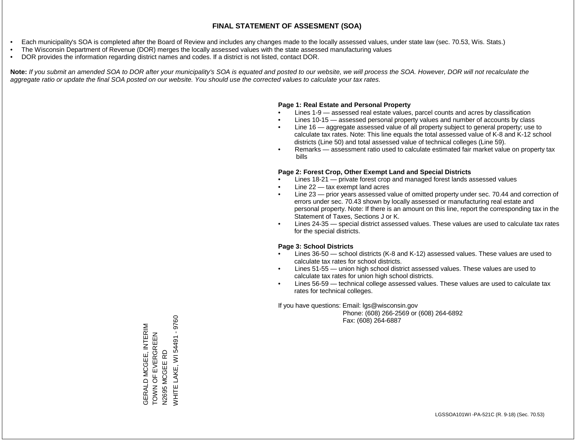- Each municipality's SOA is completed after the Board of Review and includes any changes made to the locally assessed values, under state law (sec. 70.53, Wis. Stats.)
- The Wisconsin Department of Revenue (DOR) merges the locally assessed values with the state assessed manufacturing values
- DOR provides the information regarding district names and codes. If a district is not listed, contact DOR.

Note: If you submit an amended SOA to DOR after your municipality's SOA is equated and posted to our website, we will process the SOA. However, DOR will not recalculate the *aggregate ratio or update the final SOA posted on our website. You should use the corrected values to calculate your tax rates.*

### **Page 1: Real Estate and Personal Property**

- Lines 1-9 assessed real estate values, parcel counts and acres by classification
- Lines 10-15 assessed personal property values and number of accounts by class
- Line 16 aggregate assessed value of all property subject to general property; use to calculate tax rates. Note: This line equals the total assessed value of K-8 and K-12 school districts (Line 50) and total assessed value of technical colleges (Line 59).
- Remarks assessment ratio used to calculate estimated fair market value on property tax bills

### **Page 2: Forest Crop, Other Exempt Land and Special Districts**

- Lines 18-21 private forest crop and managed forest lands assessed values
- Line  $22 -$  tax exempt land acres
- Line 23 prior years assessed value of omitted property under sec. 70.44 and correction of errors under sec. 70.43 shown by locally assessed or manufacturing real estate and personal property. Note: If there is an amount on this line, report the corresponding tax in the Statement of Taxes, Sections J or K.
- Lines 24-35 special district assessed values. These values are used to calculate tax rates for the special districts.

### **Page 3: School Districts**

- Lines 36-50 school districts (K-8 and K-12) assessed values. These values are used to calculate tax rates for school districts.
- Lines 51-55 union high school district assessed values. These values are used to calculate tax rates for union high school districts.
- Lines 56-59 technical college assessed values. These values are used to calculate tax rates for technical colleges.

If you have questions: Email: lgs@wisconsin.gov

 Phone: (608) 266-2569 or (608) 264-6892 Fax: (608) 264-6887

WHITE LAKE, WI 54491 - 9760 WHITE LAKE, WI 54491 - 9760GERALD MCGEE, INTERIM<br>TOWN OF EVERGREEN GERALD MCGEE, INTERIM TOWN OF EVERGREEN MCGEE RD N2695 MCGEE RD N2695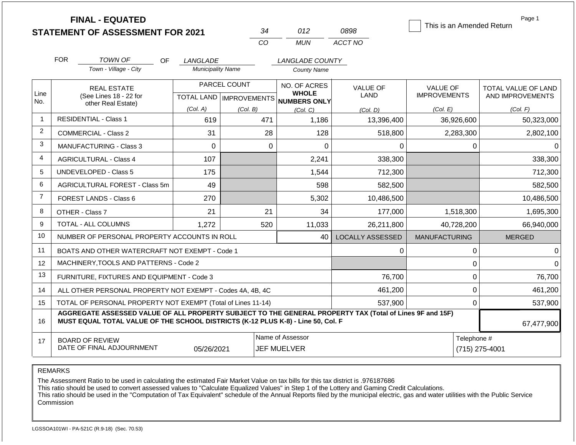|                | <b>FINAL - EQUATED</b>                                                                                                                                                                       |                          |                           |                                        |                         | This is an Amended Return     | Page 1              |
|----------------|----------------------------------------------------------------------------------------------------------------------------------------------------------------------------------------------|--------------------------|---------------------------|----------------------------------------|-------------------------|-------------------------------|---------------------|
|                | <b>STATEMENT OF ASSESSMENT FOR 2021</b>                                                                                                                                                      |                          | 34                        | 012                                    | 0898                    |                               |                     |
|                |                                                                                                                                                                                              |                          | CO                        | <b>MUN</b>                             | ACCT NO                 |                               |                     |
|                | <b>FOR</b><br><b>TOWN OF</b><br>OF.                                                                                                                                                          | LANGLADE                 |                           | LANGLADE COUNTY                        |                         |                               |                     |
|                | Town - Village - City                                                                                                                                                                        | <b>Municipality Name</b> |                           | <b>County Name</b>                     |                         |                               |                     |
|                | <b>REAL ESTATE</b>                                                                                                                                                                           |                          | PARCEL COUNT              | NO. OF ACRES                           | <b>VALUE OF</b>         | <b>VALUE OF</b>               | TOTAL VALUE OF LAND |
| Line<br>No.    | (See Lines 18 - 22 for<br>other Real Estate)                                                                                                                                                 |                          | TOTAL LAND   IMPROVEMENTS | <b>WHOLE</b><br><b>NUMBERS ONLY</b>    | <b>LAND</b>             | <b>IMPROVEMENTS</b>           | AND IMPROVEMENTS    |
|                |                                                                                                                                                                                              | (Col. A)                 | (Col. B)                  | (Col, C)                               | (Col, D)                | (Col. E)                      | (Col. F)            |
| 1              | <b>RESIDENTIAL - Class 1</b><br>619                                                                                                                                                          |                          | 471                       | 1,186                                  | 13,396,400              | 36,926,600                    | 50,323,000          |
| $\overline{2}$ | <b>COMMERCIAL - Class 2</b>                                                                                                                                                                  | 31                       | 28                        | 128                                    | 518,800                 | 2,283,300                     | 2,802,100           |
| 3              | MANUFACTURING - Class 3                                                                                                                                                                      | $\Omega$                 | $\Omega$                  | $\Omega$                               | $\Omega$                | 0                             | $\Omega$            |
| 4              | <b>AGRICULTURAL - Class 4</b>                                                                                                                                                                | 107                      |                           | 2,241                                  | 338,300                 |                               | 338,300             |
| 5              | <b>UNDEVELOPED - Class 5</b>                                                                                                                                                                 | 175                      |                           | 1,544                                  | 712,300                 |                               | 712,300             |
| 6              | AGRICULTURAL FOREST - Class 5m                                                                                                                                                               | 49                       |                           | 598                                    | 582,500                 |                               | 582,500             |
| $\overline{7}$ | FOREST LANDS - Class 6                                                                                                                                                                       | 270                      |                           | 5,302                                  | 10,486,500              |                               | 10,486,500          |
| 8              | OTHER - Class 7                                                                                                                                                                              | 21                       | 21                        | 34                                     | 177,000                 | 1,518,300                     | 1,695,300           |
| 9              | TOTAL - ALL COLUMNS                                                                                                                                                                          | 1,272                    | 520                       | 11,033                                 | 26,211,800              | 40,728,200                    | 66,940,000          |
| 10             | NUMBER OF PERSONAL PROPERTY ACCOUNTS IN ROLL                                                                                                                                                 |                          |                           | 40                                     | <b>LOCALLY ASSESSED</b> | <b>MANUFACTURING</b>          | <b>MERGED</b>       |
| 11             | BOATS AND OTHER WATERCRAFT NOT EXEMPT - Code 1                                                                                                                                               |                          |                           |                                        | 0                       | $\mathbf 0$                   | $\Omega$            |
| 12             | MACHINERY, TOOLS AND PATTERNS - Code 2                                                                                                                                                       |                          |                           |                                        |                         | $\mathbf 0$                   | $\Omega$            |
| 13             | FURNITURE, FIXTURES AND EQUIPMENT - Code 3                                                                                                                                                   |                          |                           |                                        | 76,700                  | $\mathbf 0$                   | 76,700              |
| 14             | ALL OTHER PERSONAL PROPERTY NOT EXEMPT - Codes 4A, 4B, 4C                                                                                                                                    |                          |                           |                                        | 461,200                 | $\mathbf 0$                   | 461,200             |
| 15             | TOTAL OF PERSONAL PROPERTY NOT EXEMPT (Total of Lines 11-14)                                                                                                                                 |                          |                           |                                        | 537,900                 | $\mathbf 0$                   | 537,900             |
| 16             | AGGREGATE ASSESSED VALUE OF ALL PROPERTY SUBJECT TO THE GENERAL PROPERTY TAX (Total of Lines 9F and 15F)<br>MUST EQUAL TOTAL VALUE OF THE SCHOOL DISTRICTS (K-12 PLUS K-8) - Line 50, Col. F |                          |                           |                                        |                         |                               | 67,477,900          |
| 17             | <b>BOARD OF REVIEW</b><br>DATE OF FINAL ADJOURNMENT                                                                                                                                          | 05/26/2021               |                           | Name of Assessor<br><b>JEF MUELVER</b> |                         | Telephone #<br>(715) 275-4001 |                     |

The Assessment Ratio to be used in calculating the estimated Fair Market Value on tax bills for this tax district is .976187686

This ratio should be used to convert assessed values to "Calculate Equalized Values" in Step 1 of the Lottery and Gaming Credit Calculations.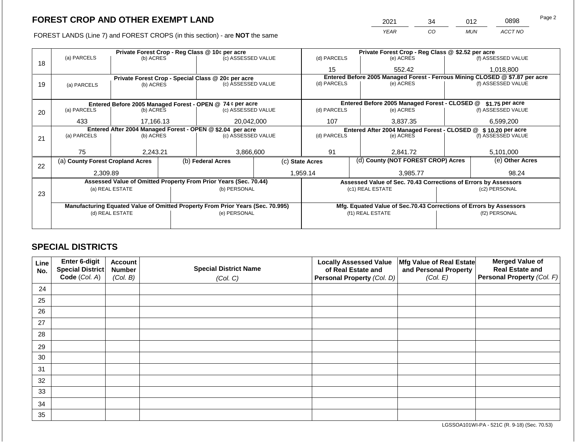FOREST LANDS (Line 7) and FOREST CROPS (in this section) - are NOT the same

| 2021 | 34 | 012        | 0898    | Page 2 |
|------|----|------------|---------|--------|
| YEAR | CO | <b>MUN</b> | ACCT NO |        |

|    |                                                                                | Private Forest Crop - Reg Class @ 10¢ per acre |  |                                                                  |  |                                                                              | Private Forest Crop - Reg Class @ \$2.52 per acre                  |                 |                    |  |
|----|--------------------------------------------------------------------------------|------------------------------------------------|--|------------------------------------------------------------------|--|------------------------------------------------------------------------------|--------------------------------------------------------------------|-----------------|--------------------|--|
| 18 | (a) PARCELS                                                                    | (b) ACRES                                      |  | (c) ASSESSED VALUE                                               |  | (d) PARCELS                                                                  | (e) ACRES                                                          |                 | (f) ASSESSED VALUE |  |
|    |                                                                                |                                                |  |                                                                  |  | 15                                                                           | 552.42                                                             |                 | 1,018,800          |  |
|    |                                                                                |                                                |  | Private Forest Crop - Special Class @ 20¢ per acre               |  | Entered Before 2005 Managed Forest - Ferrous Mining CLOSED @ \$7.87 per acre |                                                                    |                 |                    |  |
| 19 | (a) PARCELS                                                                    | (b) ACRES                                      |  | (c) ASSESSED VALUE                                               |  | (d) PARCELS                                                                  | (e) ACRES                                                          |                 | (f) ASSESSED VALUE |  |
|    |                                                                                |                                                |  |                                                                  |  |                                                                              |                                                                    |                 |                    |  |
|    |                                                                                |                                                |  | Entered Before 2005 Managed Forest - OPEN @ 74 ¢ per acre        |  |                                                                              | Entered Before 2005 Managed Forest - CLOSED @                      |                 | \$1.75 per acre    |  |
| 20 | (a) PARCELS<br>(b) ACRES                                                       |                                                |  | (c) ASSESSED VALUE                                               |  | (d) PARCELS                                                                  | (e) ACRES                                                          |                 | (f) ASSESSED VALUE |  |
|    |                                                                                |                                                |  |                                                                  |  |                                                                              |                                                                    |                 |                    |  |
|    | 433                                                                            | 17.166.13                                      |  | 20,042,000                                                       |  | 107                                                                          | 3.837.35                                                           |                 | 6,599,200          |  |
|    | Entered After 2004 Managed Forest - OPEN @ \$2.04 per acre                     |                                                |  |                                                                  |  |                                                                              | Entered After 2004 Managed Forest - CLOSED @ \$10.20 per acre      |                 |                    |  |
| 21 | (a) PARCELS                                                                    | (b) ACRES                                      |  | (c) ASSESSED VALUE                                               |  | (d) PARCELS                                                                  | (e) ACRES                                                          |                 | (f) ASSESSED VALUE |  |
|    |                                                                                |                                                |  |                                                                  |  |                                                                              |                                                                    |                 |                    |  |
|    | 75                                                                             | 2,243.21                                       |  | 3,866,600                                                        |  | 91                                                                           | 2,841.72                                                           |                 | 5,101,000          |  |
| 22 | (a) County Forest Cropland Acres                                               |                                                |  | (b) Federal Acres                                                |  | (d) County (NOT FOREST CROP) Acres<br>(c) State Acres                        |                                                                    | (e) Other Acres |                    |  |
|    |                                                                                |                                                |  |                                                                  |  |                                                                              |                                                                    |                 |                    |  |
|    | 2,309.89                                                                       |                                                |  |                                                                  |  | 1,959.14                                                                     | 3,985.77                                                           |                 | 98.24              |  |
|    |                                                                                |                                                |  | Assessed Value of Omitted Property From Prior Years (Sec. 70.44) |  |                                                                              | Assessed Value of Sec. 70.43 Corrections of Errors by Assessors    |                 |                    |  |
| 23 |                                                                                | (a) REAL ESTATE                                |  | (b) PERSONAL                                                     |  |                                                                              | (c1) REAL ESTATE                                                   | (c2) PERSONAL   |                    |  |
|    |                                                                                |                                                |  |                                                                  |  |                                                                              |                                                                    |                 |                    |  |
|    | Manufacturing Equated Value of Omitted Property From Prior Years (Sec. 70.995) |                                                |  |                                                                  |  |                                                                              | Mfg. Equated Value of Sec.70.43 Corrections of Errors by Assessors |                 |                    |  |
|    |                                                                                | (d) REAL ESTATE                                |  | (e) PERSONAL                                                     |  |                                                                              | (f1) REAL ESTATE                                                   |                 | (f2) PERSONAL      |  |
|    |                                                                                |                                                |  |                                                                  |  |                                                                              |                                                                    |                 |                    |  |
|    |                                                                                |                                                |  |                                                                  |  |                                                                              |                                                                    |                 |                    |  |

## **SPECIAL DISTRICTS**

| Line<br>No. | Enter 6-digit<br>Special District<br>Code (Col. A) | <b>Account</b><br><b>Number</b><br>(Col. B) | <b>Special District Name</b><br>(Col. C) | <b>Locally Assessed Value</b><br>of Real Estate and<br>Personal Property (Col. D) | Mfg Value of Real Estate<br>and Personal Property<br>(Col. E) | <b>Merged Value of</b><br><b>Real Estate and</b><br>Personal Property (Col. F) |
|-------------|----------------------------------------------------|---------------------------------------------|------------------------------------------|-----------------------------------------------------------------------------------|---------------------------------------------------------------|--------------------------------------------------------------------------------|
| 24          |                                                    |                                             |                                          |                                                                                   |                                                               |                                                                                |
| 25          |                                                    |                                             |                                          |                                                                                   |                                                               |                                                                                |
| 26          |                                                    |                                             |                                          |                                                                                   |                                                               |                                                                                |
| 27          |                                                    |                                             |                                          |                                                                                   |                                                               |                                                                                |
| 28          |                                                    |                                             |                                          |                                                                                   |                                                               |                                                                                |
| 29          |                                                    |                                             |                                          |                                                                                   |                                                               |                                                                                |
| 30          |                                                    |                                             |                                          |                                                                                   |                                                               |                                                                                |
| 31          |                                                    |                                             |                                          |                                                                                   |                                                               |                                                                                |
| 32          |                                                    |                                             |                                          |                                                                                   |                                                               |                                                                                |
| 33          |                                                    |                                             |                                          |                                                                                   |                                                               |                                                                                |
| 34          |                                                    |                                             |                                          |                                                                                   |                                                               |                                                                                |
| 35          |                                                    |                                             |                                          |                                                                                   |                                                               |                                                                                |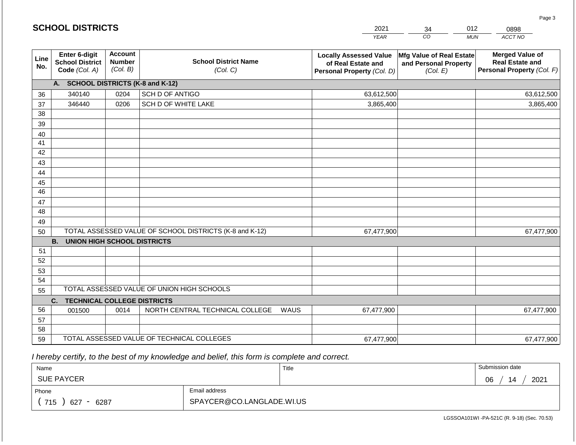|             | <b>SCHOOL DISTRICTS</b>                                  |                                             |                                                         | 2021                                                                              | 34                                                            | 012<br>0898                                                                    |  |
|-------------|----------------------------------------------------------|---------------------------------------------|---------------------------------------------------------|-----------------------------------------------------------------------------------|---------------------------------------------------------------|--------------------------------------------------------------------------------|--|
|             |                                                          |                                             |                                                         | <b>YEAR</b>                                                                       | CO                                                            | ACCT NO<br><b>MUN</b>                                                          |  |
| Line<br>No. | Enter 6-digit<br><b>School District</b><br>Code (Col. A) | <b>Account</b><br><b>Number</b><br>(Col. B) | <b>School District Name</b><br>(Col. C)                 | <b>Locally Assessed Value</b><br>of Real Estate and<br>Personal Property (Col. D) | Mfg Value of Real Estate<br>and Personal Property<br>(Col. E) | <b>Merged Value of</b><br><b>Real Estate and</b><br>Personal Property (Col. F) |  |
|             | A. SCHOOL DISTRICTS (K-8 and K-12)                       |                                             |                                                         |                                                                                   |                                                               |                                                                                |  |
| 36          | 340140                                                   | 0204                                        | SCH D OF ANTIGO                                         | 63,612,500                                                                        |                                                               | 63,612,500                                                                     |  |
| 37          | 346440                                                   | 0206                                        | SCH D OF WHITE LAKE                                     | 3,865,400                                                                         |                                                               | 3,865,400                                                                      |  |
| 38          |                                                          |                                             |                                                         |                                                                                   |                                                               |                                                                                |  |
| 39          |                                                          |                                             |                                                         |                                                                                   |                                                               |                                                                                |  |
| 40          |                                                          |                                             |                                                         |                                                                                   |                                                               |                                                                                |  |
| 41          |                                                          |                                             |                                                         |                                                                                   |                                                               |                                                                                |  |
| 42          |                                                          |                                             |                                                         |                                                                                   |                                                               |                                                                                |  |
| 43          |                                                          |                                             |                                                         |                                                                                   |                                                               |                                                                                |  |
| 44          |                                                          |                                             |                                                         |                                                                                   |                                                               |                                                                                |  |
| 45<br>46    |                                                          |                                             |                                                         |                                                                                   |                                                               |                                                                                |  |
| 47          |                                                          |                                             |                                                         |                                                                                   |                                                               |                                                                                |  |
| 48          |                                                          |                                             |                                                         |                                                                                   |                                                               |                                                                                |  |
| 49          |                                                          |                                             |                                                         |                                                                                   |                                                               |                                                                                |  |
| 50          |                                                          |                                             | TOTAL ASSESSED VALUE OF SCHOOL DISTRICTS (K-8 and K-12) | 67,477,900                                                                        |                                                               | 67,477,900                                                                     |  |
|             | <b>B.</b><br><b>UNION HIGH SCHOOL DISTRICTS</b>          |                                             |                                                         |                                                                                   |                                                               |                                                                                |  |
| 51          |                                                          |                                             |                                                         |                                                                                   |                                                               |                                                                                |  |
| 52          |                                                          |                                             |                                                         |                                                                                   |                                                               |                                                                                |  |
| 53          |                                                          |                                             |                                                         |                                                                                   |                                                               |                                                                                |  |
| 54          |                                                          |                                             |                                                         |                                                                                   |                                                               |                                                                                |  |
| 55          |                                                          |                                             | TOTAL ASSESSED VALUE OF UNION HIGH SCHOOLS              |                                                                                   |                                                               |                                                                                |  |
|             | <b>TECHNICAL COLLEGE DISTRICTS</b><br>C.                 |                                             |                                                         |                                                                                   |                                                               |                                                                                |  |
| 56          | 001500                                                   | 0014                                        | NORTH CENTRAL TECHNICAL COLLEGE<br>WAUS                 | 67,477,900                                                                        |                                                               | 67,477,900                                                                     |  |
| 57          |                                                          |                                             |                                                         |                                                                                   |                                                               |                                                                                |  |
| 58          |                                                          |                                             | TOTAL ASSESSED VALUE OF TECHNICAL COLLEGES              |                                                                                   |                                                               |                                                                                |  |
| 59          |                                                          |                                             |                                                         | 67,477,900                                                                        |                                                               | 67,477,900                                                                     |  |

 *I hereby certify, to the best of my knowledge and belief, this form is complete and correct.*

**SCHOOL DISTRICTS**

| Name                                           |                           | Title | Submission date  |
|------------------------------------------------|---------------------------|-------|------------------|
| <b>SUE PAYCER</b>                              |                           |       | 2021<br>06<br>14 |
| Phone                                          | Email address             |       |                  |
| 715<br>627<br>6287<br>$\overline{\phantom{0}}$ | SPAYCER@CO.LANGLADE.WI.US |       |                  |

Page 3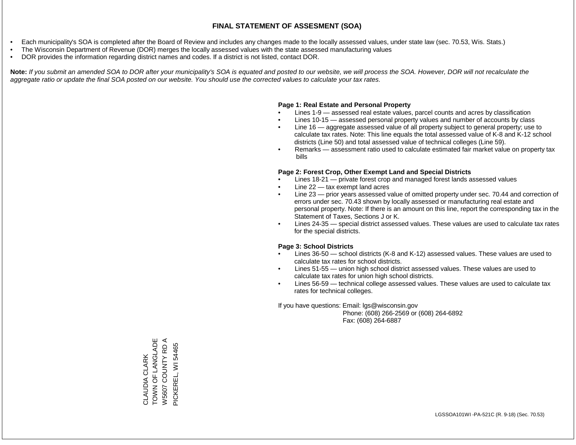- Each municipality's SOA is completed after the Board of Review and includes any changes made to the locally assessed values, under state law (sec. 70.53, Wis. Stats.)
- The Wisconsin Department of Revenue (DOR) merges the locally assessed values with the state assessed manufacturing values
- DOR provides the information regarding district names and codes. If a district is not listed, contact DOR.

Note: If you submit an amended SOA to DOR after your municipality's SOA is equated and posted to our website, we will process the SOA. However, DOR will not recalculate the *aggregate ratio or update the final SOA posted on our website. You should use the corrected values to calculate your tax rates.*

### **Page 1: Real Estate and Personal Property**

- Lines 1-9 assessed real estate values, parcel counts and acres by classification
- Lines 10-15 assessed personal property values and number of accounts by class
- Line 16 aggregate assessed value of all property subject to general property; use to calculate tax rates. Note: This line equals the total assessed value of K-8 and K-12 school districts (Line 50) and total assessed value of technical colleges (Line 59).
- Remarks assessment ratio used to calculate estimated fair market value on property tax bills

### **Page 2: Forest Crop, Other Exempt Land and Special Districts**

- Lines 18-21 private forest crop and managed forest lands assessed values
- Line  $22 -$  tax exempt land acres
- Line 23 prior years assessed value of omitted property under sec. 70.44 and correction of errors under sec. 70.43 shown by locally assessed or manufacturing real estate and personal property. Note: If there is an amount on this line, report the corresponding tax in the Statement of Taxes, Sections J or K.
- Lines 24-35 special district assessed values. These values are used to calculate tax rates for the special districts.

### **Page 3: School Districts**

- Lines 36-50 school districts (K-8 and K-12) assessed values. These values are used to calculate tax rates for school districts.
- Lines 51-55 union high school district assessed values. These values are used to calculate tax rates for union high school districts.
- Lines 56-59 technical college assessed values. These values are used to calculate tax rates for technical colleges.

If you have questions: Email: lgs@wisconsin.gov

 Phone: (608) 266-2569 or (608) 264-6892 Fax: (608) 264-6887

TOWN OF LANGLADE TOWN OF LANGLADE  $\blacktriangleleft$ W5607 COUNTY RD A W5607 COUNTY RD PICKEREL, WI 54465 PICKEREL, WI 54465CLAUDIA CLARK CLAUDIA CLARK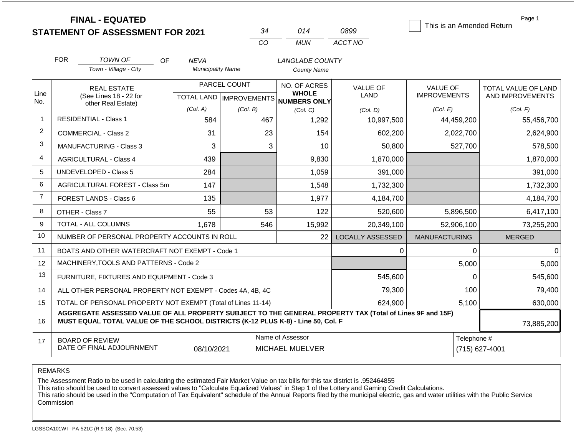|                | <b>FINAL - EQUATED</b>                                                                                                                                                                       |                          | 34                        | 014                                        | 0899                          | This is an Amended Return | Page 1                     |  |
|----------------|----------------------------------------------------------------------------------------------------------------------------------------------------------------------------------------------|--------------------------|---------------------------|--------------------------------------------|-------------------------------|---------------------------|----------------------------|--|
|                | <b>STATEMENT OF ASSESSMENT FOR 2021</b>                                                                                                                                                      |                          | CO                        | <b>MUN</b>                                 | ACCT NO                       |                           |                            |  |
|                |                                                                                                                                                                                              |                          |                           |                                            |                               |                           |                            |  |
|                | <b>FOR</b><br>TOWN OF<br><b>OF</b>                                                                                                                                                           | <b>NEVA</b>              |                           | LANGLADE COUNTY                            |                               |                           |                            |  |
|                | Town - Village - City                                                                                                                                                                        | <b>Municipality Name</b> |                           | <b>County Name</b>                         |                               |                           |                            |  |
|                | <b>REAL ESTATE</b>                                                                                                                                                                           |                          | PARCEL COUNT              | NO. OF ACRES                               | <b>VALUE OF</b>               | <b>VALUE OF</b>           | <b>TOTAL VALUE OF LAND</b> |  |
| Line<br>No.    | (See Lines 18 - 22 for<br>other Real Estate)                                                                                                                                                 |                          | TOTAL LAND   IMPROVEMENTS | <b>WHOLE</b><br><b>NUMBERS ONLY</b>        | <b>LAND</b>                   | <b>IMPROVEMENTS</b>       | AND IMPROVEMENTS           |  |
|                |                                                                                                                                                                                              | (Col. A)                 | (Col. B)                  | (Col, C)                                   | (Col. D)                      | (Col. E)                  | (Col. F)                   |  |
| -1             | <b>RESIDENTIAL - Class 1</b>                                                                                                                                                                 | 584                      | 467                       | 1,292                                      | 10,997,500                    | 44,459,200                | 55,456,700                 |  |
| 2              | COMMERCIAL - Class 2                                                                                                                                                                         | 31                       | 23                        | 154                                        | 602,200                       | 2,022,700                 | 2,624,900                  |  |
| 3              | <b>MANUFACTURING - Class 3</b>                                                                                                                                                               | 3                        | 3                         | 10                                         | 50,800                        | 527,700                   | 578,500                    |  |
| 4              | <b>AGRICULTURAL - Class 4</b>                                                                                                                                                                | 439                      |                           | 9,830                                      | 1,870,000                     |                           | 1,870,000                  |  |
| 5              | UNDEVELOPED - Class 5                                                                                                                                                                        | 284                      |                           | 1,059                                      | 391,000                       |                           | 391,000                    |  |
| 6              | AGRICULTURAL FOREST - Class 5m                                                                                                                                                               | 147                      |                           | 1,548                                      | 1,732,300                     |                           | 1,732,300                  |  |
| $\overline{7}$ | <b>FOREST LANDS - Class 6</b>                                                                                                                                                                | 135                      |                           | 1,977                                      | 4,184,700                     |                           | 4,184,700                  |  |
| 8              | OTHER - Class 7                                                                                                                                                                              | 55                       | 53                        | 122                                        | 520,600                       | 5,896,500                 | 6,417,100                  |  |
| 9              | <b>TOTAL - ALL COLUMNS</b>                                                                                                                                                                   | 1,678                    | 546                       | 15,992                                     | 20,349,100                    | 52,906,100                | 73,255,200                 |  |
| 10             | NUMBER OF PERSONAL PROPERTY ACCOUNTS IN ROLL                                                                                                                                                 |                          |                           | 22                                         | <b>LOCALLY ASSESSED</b>       | <b>MANUFACTURING</b>      | <b>MERGED</b>              |  |
| 11             | BOATS AND OTHER WATERCRAFT NOT EXEMPT - Code 1                                                                                                                                               |                          |                           |                                            | 0                             | 0                         | $\Omega$                   |  |
| 12             | MACHINERY, TOOLS AND PATTERNS - Code 2                                                                                                                                                       |                          |                           |                                            |                               | 5,000                     | 5,000                      |  |
| 13             | FURNITURE, FIXTURES AND EQUIPMENT - Code 3                                                                                                                                                   |                          |                           |                                            | 545,600                       | 0                         | 545,600                    |  |
| 14             | ALL OTHER PERSONAL PROPERTY NOT EXEMPT - Codes 4A, 4B, 4C                                                                                                                                    |                          |                           |                                            | 79,300                        | 100                       | 79,400                     |  |
| 15             | TOTAL OF PERSONAL PROPERTY NOT EXEMPT (Total of Lines 11-14)                                                                                                                                 |                          |                           |                                            | 624,900                       | 5,100                     | 630,000                    |  |
| 16             | AGGREGATE ASSESSED VALUE OF ALL PROPERTY SUBJECT TO THE GENERAL PROPERTY TAX (Total of Lines 9F and 15F)<br>MUST EQUAL TOTAL VALUE OF THE SCHOOL DISTRICTS (K-12 PLUS K-8) - Line 50, Col. F |                          | 73,885,200                |                                            |                               |                           |                            |  |
| 17             | <b>BOARD OF REVIEW</b><br>DATE OF FINAL ADJOURNMENT                                                                                                                                          | 08/10/2021               |                           | Name of Assessor<br><b>MICHAEL MUELVER</b> | Telephone #<br>(715) 627-4001 |                           |                            |  |

The Assessment Ratio to be used in calculating the estimated Fair Market Value on tax bills for this tax district is .952464855

This ratio should be used to convert assessed values to "Calculate Equalized Values" in Step 1 of the Lottery and Gaming Credit Calculations.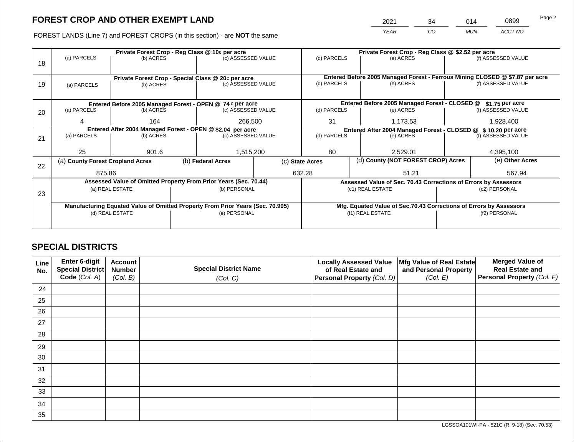2021 34 014 0899

FOREST LANDS (Line 7) and FOREST CROPS (in this section) - are **NOT** the same *YEAR CO MUN ACCT NO*

|    |                                                                                | Private Forest Crop - Reg Class @ 10¢ per acre |                   |                                                                  |                                               |                                                               |                                                                              | Private Forest Crop - Reg Class @ \$2.52 per acre                  |                  |                    |  |  |
|----|--------------------------------------------------------------------------------|------------------------------------------------|-------------------|------------------------------------------------------------------|-----------------------------------------------|---------------------------------------------------------------|------------------------------------------------------------------------------|--------------------------------------------------------------------|------------------|--------------------|--|--|
|    | (a) PARCELS                                                                    | (b) ACRES                                      |                   | (c) ASSESSED VALUE                                               |                                               | (d) PARCELS                                                   |                                                                              | (e) ACRES                                                          |                  | (f) ASSESSED VALUE |  |  |
| 18 |                                                                                |                                                |                   |                                                                  |                                               |                                                               |                                                                              |                                                                    |                  |                    |  |  |
|    |                                                                                |                                                |                   |                                                                  |                                               |                                                               |                                                                              |                                                                    |                  |                    |  |  |
|    |                                                                                |                                                |                   | Private Forest Crop - Special Class @ 20¢ per acre               |                                               |                                                               | Entered Before 2005 Managed Forest - Ferrous Mining CLOSED @ \$7.87 per acre |                                                                    |                  |                    |  |  |
| 19 | (a) PARCELS                                                                    | (b) ACRES                                      |                   | (c) ASSESSED VALUE                                               |                                               | (d) PARCELS                                                   |                                                                              | (e) ACRES                                                          |                  | (f) ASSESSED VALUE |  |  |
|    |                                                                                |                                                |                   |                                                                  |                                               |                                                               |                                                                              |                                                                    |                  |                    |  |  |
|    |                                                                                |                                                |                   | Entered Before 2005 Managed Forest - OPEN @ 74 ¢ per acre        | Entered Before 2005 Managed Forest - CLOSED @ |                                                               |                                                                              |                                                                    | $$1.75$ per acre |                    |  |  |
| 20 | (a) PARCELS<br>(b) ACRES                                                       |                                                |                   | (c) ASSESSED VALUE                                               |                                               | (d) PARCELS                                                   |                                                                              | (e) ACRES                                                          |                  | (f) ASSESSED VALUE |  |  |
|    |                                                                                |                                                |                   |                                                                  |                                               |                                                               |                                                                              |                                                                    |                  |                    |  |  |
|    | 4                                                                              | 164                                            |                   | 266,500                                                          |                                               | 31                                                            |                                                                              | 1,173.53                                                           |                  | 1,928,400          |  |  |
|    | Entered After 2004 Managed Forest - OPEN @ \$2.04 per acre                     |                                                |                   |                                                                  |                                               | Entered After 2004 Managed Forest - CLOSED @ \$10.20 per acre |                                                                              |                                                                    |                  |                    |  |  |
| 21 | (a) PARCELS                                                                    | (b) ACRES                                      |                   | (c) ASSESSED VALUE                                               |                                               | (d) PARCELS                                                   |                                                                              | (e) ACRES                                                          |                  | (f) ASSESSED VALUE |  |  |
|    |                                                                                |                                                |                   |                                                                  |                                               |                                                               |                                                                              |                                                                    |                  |                    |  |  |
|    | 25                                                                             | 901.6                                          |                   | 1,515,200                                                        |                                               | 80                                                            |                                                                              | 2,529.01                                                           |                  | 4,395,100          |  |  |
|    | (a) County Forest Cropland Acres                                               |                                                | (b) Federal Acres |                                                                  |                                               | (c) State Acres                                               |                                                                              | (d) County (NOT FOREST CROP) Acres                                 |                  | (e) Other Acres    |  |  |
| 22 |                                                                                |                                                |                   |                                                                  |                                               |                                                               |                                                                              |                                                                    |                  |                    |  |  |
|    | 875.86                                                                         |                                                |                   |                                                                  |                                               | 632.28                                                        |                                                                              | 51.21                                                              |                  | 567.94             |  |  |
|    |                                                                                |                                                |                   | Assessed Value of Omitted Property From Prior Years (Sec. 70.44) |                                               |                                                               |                                                                              | Assessed Value of Sec. 70.43 Corrections of Errors by Assessors    |                  |                    |  |  |
|    |                                                                                | (a) REAL ESTATE                                |                   | (b) PERSONAL                                                     |                                               |                                                               |                                                                              | (c1) REAL ESTATE                                                   |                  | (c2) PERSONAL      |  |  |
| 23 |                                                                                |                                                |                   |                                                                  |                                               |                                                               |                                                                              |                                                                    |                  |                    |  |  |
|    | Manufacturing Equated Value of Omitted Property From Prior Years (Sec. 70.995) |                                                |                   |                                                                  |                                               |                                                               |                                                                              | Mfg. Equated Value of Sec.70.43 Corrections of Errors by Assessors |                  |                    |  |  |
|    |                                                                                | (d) REAL ESTATE                                |                   | (e) PERSONAL                                                     |                                               |                                                               |                                                                              | (f1) REAL ESTATE                                                   | (f2) PERSONAL    |                    |  |  |
|    |                                                                                |                                                |                   |                                                                  |                                               |                                                               |                                                                              |                                                                    |                  |                    |  |  |
|    |                                                                                |                                                |                   |                                                                  |                                               |                                                               |                                                                              |                                                                    |                  |                    |  |  |
|    |                                                                                |                                                |                   |                                                                  |                                               |                                                               |                                                                              |                                                                    |                  |                    |  |  |

## **SPECIAL DISTRICTS**

| Line<br>No. | <b>Enter 6-digit</b><br>Special District | <b>Account</b><br><b>Number</b> | <b>Special District Name</b> | <b>Locally Assessed Value</b><br>of Real Estate and | Mfg Value of Real Estate<br>and Personal Property | <b>Merged Value of</b><br><b>Real Estate and</b> |
|-------------|------------------------------------------|---------------------------------|------------------------------|-----------------------------------------------------|---------------------------------------------------|--------------------------------------------------|
|             | Code (Col. A)                            | (Col. B)                        | (Col. C)                     | Personal Property (Col. D)                          | (Col. E)                                          | Personal Property (Col. F)                       |
| 24          |                                          |                                 |                              |                                                     |                                                   |                                                  |
| 25          |                                          |                                 |                              |                                                     |                                                   |                                                  |
| 26          |                                          |                                 |                              |                                                     |                                                   |                                                  |
| 27          |                                          |                                 |                              |                                                     |                                                   |                                                  |
| 28          |                                          |                                 |                              |                                                     |                                                   |                                                  |
| 29          |                                          |                                 |                              |                                                     |                                                   |                                                  |
| 30          |                                          |                                 |                              |                                                     |                                                   |                                                  |
| 31          |                                          |                                 |                              |                                                     |                                                   |                                                  |
| 32          |                                          |                                 |                              |                                                     |                                                   |                                                  |
| 33          |                                          |                                 |                              |                                                     |                                                   |                                                  |
| 34          |                                          |                                 |                              |                                                     |                                                   |                                                  |
| 35          |                                          |                                 |                              |                                                     |                                                   |                                                  |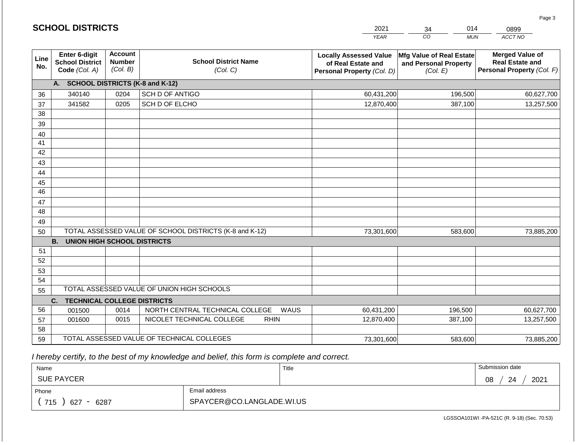|                 | <b>SCHOOL DISTRICTS</b>                                                                                 |      |                                                         | 2021                                                                              | 014<br>34<br>0899                                             |                                                                                |  |
|-----------------|---------------------------------------------------------------------------------------------------------|------|---------------------------------------------------------|-----------------------------------------------------------------------------------|---------------------------------------------------------------|--------------------------------------------------------------------------------|--|
|                 |                                                                                                         |      |                                                         | <b>YEAR</b>                                                                       | CO<br><b>MUN</b>                                              | ACCT NO                                                                        |  |
| Line<br>No.     | <b>Account</b><br>Enter 6-digit<br><b>Number</b><br><b>School District</b><br>(Col. B)<br>Code (Col. A) |      | <b>School District Name</b><br>(Col. C)                 | <b>Locally Assessed Value</b><br>of Real Estate and<br>Personal Property (Col. D) | Mfg Value of Real Estate<br>and Personal Property<br>(Col. E) | <b>Merged Value of</b><br><b>Real Estate and</b><br>Personal Property (Col. F) |  |
|                 | A. SCHOOL DISTRICTS (K-8 and K-12)                                                                      |      |                                                         |                                                                                   |                                                               |                                                                                |  |
| 36              | 340140                                                                                                  | 0204 | SCH D OF ANTIGO                                         | 60,431,200                                                                        | 196,500                                                       | 60,627,700                                                                     |  |
| 37              | 341582                                                                                                  | 0205 | SCH D OF ELCHO                                          | 12,870,400                                                                        | 387,100                                                       | 13,257,500                                                                     |  |
| 38              |                                                                                                         |      |                                                         |                                                                                   |                                                               |                                                                                |  |
| 39              |                                                                                                         |      |                                                         |                                                                                   |                                                               |                                                                                |  |
| 40              |                                                                                                         |      |                                                         |                                                                                   |                                                               |                                                                                |  |
| 41              |                                                                                                         |      |                                                         |                                                                                   |                                                               |                                                                                |  |
| 42              |                                                                                                         |      |                                                         |                                                                                   |                                                               |                                                                                |  |
| 43              |                                                                                                         |      |                                                         |                                                                                   |                                                               |                                                                                |  |
| 44              |                                                                                                         |      |                                                         |                                                                                   |                                                               |                                                                                |  |
| 45              |                                                                                                         |      |                                                         |                                                                                   |                                                               |                                                                                |  |
| $\overline{46}$ |                                                                                                         |      |                                                         |                                                                                   |                                                               |                                                                                |  |
| 47<br>48        |                                                                                                         |      |                                                         |                                                                                   |                                                               |                                                                                |  |
|                 |                                                                                                         |      |                                                         |                                                                                   |                                                               |                                                                                |  |
| 49<br>50        |                                                                                                         |      | TOTAL ASSESSED VALUE OF SCHOOL DISTRICTS (K-8 and K-12) | 73,301,600                                                                        | 583,600                                                       | 73,885,200                                                                     |  |
|                 | <b>B.</b><br><b>UNION HIGH SCHOOL DISTRICTS</b>                                                         |      |                                                         |                                                                                   |                                                               |                                                                                |  |
| 51              |                                                                                                         |      |                                                         |                                                                                   |                                                               |                                                                                |  |
| 52              |                                                                                                         |      |                                                         |                                                                                   |                                                               |                                                                                |  |
| 53              |                                                                                                         |      |                                                         |                                                                                   |                                                               |                                                                                |  |
| 54              |                                                                                                         |      |                                                         |                                                                                   |                                                               |                                                                                |  |
| 55              |                                                                                                         |      | TOTAL ASSESSED VALUE OF UNION HIGH SCHOOLS              |                                                                                   |                                                               |                                                                                |  |
|                 | <b>TECHNICAL COLLEGE DISTRICTS</b><br>C.                                                                |      |                                                         |                                                                                   |                                                               |                                                                                |  |
| 56              | 001500                                                                                                  | 0014 | NORTH CENTRAL TECHNICAL COLLEGE<br>WAUS                 | 60,431,200                                                                        | 196,500                                                       | 60,627,700                                                                     |  |
| 57              | 001600                                                                                                  | 0015 | NICOLET TECHNICAL COLLEGE<br><b>RHIN</b>                | 12,870,400                                                                        | 387,100                                                       | 13,257,500                                                                     |  |
| 58              |                                                                                                         |      |                                                         |                                                                                   |                                                               |                                                                                |  |
| 59              |                                                                                                         |      | TOTAL ASSESSED VALUE OF TECHNICAL COLLEGES              | 73,301,600                                                                        | 583,600                                                       | 73,885,200                                                                     |  |

2021

 *I hereby certify, to the best of my knowledge and belief, this form is complete and correct.*

**SCHOOL DISTRICTS**

| Name                                           |                           | Title | Submission date  |
|------------------------------------------------|---------------------------|-------|------------------|
| <b>SUE PAYCER</b>                              |                           |       | 2021<br>08<br>24 |
| Phone                                          | Email address             |       |                  |
| 715<br>6287<br>627<br>$\overline{\phantom{0}}$ | SPAYCER@CO.LANGLADE.WI.US |       |                  |

LGSSOA101WI -PA-521C (R. 9-18) (Sec. 70.53)

Page 3

014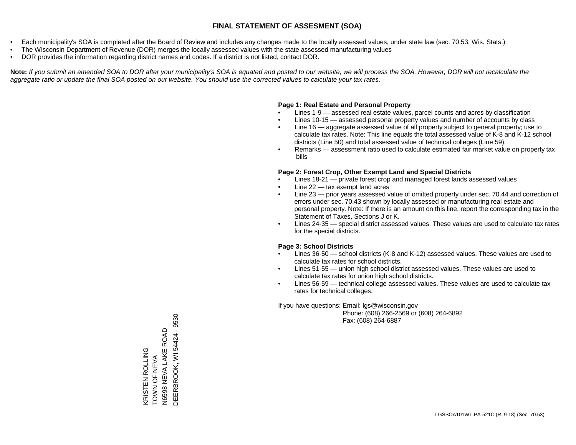- Each municipality's SOA is completed after the Board of Review and includes any changes made to the locally assessed values, under state law (sec. 70.53, Wis. Stats.)
- The Wisconsin Department of Revenue (DOR) merges the locally assessed values with the state assessed manufacturing values
- DOR provides the information regarding district names and codes. If a district is not listed, contact DOR.

Note: If you submit an amended SOA to DOR after your municipality's SOA is equated and posted to our website, we will process the SOA. However, DOR will not recalculate the *aggregate ratio or update the final SOA posted on our website. You should use the corrected values to calculate your tax rates.*

### **Page 1: Real Estate and Personal Property**

- Lines 1-9 assessed real estate values, parcel counts and acres by classification
- Lines 10-15 assessed personal property values and number of accounts by class
- Line 16 aggregate assessed value of all property subject to general property; use to calculate tax rates. Note: This line equals the total assessed value of K-8 and K-12 school districts (Line 50) and total assessed value of technical colleges (Line 59).
- Remarks assessment ratio used to calculate estimated fair market value on property tax bills

### **Page 2: Forest Crop, Other Exempt Land and Special Districts**

- Lines 18-21 private forest crop and managed forest lands assessed values
- Line  $22 -$  tax exempt land acres
- Line 23 prior years assessed value of omitted property under sec. 70.44 and correction of errors under sec. 70.43 shown by locally assessed or manufacturing real estate and personal property. Note: If there is an amount on this line, report the corresponding tax in the Statement of Taxes, Sections J or K.
- Lines 24-35 special district assessed values. These values are used to calculate tax rates for the special districts.

### **Page 3: School Districts**

- Lines 36-50 school districts (K-8 and K-12) assessed values. These values are used to calculate tax rates for school districts.
- Lines 51-55 union high school district assessed values. These values are used to calculate tax rates for union high school districts.
- Lines 56-59 technical college assessed values. These values are used to calculate tax rates for technical colleges.

If you have questions: Email: lgs@wisconsin.gov

 Phone: (608) 266-2569 or (608) 264-6892 Fax: (608) 264-6887

DEERBROOK, WI54424 - 9530 DEERBROOK, WI 54424 - 9530NEVA LAKE ROAD N6598 NEVA LAKE ROAD KRISTEN ROLLING<br>TOWN OF NEVA KRISTEN ROLLING TOWN OF NEW A N6598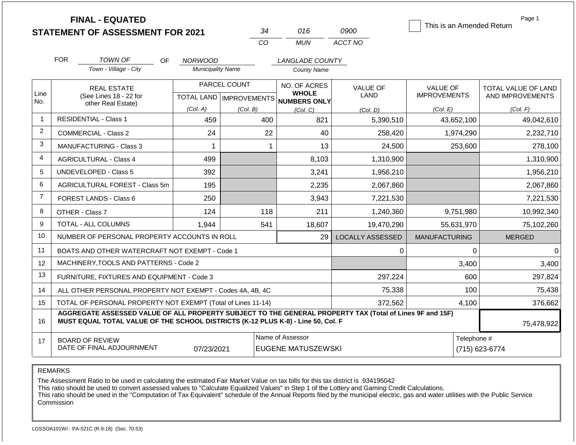|                | <b>FINAL - EQUATED</b><br><b>STATEMENT OF ASSESSMENT FOR 2021</b>                                                                                                                                          |                                            | 34                                        | 016                                                 | 0900                           | This is an Amended Return              | Page 1                                  |  |  |  |
|----------------|------------------------------------------------------------------------------------------------------------------------------------------------------------------------------------------------------------|--------------------------------------------|-------------------------------------------|-----------------------------------------------------|--------------------------------|----------------------------------------|-----------------------------------------|--|--|--|
|                |                                                                                                                                                                                                            |                                            | CO                                        | <b>MUN</b>                                          | ACCT NO                        |                                        |                                         |  |  |  |
|                | <b>FOR</b><br>TOWN OF                                                                                                                                                                                      |                                            |                                           |                                                     |                                |                                        |                                         |  |  |  |
|                | OF<br>Town - Village - City                                                                                                                                                                                | <b>NORWOOD</b><br><b>Municipality Name</b> |                                           | LANGLADE COUNTY<br><b>County Name</b>               |                                |                                        |                                         |  |  |  |
| Line<br>No.    | <b>REAL ESTATE</b><br>(See Lines 18 - 22 for                                                                                                                                                               |                                            | PARCEL COUNT<br>TOTAL LAND   IMPROVEMENTS | NO. OF ACRES<br><b>WHOLE</b><br><b>NUMBERS ONLY</b> | <b>VALUE OF</b><br><b>LAND</b> | <b>VALUE OF</b><br><b>IMPROVEMENTS</b> | TOTAL VALUE OF LAND<br>AND IMPROVEMENTS |  |  |  |
|                | other Real Estate)                                                                                                                                                                                         | (Col. A)                                   | (Col. B)                                  | (Col. C)                                            | (Col. D)                       | (Col. E)                               | (Col. F)                                |  |  |  |
| $\overline{1}$ | <b>RESIDENTIAL - Class 1</b>                                                                                                                                                                               | 459                                        | 400                                       | 821                                                 | 5,390,510                      | 43,652,100                             | 49,042,610                              |  |  |  |
| 2              | <b>COMMERCIAL - Class 2</b>                                                                                                                                                                                | 24                                         | 22                                        | 40                                                  | 258,420                        | 1,974,290                              | 2,232,710                               |  |  |  |
| 3              | <b>MANUFACTURING - Class 3</b>                                                                                                                                                                             |                                            |                                           | 13                                                  | 24,500                         | 253,600                                | 278,100                                 |  |  |  |
| 4              | <b>AGRICULTURAL - Class 4</b>                                                                                                                                                                              | 499                                        |                                           | 8,103                                               | 1,310,900                      |                                        | 1,310,900                               |  |  |  |
| 5              | <b>UNDEVELOPED - Class 5</b>                                                                                                                                                                               | 392                                        |                                           | 3,241                                               | 1,956,210                      |                                        | 1,956,210                               |  |  |  |
| 6              | AGRICULTURAL FOREST - Class 5m                                                                                                                                                                             | 195                                        |                                           | 2,235                                               | 2,067,860                      |                                        | 2,067,860                               |  |  |  |
| $\overline{7}$ | FOREST LANDS - Class 6                                                                                                                                                                                     | 250                                        |                                           | 3,943                                               | 7,221,530                      |                                        | 7,221,530                               |  |  |  |
| 8              | OTHER - Class 7                                                                                                                                                                                            | 124                                        | 118                                       | 211                                                 | 1,240,360                      | 9,751,980                              | 10,992,340                              |  |  |  |
| 9              | TOTAL - ALL COLUMNS                                                                                                                                                                                        | 1,944                                      | 541                                       | 18,607                                              | 19,470,290                     | 55,631,970                             | 75,102,260                              |  |  |  |
| 10             | NUMBER OF PERSONAL PROPERTY ACCOUNTS IN ROLL                                                                                                                                                               |                                            |                                           | 29                                                  | <b>LOCALLY ASSESSED</b>        | <b>MANUFACTURING</b>                   | <b>MERGED</b>                           |  |  |  |
| 11             | BOATS AND OTHER WATERCRAFT NOT EXEMPT - Code 1                                                                                                                                                             |                                            |                                           |                                                     | 0                              | $\Omega$                               | $\Omega$                                |  |  |  |
| 12             | MACHINERY, TOOLS AND PATTERNS - Code 2                                                                                                                                                                     |                                            |                                           |                                                     |                                | 3,400                                  | 3,400                                   |  |  |  |
| 13             | FURNITURE, FIXTURES AND EQUIPMENT - Code 3                                                                                                                                                                 |                                            |                                           |                                                     | 297,224                        | 600                                    | 297,824                                 |  |  |  |
| 14             | ALL OTHER PERSONAL PROPERTY NOT EXEMPT - Codes 4A, 4B, 4C                                                                                                                                                  |                                            |                                           |                                                     | 75,338                         | 100                                    | 75,438                                  |  |  |  |
| 15             | TOTAL OF PERSONAL PROPERTY NOT EXEMPT (Total of Lines 11-14)                                                                                                                                               |                                            |                                           |                                                     | 372,562                        | 4,100                                  | 376,662                                 |  |  |  |
| 16             | AGGREGATE ASSESSED VALUE OF ALL PROPERTY SUBJECT TO THE GENERAL PROPERTY TAX (Total of Lines 9F and 15F)<br>MUST EQUAL TOTAL VALUE OF THE SCHOOL DISTRICTS (K-12 PLUS K-8) - Line 50, Col. F<br>75,478,922 |                                            |                                           |                                                     |                                |                                        |                                         |  |  |  |
| 17             | <b>BOARD OF REVIEW</b><br>DATE OF FINAL ADJOURNMENT                                                                                                                                                        | 07/23/2021                                 |                                           | Name of Assessor<br><b>EUGENE MATUSZEWSKI</b>       |                                | Telephone #<br>(715) 623-6774          |                                         |  |  |  |

The Assessment Ratio to be used in calculating the estimated Fair Market Value on tax bills for this tax district is .934195042

This ratio should be used to convert assessed values to "Calculate Equalized Values" in Step 1 of the Lottery and Gaming Credit Calculations.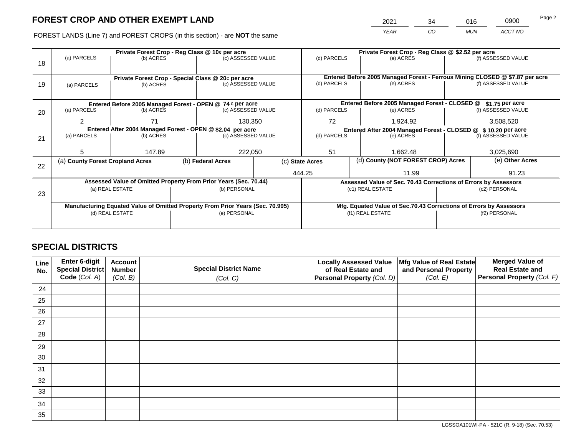2021 34 016 0900

FOREST LANDS (Line 7) and FOREST CROPS (in this section) - are **NOT** the same *YEAR CO MUN ACCT NO*

|    |                                                                                |                 |  | Private Forest Crop - Reg Class @ 10¢ per acre                           | Private Forest Crop - Reg Class @ \$2.52 per acre |                 |                                                                |                                                                    |                                                                                                    |                    |
|----|--------------------------------------------------------------------------------|-----------------|--|--------------------------------------------------------------------------|---------------------------------------------------|-----------------|----------------------------------------------------------------|--------------------------------------------------------------------|----------------------------------------------------------------------------------------------------|--------------------|
|    | (a) PARCELS                                                                    | (b) ACRES       |  | (c) ASSESSED VALUE                                                       |                                                   | (d) PARCELS     |                                                                | (e) ACRES                                                          |                                                                                                    | (f) ASSESSED VALUE |
| 18 |                                                                                |                 |  |                                                                          |                                                   |                 |                                                                |                                                                    |                                                                                                    |                    |
|    |                                                                                |                 |  |                                                                          |                                                   |                 |                                                                |                                                                    |                                                                                                    |                    |
|    |                                                                                |                 |  | Private Forest Crop - Special Class @ 20¢ per acre<br>(c) ASSESSED VALUE |                                                   | (d) PARCELS     |                                                                | (e) ACRES                                                          | Entered Before 2005 Managed Forest - Ferrous Mining CLOSED @ \$7.87 per acre<br>(f) ASSESSED VALUE |                    |
| 19 | (a) PARCELS                                                                    | (b) ACRES       |  |                                                                          |                                                   |                 |                                                                |                                                                    |                                                                                                    |                    |
|    |                                                                                |                 |  |                                                                          |                                                   |                 |                                                                |                                                                    |                                                                                                    |                    |
|    |                                                                                |                 |  | Entered Before 2005 Managed Forest - OPEN @ 74 ¢ per acre                |                                                   |                 |                                                                | Entered Before 2005 Managed Forest - CLOSED @                      |                                                                                                    | $$1.75$ per acre   |
| 20 | (a) PARCELS                                                                    | (b) ACRES       |  | (c) ASSESSED VALUE                                                       |                                                   | (d) PARCELS     |                                                                | (e) ACRES                                                          |                                                                                                    | (f) ASSESSED VALUE |
|    |                                                                                |                 |  |                                                                          |                                                   |                 |                                                                |                                                                    |                                                                                                    |                    |
|    | $\overline{2}$                                                                 | 71              |  | 130,350                                                                  |                                                   | 72<br>1,924.92  |                                                                | 3,508,520                                                          |                                                                                                    |                    |
|    | Entered After 2004 Managed Forest - OPEN @ \$2.04 per acre                     |                 |  |                                                                          |                                                   |                 | Entered After 2004 Managed Forest - CLOSED @ \$ 10.20 per acre |                                                                    |                                                                                                    |                    |
| 21 | (a) PARCELS                                                                    | (b) ACRES       |  | (c) ASSESSED VALUE                                                       |                                                   | (d) PARCELS     |                                                                | (e) ACRES                                                          |                                                                                                    | (f) ASSESSED VALUE |
|    |                                                                                |                 |  |                                                                          |                                                   |                 |                                                                |                                                                    |                                                                                                    |                    |
|    | 5                                                                              | 147.89          |  | 222,050                                                                  |                                                   | 51              |                                                                | 1,662.48                                                           |                                                                                                    | 3,025,690          |
|    | (a) County Forest Cropland Acres                                               |                 |  | (b) Federal Acres                                                        |                                                   | (c) State Acres |                                                                | (d) County (NOT FOREST CROP) Acres                                 |                                                                                                    | (e) Other Acres    |
| 22 |                                                                                |                 |  |                                                                          |                                                   |                 |                                                                |                                                                    |                                                                                                    |                    |
|    |                                                                                |                 |  |                                                                          |                                                   | 444.25          |                                                                | 11.99                                                              |                                                                                                    | 91.23              |
|    |                                                                                |                 |  | Assessed Value of Omitted Property From Prior Years (Sec. 70.44)         |                                                   |                 |                                                                | Assessed Value of Sec. 70.43 Corrections of Errors by Assessors    |                                                                                                    |                    |
|    |                                                                                | (a) REAL ESTATE |  | (b) PERSONAL                                                             |                                                   |                 |                                                                | (c1) REAL ESTATE                                                   |                                                                                                    | (c2) PERSONAL      |
| 23 |                                                                                |                 |  |                                                                          |                                                   |                 |                                                                |                                                                    |                                                                                                    |                    |
|    | Manufacturing Equated Value of Omitted Property From Prior Years (Sec. 70.995) |                 |  |                                                                          |                                                   |                 |                                                                | Mfg. Equated Value of Sec.70.43 Corrections of Errors by Assessors |                                                                                                    |                    |
|    | (d) REAL ESTATE                                                                |                 |  | (e) PERSONAL                                                             |                                                   |                 |                                                                | (f1) REAL ESTATE                                                   | (f2) PERSONAL                                                                                      |                    |
|    |                                                                                |                 |  |                                                                          |                                                   |                 |                                                                |                                                                    |                                                                                                    |                    |
|    |                                                                                |                 |  |                                                                          |                                                   |                 |                                                                |                                                                    |                                                                                                    |                    |

## **SPECIAL DISTRICTS**

| Line<br>No. | Enter 6-digit<br>Special District | <b>Account</b><br><b>Number</b> | <b>Special District Name</b> | <b>Locally Assessed Value</b><br>of Real Estate and | Mfg Value of Real Estate<br>and Personal Property | <b>Merged Value of</b><br><b>Real Estate and</b> |
|-------------|-----------------------------------|---------------------------------|------------------------------|-----------------------------------------------------|---------------------------------------------------|--------------------------------------------------|
|             | Code (Col. A)                     | (Col. B)                        | (Col. C)                     | Personal Property (Col. D)                          | (Col. E)                                          | Personal Property (Col. F)                       |
| 24          |                                   |                                 |                              |                                                     |                                                   |                                                  |
| 25          |                                   |                                 |                              |                                                     |                                                   |                                                  |
| 26          |                                   |                                 |                              |                                                     |                                                   |                                                  |
| 27          |                                   |                                 |                              |                                                     |                                                   |                                                  |
| 28          |                                   |                                 |                              |                                                     |                                                   |                                                  |
| 29          |                                   |                                 |                              |                                                     |                                                   |                                                  |
| 30          |                                   |                                 |                              |                                                     |                                                   |                                                  |
| 31          |                                   |                                 |                              |                                                     |                                                   |                                                  |
| 32          |                                   |                                 |                              |                                                     |                                                   |                                                  |
| 33          |                                   |                                 |                              |                                                     |                                                   |                                                  |
| 34          |                                   |                                 |                              |                                                     |                                                   |                                                  |
| 35          |                                   |                                 |                              |                                                     |                                                   |                                                  |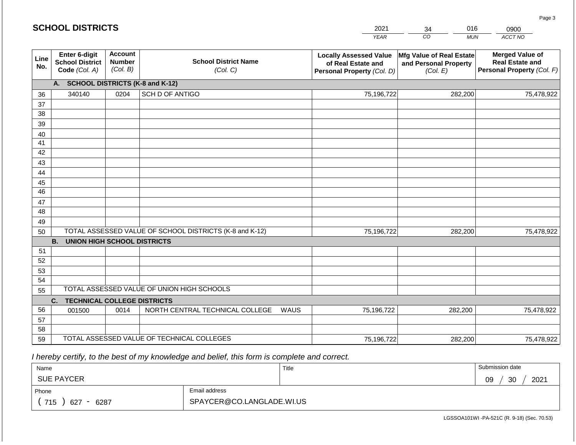| <b>SCHOOL DISTRICTS</b> |                                                          |                                             |                                                         |      | 2021                                                                              | 016<br>34                                                     | 0900                                                                           |
|-------------------------|----------------------------------------------------------|---------------------------------------------|---------------------------------------------------------|------|-----------------------------------------------------------------------------------|---------------------------------------------------------------|--------------------------------------------------------------------------------|
|                         |                                                          |                                             |                                                         |      | <b>YEAR</b>                                                                       | CO<br><b>MUN</b>                                              | ACCT NO                                                                        |
| Line<br>No.             | Enter 6-digit<br><b>School District</b><br>Code (Col. A) | <b>Account</b><br><b>Number</b><br>(Col. B) | <b>School District Name</b><br>(Col. C)                 |      | <b>Locally Assessed Value</b><br>of Real Estate and<br>Personal Property (Col. D) | Mfg Value of Real Estate<br>and Personal Property<br>(Col. E) | <b>Merged Value of</b><br><b>Real Estate and</b><br>Personal Property (Col. F) |
|                         | A. SCHOOL DISTRICTS (K-8 and K-12)                       |                                             |                                                         |      |                                                                                   |                                                               |                                                                                |
| 36                      | 340140                                                   | 0204                                        | SCH D OF ANTIGO                                         |      | 75,196,722                                                                        | 282,200                                                       | 75,478,922                                                                     |
| 37                      |                                                          |                                             |                                                         |      |                                                                                   |                                                               |                                                                                |
| 38                      |                                                          |                                             |                                                         |      |                                                                                   |                                                               |                                                                                |
| 39                      |                                                          |                                             |                                                         |      |                                                                                   |                                                               |                                                                                |
| 40                      |                                                          |                                             |                                                         |      |                                                                                   |                                                               |                                                                                |
| 41                      |                                                          |                                             |                                                         |      |                                                                                   |                                                               |                                                                                |
| 42<br>43                |                                                          |                                             |                                                         |      |                                                                                   |                                                               |                                                                                |
| 44                      |                                                          |                                             |                                                         |      |                                                                                   |                                                               |                                                                                |
| 45                      |                                                          |                                             |                                                         |      |                                                                                   |                                                               |                                                                                |
| $\overline{46}$         |                                                          |                                             |                                                         |      |                                                                                   |                                                               |                                                                                |
| 47                      |                                                          |                                             |                                                         |      |                                                                                   |                                                               |                                                                                |
| 48                      |                                                          |                                             |                                                         |      |                                                                                   |                                                               |                                                                                |
| 49                      |                                                          |                                             |                                                         |      |                                                                                   |                                                               |                                                                                |
| 50                      |                                                          |                                             | TOTAL ASSESSED VALUE OF SCHOOL DISTRICTS (K-8 and K-12) |      | 75,196,722                                                                        | 282,200                                                       | 75,478,922                                                                     |
|                         | <b>B.</b><br><b>UNION HIGH SCHOOL DISTRICTS</b>          |                                             |                                                         |      |                                                                                   |                                                               |                                                                                |
| 51                      |                                                          |                                             |                                                         |      |                                                                                   |                                                               |                                                                                |
| 52                      |                                                          |                                             |                                                         |      |                                                                                   |                                                               |                                                                                |
| 53                      |                                                          |                                             |                                                         |      |                                                                                   |                                                               |                                                                                |
| 54                      |                                                          |                                             | TOTAL ASSESSED VALUE OF UNION HIGH SCHOOLS              |      |                                                                                   |                                                               |                                                                                |
| 55                      | <b>TECHNICAL COLLEGE DISTRICTS</b><br>C.                 |                                             |                                                         |      |                                                                                   |                                                               |                                                                                |
| 56                      | 001500                                                   | 0014                                        | NORTH CENTRAL TECHNICAL COLLEGE                         | WAUS | 75,196,722                                                                        | 282,200                                                       | 75,478,922                                                                     |
| 57                      |                                                          |                                             |                                                         |      |                                                                                   |                                                               |                                                                                |
| 58                      |                                                          |                                             |                                                         |      |                                                                                   |                                                               |                                                                                |
| 59                      |                                                          |                                             | TOTAL ASSESSED VALUE OF TECHNICAL COLLEGES              |      | 75,196,722                                                                        | 282,200                                                       | 75,478,922                                                                     |

 *I hereby certify, to the best of my knowledge and belief, this form is complete and correct.*

**SCHOOL DISTRICTS**

| Name                                           |                           | Title | Submission date       |
|------------------------------------------------|---------------------------|-------|-----------------------|
| <b>SUE PAYCER</b>                              |                           |       | 2021<br>ാറ<br>09<br>◡ |
| Phone                                          | Email address             |       |                       |
| 715<br>6287<br>627<br>$\overline{\phantom{0}}$ | SPAYCER@CO.LANGLADE.WI.US |       |                       |

Page 3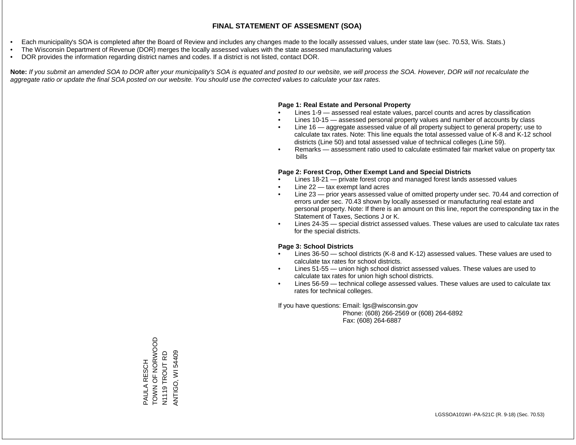- Each municipality's SOA is completed after the Board of Review and includes any changes made to the locally assessed values, under state law (sec. 70.53, Wis. Stats.)
- The Wisconsin Department of Revenue (DOR) merges the locally assessed values with the state assessed manufacturing values
- DOR provides the information regarding district names and codes. If a district is not listed, contact DOR.

Note: If you submit an amended SOA to DOR after your municipality's SOA is equated and posted to our website, we will process the SOA. However, DOR will not recalculate the *aggregate ratio or update the final SOA posted on our website. You should use the corrected values to calculate your tax rates.*

### **Page 1: Real Estate and Personal Property**

- Lines 1-9 assessed real estate values, parcel counts and acres by classification
- Lines 10-15 assessed personal property values and number of accounts by class
- Line 16 aggregate assessed value of all property subject to general property; use to calculate tax rates. Note: This line equals the total assessed value of K-8 and K-12 school districts (Line 50) and total assessed value of technical colleges (Line 59).
- Remarks assessment ratio used to calculate estimated fair market value on property tax bills

### **Page 2: Forest Crop, Other Exempt Land and Special Districts**

- Lines 18-21 private forest crop and managed forest lands assessed values
- Line  $22 -$  tax exempt land acres
- Line 23 prior years assessed value of omitted property under sec. 70.44 and correction of errors under sec. 70.43 shown by locally assessed or manufacturing real estate and personal property. Note: If there is an amount on this line, report the corresponding tax in the Statement of Taxes, Sections J or K.
- Lines 24-35 special district assessed values. These values are used to calculate tax rates for the special districts.

### **Page 3: School Districts**

- Lines 36-50 school districts (K-8 and K-12) assessed values. These values are used to calculate tax rates for school districts.
- Lines 51-55 union high school district assessed values. These values are used to calculate tax rates for union high school districts.
- Lines 56-59 technical college assessed values. These values are used to calculate tax rates for technical colleges.

If you have questions: Email: lgs@wisconsin.gov

 Phone: (608) 266-2569 or (608) 264-6892 Fax: (608) 264-6887

TONN OF NO ZNOL PAULA RESCH<br>TOWN OF NORWOOD N1119 TROUT RD **ANTIGO, WI 54409** ANTIGO, WI 54409N1119 TROUT RD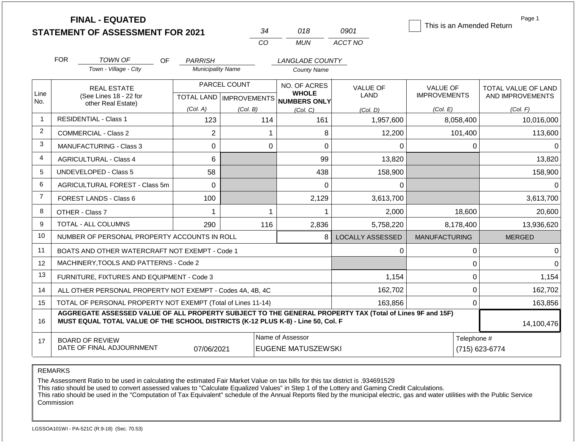|                | <b>FINAL - EQUATED</b><br><b>STATEMENT OF ASSESSMENT FOR 2021</b>                                                                                                                            |                                                   | 34       | 018                                           | 0901                    | This is an Amended Return              | Page 1                                  |  |
|----------------|----------------------------------------------------------------------------------------------------------------------------------------------------------------------------------------------|---------------------------------------------------|----------|-----------------------------------------------|-------------------------|----------------------------------------|-----------------------------------------|--|
|                |                                                                                                                                                                                              |                                                   | CO       | <b>MUN</b>                                    | ACCT NO                 |                                        |                                         |  |
|                | <b>FOR</b>                                                                                                                                                                                   |                                                   |          |                                               |                         |                                        |                                         |  |
|                | <b>TOWN OF</b><br>Town - Village - City                                                                                                                                                      | OF.<br><b>PARRISH</b><br><b>Municipality Name</b> |          | <b>LANGLADE COUNTY</b><br><b>County Name</b>  |                         |                                        |                                         |  |
| Line           | <b>REAL ESTATE</b><br>(See Lines 18 - 22 for                                                                                                                                                 | PARCEL COUNT<br>TOTAL LAND   IMPROVEMENTS         |          | NO. OF ACRES<br><b>WHOLE</b>                  | <b>VALUE OF</b><br>LAND | <b>VALUE OF</b><br><b>IMPROVEMENTS</b> | TOTAL VALUE OF LAND<br>AND IMPROVEMENTS |  |
| No.            | other Real Estate)                                                                                                                                                                           | (Col. A)                                          | (Col. B) | NUMBERS ONLY<br>(Col, C)                      | (Col. D)                | (Col. E)                               | (Col. F)                                |  |
| $\mathbf{1}$   | <b>RESIDENTIAL - Class 1</b>                                                                                                                                                                 | 123                                               | 114      | 161                                           | 1,957,600               | 8,058,400                              | 10,016,000                              |  |
| $\overline{2}$ | <b>COMMERCIAL - Class 2</b>                                                                                                                                                                  | $\overline{2}$                                    |          | 8                                             | 12,200                  | 101,400                                | 113,600                                 |  |
| 3              | <b>MANUFACTURING - Class 3</b>                                                                                                                                                               | 0                                                 |          | $\mathbf 0$<br>0                              | 0                       | 0                                      | $\Omega$                                |  |
| 4              | <b>AGRICULTURAL - Class 4</b>                                                                                                                                                                | 6                                                 |          | 99                                            | 13,820                  |                                        | 13,820                                  |  |
| 5              | <b>UNDEVELOPED - Class 5</b>                                                                                                                                                                 | 58                                                |          | 438                                           | 158,900                 |                                        | 158,900                                 |  |
| 6              | AGRICULTURAL FOREST - Class 5m                                                                                                                                                               | $\Omega$                                          |          | 0                                             | 0                       |                                        | $\Omega$                                |  |
| $\overline{7}$ | <b>FOREST LANDS - Class 6</b>                                                                                                                                                                | 100                                               |          | 2,129                                         | 3,613,700               |                                        | 3,613,700                               |  |
| 8              | OTHER - Class 7                                                                                                                                                                              | 1                                                 |          | $\mathbf 1$<br>1                              | 2,000                   | 18,600                                 | 20,600                                  |  |
| 9              | <b>TOTAL - ALL COLUMNS</b>                                                                                                                                                                   | 290                                               | 116      | 2,836                                         | 5,758,220               | 8,178,400                              | 13,936,620                              |  |
| 10             | NUMBER OF PERSONAL PROPERTY ACCOUNTS IN ROLL                                                                                                                                                 |                                                   |          | 8                                             | <b>LOCALLY ASSESSED</b> | <b>MANUFACTURING</b>                   | <b>MERGED</b>                           |  |
| 11             | BOATS AND OTHER WATERCRAFT NOT EXEMPT - Code 1                                                                                                                                               |                                                   |          |                                               | 0                       | 0                                      | 0                                       |  |
| 12             | MACHINERY, TOOLS AND PATTERNS - Code 2                                                                                                                                                       |                                                   |          |                                               |                         | $\pmb{0}$                              | $\Omega$                                |  |
| 13             | FURNITURE, FIXTURES AND EQUIPMENT - Code 3                                                                                                                                                   |                                                   |          |                                               | 1,154                   | $\pmb{0}$                              | 1,154                                   |  |
| 14             | ALL OTHER PERSONAL PROPERTY NOT EXEMPT - Codes 4A, 4B, 4C                                                                                                                                    |                                                   |          |                                               | 162,702                 | $\mathbf 0$                            | 162,702                                 |  |
| 15             | TOTAL OF PERSONAL PROPERTY NOT EXEMPT (Total of Lines 11-14)                                                                                                                                 |                                                   |          |                                               | 163,856                 | $\mathbf 0$                            | 163,856                                 |  |
| 16             | AGGREGATE ASSESSED VALUE OF ALL PROPERTY SUBJECT TO THE GENERAL PROPERTY TAX (Total of Lines 9F and 15F)<br>MUST EQUAL TOTAL VALUE OF THE SCHOOL DISTRICTS (K-12 PLUS K-8) - Line 50, Col. F |                                                   |          |                                               |                         |                                        | 14,100,476                              |  |
| 17             | <b>BOARD OF REVIEW</b><br>DATE OF FINAL ADJOURNMENT                                                                                                                                          | 07/06/2021                                        |          | Name of Assessor<br><b>EUGENE MATUSZEWSKI</b> |                         | Telephone #<br>(715) 623-6774          |                                         |  |

The Assessment Ratio to be used in calculating the estimated Fair Market Value on tax bills for this tax district is .934691529

This ratio should be used to convert assessed values to "Calculate Equalized Values" in Step 1 of the Lottery and Gaming Credit Calculations.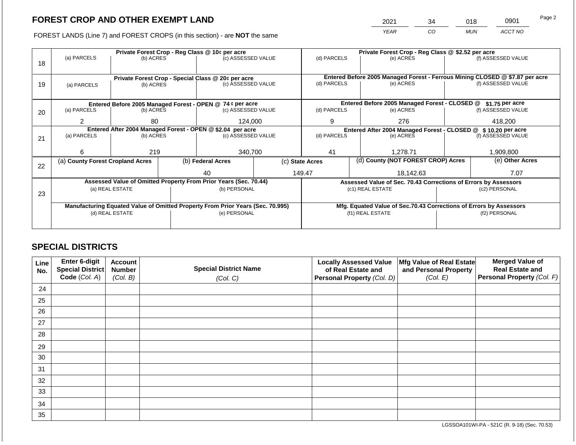2021 34 018 0901

FOREST LANDS (Line 7) and FOREST CROPS (in this section) - are **NOT** the same *YEAR CO MUN ACCT NO*

|    |                                                                                |                                                            | Private Forest Crop - Reg Class @ 10¢ per acre |                                                                          | Private Forest Crop - Reg Class @ \$2.52 per acre                  |                                                                              |  |                                                                 |               |                    |
|----|--------------------------------------------------------------------------------|------------------------------------------------------------|------------------------------------------------|--------------------------------------------------------------------------|--------------------------------------------------------------------|------------------------------------------------------------------------------|--|-----------------------------------------------------------------|---------------|--------------------|
| 18 | (a) PARCELS                                                                    | (b) ACRES                                                  |                                                | (c) ASSESSED VALUE                                                       |                                                                    | (d) PARCELS                                                                  |  | (e) ACRES                                                       |               | (f) ASSESSED VALUE |
|    |                                                                                |                                                            |                                                |                                                                          |                                                                    |                                                                              |  |                                                                 |               |                    |
|    |                                                                                |                                                            |                                                |                                                                          |                                                                    | Entered Before 2005 Managed Forest - Ferrous Mining CLOSED @ \$7.87 per acre |  |                                                                 |               |                    |
| 19 |                                                                                | (b) ACRES                                                  |                                                | Private Forest Crop - Special Class @ 20¢ per acre<br>(c) ASSESSED VALUE |                                                                    | (d) PARCELS                                                                  |  | (e) ACRES                                                       |               | (f) ASSESSED VALUE |
|    | (a) PARCELS                                                                    |                                                            |                                                |                                                                          |                                                                    |                                                                              |  |                                                                 |               |                    |
|    |                                                                                |                                                            |                                                |                                                                          |                                                                    |                                                                              |  |                                                                 |               |                    |
|    | Entered Before 2005 Managed Forest - OPEN @ 74 ¢ per acre                      |                                                            |                                                |                                                                          |                                                                    |                                                                              |  | Entered Before 2005 Managed Forest - CLOSED @                   |               | $$1.75$ per acre   |
| 20 | (a) PARCELS                                                                    | (b) ACRES                                                  |                                                | (c) ASSESSED VALUE                                                       |                                                                    | (d) PARCELS                                                                  |  | (e) ACRES                                                       |               | (f) ASSESSED VALUE |
|    | 2                                                                              | 80                                                         |                                                |                                                                          |                                                                    | 9                                                                            |  | 276                                                             |               | 418,200            |
|    |                                                                                |                                                            |                                                | 124,000                                                                  |                                                                    |                                                                              |  |                                                                 |               |                    |
|    |                                                                                | Entered After 2004 Managed Forest - OPEN @ \$2.04 per acre |                                                |                                                                          |                                                                    | Entered After 2004 Managed Forest - CLOSED @ \$ 10.20 per acre               |  |                                                                 |               |                    |
| 21 | (a) PARCELS                                                                    | (b) ACRES                                                  |                                                | (c) ASSESSED VALUE                                                       |                                                                    | (d) PARCELS                                                                  |  | (e) ACRES                                                       |               | (f) ASSESSED VALUE |
|    |                                                                                |                                                            |                                                |                                                                          |                                                                    |                                                                              |  |                                                                 |               |                    |
|    | 6                                                                              | 219                                                        |                                                | 340,700                                                                  |                                                                    | 41                                                                           |  | 1,278.71                                                        |               | 1,909,800          |
|    | (a) County Forest Cropland Acres                                               |                                                            |                                                | (b) Federal Acres                                                        |                                                                    | (c) State Acres                                                              |  | (d) County (NOT FOREST CROP) Acres                              |               | (e) Other Acres    |
| 22 |                                                                                |                                                            |                                                |                                                                          |                                                                    |                                                                              |  |                                                                 |               |                    |
|    |                                                                                |                                                            |                                                | 40                                                                       |                                                                    | 149.47                                                                       |  | 18,142.63                                                       |               | 7.07               |
|    |                                                                                |                                                            |                                                | Assessed Value of Omitted Property From Prior Years (Sec. 70.44)         |                                                                    |                                                                              |  | Assessed Value of Sec. 70.43 Corrections of Errors by Assessors |               |                    |
|    |                                                                                | (a) REAL ESTATE                                            |                                                | (b) PERSONAL                                                             |                                                                    |                                                                              |  | (c1) REAL ESTATE                                                |               | (c2) PERSONAL      |
| 23 |                                                                                |                                                            |                                                |                                                                          |                                                                    |                                                                              |  |                                                                 |               |                    |
|    | Manufacturing Equated Value of Omitted Property From Prior Years (Sec. 70.995) |                                                            |                                                |                                                                          | Mfg. Equated Value of Sec.70.43 Corrections of Errors by Assessors |                                                                              |  |                                                                 |               |                    |
|    | (d) REAL ESTATE                                                                |                                                            |                                                | (e) PERSONAL                                                             |                                                                    |                                                                              |  | (f1) REAL ESTATE                                                | (f2) PERSONAL |                    |
|    |                                                                                |                                                            |                                                |                                                                          |                                                                    |                                                                              |  |                                                                 |               |                    |
|    |                                                                                |                                                            |                                                |                                                                          |                                                                    |                                                                              |  |                                                                 |               |                    |

## **SPECIAL DISTRICTS**

| Line<br>No. | Enter 6-digit<br>Special District<br>Code (Col. A) | <b>Account</b><br><b>Number</b><br>(Col. B) | <b>Special District Name</b><br>(Col. C) | <b>Locally Assessed Value</b><br>of Real Estate and<br><b>Personal Property (Col. D)</b> | Mfg Value of Real Estate<br>and Personal Property<br>(Col. E) | <b>Merged Value of</b><br><b>Real Estate and</b><br>Personal Property (Col. F) |
|-------------|----------------------------------------------------|---------------------------------------------|------------------------------------------|------------------------------------------------------------------------------------------|---------------------------------------------------------------|--------------------------------------------------------------------------------|
| 24          |                                                    |                                             |                                          |                                                                                          |                                                               |                                                                                |
| 25          |                                                    |                                             |                                          |                                                                                          |                                                               |                                                                                |
| 26          |                                                    |                                             |                                          |                                                                                          |                                                               |                                                                                |
| 27          |                                                    |                                             |                                          |                                                                                          |                                                               |                                                                                |
| 28          |                                                    |                                             |                                          |                                                                                          |                                                               |                                                                                |
| 29          |                                                    |                                             |                                          |                                                                                          |                                                               |                                                                                |
| 30          |                                                    |                                             |                                          |                                                                                          |                                                               |                                                                                |
| 31          |                                                    |                                             |                                          |                                                                                          |                                                               |                                                                                |
| 32          |                                                    |                                             |                                          |                                                                                          |                                                               |                                                                                |
| 33          |                                                    |                                             |                                          |                                                                                          |                                                               |                                                                                |
| 34          |                                                    |                                             |                                          |                                                                                          |                                                               |                                                                                |
| 35          |                                                    |                                             |                                          |                                                                                          |                                                               |                                                                                |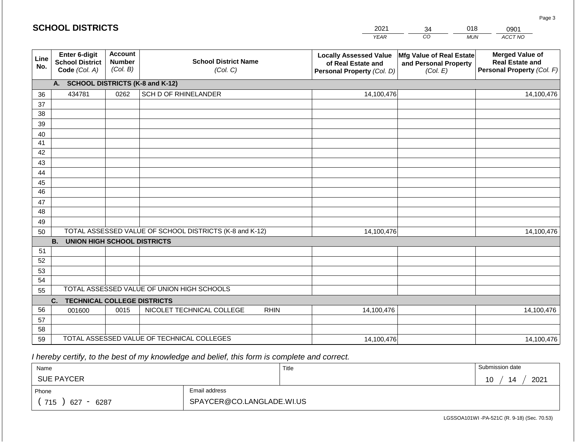|             | <b>SCHOOL DISTRICTS</b>                                  |                                             |                                                         |             | 2021                                                                              | 34                                                            | 018        | 0901                                                                           |
|-------------|----------------------------------------------------------|---------------------------------------------|---------------------------------------------------------|-------------|-----------------------------------------------------------------------------------|---------------------------------------------------------------|------------|--------------------------------------------------------------------------------|
|             |                                                          |                                             |                                                         |             | <b>YEAR</b>                                                                       | CO                                                            | <b>MUN</b> | ACCT NO                                                                        |
| Line<br>No. | Enter 6-digit<br><b>School District</b><br>Code (Col. A) | <b>Account</b><br><b>Number</b><br>(Col. B) | <b>School District Name</b><br>(Col. C)                 |             | <b>Locally Assessed Value</b><br>of Real Estate and<br>Personal Property (Col. D) | Mfg Value of Real Estate<br>and Personal Property<br>(Col. E) |            | <b>Merged Value of</b><br><b>Real Estate and</b><br>Personal Property (Col. F) |
|             | A. SCHOOL DISTRICTS (K-8 and K-12)                       |                                             |                                                         |             |                                                                                   |                                                               |            |                                                                                |
| 36          | 434781                                                   | 0262                                        | SCH D OF RHINELANDER                                    |             | 14,100,476                                                                        |                                                               |            | 14,100,476                                                                     |
| 37          |                                                          |                                             |                                                         |             |                                                                                   |                                                               |            |                                                                                |
| 38          |                                                          |                                             |                                                         |             |                                                                                   |                                                               |            |                                                                                |
| 39          |                                                          |                                             |                                                         |             |                                                                                   |                                                               |            |                                                                                |
| 40          |                                                          |                                             |                                                         |             |                                                                                   |                                                               |            |                                                                                |
| 41<br>42    |                                                          |                                             |                                                         |             |                                                                                   |                                                               |            |                                                                                |
| 43          |                                                          |                                             |                                                         |             |                                                                                   |                                                               |            |                                                                                |
| 44          |                                                          |                                             |                                                         |             |                                                                                   |                                                               |            |                                                                                |
| 45          |                                                          |                                             |                                                         |             |                                                                                   |                                                               |            |                                                                                |
| 46          |                                                          |                                             |                                                         |             |                                                                                   |                                                               |            |                                                                                |
| 47          |                                                          |                                             |                                                         |             |                                                                                   |                                                               |            |                                                                                |
| 48          |                                                          |                                             |                                                         |             |                                                                                   |                                                               |            |                                                                                |
| 49          |                                                          |                                             |                                                         |             |                                                                                   |                                                               |            |                                                                                |
| 50          |                                                          |                                             | TOTAL ASSESSED VALUE OF SCHOOL DISTRICTS (K-8 and K-12) |             | 14,100,476                                                                        |                                                               |            | 14,100,476                                                                     |
| 51          | <b>B. UNION HIGH SCHOOL DISTRICTS</b>                    |                                             |                                                         |             |                                                                                   |                                                               |            |                                                                                |
| 52          |                                                          |                                             |                                                         |             |                                                                                   |                                                               |            |                                                                                |
| 53          |                                                          |                                             |                                                         |             |                                                                                   |                                                               |            |                                                                                |
| 54          |                                                          |                                             |                                                         |             |                                                                                   |                                                               |            |                                                                                |
| 55          |                                                          |                                             | TOTAL ASSESSED VALUE OF UNION HIGH SCHOOLS              |             |                                                                                   |                                                               |            |                                                                                |
|             | C.<br><b>TECHNICAL COLLEGE DISTRICTS</b>                 |                                             |                                                         |             |                                                                                   |                                                               |            |                                                                                |
| 56          | 001600                                                   | 0015                                        | NICOLET TECHNICAL COLLEGE                               | <b>RHIN</b> | 14,100,476                                                                        |                                                               |            | 14,100,476                                                                     |
| 57          |                                                          |                                             |                                                         |             |                                                                                   |                                                               |            |                                                                                |
| 58          |                                                          |                                             |                                                         |             |                                                                                   |                                                               |            |                                                                                |
| 59          |                                                          |                                             | TOTAL ASSESSED VALUE OF TECHNICAL COLLEGES              |             | 14,100,476                                                                        |                                                               |            | 14,100,476                                                                     |

 *I hereby certify, to the best of my knowledge and belief, this form is complete and correct.*

| Name                                           |                           | Title | Submission date  |
|------------------------------------------------|---------------------------|-------|------------------|
| <b>SUE PAYCER</b>                              |                           |       | 2021<br>14<br>10 |
| Phone                                          | Email address             |       |                  |
| 715<br>6287<br>627<br>$\overline{\phantom{0}}$ | SPAYCER@CO.LANGLADE.WI.US |       |                  |

LGSSOA101WI -PA-521C (R. 9-18) (Sec. 70.53)

Page 3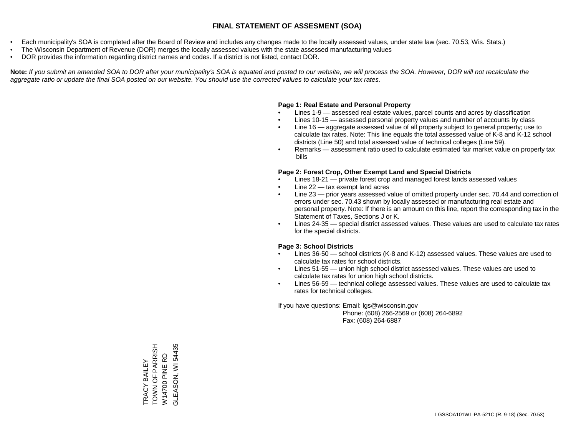- Each municipality's SOA is completed after the Board of Review and includes any changes made to the locally assessed values, under state law (sec. 70.53, Wis. Stats.)
- The Wisconsin Department of Revenue (DOR) merges the locally assessed values with the state assessed manufacturing values
- DOR provides the information regarding district names and codes. If a district is not listed, contact DOR.

Note: If you submit an amended SOA to DOR after your municipality's SOA is equated and posted to our website, we will process the SOA. However, DOR will not recalculate the *aggregate ratio or update the final SOA posted on our website. You should use the corrected values to calculate your tax rates.*

### **Page 1: Real Estate and Personal Property**

- Lines 1-9 assessed real estate values, parcel counts and acres by classification
- Lines 10-15 assessed personal property values and number of accounts by class
- Line 16 aggregate assessed value of all property subject to general property; use to calculate tax rates. Note: This line equals the total assessed value of K-8 and K-12 school districts (Line 50) and total assessed value of technical colleges (Line 59).
- Remarks assessment ratio used to calculate estimated fair market value on property tax bills

### **Page 2: Forest Crop, Other Exempt Land and Special Districts**

- Lines 18-21 private forest crop and managed forest lands assessed values
- Line  $22 -$  tax exempt land acres
- Line 23 prior years assessed value of omitted property under sec. 70.44 and correction of errors under sec. 70.43 shown by locally assessed or manufacturing real estate and personal property. Note: If there is an amount on this line, report the corresponding tax in the Statement of Taxes, Sections J or K.
- Lines 24-35 special district assessed values. These values are used to calculate tax rates for the special districts.

### **Page 3: School Districts**

- Lines 36-50 school districts (K-8 and K-12) assessed values. These values are used to calculate tax rates for school districts.
- Lines 51-55 union high school district assessed values. These values are used to calculate tax rates for union high school districts.
- Lines 56-59 technical college assessed values. These values are used to calculate tax rates for technical colleges.

If you have questions: Email: lgs@wisconsin.gov

 Phone: (608) 266-2569 or (608) 264-6892 Fax: (608) 264-6887

TOWN OF PARRISH GLEASON, WI54435 TRACY BAILEY<br>TOWN OF PARRISH GLEASON, WI 54435W14700 PINE RD W14700 PINE RD TRACY BAILEY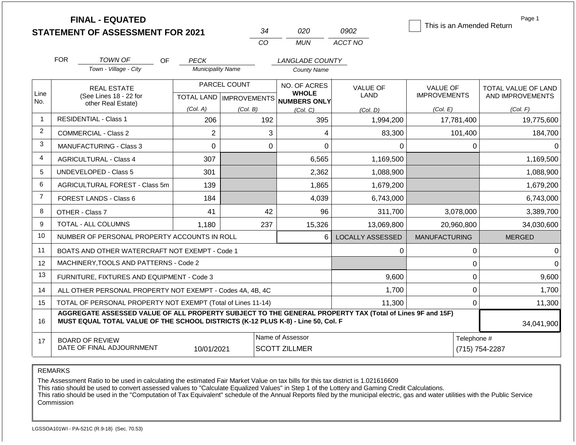|                | <b>FINAL - EQUATED</b>                                                                                                                                                                       |    |                           |              |          |                                          |                         | This is an Amended Return |         | Page 1                        |  |
|----------------|----------------------------------------------------------------------------------------------------------------------------------------------------------------------------------------------|----|---------------------------|--------------|----------|------------------------------------------|-------------------------|---------------------------|---------|-------------------------------|--|
|                | <b>STATEMENT OF ASSESSMENT FOR 2021</b>                                                                                                                                                      |    |                           |              | 34       | 020                                      | 0902                    |                           |         |                               |  |
|                |                                                                                                                                                                                              |    |                           |              | CO       | <b>MUN</b>                               | ACCT NO                 |                           |         |                               |  |
|                | <b>FOR</b><br><b>TOWN OF</b>                                                                                                                                                                 | OF | <b>PECK</b>               |              |          | LANGLADE COUNTY                          |                         |                           |         |                               |  |
|                | Town - Village - City                                                                                                                                                                        |    | <b>Municipality Name</b>  |              |          | <b>County Name</b>                       |                         |                           |         |                               |  |
| Line           | <b>REAL ESTATE</b>                                                                                                                                                                           |    |                           | PARCEL COUNT |          | NO. OF ACRES<br><b>WHOLE</b>             | <b>VALUE OF</b>         | <b>VALUE OF</b>           |         | TOTAL VALUE OF LAND           |  |
| No.            | (See Lines 18 - 22 for<br>other Real Estate)                                                                                                                                                 |    | TOTAL LAND   IMPROVEMENTS |              |          | NUMBERS ONLY                             | <b>LAND</b>             | <b>IMPROVEMENTS</b>       |         | AND IMPROVEMENTS              |  |
|                |                                                                                                                                                                                              |    | (Col. A)                  | (Col. B)     |          | (Col, C)                                 | (Col. D)                | (Col. E)                  |         | (Col. F)                      |  |
| $\overline{1}$ | <b>RESIDENTIAL - Class 1</b>                                                                                                                                                                 |    | 206                       |              | 192      | 395                                      | 1,994,200               | 17,781,400                |         | 19,775,600                    |  |
| 2              | <b>COMMERCIAL - Class 2</b>                                                                                                                                                                  |    | $\overline{2}$            |              | 3        | 4                                        | 83,300                  |                           | 101,400 | 184,700                       |  |
| 3              | <b>MANUFACTURING - Class 3</b>                                                                                                                                                               |    | $\Omega$                  |              | $\Omega$ | 0                                        | $\Omega$                |                           | 0       | $\Omega$                      |  |
| $\overline{4}$ | <b>AGRICULTURAL - Class 4</b>                                                                                                                                                                |    | 307                       |              |          | 6,565                                    | 1,169,500               |                           |         | 1,169,500                     |  |
| 5              | <b>UNDEVELOPED - Class 5</b>                                                                                                                                                                 |    | 301                       |              |          | 2,362                                    | 1,088,900               |                           |         | 1,088,900                     |  |
| 6              | AGRICULTURAL FOREST - Class 5m                                                                                                                                                               |    | 139                       |              |          | 1,865                                    | 1,679,200               |                           |         | 1,679,200                     |  |
| $\overline{7}$ | <b>FOREST LANDS - Class 6</b>                                                                                                                                                                |    | 184                       |              |          | 4,039                                    | 6,743,000               |                           |         | 6,743,000                     |  |
| 8              | OTHER - Class 7                                                                                                                                                                              |    | 41                        |              | 42       | 96                                       | 311,700                 | 3,078,000                 |         | 3,389,700                     |  |
| 9              | TOTAL - ALL COLUMNS                                                                                                                                                                          |    | 1,180                     |              | 237      | 15,326                                   | 13,069,800              | 20,960,800                |         | 34,030,600                    |  |
| 10             | NUMBER OF PERSONAL PROPERTY ACCOUNTS IN ROLL                                                                                                                                                 |    |                           |              |          | 6                                        | <b>LOCALLY ASSESSED</b> | <b>MANUFACTURING</b>      |         | <b>MERGED</b>                 |  |
| 11             | BOATS AND OTHER WATERCRAFT NOT EXEMPT - Code 1                                                                                                                                               |    |                           |              |          |                                          | 0                       |                           | 0       | $\Omega$                      |  |
| 12             | MACHINERY, TOOLS AND PATTERNS - Code 2                                                                                                                                                       |    |                           |              |          |                                          |                         |                           | 0       | $\Omega$                      |  |
| 13             | FURNITURE, FIXTURES AND EQUIPMENT - Code 3                                                                                                                                                   |    |                           |              |          |                                          | 9,600                   |                           | 0       | 9,600                         |  |
| 14             | ALL OTHER PERSONAL PROPERTY NOT EXEMPT - Codes 4A, 4B, 4C                                                                                                                                    |    |                           |              |          | 1,700                                    |                         | 0                         | 1,700   |                               |  |
| 15             | TOTAL OF PERSONAL PROPERTY NOT EXEMPT (Total of Lines 11-14)                                                                                                                                 |    |                           |              |          | 11,300                                   |                         | 0                         | 11,300  |                               |  |
| 16             | AGGREGATE ASSESSED VALUE OF ALL PROPERTY SUBJECT TO THE GENERAL PROPERTY TAX (Total of Lines 9F and 15F)<br>MUST EQUAL TOTAL VALUE OF THE SCHOOL DISTRICTS (K-12 PLUS K-8) - Line 50, Col. F |    |                           | 34,041,900   |          |                                          |                         |                           |         |                               |  |
| 17             | <b>BOARD OF REVIEW</b><br>DATE OF FINAL ADJOURNMENT                                                                                                                                          |    | 10/01/2021                |              |          | Name of Assessor<br><b>SCOTT ZILLMER</b> |                         |                           |         | Telephone #<br>(715) 754-2287 |  |

The Assessment Ratio to be used in calculating the estimated Fair Market Value on tax bills for this tax district is 1.021616609

This ratio should be used to convert assessed values to "Calculate Equalized Values" in Step 1 of the Lottery and Gaming Credit Calculations.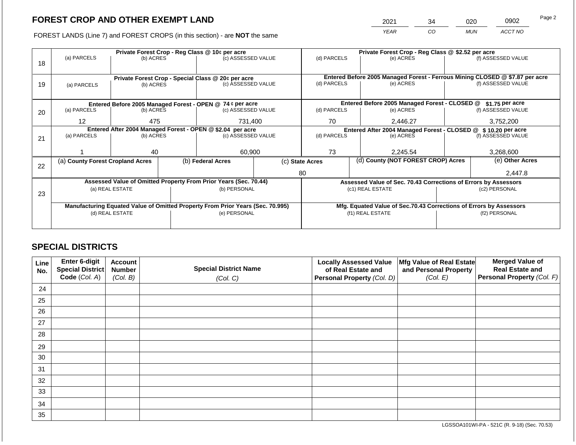2021 34 020 0902

FOREST LANDS (Line 7) and FOREST CROPS (in this section) - are **NOT** the same *YEAR CO MUN ACCT NO*

|    |                                                            |                 |  | Private Forest Crop - Reg Class @ 10¢ per acre                                 |  | Private Forest Crop - Reg Class @ \$2.52 per acre                            |                  |                                               |                                                                    |                    |  |
|----|------------------------------------------------------------|-----------------|--|--------------------------------------------------------------------------------|--|------------------------------------------------------------------------------|------------------|-----------------------------------------------|--------------------------------------------------------------------|--------------------|--|
| 18 | (a) PARCELS                                                | (b) ACRES       |  | (c) ASSESSED VALUE                                                             |  | (d) PARCELS                                                                  |                  | (e) ACRES                                     |                                                                    | (f) ASSESSED VALUE |  |
|    |                                                            |                 |  |                                                                                |  |                                                                              |                  |                                               |                                                                    |                    |  |
|    |                                                            |                 |  | Private Forest Crop - Special Class @ 20¢ per acre                             |  | Entered Before 2005 Managed Forest - Ferrous Mining CLOSED @ \$7.87 per acre |                  |                                               |                                                                    |                    |  |
| 19 | (a) PARCELS                                                | (b) ACRES       |  | (c) ASSESSED VALUE                                                             |  | (d) PARCELS                                                                  |                  | (e) ACRES                                     |                                                                    | (f) ASSESSED VALUE |  |
|    |                                                            |                 |  |                                                                                |  |                                                                              |                  |                                               |                                                                    |                    |  |
|    |                                                            |                 |  |                                                                                |  |                                                                              |                  |                                               |                                                                    |                    |  |
|    |                                                            |                 |  | Entered Before 2005 Managed Forest - OPEN @ 74 ¢ per acre                      |  |                                                                              |                  | Entered Before 2005 Managed Forest - CLOSED @ |                                                                    | $$1.75$ per acre   |  |
| 20 | (a) PARCELS                                                | (b) ACRES       |  | (c) ASSESSED VALUE                                                             |  | (d) PARCELS                                                                  |                  | (e) ACRES                                     |                                                                    | (f) ASSESSED VALUE |  |
|    | 12                                                         | 475             |  | 731.400                                                                        |  | 70                                                                           |                  | 2,446.27                                      |                                                                    | 3,752,200          |  |
|    | Entered After 2004 Managed Forest - OPEN @ \$2.04 per acre |                 |  |                                                                                |  | Entered After 2004 Managed Forest - CLOSED @ \$10.20 per acre                |                  |                                               |                                                                    |                    |  |
| 21 | (a) PARCELS                                                | (b) ACRES       |  | (c) ASSESSED VALUE                                                             |  | (d) PARCELS                                                                  |                  | (e) ACRES                                     |                                                                    | (f) ASSESSED VALUE |  |
|    |                                                            |                 |  |                                                                                |  |                                                                              |                  |                                               |                                                                    |                    |  |
|    |                                                            | 40              |  | 60,900                                                                         |  | 73                                                                           |                  | 2,245.54                                      |                                                                    | 3,268,600          |  |
|    | (a) County Forest Cropland Acres                           |                 |  | (b) Federal Acres                                                              |  | (d) County (NOT FOREST CROP) Acres<br>(c) State Acres                        |                  |                                               |                                                                    | (e) Other Acres    |  |
| 22 |                                                            |                 |  |                                                                                |  |                                                                              |                  |                                               |                                                                    |                    |  |
|    |                                                            |                 |  |                                                                                |  | 80                                                                           |                  |                                               | 2,447.8                                                            |                    |  |
|    |                                                            |                 |  | Assessed Value of Omitted Property From Prior Years (Sec. 70.44)               |  |                                                                              |                  |                                               | Assessed Value of Sec. 70.43 Corrections of Errors by Assessors    |                    |  |
| 23 |                                                            | (a) REAL ESTATE |  | (b) PERSONAL                                                                   |  |                                                                              |                  | (c1) REAL ESTATE                              | (c2) PERSONAL                                                      |                    |  |
|    |                                                            |                 |  |                                                                                |  |                                                                              |                  |                                               |                                                                    |                    |  |
|    |                                                            |                 |  | Manufacturing Equated Value of Omitted Property From Prior Years (Sec. 70.995) |  |                                                                              |                  |                                               | Mfg. Equated Value of Sec.70.43 Corrections of Errors by Assessors |                    |  |
|    |                                                            | (d) REAL ESTATE |  | (e) PERSONAL                                                                   |  |                                                                              | (f1) REAL ESTATE |                                               |                                                                    | (f2) PERSONAL      |  |
|    |                                                            |                 |  |                                                                                |  |                                                                              |                  |                                               |                                                                    |                    |  |
|    |                                                            |                 |  |                                                                                |  |                                                                              |                  |                                               |                                                                    |                    |  |

# **SPECIAL DISTRICTS**

| Line<br>No. | Enter 6-digit<br>Special District<br>Code (Col. A) | <b>Account</b><br><b>Number</b><br>(Col. B) | <b>Special District Name</b><br>(Col. C) | <b>Locally Assessed Value</b><br>of Real Estate and<br><b>Personal Property (Col. D)</b> | Mfg Value of Real Estate<br>and Personal Property<br>(Col. E) | <b>Merged Value of</b><br><b>Real Estate and</b><br>Personal Property (Col. F) |
|-------------|----------------------------------------------------|---------------------------------------------|------------------------------------------|------------------------------------------------------------------------------------------|---------------------------------------------------------------|--------------------------------------------------------------------------------|
| 24          |                                                    |                                             |                                          |                                                                                          |                                                               |                                                                                |
| 25          |                                                    |                                             |                                          |                                                                                          |                                                               |                                                                                |
| 26          |                                                    |                                             |                                          |                                                                                          |                                                               |                                                                                |
| 27          |                                                    |                                             |                                          |                                                                                          |                                                               |                                                                                |
| 28          |                                                    |                                             |                                          |                                                                                          |                                                               |                                                                                |
| 29          |                                                    |                                             |                                          |                                                                                          |                                                               |                                                                                |
| 30          |                                                    |                                             |                                          |                                                                                          |                                                               |                                                                                |
| 31          |                                                    |                                             |                                          |                                                                                          |                                                               |                                                                                |
| 32          |                                                    |                                             |                                          |                                                                                          |                                                               |                                                                                |
| 33          |                                                    |                                             |                                          |                                                                                          |                                                               |                                                                                |
| 34          |                                                    |                                             |                                          |                                                                                          |                                                               |                                                                                |
| 35          |                                                    |                                             |                                          |                                                                                          |                                                               |                                                                                |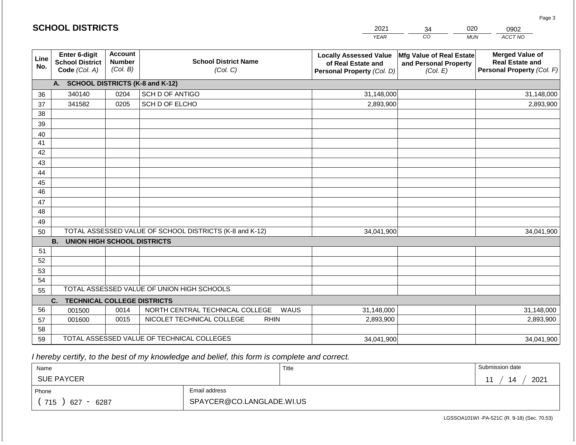|                 | <b>SCHOOL DISTRICTS</b>                                  |                                             |                                                         | 2021                                                                              | 34                                                            | 020<br>0902                                                                    |
|-----------------|----------------------------------------------------------|---------------------------------------------|---------------------------------------------------------|-----------------------------------------------------------------------------------|---------------------------------------------------------------|--------------------------------------------------------------------------------|
|                 |                                                          |                                             |                                                         | <b>YEAR</b>                                                                       | CO                                                            | ACCT NO<br><b>MUN</b>                                                          |
| Line<br>No.     | Enter 6-digit<br><b>School District</b><br>Code (Col. A) | <b>Account</b><br><b>Number</b><br>(Col. B) | <b>School District Name</b><br>(Col. C)                 | <b>Locally Assessed Value</b><br>of Real Estate and<br>Personal Property (Col. D) | Mfg Value of Real Estate<br>and Personal Property<br>(Col. E) | <b>Merged Value of</b><br><b>Real Estate and</b><br>Personal Property (Col. F) |
|                 | <b>SCHOOL DISTRICTS (K-8 and K-12)</b><br>A.             |                                             |                                                         |                                                                                   |                                                               |                                                                                |
| 36              | 340140                                                   | 0204                                        | SCH D OF ANTIGO                                         | 31,148,000                                                                        |                                                               | 31,148,000                                                                     |
| 37              | 341582                                                   | 0205                                        | SCH D OF ELCHO                                          | 2,893,900                                                                         |                                                               | 2,893,900                                                                      |
| 38              |                                                          |                                             |                                                         |                                                                                   |                                                               |                                                                                |
| 39              |                                                          |                                             |                                                         |                                                                                   |                                                               |                                                                                |
| 40              |                                                          |                                             |                                                         |                                                                                   |                                                               |                                                                                |
| 41              |                                                          |                                             |                                                         |                                                                                   |                                                               |                                                                                |
| 42              |                                                          |                                             |                                                         |                                                                                   |                                                               |                                                                                |
| 43              |                                                          |                                             |                                                         |                                                                                   |                                                               |                                                                                |
| 44              |                                                          |                                             |                                                         |                                                                                   |                                                               |                                                                                |
| 45              |                                                          |                                             |                                                         |                                                                                   |                                                               |                                                                                |
| $\overline{46}$ |                                                          |                                             |                                                         |                                                                                   |                                                               |                                                                                |
| 47              |                                                          |                                             |                                                         |                                                                                   |                                                               |                                                                                |
| 48              |                                                          |                                             |                                                         |                                                                                   |                                                               |                                                                                |
| 49<br>50        |                                                          |                                             | TOTAL ASSESSED VALUE OF SCHOOL DISTRICTS (K-8 and K-12) | 34,041,900                                                                        |                                                               | 34,041,900                                                                     |
|                 | <b>B.</b><br><b>UNION HIGH SCHOOL DISTRICTS</b>          |                                             |                                                         |                                                                                   |                                                               |                                                                                |
| 51              |                                                          |                                             |                                                         |                                                                                   |                                                               |                                                                                |
| 52              |                                                          |                                             |                                                         |                                                                                   |                                                               |                                                                                |
| 53              |                                                          |                                             |                                                         |                                                                                   |                                                               |                                                                                |
| 54              |                                                          |                                             |                                                         |                                                                                   |                                                               |                                                                                |
| 55              |                                                          |                                             | TOTAL ASSESSED VALUE OF UNION HIGH SCHOOLS              |                                                                                   |                                                               |                                                                                |
|                 | <b>TECHNICAL COLLEGE DISTRICTS</b><br>C.                 |                                             |                                                         |                                                                                   |                                                               |                                                                                |
| 56              | 001500                                                   | 0014                                        | NORTH CENTRAL TECHNICAL COLLEGE<br>WAUS                 | 31,148,000                                                                        |                                                               | 31,148,000                                                                     |
| 57              | 001600                                                   | 0015                                        | NICOLET TECHNICAL COLLEGE<br><b>RHIN</b>                | 2,893,900                                                                         |                                                               | 2,893,900                                                                      |
| 58              |                                                          |                                             |                                                         |                                                                                   |                                                               |                                                                                |
| 59              |                                                          |                                             | TOTAL ASSESSED VALUE OF TECHNICAL COLLEGES              | 34,041,900                                                                        |                                                               | 34,041,900                                                                     |

 *I hereby certify, to the best of my knowledge and belief, this form is complete and correct.*

**SCHOOL DISTRICTS**

| Name                                           |                           | Title | Submission date  |
|------------------------------------------------|---------------------------|-------|------------------|
| <b>SUE PAYCER</b>                              |                           |       | 2021<br>14<br>44 |
| Phone                                          | Email address             |       |                  |
| 715<br>6287<br>627<br>$\overline{\phantom{0}}$ | SPAYCER@CO.LANGLADE.WI.US |       |                  |

Page 3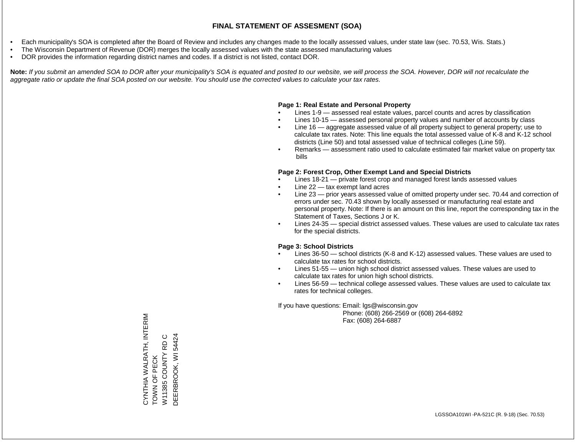- Each municipality's SOA is completed after the Board of Review and includes any changes made to the locally assessed values, under state law (sec. 70.53, Wis. Stats.)
- The Wisconsin Department of Revenue (DOR) merges the locally assessed values with the state assessed manufacturing values
- DOR provides the information regarding district names and codes. If a district is not listed, contact DOR.

Note: If you submit an amended SOA to DOR after your municipality's SOA is equated and posted to our website, we will process the SOA. However, DOR will not recalculate the *aggregate ratio or update the final SOA posted on our website. You should use the corrected values to calculate your tax rates.*

#### **Page 1: Real Estate and Personal Property**

- Lines 1-9 assessed real estate values, parcel counts and acres by classification
- Lines 10-15 assessed personal property values and number of accounts by class
- Line 16 aggregate assessed value of all property subject to general property; use to calculate tax rates. Note: This line equals the total assessed value of K-8 and K-12 school districts (Line 50) and total assessed value of technical colleges (Line 59).
- Remarks assessment ratio used to calculate estimated fair market value on property tax bills

#### **Page 2: Forest Crop, Other Exempt Land and Special Districts**

- Lines 18-21 private forest crop and managed forest lands assessed values
- Line  $22 -$  tax exempt land acres
- Line 23 prior years assessed value of omitted property under sec. 70.44 and correction of errors under sec. 70.43 shown by locally assessed or manufacturing real estate and personal property. Note: If there is an amount on this line, report the corresponding tax in the Statement of Taxes, Sections J or K.
- Lines 24-35 special district assessed values. These values are used to calculate tax rates for the special districts.

#### **Page 3: School Districts**

- Lines 36-50 school districts (K-8 and K-12) assessed values. These values are used to calculate tax rates for school districts.
- Lines 51-55 union high school district assessed values. These values are used to calculate tax rates for union high school districts.
- Lines 56-59 technical college assessed values. These values are used to calculate tax rates for technical colleges.

If you have questions: Email: lgs@wisconsin.gov

 Phone: (608) 266-2569 or (608) 264-6892 Fax: (608) 264-6887

CYNTHIA WALRATH, INTERIM<br>TOWN OF PECK CYNTHIA WALRATH, INTERIM DEERBROOK, WI 54424  $\circ$ DEERBROOK, WI 54424W11385 COUNTY RD C W11385 COUNTY RD TOWN OF PECK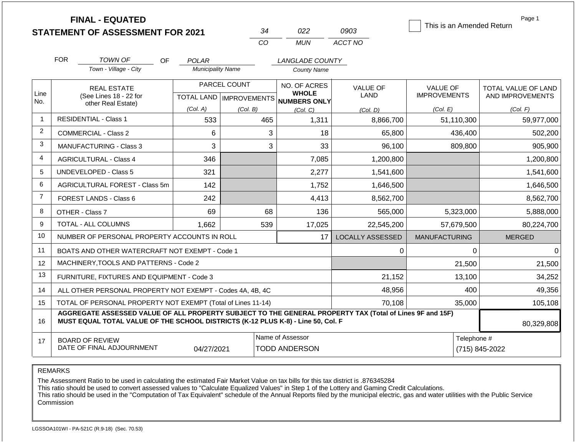|                 | <b>FINAL - EQUATED</b><br><b>STATEMENT OF ASSESSMENT FOR 2021</b>                                                                                                                            |                          | 34                                        | 022                                                 | 0903                    | This is an Amended Return              | Page 1                                         |  |
|-----------------|----------------------------------------------------------------------------------------------------------------------------------------------------------------------------------------------|--------------------------|-------------------------------------------|-----------------------------------------------------|-------------------------|----------------------------------------|------------------------------------------------|--|
|                 |                                                                                                                                                                                              |                          | CO                                        | <b>MUN</b>                                          | ACCT NO                 |                                        |                                                |  |
|                 | <b>FOR</b><br><b>TOWN OF</b><br>OF                                                                                                                                                           | POLAR                    |                                           | LANGLADE COUNTY                                     |                         |                                        |                                                |  |
|                 | Town - Village - City                                                                                                                                                                        | <b>Municipality Name</b> |                                           | <b>County Name</b>                                  |                         |                                        |                                                |  |
| Line<br>No.     | <b>REAL ESTATE</b><br>(See Lines 18 - 22 for                                                                                                                                                 |                          | PARCEL COUNT<br>TOTAL LAND   IMPROVEMENTS | NO. OF ACRES<br><b>WHOLE</b><br><b>NUMBERS ONLY</b> | <b>VALUE OF</b><br>LAND | <b>VALUE OF</b><br><b>IMPROVEMENTS</b> | <b>TOTAL VALUE OF LAND</b><br>AND IMPROVEMENTS |  |
|                 | other Real Estate)                                                                                                                                                                           | (Col. A)                 | (Col. B)                                  | (Col, C)                                            | (Col. D)                | (Col. E)                               | (Col. F)                                       |  |
| $\overline{1}$  | <b>RESIDENTIAL - Class 1</b>                                                                                                                                                                 | 533                      | 465                                       | 1,311                                               | 8,866,700               | 51,110,300                             | 59,977,000                                     |  |
| 2               | <b>COMMERCIAL - Class 2</b>                                                                                                                                                                  | 6                        | 3                                         | 18                                                  | 65,800                  | 436,400                                | 502,200                                        |  |
| 3               | <b>MANUFACTURING - Class 3</b>                                                                                                                                                               | 3                        | 3                                         | 33                                                  | 96,100                  | 809,800                                | 905,900                                        |  |
| 4               | <b>AGRICULTURAL - Class 4</b>                                                                                                                                                                | 346                      |                                           | 7,085                                               | 1,200,800               |                                        | 1,200,800                                      |  |
| 5               | <b>UNDEVELOPED - Class 5</b>                                                                                                                                                                 | 321                      |                                           | 2,277                                               | 1,541,600               |                                        | 1,541,600                                      |  |
| 6               | AGRICULTURAL FOREST - Class 5m                                                                                                                                                               | 142                      |                                           | 1,752                                               | 1,646,500               |                                        | 1,646,500                                      |  |
| $\overline{7}$  | <b>FOREST LANDS - Class 6</b>                                                                                                                                                                | 242                      |                                           | 4,413                                               | 8,562,700               |                                        | 8,562,700                                      |  |
| 8               | OTHER - Class 7                                                                                                                                                                              | 69                       | 68                                        | 136                                                 | 565,000                 | 5,323,000                              | 5,888,000                                      |  |
| 9               | TOTAL - ALL COLUMNS                                                                                                                                                                          | 1,662                    | 539                                       | 17,025                                              | 22,545,200              | 57,679,500                             | 80,224,700                                     |  |
| 10              | NUMBER OF PERSONAL PROPERTY ACCOUNTS IN ROLL                                                                                                                                                 |                          |                                           | 17                                                  | <b>LOCALLY ASSESSED</b> | <b>MANUFACTURING</b>                   | <b>MERGED</b>                                  |  |
| 11              | BOATS AND OTHER WATERCRAFT NOT EXEMPT - Code 1                                                                                                                                               |                          |                                           |                                                     | 0                       | 0                                      | $\Omega$                                       |  |
| 12 <sup>2</sup> | MACHINERY, TOOLS AND PATTERNS - Code 2                                                                                                                                                       |                          |                                           |                                                     |                         | 21,500                                 | 21,500                                         |  |
| 13              | FURNITURE, FIXTURES AND EQUIPMENT - Code 3                                                                                                                                                   |                          |                                           |                                                     | 21,152                  | 13,100                                 | 34,252                                         |  |
| 14              | ALL OTHER PERSONAL PROPERTY NOT EXEMPT - Codes 4A, 4B, 4C                                                                                                                                    |                          |                                           |                                                     | 48,956                  | 400                                    | 49,356                                         |  |
| 15              | TOTAL OF PERSONAL PROPERTY NOT EXEMPT (Total of Lines 11-14)                                                                                                                                 |                          |                                           |                                                     | 70,108                  | 35,000                                 | 105,108                                        |  |
| 16              | AGGREGATE ASSESSED VALUE OF ALL PROPERTY SUBJECT TO THE GENERAL PROPERTY TAX (Total of Lines 9F and 15F)<br>MUST EQUAL TOTAL VALUE OF THE SCHOOL DISTRICTS (K-12 PLUS K-8) - Line 50, Col. F |                          |                                           |                                                     | 80,329,808              |                                        |                                                |  |
| 17              | <b>BOARD OF REVIEW</b><br>DATE OF FINAL ADJOURNMENT                                                                                                                                          | 04/27/2021               |                                           | Name of Assessor<br><b>TODD ANDERSON</b>            |                         | Telephone #                            | (715) 845-2022                                 |  |

The Assessment Ratio to be used in calculating the estimated Fair Market Value on tax bills for this tax district is .876345284

This ratio should be used to convert assessed values to "Calculate Equalized Values" in Step 1 of the Lottery and Gaming Credit Calculations.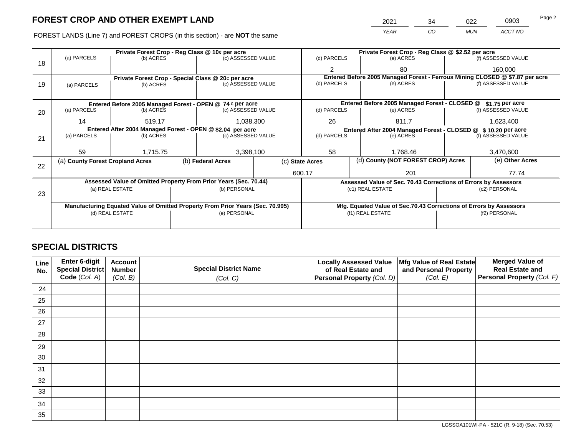FOREST LANDS (Line 7) and FOREST CROPS (in this section) - are **NOT** the same

| 2021        | 34 | າ22        | 0903    | Page 2 |
|-------------|----|------------|---------|--------|
| <b>YEAR</b> | CO | <b>MUN</b> | ACCT NO |        |

|    |                                  |                 | Private Forest Crop - Reg Class @ 10¢ per acre                                 |                                                                  | Private Forest Crop - Reg Class @ \$2.52 per acre     |                  |                                                                    |                 |                                                                              |  |
|----|----------------------------------|-----------------|--------------------------------------------------------------------------------|------------------------------------------------------------------|-------------------------------------------------------|------------------|--------------------------------------------------------------------|-----------------|------------------------------------------------------------------------------|--|
|    | (a) PARCELS                      | (b) ACRES       | (c) ASSESSED VALUE                                                             |                                                                  | (d) PARCELS                                           |                  | (e) ACRES                                                          |                 | (f) ASSESSED VALUE                                                           |  |
| 18 |                                  |                 |                                                                                |                                                                  | 2                                                     |                  | 80                                                                 |                 | 160,000                                                                      |  |
|    |                                  |                 | Private Forest Crop - Special Class @ 20¢ per acre                             |                                                                  |                                                       |                  |                                                                    |                 | Entered Before 2005 Managed Forest - Ferrous Mining CLOSED @ \$7.87 per acre |  |
| 19 | (a) PARCELS                      | (b) ACRES       | (c) ASSESSED VALUE                                                             |                                                                  | (d) PARCELS                                           |                  | (e) ACRES                                                          |                 | (f) ASSESSED VALUE                                                           |  |
|    |                                  |                 |                                                                                |                                                                  |                                                       |                  |                                                                    |                 |                                                                              |  |
|    |                                  |                 | Entered Before 2005 Managed Forest - OPEN @ 74 ¢ per acre                      |                                                                  |                                                       |                  | Entered Before 2005 Managed Forest - CLOSED @                      |                 | \$1.75 per acre                                                              |  |
| 20 | (a) PARCELS                      | (b) ACRES       | (c) ASSESSED VALUE                                                             |                                                                  | (d) PARCELS                                           |                  | (e) ACRES                                                          |                 | (f) ASSESSED VALUE                                                           |  |
|    | 14                               | 519.17          | 1,038,300                                                                      |                                                                  | 26                                                    |                  | 811.7                                                              |                 | 1,623,400                                                                    |  |
|    |                                  |                 | Entered After 2004 Managed Forest - OPEN @ \$2.04 per acre                     | Entered After 2004 Managed Forest - CLOSED @<br>\$10.20 per acre |                                                       |                  |                                                                    |                 |                                                                              |  |
| 21 | (a) PARCELS                      | (b) ACRES       | (c) ASSESSED VALUE                                                             |                                                                  | (d) PARCELS                                           |                  | (e) ACRES                                                          |                 | (f) ASSESSED VALUE                                                           |  |
|    |                                  |                 |                                                                                |                                                                  |                                                       |                  |                                                                    |                 |                                                                              |  |
|    | 59                               | 1,715.75        | 3,398,100                                                                      | 58                                                               |                                                       | 1,768.46         |                                                                    | 3,470,600       |                                                                              |  |
| 22 | (a) County Forest Cropland Acres |                 | (b) Federal Acres                                                              |                                                                  | (d) County (NOT FOREST CROP) Acres<br>(c) State Acres |                  |                                                                    | (e) Other Acres |                                                                              |  |
|    |                                  |                 |                                                                                |                                                                  | 600.17                                                |                  | 201                                                                |                 | 77.74                                                                        |  |
|    |                                  |                 | Assessed Value of Omitted Property From Prior Years (Sec. 70.44)               |                                                                  |                                                       |                  | Assessed Value of Sec. 70.43 Corrections of Errors by Assessors    |                 |                                                                              |  |
|    |                                  | (a) REAL ESTATE | (b) PERSONAL                                                                   |                                                                  |                                                       | (c1) REAL ESTATE |                                                                    |                 | (c2) PERSONAL                                                                |  |
| 23 |                                  |                 |                                                                                |                                                                  |                                                       |                  |                                                                    |                 |                                                                              |  |
|    |                                  |                 | Manufacturing Equated Value of Omitted Property From Prior Years (Sec. 70.995) |                                                                  |                                                       |                  | Mfg. Equated Value of Sec.70.43 Corrections of Errors by Assessors |                 |                                                                              |  |
|    |                                  | (d) REAL ESTATE | (e) PERSONAL                                                                   |                                                                  |                                                       | (f1) REAL ESTATE |                                                                    |                 | (f2) PERSONAL                                                                |  |
|    |                                  |                 |                                                                                |                                                                  |                                                       |                  |                                                                    |                 |                                                                              |  |
|    |                                  |                 |                                                                                |                                                                  |                                                       |                  |                                                                    |                 |                                                                              |  |

# **SPECIAL DISTRICTS**

| Line<br>No. | Enter 6-digit<br>Special District<br>Code (Col. A) | <b>Account</b><br><b>Number</b><br>(Col. B) | <b>Special District Name</b><br>(Col. C) | <b>Locally Assessed Value</b><br>of Real Estate and<br>Personal Property (Col. D) | Mfg Value of Real Estate<br>and Personal Property<br>(Col. E) | <b>Merged Value of</b><br><b>Real Estate and</b><br>Personal Property (Col. F) |
|-------------|----------------------------------------------------|---------------------------------------------|------------------------------------------|-----------------------------------------------------------------------------------|---------------------------------------------------------------|--------------------------------------------------------------------------------|
| 24          |                                                    |                                             |                                          |                                                                                   |                                                               |                                                                                |
| 25          |                                                    |                                             |                                          |                                                                                   |                                                               |                                                                                |
| 26          |                                                    |                                             |                                          |                                                                                   |                                                               |                                                                                |
| 27          |                                                    |                                             |                                          |                                                                                   |                                                               |                                                                                |
| 28          |                                                    |                                             |                                          |                                                                                   |                                                               |                                                                                |
| 29          |                                                    |                                             |                                          |                                                                                   |                                                               |                                                                                |
| 30          |                                                    |                                             |                                          |                                                                                   |                                                               |                                                                                |
| 31          |                                                    |                                             |                                          |                                                                                   |                                                               |                                                                                |
| 32          |                                                    |                                             |                                          |                                                                                   |                                                               |                                                                                |
| 33          |                                                    |                                             |                                          |                                                                                   |                                                               |                                                                                |
| 34          |                                                    |                                             |                                          |                                                                                   |                                                               |                                                                                |
| 35          |                                                    |                                             |                                          |                                                                                   |                                                               |                                                                                |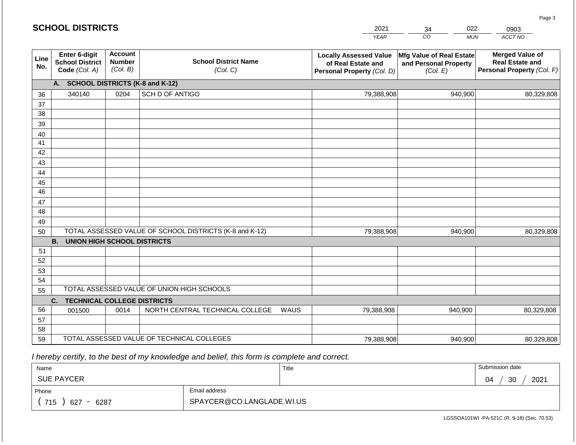|                 | <b>SCHOOL DISTRICTS</b>                                  |                                             |                                                         |      | 2021                                                                              | 022<br>34                                                     | 0903                                                                           |
|-----------------|----------------------------------------------------------|---------------------------------------------|---------------------------------------------------------|------|-----------------------------------------------------------------------------------|---------------------------------------------------------------|--------------------------------------------------------------------------------|
|                 |                                                          |                                             |                                                         |      | <b>YEAR</b>                                                                       | CO<br><b>MUN</b>                                              | ACCT NO                                                                        |
| Line<br>No.     | Enter 6-digit<br><b>School District</b><br>Code (Col. A) | <b>Account</b><br><b>Number</b><br>(Col. B) | <b>School District Name</b><br>(Col. C)                 |      | <b>Locally Assessed Value</b><br>of Real Estate and<br>Personal Property (Col. D) | Mfg Value of Real Estate<br>and Personal Property<br>(Col. E) | <b>Merged Value of</b><br><b>Real Estate and</b><br>Personal Property (Col. F) |
|                 | A. SCHOOL DISTRICTS (K-8 and K-12)                       |                                             |                                                         |      |                                                                                   |                                                               |                                                                                |
| 36              | 340140                                                   | 0204                                        | SCH D OF ANTIGO                                         |      | 79,388,908                                                                        | 940,900                                                       | 80,329,808                                                                     |
| 37              |                                                          |                                             |                                                         |      |                                                                                   |                                                               |                                                                                |
| 38              |                                                          |                                             |                                                         |      |                                                                                   |                                                               |                                                                                |
| 39              |                                                          |                                             |                                                         |      |                                                                                   |                                                               |                                                                                |
| 40              |                                                          |                                             |                                                         |      |                                                                                   |                                                               |                                                                                |
| 41              |                                                          |                                             |                                                         |      |                                                                                   |                                                               |                                                                                |
| 42              |                                                          |                                             |                                                         |      |                                                                                   |                                                               |                                                                                |
| 43<br>44        |                                                          |                                             |                                                         |      |                                                                                   |                                                               |                                                                                |
| 45              |                                                          |                                             |                                                         |      |                                                                                   |                                                               |                                                                                |
| $\overline{46}$ |                                                          |                                             |                                                         |      |                                                                                   |                                                               |                                                                                |
| 47              |                                                          |                                             |                                                         |      |                                                                                   |                                                               |                                                                                |
| 48              |                                                          |                                             |                                                         |      |                                                                                   |                                                               |                                                                                |
| 49              |                                                          |                                             |                                                         |      |                                                                                   |                                                               |                                                                                |
| 50              |                                                          |                                             | TOTAL ASSESSED VALUE OF SCHOOL DISTRICTS (K-8 and K-12) |      | 79,388,908                                                                        | 940,900                                                       | 80,329,808                                                                     |
|                 | <b>B.</b><br><b>UNION HIGH SCHOOL DISTRICTS</b>          |                                             |                                                         |      |                                                                                   |                                                               |                                                                                |
| 51              |                                                          |                                             |                                                         |      |                                                                                   |                                                               |                                                                                |
| 52              |                                                          |                                             |                                                         |      |                                                                                   |                                                               |                                                                                |
| 53              |                                                          |                                             |                                                         |      |                                                                                   |                                                               |                                                                                |
| 54              |                                                          |                                             | TOTAL ASSESSED VALUE OF UNION HIGH SCHOOLS              |      |                                                                                   |                                                               |                                                                                |
| 55              |                                                          |                                             |                                                         |      |                                                                                   |                                                               |                                                                                |
| 56              | <b>TECHNICAL COLLEGE DISTRICTS</b><br>C.                 | 0014                                        | NORTH CENTRAL TECHNICAL COLLEGE                         | WAUS |                                                                                   | 940,900                                                       |                                                                                |
| 57              | 001500                                                   |                                             |                                                         |      | 79,388,908                                                                        |                                                               | 80,329,808                                                                     |
| 58              |                                                          |                                             |                                                         |      |                                                                                   |                                                               |                                                                                |
| 59              |                                                          |                                             | TOTAL ASSESSED VALUE OF TECHNICAL COLLEGES              |      | 79,388,908                                                                        | 940,900                                                       | 80,329,808                                                                     |

 *I hereby certify, to the best of my knowledge and belief, this form is complete and correct.*

**SCHOOL DISTRICTS**

| Name                                           |                           | Title | Submission date        |
|------------------------------------------------|---------------------------|-------|------------------------|
| <b>SUE PAYCER</b>                              |                           |       | 2021<br>ാറ<br>04<br>ບບ |
| Phone                                          | Email address             |       |                        |
| 715<br>6287<br>627<br>$\overline{\phantom{0}}$ | SPAYCER@CO.LANGLADE.WI.US |       |                        |

Page 3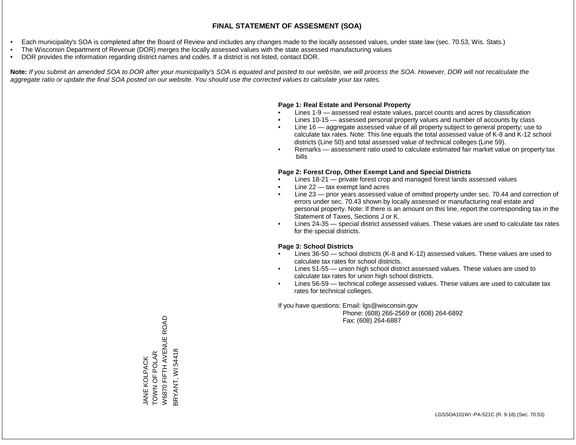- Each municipality's SOA is completed after the Board of Review and includes any changes made to the locally assessed values, under state law (sec. 70.53, Wis. Stats.)
- The Wisconsin Department of Revenue (DOR) merges the locally assessed values with the state assessed manufacturing values
- DOR provides the information regarding district names and codes. If a district is not listed, contact DOR.

Note: If you submit an amended SOA to DOR after your municipality's SOA is equated and posted to our website, we will process the SOA. However, DOR will not recalculate the *aggregate ratio or update the final SOA posted on our website. You should use the corrected values to calculate your tax rates.*

#### **Page 1: Real Estate and Personal Property**

- Lines 1-9 assessed real estate values, parcel counts and acres by classification
- Lines 10-15 assessed personal property values and number of accounts by class
- Line 16 aggregate assessed value of all property subject to general property; use to calculate tax rates. Note: This line equals the total assessed value of K-8 and K-12 school districts (Line 50) and total assessed value of technical colleges (Line 59).
- Remarks assessment ratio used to calculate estimated fair market value on property tax bills

#### **Page 2: Forest Crop, Other Exempt Land and Special Districts**

- Lines 18-21 private forest crop and managed forest lands assessed values
- Line  $22 -$  tax exempt land acres
- Line 23 prior years assessed value of omitted property under sec. 70.44 and correction of errors under sec. 70.43 shown by locally assessed or manufacturing real estate and personal property. Note: If there is an amount on this line, report the corresponding tax in the Statement of Taxes, Sections J or K.
- Lines 24-35 special district assessed values. These values are used to calculate tax rates for the special districts.

#### **Page 3: School Districts**

- Lines 36-50 school districts (K-8 and K-12) assessed values. These values are used to calculate tax rates for school districts.
- Lines 51-55 union high school district assessed values. These values are used to calculate tax rates for union high school districts.
- Lines 56-59 technical college assessed values. These values are used to calculate tax rates for technical colleges.

If you have questions: Email: lgs@wisconsin.gov

 Phone: (608) 266-2569 or (608) 264-6892 Fax: (608) 264-6887

W6870 FIFTH AVENUE ROAD W6870 FIFTH AVENUE ROAD BRYANT, WI 54418 BRYANT, WI 54418TOWN OF POLAR TOWN OF POLAR **JANE KOLPACK** JANE KOLPACK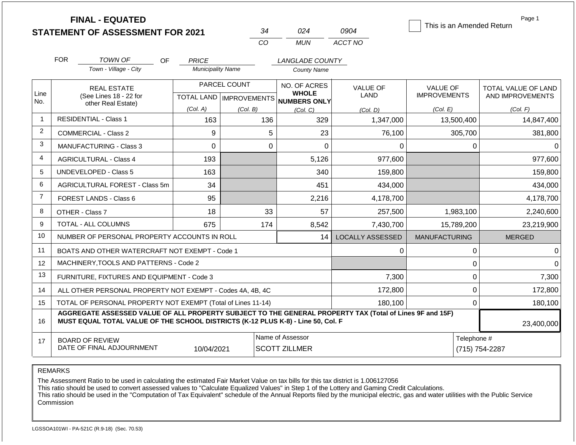|                | <b>FINAL - EQUATED</b><br><b>STATEMENT OF ASSESSMENT FOR 2021</b>                                                                                                                            |                          | 34                                        | 024                                          | 0904                    | This is an Amended Return              | Page 1                                  |
|----------------|----------------------------------------------------------------------------------------------------------------------------------------------------------------------------------------------|--------------------------|-------------------------------------------|----------------------------------------------|-------------------------|----------------------------------------|-----------------------------------------|
|                |                                                                                                                                                                                              |                          | CO                                        | <b>MUN</b>                                   | ACCT NO                 |                                        |                                         |
|                | <b>FOR</b><br><b>TOWN OF</b><br><b>OF</b>                                                                                                                                                    | <b>PRICE</b>             |                                           | LANGLADE COUNTY                              |                         |                                        |                                         |
|                | Town - Village - City                                                                                                                                                                        | <b>Municipality Name</b> |                                           | <b>County Name</b>                           |                         |                                        |                                         |
| Line           | <b>REAL ESTATE</b><br>(See Lines 18 - 22 for                                                                                                                                                 |                          | PARCEL COUNT<br>TOTAL LAND   IMPROVEMENTS | NO. OF ACRES<br><b>WHOLE</b><br>NUMBERS ONLY | VALUE OF<br><b>LAND</b> | <b>VALUE OF</b><br><b>IMPROVEMENTS</b> | TOTAL VALUE OF LAND<br>AND IMPROVEMENTS |
| No.            | other Real Estate)                                                                                                                                                                           | (Col. A)                 | (Col. B)                                  | (Col, C)                                     | (Col. D)                | (Col. E)                               | (Col. F)                                |
| $\mathbf{1}$   | <b>RESIDENTIAL - Class 1</b>                                                                                                                                                                 | 163                      | 136                                       | 329                                          | 1,347,000               | 13,500,400                             | 14,847,400                              |
| $\overline{2}$ | COMMERCIAL - Class 2                                                                                                                                                                         | 9                        | 5                                         | 23                                           | 76,100                  | 305,700                                | 381,800                                 |
| 3              | MANUFACTURING - Class 3                                                                                                                                                                      | $\overline{0}$           | $\overline{0}$                            | $\Omega$                                     | 0                       | $\mathbf 0$                            | $\Omega$                                |
| $\overline{4}$ | <b>AGRICULTURAL - Class 4</b>                                                                                                                                                                | 193                      |                                           | 5,126                                        | 977,600                 |                                        | 977,600                                 |
| 5              | UNDEVELOPED - Class 5                                                                                                                                                                        | 163                      |                                           | 340                                          | 159,800                 |                                        | 159,800                                 |
| 6              | AGRICULTURAL FOREST - Class 5m                                                                                                                                                               | 34                       |                                           | 451                                          | 434,000                 |                                        | 434,000                                 |
| $\overline{7}$ | <b>FOREST LANDS - Class 6</b>                                                                                                                                                                | 95                       |                                           | 2,216                                        | 4,178,700               |                                        | 4,178,700                               |
| 8              | OTHER - Class 7                                                                                                                                                                              | 18                       | 33                                        | 57                                           | 257,500                 | 1,983,100                              | 2,240,600                               |
| 9              | <b>TOTAL - ALL COLUMNS</b>                                                                                                                                                                   | 675                      | 174                                       | 8,542                                        | 7,430,700               | 15,789,200                             | 23,219,900                              |
| 10             | NUMBER OF PERSONAL PROPERTY ACCOUNTS IN ROLL                                                                                                                                                 |                          |                                           | 14                                           | <b>LOCALLY ASSESSED</b> | <b>MANUFACTURING</b>                   | <b>MERGED</b>                           |
| 11             | BOATS AND OTHER WATERCRAFT NOT EXEMPT - Code 1                                                                                                                                               |                          |                                           |                                              | 0                       | 0                                      | $\Omega$                                |
| 12             | MACHINERY, TOOLS AND PATTERNS - Code 2                                                                                                                                                       |                          |                                           |                                              |                         | 0                                      | $\Omega$                                |
| 13             | FURNITURE, FIXTURES AND EQUIPMENT - Code 3                                                                                                                                                   |                          |                                           |                                              | 7,300                   | $\mathbf 0$                            | 7,300                                   |
| 14             | ALL OTHER PERSONAL PROPERTY NOT EXEMPT - Codes 4A, 4B, 4C                                                                                                                                    |                          |                                           |                                              | 172,800                 | $\mathbf 0$                            | 172,800                                 |
| 15             | TOTAL OF PERSONAL PROPERTY NOT EXEMPT (Total of Lines 11-14)                                                                                                                                 |                          |                                           |                                              | 180,100                 | $\mathbf 0$                            |                                         |
| 16             | AGGREGATE ASSESSED VALUE OF ALL PROPERTY SUBJECT TO THE GENERAL PROPERTY TAX (Total of Lines 9F and 15F)<br>MUST EQUAL TOTAL VALUE OF THE SCHOOL DISTRICTS (K-12 PLUS K-8) - Line 50, Col. F |                          |                                           |                                              |                         |                                        | 23,400,000                              |
| 17             | <b>BOARD OF REVIEW</b><br>DATE OF FINAL ADJOURNMENT                                                                                                                                          | 10/04/2021               |                                           | Name of Assessor<br><b>SCOTT ZILLMER</b>     |                         | Telephone #<br>(715) 754-2287          |                                         |

The Assessment Ratio to be used in calculating the estimated Fair Market Value on tax bills for this tax district is 1.006127056

This ratio should be used to convert assessed values to "Calculate Equalized Values" in Step 1 of the Lottery and Gaming Credit Calculations.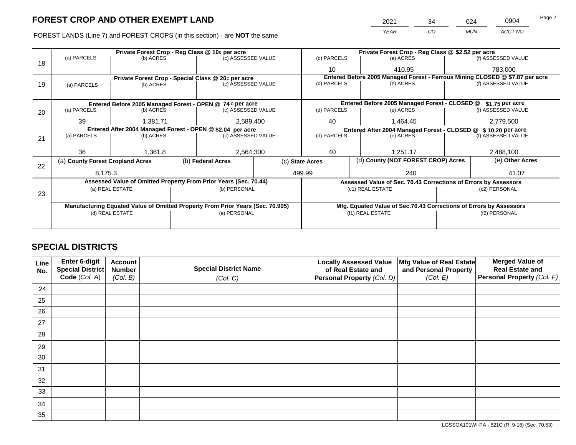FOREST LANDS (Line 7) and FOREST CROPS (in this section) - are **NOT** the same

| 2021 | 34 | )24 | 0904    | Page 2 |
|------|----|-----|---------|--------|
| YFAR | CO | MUN | ACCT NO |        |

|    |                                                            | Private Forest Crop - Reg Class @ 10¢ per acre |  |                                                                                |  |                                                                              | Private Forest Crop - Reg Class @ \$2.52 per acre |                                                                 |                                                                    |                    |  |
|----|------------------------------------------------------------|------------------------------------------------|--|--------------------------------------------------------------------------------|--|------------------------------------------------------------------------------|---------------------------------------------------|-----------------------------------------------------------------|--------------------------------------------------------------------|--------------------|--|
|    | (a) PARCELS                                                | (b) ACRES                                      |  | (c) ASSESSED VALUE                                                             |  | (d) PARCELS                                                                  |                                                   | (e) ACRES                                                       |                                                                    | (f) ASSESSED VALUE |  |
| 18 |                                                            |                                                |  |                                                                                |  | 10                                                                           |                                                   | 410.95                                                          |                                                                    | 783,000            |  |
|    |                                                            |                                                |  | Private Forest Crop - Special Class @ 20¢ per acre                             |  | Entered Before 2005 Managed Forest - Ferrous Mining CLOSED @ \$7.87 per acre |                                                   |                                                                 |                                                                    |                    |  |
| 19 | (a) PARCELS                                                | (b) ACRES                                      |  | (c) ASSESSED VALUE                                                             |  | (d) PARCELS                                                                  |                                                   | (e) ACRES                                                       |                                                                    | (f) ASSESSED VALUE |  |
|    |                                                            |                                                |  |                                                                                |  |                                                                              |                                                   |                                                                 |                                                                    |                    |  |
|    |                                                            |                                                |  | Entered Before 2005 Managed Forest - OPEN @ 74 ¢ per acre                      |  |                                                                              |                                                   | Entered Before 2005 Managed Forest - CLOSED @                   |                                                                    | \$1.75 per acre    |  |
| 20 | (a) PARCELS                                                | (b) ACRES                                      |  | (c) ASSESSED VALUE                                                             |  | (d) PARCELS                                                                  |                                                   | (e) ACRES                                                       |                                                                    | (f) ASSESSED VALUE |  |
|    |                                                            |                                                |  |                                                                                |  |                                                                              |                                                   |                                                                 |                                                                    |                    |  |
|    |                                                            | 39<br>1.381.71                                 |  | 2,589,400                                                                      |  | 40                                                                           |                                                   | 1.464.45                                                        |                                                                    | 2,779,500          |  |
|    | Entered After 2004 Managed Forest - OPEN @ \$2.04 per acre |                                                |  |                                                                                |  |                                                                              |                                                   | Entered After 2004 Managed Forest - CLOSED @ \$10.20 per acre   |                                                                    |                    |  |
| 21 | (a) PARCELS                                                | (b) ACRES                                      |  | (c) ASSESSED VALUE                                                             |  | (d) PARCELS                                                                  |                                                   | (e) ACRES                                                       |                                                                    | (f) ASSESSED VALUE |  |
|    |                                                            |                                                |  |                                                                                |  |                                                                              |                                                   |                                                                 |                                                                    |                    |  |
|    | 36                                                         | 1,361.8                                        |  | 2,564,300                                                                      |  | 1,251.17<br>40                                                               |                                                   | 2,488,100                                                       |                                                                    |                    |  |
|    | (a) County Forest Cropland Acres                           |                                                |  | (b) Federal Acres                                                              |  | (d) County (NOT FOREST CROP) Acres<br>(c) State Acres                        |                                                   |                                                                 |                                                                    | (e) Other Acres    |  |
| 22 |                                                            |                                                |  |                                                                                |  |                                                                              |                                                   |                                                                 |                                                                    |                    |  |
|    | 8.175.3                                                    |                                                |  |                                                                                |  | 499.99                                                                       |                                                   | 240                                                             |                                                                    | 41.07              |  |
|    |                                                            |                                                |  | Assessed Value of Omitted Property From Prior Years (Sec. 70.44)               |  |                                                                              |                                                   | Assessed Value of Sec. 70.43 Corrections of Errors by Assessors |                                                                    |                    |  |
|    |                                                            | (a) REAL ESTATE                                |  | (b) PERSONAL                                                                   |  |                                                                              |                                                   | (c1) REAL ESTATE                                                |                                                                    | (c2) PERSONAL      |  |
| 23 |                                                            |                                                |  |                                                                                |  |                                                                              |                                                   |                                                                 |                                                                    |                    |  |
|    |                                                            |                                                |  | Manufacturing Equated Value of Omitted Property From Prior Years (Sec. 70.995) |  |                                                                              |                                                   |                                                                 | Mfg. Equated Value of Sec.70.43 Corrections of Errors by Assessors |                    |  |
|    |                                                            | (d) REAL ESTATE                                |  | (e) PERSONAL                                                                   |  |                                                                              |                                                   | (f1) REAL ESTATE                                                |                                                                    |                    |  |
|    |                                                            |                                                |  |                                                                                |  |                                                                              |                                                   |                                                                 | (f2) PERSONAL                                                      |                    |  |
|    |                                                            |                                                |  |                                                                                |  |                                                                              |                                                   |                                                                 |                                                                    |                    |  |
|    |                                                            |                                                |  |                                                                                |  |                                                                              |                                                   |                                                                 |                                                                    |                    |  |

# **SPECIAL DISTRICTS**

| Line<br>No. | <b>Enter 6-digit</b><br>Special District | <b>Account</b><br><b>Number</b> | <b>Special District Name</b> | <b>Locally Assessed Value</b><br>of Real Estate and | Mfg Value of Real Estate<br>and Personal Property | <b>Merged Value of</b><br><b>Real Estate and</b> |
|-------------|------------------------------------------|---------------------------------|------------------------------|-----------------------------------------------------|---------------------------------------------------|--------------------------------------------------|
|             | Code (Col. A)                            | (Col. B)                        | (Col. C)                     | Personal Property (Col. D)                          | (Col. E)                                          | Personal Property (Col. F)                       |
| 24          |                                          |                                 |                              |                                                     |                                                   |                                                  |
| 25          |                                          |                                 |                              |                                                     |                                                   |                                                  |
| 26          |                                          |                                 |                              |                                                     |                                                   |                                                  |
| 27          |                                          |                                 |                              |                                                     |                                                   |                                                  |
| 28          |                                          |                                 |                              |                                                     |                                                   |                                                  |
| 29          |                                          |                                 |                              |                                                     |                                                   |                                                  |
| 30          |                                          |                                 |                              |                                                     |                                                   |                                                  |
| 31          |                                          |                                 |                              |                                                     |                                                   |                                                  |
| 32          |                                          |                                 |                              |                                                     |                                                   |                                                  |
| 33          |                                          |                                 |                              |                                                     |                                                   |                                                  |
| 34          |                                          |                                 |                              |                                                     |                                                   |                                                  |
| 35          |                                          |                                 |                              |                                                     |                                                   |                                                  |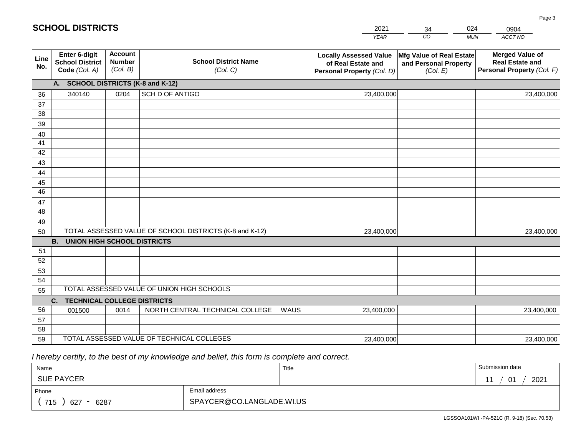|             | <b>SCHOOL DISTRICTS</b>                                  |                                             |                                                         |      | 2021                                                                              | 34                                                            | 024        | 0904                                                                           |
|-------------|----------------------------------------------------------|---------------------------------------------|---------------------------------------------------------|------|-----------------------------------------------------------------------------------|---------------------------------------------------------------|------------|--------------------------------------------------------------------------------|
|             |                                                          |                                             |                                                         |      | <b>YEAR</b>                                                                       | $\overline{co}$                                               | <b>MUN</b> | ACCT NO                                                                        |
| Line<br>No. | Enter 6-digit<br><b>School District</b><br>Code (Col. A) | <b>Account</b><br><b>Number</b><br>(Col. B) | <b>School District Name</b><br>(Col. C)                 |      | <b>Locally Assessed Value</b><br>of Real Estate and<br>Personal Property (Col. D) | Mfg Value of Real Estate<br>and Personal Property<br>(Col. E) |            | <b>Merged Value of</b><br><b>Real Estate and</b><br>Personal Property (Col. F) |
|             | <b>SCHOOL DISTRICTS (K-8 and K-12)</b><br>A.             |                                             |                                                         |      |                                                                                   |                                                               |            |                                                                                |
| 36          | 340140                                                   | 0204                                        | <b>SCH D OF ANTIGO</b>                                  |      | 23,400,000                                                                        |                                                               |            | 23,400,000                                                                     |
| 37          |                                                          |                                             |                                                         |      |                                                                                   |                                                               |            |                                                                                |
| 38          |                                                          |                                             |                                                         |      |                                                                                   |                                                               |            |                                                                                |
| 39          |                                                          |                                             |                                                         |      |                                                                                   |                                                               |            |                                                                                |
| 40          |                                                          |                                             |                                                         |      |                                                                                   |                                                               |            |                                                                                |
| 41          |                                                          |                                             |                                                         |      |                                                                                   |                                                               |            |                                                                                |
| 42<br>43    |                                                          |                                             |                                                         |      |                                                                                   |                                                               |            |                                                                                |
| 44          |                                                          |                                             |                                                         |      |                                                                                   |                                                               |            |                                                                                |
| 45          |                                                          |                                             |                                                         |      |                                                                                   |                                                               |            |                                                                                |
| 46          |                                                          |                                             |                                                         |      |                                                                                   |                                                               |            |                                                                                |
| 47          |                                                          |                                             |                                                         |      |                                                                                   |                                                               |            |                                                                                |
| 48          |                                                          |                                             |                                                         |      |                                                                                   |                                                               |            |                                                                                |
| 49          |                                                          |                                             |                                                         |      |                                                                                   |                                                               |            |                                                                                |
| 50          |                                                          |                                             | TOTAL ASSESSED VALUE OF SCHOOL DISTRICTS (K-8 and K-12) |      | 23,400,000                                                                        |                                                               |            | 23,400,000                                                                     |
|             | <b>B.</b><br><b>UNION HIGH SCHOOL DISTRICTS</b>          |                                             |                                                         |      |                                                                                   |                                                               |            |                                                                                |
| 51          |                                                          |                                             |                                                         |      |                                                                                   |                                                               |            |                                                                                |
| 52          |                                                          |                                             |                                                         |      |                                                                                   |                                                               |            |                                                                                |
| 53          |                                                          |                                             |                                                         |      |                                                                                   |                                                               |            |                                                                                |
| 54<br>55    |                                                          |                                             | TOTAL ASSESSED VALUE OF UNION HIGH SCHOOLS              |      |                                                                                   |                                                               |            |                                                                                |
|             | <b>TECHNICAL COLLEGE DISTRICTS</b><br>C.                 |                                             |                                                         |      |                                                                                   |                                                               |            |                                                                                |
| 56          | 001500                                                   | 0014                                        | NORTH CENTRAL TECHNICAL COLLEGE                         | WAUS | 23,400,000                                                                        |                                                               |            | 23,400,000                                                                     |
| 57          |                                                          |                                             |                                                         |      |                                                                                   |                                                               |            |                                                                                |
| 58          |                                                          |                                             |                                                         |      |                                                                                   |                                                               |            |                                                                                |
| 59          |                                                          |                                             | TOTAL ASSESSED VALUE OF TECHNICAL COLLEGES              |      | 23,400,000                                                                        |                                                               |            | 23,400,000                                                                     |

2021

 *I hereby certify, to the best of my knowledge and belief, this form is complete and correct.*

**SCHOOL DISTRICTS**

| Name                                           |                           | Title | Submission date                        |
|------------------------------------------------|---------------------------|-------|----------------------------------------|
| <b>SUE PAYCER</b>                              |                           |       | 2021<br>01<br>$\overline{\phantom{a}}$ |
| Phone                                          | Email address             |       |                                        |
| 715<br>6287<br>627<br>$\overline{\phantom{0}}$ | SPAYCER@CO.LANGLADE.WI.US |       |                                        |

LGSSOA101WI -PA-521C (R. 9-18) (Sec. 70.53)

Page 3

024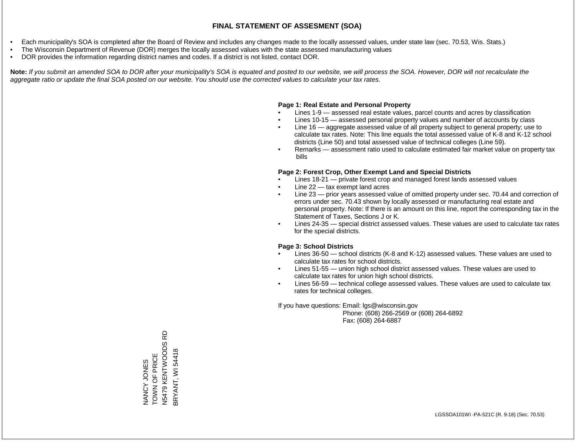- Each municipality's SOA is completed after the Board of Review and includes any changes made to the locally assessed values, under state law (sec. 70.53, Wis. Stats.)
- The Wisconsin Department of Revenue (DOR) merges the locally assessed values with the state assessed manufacturing values
- DOR provides the information regarding district names and codes. If a district is not listed, contact DOR.

Note: If you submit an amended SOA to DOR after your municipality's SOA is equated and posted to our website, we will process the SOA. However, DOR will not recalculate the *aggregate ratio or update the final SOA posted on our website. You should use the corrected values to calculate your tax rates.*

# **Page 1: Real Estate and Personal Property**

- Lines 1-9 assessed real estate values, parcel counts and acres by classification
- Lines 10-15 assessed personal property values and number of accounts by class
- Line 16 aggregate assessed value of all property subject to general property; use to calculate tax rates. Note: This line equals the total assessed value of K-8 and K-12 school districts (Line 50) and total assessed value of technical colleges (Line 59).
- Remarks assessment ratio used to calculate estimated fair market value on property tax bills

# **Page 2: Forest Crop, Other Exempt Land and Special Districts**

- Lines 18-21 private forest crop and managed forest lands assessed values
- Line  $22 -$  tax exempt land acres
- Line 23 prior years assessed value of omitted property under sec. 70.44 and correction of errors under sec. 70.43 shown by locally assessed or manufacturing real estate and personal property. Note: If there is an amount on this line, report the corresponding tax in the Statement of Taxes, Sections J or K.
- Lines 24-35 special district assessed values. These values are used to calculate tax rates for the special districts.

# **Page 3: School Districts**

- Lines 36-50 school districts (K-8 and K-12) assessed values. These values are used to calculate tax rates for school districts.
- Lines 51-55 union high school district assessed values. These values are used to calculate tax rates for union high school districts.
- Lines 56-59 technical college assessed values. These values are used to calculate tax rates for technical colleges.

If you have questions: Email: lgs@wisconsin.gov

 Phone: (608) 266-2569 or (608) 264-6892 Fax: (608) 264-6887

윤 N5479 KENTWOODS RD NANCY JONES<br>TOWN OF PRICE<br>N5479 KENTWOODS R BRYANT, WI 54418 BRYANT, WI 54418TOWN OF PRICE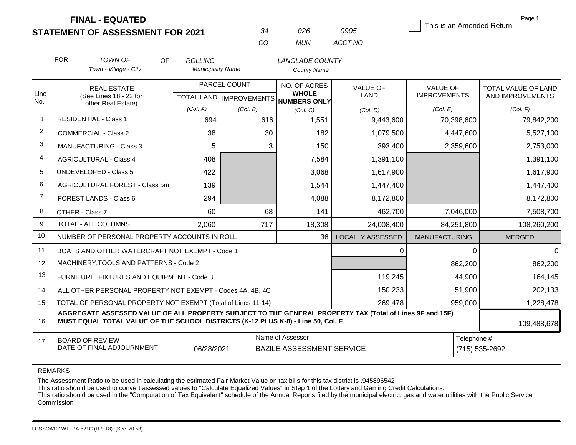|                | <b>FINAL - EQUATED</b><br><b>STATEMENT OF ASSESSMENT FOR 2021</b>                                                                                                                            |                               | 34                        | 026                                 | 0905                    | This is an Amended Return | Page 1              |
|----------------|----------------------------------------------------------------------------------------------------------------------------------------------------------------------------------------------|-------------------------------|---------------------------|-------------------------------------|-------------------------|---------------------------|---------------------|
|                |                                                                                                                                                                                              |                               | CO                        | <b>MUN</b>                          | ACCT NO                 |                           |                     |
|                | <b>FOR</b><br><b>TOWN OF</b><br><b>OF</b>                                                                                                                                                    | <b>ROLLING</b>                |                           | <b>LANGLADE COUNTY</b>              |                         |                           |                     |
|                | Town - Village - City                                                                                                                                                                        | <b>Municipality Name</b>      |                           | <b>County Name</b>                  |                         |                           |                     |
|                | <b>REAL ESTATE</b>                                                                                                                                                                           |                               | PARCEL COUNT              | NO. OF ACRES                        | <b>VALUE OF</b>         | <b>VALUE OF</b>           | TOTAL VALUE OF LAND |
| Line<br>No.    | (See Lines 18 - 22 for<br>other Real Estate)                                                                                                                                                 |                               | TOTAL LAND   IMPROVEMENTS | <b>WHOLE</b><br><b>NUMBERS ONLY</b> | LAND                    | <b>IMPROVEMENTS</b>       | AND IMPROVEMENTS    |
|                |                                                                                                                                                                                              | (Col. A)                      | (Col. B)                  | (Col, C)                            | (Col. D)                | (Col. E)                  | (Col. F)            |
| 1              | <b>RESIDENTIAL - Class 1</b>                                                                                                                                                                 | 694                           | 616                       | 1,551                               | 9,443,600               | 70,398,600                | 79,842,200          |
| 2              | <b>COMMERCIAL - Class 2</b>                                                                                                                                                                  | 38                            | 30                        | 182                                 | 1,079,500               | 4,447,600                 | 5,527,100           |
| 3              | <b>MANUFACTURING - Class 3</b>                                                                                                                                                               | 5                             | 3                         | 150                                 | 393,400                 | 2,359,600                 | 2,753,000           |
| 4              | <b>AGRICULTURAL - Class 4</b>                                                                                                                                                                | 408                           |                           | 7,584                               | 1,391,100               |                           | 1,391,100           |
| 5              | UNDEVELOPED - Class 5                                                                                                                                                                        | 422                           |                           | 3,068                               | 1,617,900               |                           | 1,617,900           |
| 6              | AGRICULTURAL FOREST - Class 5m                                                                                                                                                               | 139                           |                           | 1,544                               | 1,447,400               |                           | 1,447,400           |
| $\overline{7}$ | FOREST LANDS - Class 6                                                                                                                                                                       | 294                           |                           | 4,088                               | 8,172,800               |                           | 8,172,800           |
| 8              | OTHER - Class 7                                                                                                                                                                              | 60                            | 68                        | 141                                 | 462,700                 | 7,046,000                 | 7,508,700           |
| 9              | <b>TOTAL - ALL COLUMNS</b>                                                                                                                                                                   | 2,060                         | 717                       | 18,308                              | 24,008,400              | 84,251,800                | 108,260,200         |
| 10             | NUMBER OF PERSONAL PROPERTY ACCOUNTS IN ROLL                                                                                                                                                 |                               |                           | 36                                  | <b>LOCALLY ASSESSED</b> | <b>MANUFACTURING</b>      | <b>MERGED</b>       |
| 11             | BOATS AND OTHER WATERCRAFT NOT EXEMPT - Code 1                                                                                                                                               |                               |                           |                                     | 0                       | 0                         | 0                   |
| 12             | MACHINERY, TOOLS AND PATTERNS - Code 2                                                                                                                                                       |                               |                           |                                     |                         | 862,200                   | 862,200             |
| 13             | FURNITURE, FIXTURES AND EQUIPMENT - Code 3                                                                                                                                                   |                               |                           |                                     | 119,245                 | 44,900                    | 164,145             |
| 14             | ALL OTHER PERSONAL PROPERTY NOT EXEMPT - Codes 4A, 4B, 4C                                                                                                                                    |                               |                           |                                     | 150,233                 | 51,900                    | 202,133             |
| 15             | TOTAL OF PERSONAL PROPERTY NOT EXEMPT (Total of Lines 11-14)                                                                                                                                 |                               |                           |                                     | 269,478                 | 959,000                   | 1,228,478           |
| 16             | AGGREGATE ASSESSED VALUE OF ALL PROPERTY SUBJECT TO THE GENERAL PROPERTY TAX (Total of Lines 9F and 15F)<br>MUST EQUAL TOTAL VALUE OF THE SCHOOL DISTRICTS (K-12 PLUS K-8) - Line 50, Col. F |                               | 109,488,678               |                                     |                         |                           |                     |
| 17             | <b>BOARD OF REVIEW</b><br>DATE OF FINAL ADJOURNMENT                                                                                                                                          | Telephone #<br>(715) 535-2692 |                           |                                     |                         |                           |                     |

The Assessment Ratio to be used in calculating the estimated Fair Market Value on tax bills for this tax district is .945896542

This ratio should be used to convert assessed values to "Calculate Equalized Values" in Step 1 of the Lottery and Gaming Credit Calculations.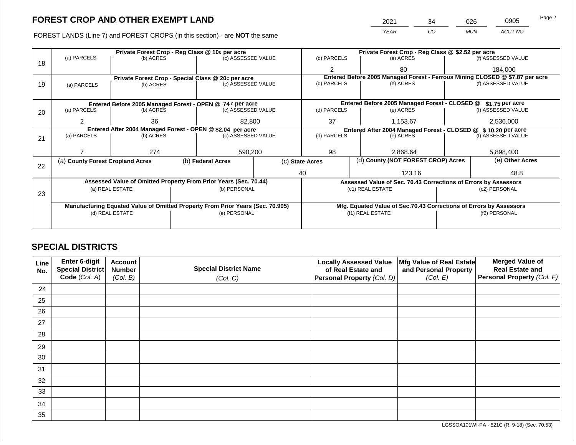FOREST LANDS (Line 7) and FOREST CROPS (in this section) - are NOT the same

| 2021 | 34 | 026 | 0905    | Page 2 |
|------|----|-----|---------|--------|
| YFAR | CO | MUN | ACCT NO |        |

|    |                                                            |                 |  | Private Forest Crop - Reg Class @ 10¢ per acre                                 |                 |                | Private Forest Crop - Reg Class @ \$2.52 per acre                            |               |                    |  |
|----|------------------------------------------------------------|-----------------|--|--------------------------------------------------------------------------------|-----------------|----------------|------------------------------------------------------------------------------|---------------|--------------------|--|
| 18 | (a) PARCELS                                                | (b) ACRES       |  | (c) ASSESSED VALUE                                                             |                 | (d) PARCELS    | (e) ACRES                                                                    |               | (f) ASSESSED VALUE |  |
|    |                                                            |                 |  |                                                                                |                 | 2              | 80                                                                           |               | 184.000            |  |
|    |                                                            |                 |  | Private Forest Crop - Special Class @ 20¢ per acre                             |                 |                | Entered Before 2005 Managed Forest - Ferrous Mining CLOSED @ \$7.87 per acre |               | (f) ASSESSED VALUE |  |
| 19 | (a) PARCELS                                                | (b) ACRES       |  | (c) ASSESSED VALUE                                                             |                 | (d) PARCELS    | (e) ACRES                                                                    |               |                    |  |
|    |                                                            |                 |  |                                                                                |                 |                |                                                                              |               |                    |  |
|    |                                                            |                 |  | Entered Before 2005 Managed Forest - OPEN @ 74 ¢ per acre                      |                 |                | Entered Before 2005 Managed Forest - CLOSED @                                |               | \$1.75 per acre    |  |
| 20 | (a) PARCELS                                                | (b) ACRES       |  | (c) ASSESSED VALUE                                                             |                 | (d) PARCELS    | (e) ACRES                                                                    |               | (f) ASSESSED VALUE |  |
|    |                                                            | 36              |  | 82,800                                                                         |                 | 37             | 1,153.67                                                                     |               | 2,536,000          |  |
|    | Entered After 2004 Managed Forest - OPEN @ \$2.04 per acre |                 |  |                                                                                |                 |                | Entered After 2004 Managed Forest - CLOSED @ \$10.20 per acre                |               |                    |  |
| 21 | (a) PARCELS                                                | (b) ACRES       |  | (c) ASSESSED VALUE                                                             |                 | (d) PARCELS    | (e) ACRES                                                                    |               | (f) ASSESSED VALUE |  |
|    |                                                            |                 |  |                                                                                |                 |                |                                                                              |               |                    |  |
|    |                                                            | 274             |  | 590,200                                                                        |                 | 98<br>2,868.64 |                                                                              |               | 5,898,400          |  |
| 22 | (a) County Forest Cropland Acres                           |                 |  | (b) Federal Acres                                                              | (c) State Acres |                | (d) County (NOT FOREST CROP) Acres                                           |               | (e) Other Acres    |  |
|    |                                                            |                 |  |                                                                                |                 | 40             | 123.16                                                                       |               | 48.8               |  |
|    |                                                            |                 |  | Assessed Value of Omitted Property From Prior Years (Sec. 70.44)               |                 |                | Assessed Value of Sec. 70.43 Corrections of Errors by Assessors              |               |                    |  |
|    |                                                            | (a) REAL ESTATE |  | (b) PERSONAL                                                                   |                 |                | (c1) REAL ESTATE                                                             |               | (c2) PERSONAL      |  |
| 23 |                                                            |                 |  |                                                                                |                 |                |                                                                              |               |                    |  |
|    |                                                            |                 |  | Manufacturing Equated Value of Omitted Property From Prior Years (Sec. 70.995) |                 |                | Mfg. Equated Value of Sec.70.43 Corrections of Errors by Assessors           |               |                    |  |
|    |                                                            | (d) REAL ESTATE |  | (e) PERSONAL                                                                   |                 |                | (f1) REAL ESTATE                                                             | (f2) PERSONAL |                    |  |
|    |                                                            |                 |  |                                                                                |                 |                |                                                                              |               |                    |  |
|    |                                                            |                 |  |                                                                                |                 |                |                                                                              |               |                    |  |

# **SPECIAL DISTRICTS**

| Line<br>No. | Enter 6-digit<br><b>Special District</b> | <b>Account</b><br><b>Number</b> | <b>Special District Name</b> | <b>Locally Assessed Value</b><br>of Real Estate and | Mfg Value of Real Estate<br>and Personal Property | <b>Merged Value of</b><br><b>Real Estate and</b> |
|-------------|------------------------------------------|---------------------------------|------------------------------|-----------------------------------------------------|---------------------------------------------------|--------------------------------------------------|
|             | Code (Col. A)                            | (Col. B)                        | (Col. C)                     | Personal Property (Col. D)                          | (Col. E)                                          | Personal Property (Col. F)                       |
| 24          |                                          |                                 |                              |                                                     |                                                   |                                                  |
| 25          |                                          |                                 |                              |                                                     |                                                   |                                                  |
| 26          |                                          |                                 |                              |                                                     |                                                   |                                                  |
| 27          |                                          |                                 |                              |                                                     |                                                   |                                                  |
| 28          |                                          |                                 |                              |                                                     |                                                   |                                                  |
| 29          |                                          |                                 |                              |                                                     |                                                   |                                                  |
| 30          |                                          |                                 |                              |                                                     |                                                   |                                                  |
| 31          |                                          |                                 |                              |                                                     |                                                   |                                                  |
| 32          |                                          |                                 |                              |                                                     |                                                   |                                                  |
| 33          |                                          |                                 |                              |                                                     |                                                   |                                                  |
| 34          |                                          |                                 |                              |                                                     |                                                   |                                                  |
| 35          |                                          |                                 |                              |                                                     |                                                   |                                                  |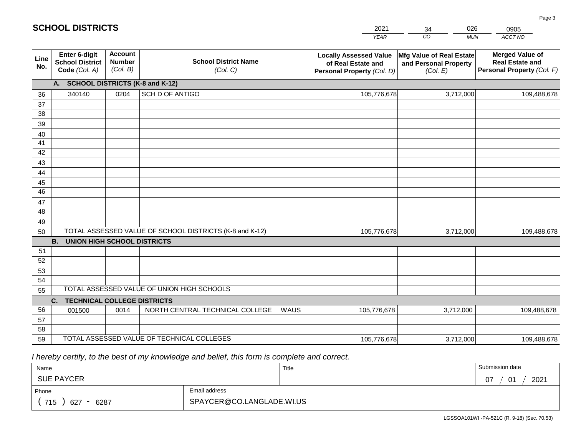|             | <b>SCHOOL DISTRICTS</b>                                  |                                             |                                                         |      | 2021                                                                              | 026<br>34                                                     | 0905                                                                           |
|-------------|----------------------------------------------------------|---------------------------------------------|---------------------------------------------------------|------|-----------------------------------------------------------------------------------|---------------------------------------------------------------|--------------------------------------------------------------------------------|
|             |                                                          |                                             |                                                         |      | <b>YEAR</b>                                                                       | CO<br><b>MUN</b>                                              | ACCT NO                                                                        |
| Line<br>No. | Enter 6-digit<br><b>School District</b><br>Code (Col. A) | <b>Account</b><br><b>Number</b><br>(Col. B) | <b>School District Name</b><br>(Col. C)                 |      | <b>Locally Assessed Value</b><br>of Real Estate and<br>Personal Property (Col. D) | Mfg Value of Real Estate<br>and Personal Property<br>(Col. E) | <b>Merged Value of</b><br><b>Real Estate and</b><br>Personal Property (Col. F) |
|             | <b>SCHOOL DISTRICTS (K-8 and K-12)</b><br>A.             |                                             |                                                         |      |                                                                                   |                                                               |                                                                                |
| 36          | 340140                                                   | 0204                                        | SCH D OF ANTIGO                                         |      | 105,776,678                                                                       | 3,712,000                                                     | 109,488,678                                                                    |
| 37          |                                                          |                                             |                                                         |      |                                                                                   |                                                               |                                                                                |
| 38          |                                                          |                                             |                                                         |      |                                                                                   |                                                               |                                                                                |
| 39          |                                                          |                                             |                                                         |      |                                                                                   |                                                               |                                                                                |
| 40<br>41    |                                                          |                                             |                                                         |      |                                                                                   |                                                               |                                                                                |
| 42          |                                                          |                                             |                                                         |      |                                                                                   |                                                               |                                                                                |
| 43          |                                                          |                                             |                                                         |      |                                                                                   |                                                               |                                                                                |
| 44          |                                                          |                                             |                                                         |      |                                                                                   |                                                               |                                                                                |
| 45          |                                                          |                                             |                                                         |      |                                                                                   |                                                               |                                                                                |
| 46          |                                                          |                                             |                                                         |      |                                                                                   |                                                               |                                                                                |
| 47          |                                                          |                                             |                                                         |      |                                                                                   |                                                               |                                                                                |
| 48          |                                                          |                                             |                                                         |      |                                                                                   |                                                               |                                                                                |
| 49          |                                                          |                                             |                                                         |      |                                                                                   |                                                               |                                                                                |
| 50          |                                                          |                                             | TOTAL ASSESSED VALUE OF SCHOOL DISTRICTS (K-8 and K-12) |      | 105,776,678                                                                       | 3,712,000                                                     | 109,488,678                                                                    |
|             | <b>B.</b><br><b>UNION HIGH SCHOOL DISTRICTS</b>          |                                             |                                                         |      |                                                                                   |                                                               |                                                                                |
| 51          |                                                          |                                             |                                                         |      |                                                                                   |                                                               |                                                                                |
| 52<br>53    |                                                          |                                             |                                                         |      |                                                                                   |                                                               |                                                                                |
| 54          |                                                          |                                             |                                                         |      |                                                                                   |                                                               |                                                                                |
| 55          |                                                          |                                             | TOTAL ASSESSED VALUE OF UNION HIGH SCHOOLS              |      |                                                                                   |                                                               |                                                                                |
|             | <b>TECHNICAL COLLEGE DISTRICTS</b><br>C.                 |                                             |                                                         |      |                                                                                   |                                                               |                                                                                |
| 56          | 001500                                                   | 0014                                        | NORTH CENTRAL TECHNICAL COLLEGE                         | WAUS | 105,776,678                                                                       | 3,712,000                                                     | 109,488,678                                                                    |
| 57          |                                                          |                                             |                                                         |      |                                                                                   |                                                               |                                                                                |
| 58          |                                                          |                                             |                                                         |      |                                                                                   |                                                               |                                                                                |
| 59          |                                                          |                                             | TOTAL ASSESSED VALUE OF TECHNICAL COLLEGES              |      | 105,776,678                                                                       | 3,712,000                                                     | 109,488,678                                                                    |

 *I hereby certify, to the best of my knowledge and belief, this form is complete and correct.*

| Name               |                           | Title | Submission date               |
|--------------------|---------------------------|-------|-------------------------------|
| <b>SUE PAYCER</b>  |                           |       | 2021<br>07<br>$\bigcap$<br>U. |
| Phone              | Email address             |       |                               |
| 715<br>6287<br>627 | SPAYCER@CO.LANGLADE.WI.US |       |                               |

Page 3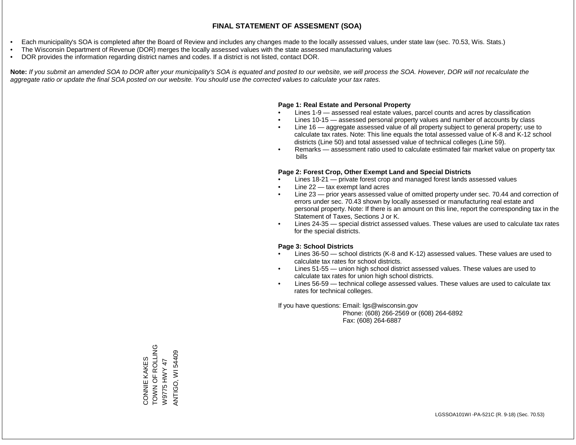- Each municipality's SOA is completed after the Board of Review and includes any changes made to the locally assessed values, under state law (sec. 70.53, Wis. Stats.)
- The Wisconsin Department of Revenue (DOR) merges the locally assessed values with the state assessed manufacturing values
- DOR provides the information regarding district names and codes. If a district is not listed, contact DOR.

Note: If you submit an amended SOA to DOR after your municipality's SOA is equated and posted to our website, we will process the SOA. However, DOR will not recalculate the *aggregate ratio or update the final SOA posted on our website. You should use the corrected values to calculate your tax rates.*

# **Page 1: Real Estate and Personal Property**

- Lines 1-9 assessed real estate values, parcel counts and acres by classification
- Lines 10-15 assessed personal property values and number of accounts by class
- Line 16 aggregate assessed value of all property subject to general property; use to calculate tax rates. Note: This line equals the total assessed value of K-8 and K-12 school districts (Line 50) and total assessed value of technical colleges (Line 59).
- Remarks assessment ratio used to calculate estimated fair market value on property tax bills

# **Page 2: Forest Crop, Other Exempt Land and Special Districts**

- Lines 18-21 private forest crop and managed forest lands assessed values
- Line  $22 -$  tax exempt land acres
- Line 23 prior years assessed value of omitted property under sec. 70.44 and correction of errors under sec. 70.43 shown by locally assessed or manufacturing real estate and personal property. Note: If there is an amount on this line, report the corresponding tax in the Statement of Taxes, Sections J or K.
- Lines 24-35 special district assessed values. These values are used to calculate tax rates for the special districts.

# **Page 3: School Districts**

- Lines 36-50 school districts (K-8 and K-12) assessed values. These values are used to calculate tax rates for school districts.
- Lines 51-55 union high school district assessed values. These values are used to calculate tax rates for union high school districts.
- Lines 56-59 technical college assessed values. These values are used to calculate tax rates for technical colleges.

If you have questions: Email: lgs@wisconsin.gov

 Phone: (608) 266-2569 or (608) 264-6892 Fax: (608) 264-6887

CONNIE KAKES<br>TOWN OF ROLLING<br>W9775 HWY 47 TOWN OF ROLLING **ANTIGO, WI 54409** ANTIGO, WI 54409CONNIE KAKES W9775 HWY 47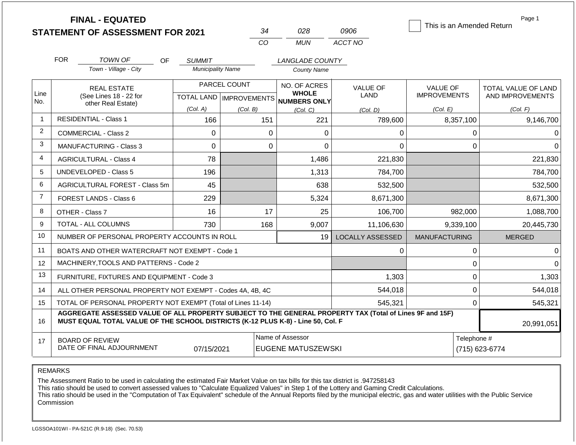|                | <b>FINAL - EQUATED</b><br><b>STATEMENT OF ASSESSMENT FOR 2021</b>                                                                                                                            |                               | 34           | 028                                                                      | 0906                    | This is an Amended Return              | Page 1                                         |  |
|----------------|----------------------------------------------------------------------------------------------------------------------------------------------------------------------------------------------|-------------------------------|--------------|--------------------------------------------------------------------------|-------------------------|----------------------------------------|------------------------------------------------|--|
|                |                                                                                                                                                                                              |                               | CO           | <b>MUN</b>                                                               | ACCT NO                 |                                        |                                                |  |
|                | <b>FOR</b><br>TOWN OF<br>OF.                                                                                                                                                                 | <b>SUMMIT</b>                 |              | LANGLADE COUNTY                                                          |                         |                                        |                                                |  |
|                | Town - Village - City                                                                                                                                                                        | <b>Municipality Name</b>      |              | <b>County Name</b>                                                       |                         |                                        |                                                |  |
| Line<br>No.    | <b>REAL ESTATE</b><br>(See Lines 18 - 22 for                                                                                                                                                 |                               | PARCEL COUNT | NO. OF ACRES<br><b>WHOLE</b><br>TOTAL LAND   IMPROVEMENTS   NUMBERS ONLY | <b>VALUE OF</b><br>LAND | <b>VALUE OF</b><br><b>IMPROVEMENTS</b> | <b>TOTAL VALUE OF LAND</b><br>AND IMPROVEMENTS |  |
|                | other Real Estate)                                                                                                                                                                           | (Col. A)                      | (Col. B)     | (Col, C)                                                                 | (Col, D)                | (Col. E)                               | (Col. F)                                       |  |
| $\overline{1}$ | <b>RESIDENTIAL - Class 1</b>                                                                                                                                                                 | 166                           | 151          | 221                                                                      | 789,600                 | 8,357,100                              | 9,146,700                                      |  |
| 2              | COMMERCIAL - Class 2                                                                                                                                                                         | 0                             | $\mathbf 0$  | 0                                                                        | 0                       | 0                                      | 0                                              |  |
| 3              | <b>MANUFACTURING - Class 3</b>                                                                                                                                                               | $\Omega$                      | $\mathbf 0$  | $\Omega$                                                                 | $\Omega$                | $\mathbf 0$                            | $\Omega$                                       |  |
| $\overline{4}$ | <b>AGRICULTURAL - Class 4</b>                                                                                                                                                                | 78                            |              | 1,486                                                                    | 221,830                 |                                        | 221,830                                        |  |
| 5              | UNDEVELOPED - Class 5                                                                                                                                                                        | 196                           |              | 1,313                                                                    | 784,700                 |                                        | 784,700                                        |  |
| 6              | AGRICULTURAL FOREST - Class 5m                                                                                                                                                               | 45                            |              | 638                                                                      | 532,500                 |                                        | 532,500                                        |  |
| $\overline{7}$ | FOREST LANDS - Class 6                                                                                                                                                                       | 229                           |              | 5,324                                                                    | 8,671,300               |                                        | 8,671,300                                      |  |
| 8              | OTHER - Class 7                                                                                                                                                                              | 16                            | 17           | 25                                                                       | 106,700                 | 982,000                                | 1,088,700                                      |  |
| 9              | <b>TOTAL - ALL COLUMNS</b>                                                                                                                                                                   | 730                           | 168          | 9,007                                                                    | 11,106,630              | 9,339,100                              | 20,445,730                                     |  |
| 10             | NUMBER OF PERSONAL PROPERTY ACCOUNTS IN ROLL                                                                                                                                                 |                               |              | 19                                                                       | <b>LOCALLY ASSESSED</b> | <b>MANUFACTURING</b>                   | <b>MERGED</b>                                  |  |
| 11             | BOATS AND OTHER WATERCRAFT NOT EXEMPT - Code 1                                                                                                                                               |                               |              |                                                                          | 0                       | $\pmb{0}$                              | $\Omega$                                       |  |
| 12             | MACHINERY, TOOLS AND PATTERNS - Code 2                                                                                                                                                       |                               |              |                                                                          |                         | 0                                      | $\Omega$                                       |  |
| 13             | FURNITURE, FIXTURES AND EQUIPMENT - Code 3                                                                                                                                                   |                               |              |                                                                          | 1,303                   | $\mathbf 0$                            | 1,303                                          |  |
| 14             | ALL OTHER PERSONAL PROPERTY NOT EXEMPT - Codes 4A, 4B, 4C                                                                                                                                    |                               |              |                                                                          | 544,018                 | $\mathbf 0$                            | 544,018                                        |  |
| 15             | TOTAL OF PERSONAL PROPERTY NOT EXEMPT (Total of Lines 11-14)                                                                                                                                 |                               |              |                                                                          | 545,321                 | $\mathbf 0$                            | 545,321                                        |  |
| 16             | AGGREGATE ASSESSED VALUE OF ALL PROPERTY SUBJECT TO THE GENERAL PROPERTY TAX (Total of Lines 9F and 15F)<br>MUST EQUAL TOTAL VALUE OF THE SCHOOL DISTRICTS (K-12 PLUS K-8) - Line 50, Col. F |                               |              |                                                                          |                         |                                        |                                                |  |
| 17             | <b>BOARD OF REVIEW</b><br>DATE OF FINAL ADJOURNMENT                                                                                                                                          | Telephone #<br>(715) 623-6774 |              |                                                                          |                         |                                        |                                                |  |

The Assessment Ratio to be used in calculating the estimated Fair Market Value on tax bills for this tax district is .947258143

This ratio should be used to convert assessed values to "Calculate Equalized Values" in Step 1 of the Lottery and Gaming Credit Calculations.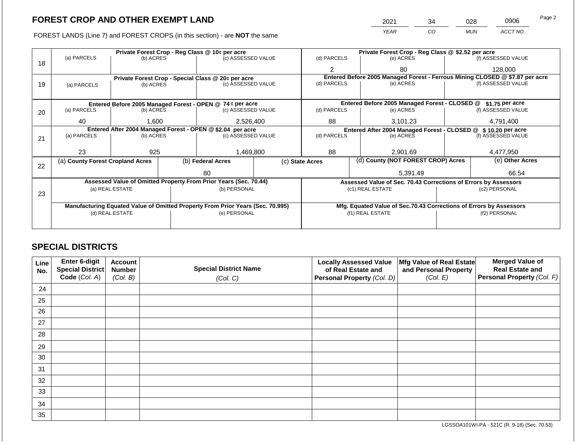FOREST LANDS (Line 7) and FOREST CROPS (in this section) - are NOT the same

| 2021 | 34 | 028 | 0906    | Page 2 |
|------|----|-----|---------|--------|
| YEAR | CO | MUN | ACCT NO |        |

|    |                                  |                 | Private Forest Crop - Reg Class @ 10¢ per acre                                 |           | Private Forest Crop - Reg Class @ \$2.52 per acre     |                |                                                                    |                 |                                                                              |
|----|----------------------------------|-----------------|--------------------------------------------------------------------------------|-----------|-------------------------------------------------------|----------------|--------------------------------------------------------------------|-----------------|------------------------------------------------------------------------------|
| 18 | (a) PARCELS                      | (b) ACRES       | (c) ASSESSED VALUE                                                             |           | (d) PARCELS                                           |                | (e) ACRES                                                          |                 | (f) ASSESSED VALUE                                                           |
|    |                                  |                 |                                                                                |           | 2                                                     |                | 80                                                                 |                 | 128,000                                                                      |
|    |                                  |                 | Private Forest Crop - Special Class @ 20¢ per acre                             |           |                                                       |                |                                                                    |                 | Entered Before 2005 Managed Forest - Ferrous Mining CLOSED @ \$7.87 per acre |
| 19 | (a) PARCELS                      | (b) ACRES       | (c) ASSESSED VALUE                                                             |           | (d) PARCELS                                           |                | (e) ACRES                                                          |                 | (f) ASSESSED VALUE                                                           |
|    |                                  |                 |                                                                                |           |                                                       |                |                                                                    |                 |                                                                              |
|    |                                  |                 | Entered Before 2005 Managed Forest - OPEN @ 74 ¢ per acre                      |           |                                                       |                | Entered Before 2005 Managed Forest - CLOSED @                      |                 | $$1.75$ per acre                                                             |
| 20 | (a) PARCELS                      | (b) ACRES       | (c) ASSESSED VALUE                                                             |           | (d) PARCELS                                           |                | (e) ACRES                                                          |                 | (f) ASSESSED VALUE                                                           |
|    |                                  |                 |                                                                                |           |                                                       |                |                                                                    |                 |                                                                              |
|    | 40                               | 1,600           | 2,526,400                                                                      |           | 88                                                    |                | 3,101.23                                                           |                 | 4,791,400                                                                    |
|    |                                  |                 | Entered After 2004 Managed Forest - OPEN @ \$2.04 per acre                     |           |                                                       |                | Entered After 2004 Managed Forest - CLOSED @ \$10.20 per acre      |                 |                                                                              |
| 21 | (a) PARCELS                      | (b) ACRES       | (c) ASSESSED VALUE                                                             |           | (d) PARCELS                                           |                | (e) ACRES                                                          |                 | (f) ASSESSED VALUE                                                           |
|    |                                  |                 |                                                                                |           |                                                       |                |                                                                    |                 |                                                                              |
|    | 23                               | 925             |                                                                                | 1,469,800 |                                                       | 88<br>2.901.69 |                                                                    | 4,477,950       |                                                                              |
|    | (a) County Forest Cropland Acres |                 | (b) Federal Acres                                                              |           | (d) County (NOT FOREST CROP) Acres<br>(c) State Acres |                |                                                                    | (e) Other Acres |                                                                              |
| 22 |                                  |                 |                                                                                |           |                                                       |                |                                                                    |                 |                                                                              |
|    |                                  |                 | 80                                                                             |           |                                                       |                | 5,391.49                                                           |                 | 66.54                                                                        |
|    |                                  |                 | Assessed Value of Omitted Property From Prior Years (Sec. 70.44)               |           |                                                       |                | Assessed Value of Sec. 70.43 Corrections of Errors by Assessors    |                 |                                                                              |
| 23 |                                  | (a) REAL ESTATE | (b) PERSONAL                                                                   |           |                                                       |                | (c1) REAL ESTATE                                                   |                 | (c2) PERSONAL                                                                |
|    |                                  |                 |                                                                                |           |                                                       |                |                                                                    |                 |                                                                              |
|    |                                  |                 | Manufacturing Equated Value of Omitted Property From Prior Years (Sec. 70.995) |           |                                                       |                | Mfg. Equated Value of Sec.70.43 Corrections of Errors by Assessors |                 |                                                                              |
|    |                                  | (d) REAL ESTATE | (e) PERSONAL                                                                   |           | (f1) REAL ESTATE                                      |                |                                                                    | (f2) PERSONAL   |                                                                              |
|    |                                  |                 |                                                                                |           |                                                       |                |                                                                    |                 |                                                                              |
|    |                                  |                 |                                                                                |           |                                                       |                |                                                                    |                 |                                                                              |

# **SPECIAL DISTRICTS**

| Line<br>No. | Enter 6-digit<br>Special District<br>Code (Col. A) | <b>Account</b><br><b>Number</b><br>(Col. B) | <b>Special District Name</b><br>(Col. C) | <b>Locally Assessed Value</b><br>of Real Estate and<br>Personal Property (Col. D) | Mfg Value of Real Estate<br>and Personal Property<br>(Col. E) | <b>Merged Value of</b><br><b>Real Estate and</b><br>Personal Property (Col. F) |
|-------------|----------------------------------------------------|---------------------------------------------|------------------------------------------|-----------------------------------------------------------------------------------|---------------------------------------------------------------|--------------------------------------------------------------------------------|
| 24          |                                                    |                                             |                                          |                                                                                   |                                                               |                                                                                |
| 25          |                                                    |                                             |                                          |                                                                                   |                                                               |                                                                                |
| 26          |                                                    |                                             |                                          |                                                                                   |                                                               |                                                                                |
| 27          |                                                    |                                             |                                          |                                                                                   |                                                               |                                                                                |
| 28          |                                                    |                                             |                                          |                                                                                   |                                                               |                                                                                |
| 29          |                                                    |                                             |                                          |                                                                                   |                                                               |                                                                                |
| 30          |                                                    |                                             |                                          |                                                                                   |                                                               |                                                                                |
| 31          |                                                    |                                             |                                          |                                                                                   |                                                               |                                                                                |
| 32          |                                                    |                                             |                                          |                                                                                   |                                                               |                                                                                |
| 33          |                                                    |                                             |                                          |                                                                                   |                                                               |                                                                                |
| 34          |                                                    |                                             |                                          |                                                                                   |                                                               |                                                                                |
| 35          |                                                    |                                             |                                          |                                                                                   |                                                               |                                                                                |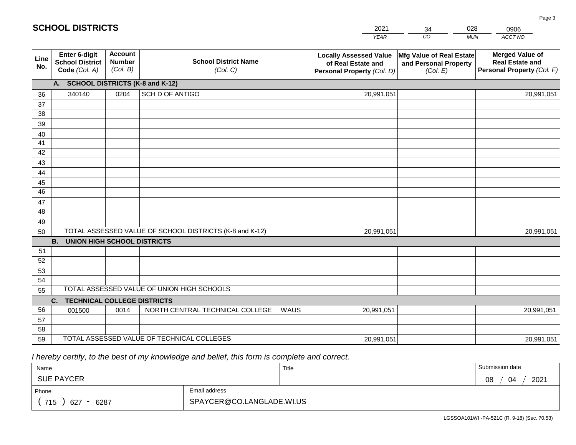|                                                          |                                             |                                         |                                                                                                                                                                                                                                                                                                              | 2021               | 34                                                                        | 0906                                                      |                                                                                |
|----------------------------------------------------------|---------------------------------------------|-----------------------------------------|--------------------------------------------------------------------------------------------------------------------------------------------------------------------------------------------------------------------------------------------------------------------------------------------------------------|--------------------|---------------------------------------------------------------------------|-----------------------------------------------------------|--------------------------------------------------------------------------------|
|                                                          |                                             |                                         |                                                                                                                                                                                                                                                                                                              | <b>YEAR</b>        |                                                                           | <b>MUN</b>                                                | ACCT NO                                                                        |
| Enter 6-digit<br><b>School District</b><br>Code (Col. A) | <b>Account</b><br><b>Number</b><br>(Col. B) | <b>School District Name</b><br>(Col. C) |                                                                                                                                                                                                                                                                                                              | of Real Estate and | (Col. E)                                                                  |                                                           | <b>Merged Value of</b><br><b>Real Estate and</b><br>Personal Property (Col. F) |
|                                                          |                                             |                                         |                                                                                                                                                                                                                                                                                                              |                    |                                                                           |                                                           |                                                                                |
| 340140                                                   | 0204                                        | <b>SCH D OF ANTIGO</b>                  |                                                                                                                                                                                                                                                                                                              |                    |                                                                           |                                                           | 20,991,051                                                                     |
|                                                          |                                             |                                         |                                                                                                                                                                                                                                                                                                              |                    |                                                                           |                                                           |                                                                                |
|                                                          |                                             |                                         |                                                                                                                                                                                                                                                                                                              |                    |                                                                           |                                                           |                                                                                |
|                                                          |                                             |                                         |                                                                                                                                                                                                                                                                                                              |                    |                                                                           |                                                           |                                                                                |
|                                                          |                                             |                                         |                                                                                                                                                                                                                                                                                                              |                    |                                                                           |                                                           |                                                                                |
|                                                          |                                             |                                         |                                                                                                                                                                                                                                                                                                              |                    |                                                                           |                                                           |                                                                                |
|                                                          |                                             |                                         |                                                                                                                                                                                                                                                                                                              |                    |                                                                           |                                                           |                                                                                |
|                                                          |                                             |                                         |                                                                                                                                                                                                                                                                                                              |                    |                                                                           |                                                           |                                                                                |
|                                                          |                                             |                                         |                                                                                                                                                                                                                                                                                                              |                    |                                                                           |                                                           |                                                                                |
|                                                          |                                             |                                         |                                                                                                                                                                                                                                                                                                              |                    |                                                                           |                                                           |                                                                                |
|                                                          |                                             |                                         |                                                                                                                                                                                                                                                                                                              |                    |                                                                           |                                                           |                                                                                |
|                                                          |                                             |                                         |                                                                                                                                                                                                                                                                                                              |                    |                                                                           |                                                           |                                                                                |
|                                                          |                                             |                                         |                                                                                                                                                                                                                                                                                                              |                    |                                                                           |                                                           |                                                                                |
|                                                          |                                             |                                         |                                                                                                                                                                                                                                                                                                              |                    |                                                                           |                                                           | 20,991,051                                                                     |
|                                                          |                                             |                                         |                                                                                                                                                                                                                                                                                                              |                    |                                                                           |                                                           |                                                                                |
|                                                          |                                             |                                         |                                                                                                                                                                                                                                                                                                              |                    |                                                                           |                                                           |                                                                                |
|                                                          |                                             |                                         |                                                                                                                                                                                                                                                                                                              |                    |                                                                           |                                                           |                                                                                |
|                                                          |                                             |                                         |                                                                                                                                                                                                                                                                                                              |                    |                                                                           |                                                           |                                                                                |
|                                                          |                                             |                                         |                                                                                                                                                                                                                                                                                                              |                    |                                                                           |                                                           |                                                                                |
|                                                          |                                             |                                         |                                                                                                                                                                                                                                                                                                              |                    |                                                                           |                                                           |                                                                                |
|                                                          |                                             |                                         |                                                                                                                                                                                                                                                                                                              |                    |                                                                           |                                                           |                                                                                |
|                                                          |                                             |                                         |                                                                                                                                                                                                                                                                                                              |                    |                                                                           |                                                           | 20,991,051                                                                     |
|                                                          |                                             |                                         |                                                                                                                                                                                                                                                                                                              |                    |                                                                           |                                                           |                                                                                |
|                                                          |                                             |                                         |                                                                                                                                                                                                                                                                                                              |                    |                                                                           |                                                           | 20,991,051                                                                     |
|                                                          | A.<br><b>B.</b><br>C.<br>001500             | <b>SCHOOL DISTRICTS</b><br>0014         | <b>SCHOOL DISTRICTS (K-8 and K-12)</b><br>TOTAL ASSESSED VALUE OF SCHOOL DISTRICTS (K-8 and K-12)<br><b>UNION HIGH SCHOOL DISTRICTS</b><br>TOTAL ASSESSED VALUE OF UNION HIGH SCHOOLS<br><b>TECHNICAL COLLEGE DISTRICTS</b><br>NORTH CENTRAL TECHNICAL COLLEGE<br>TOTAL ASSESSED VALUE OF TECHNICAL COLLEGES | WAUS               | <b>Locally Assessed Value</b><br>Personal Property (Col. D)<br>20,991,051 | $\overline{co}$<br>20,991,051<br>20,991,051<br>20,991,051 | 028<br>Mfg Value of Real Estate<br>and Personal Property                       |

2021

 *I hereby certify, to the best of my knowledge and belief, this form is complete and correct.*

**SCHOOL DISTRICTS**

| Name                                           |                           | Title | Submission date  |
|------------------------------------------------|---------------------------|-------|------------------|
| <b>SUE PAYCER</b>                              |                           |       | 2021<br>08<br>04 |
| Phone                                          | Email address             |       |                  |
| 715<br>6287<br>627<br>$\overline{\phantom{0}}$ | SPAYCER@CO.LANGLADE.WI.US |       |                  |

LGSSOA101WI -PA-521C (R. 9-18) (Sec. 70.53)

Page 3

028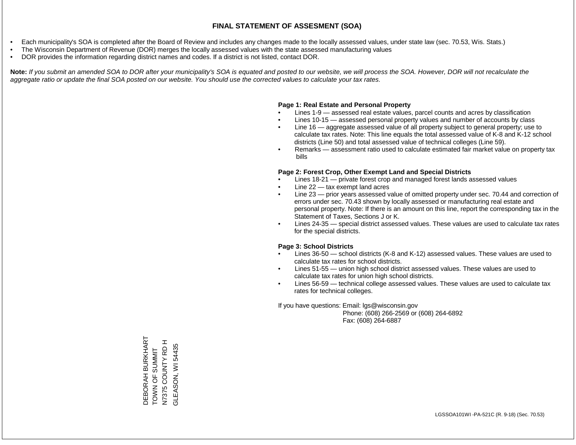- Each municipality's SOA is completed after the Board of Review and includes any changes made to the locally assessed values, under state law (sec. 70.53, Wis. Stats.)
- The Wisconsin Department of Revenue (DOR) merges the locally assessed values with the state assessed manufacturing values
- DOR provides the information regarding district names and codes. If a district is not listed, contact DOR.

Note: If you submit an amended SOA to DOR after your municipality's SOA is equated and posted to our website, we will process the SOA. However, DOR will not recalculate the *aggregate ratio or update the final SOA posted on our website. You should use the corrected values to calculate your tax rates.*

#### **Page 1: Real Estate and Personal Property**

- Lines 1-9 assessed real estate values, parcel counts and acres by classification
- Lines 10-15 assessed personal property values and number of accounts by class
- Line 16 aggregate assessed value of all property subject to general property; use to calculate tax rates. Note: This line equals the total assessed value of K-8 and K-12 school districts (Line 50) and total assessed value of technical colleges (Line 59).
- Remarks assessment ratio used to calculate estimated fair market value on property tax bills

#### **Page 2: Forest Crop, Other Exempt Land and Special Districts**

- Lines 18-21 private forest crop and managed forest lands assessed values
- Line  $22 -$  tax exempt land acres
- Line 23 prior years assessed value of omitted property under sec. 70.44 and correction of errors under sec. 70.43 shown by locally assessed or manufacturing real estate and personal property. Note: If there is an amount on this line, report the corresponding tax in the Statement of Taxes, Sections J or K.
- Lines 24-35 special district assessed values. These values are used to calculate tax rates for the special districts.

#### **Page 3: School Districts**

- Lines 36-50 school districts (K-8 and K-12) assessed values. These values are used to calculate tax rates for school districts.
- Lines 51-55 union high school district assessed values. These values are used to calculate tax rates for union high school districts.
- Lines 56-59 technical college assessed values. These values are used to calculate tax rates for technical colleges.

If you have questions: Email: lgs@wisconsin.gov

 Phone: (608) 266-2569 or (608) 264-6892 Fax: (608) 264-6887

DEBORAH BURKHART<br>TOWN OF SUMMIT DEBORAH BURKHART N7375 COUNTY RD H N7375 COUNTY RD H GLEASON, WI54435 GLEASON, WI 54435TOWN OF SUMMIT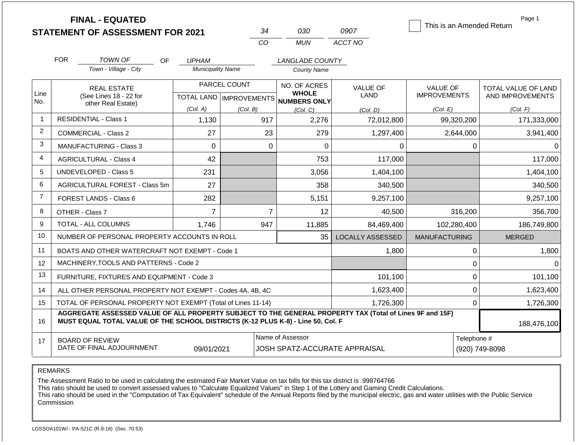|                |                                                                                                                                                                                              | <b>FINAL - EQUATED</b>                                       |                           |              |                |                               |                         | This is an Amended Return |             | Page 1              |
|----------------|----------------------------------------------------------------------------------------------------------------------------------------------------------------------------------------------|--------------------------------------------------------------|---------------------------|--------------|----------------|-------------------------------|-------------------------|---------------------------|-------------|---------------------|
|                |                                                                                                                                                                                              | <b>STATEMENT OF ASSESSMENT FOR 2021</b>                      |                           |              | 34<br>CO       | 030<br><b>MUN</b>             | 0907<br>ACCT NO         |                           |             |                     |
|                |                                                                                                                                                                                              |                                                              |                           |              |                |                               |                         |                           |             |                     |
|                | <b>FOR</b>                                                                                                                                                                                   | TOWN OF<br><b>OF</b>                                         | <b>UPHAM</b>              |              |                | <b>LANGLADE COUNTY</b>        |                         |                           |             |                     |
|                |                                                                                                                                                                                              | Town - Village - City                                        | <b>Municipality Name</b>  |              |                | <b>County Name</b>            |                         |                           |             |                     |
|                |                                                                                                                                                                                              | <b>REAL ESTATE</b>                                           |                           | PARCEL COUNT | NO. OF ACRES   |                               | <b>VALUE OF</b>         | <b>VALUE OF</b>           |             | TOTAL VALUE OF LAND |
| Line<br>No.    |                                                                                                                                                                                              | (See Lines 18 - 22 for                                       | TOTAL LAND   IMPROVEMENTS |              |                | <b>WHOLE</b><br>NUMBERS ONLY  | <b>LAND</b>             | <b>IMPROVEMENTS</b>       |             | AND IMPROVEMENTS    |
|                |                                                                                                                                                                                              | other Real Estate)                                           | (Col. A)                  | (Col. B)     |                | (Col, C)                      | (Col. D)                | (Col. E)                  |             | (Col. F)            |
| -1             |                                                                                                                                                                                              | <b>RESIDENTIAL - Class 1</b>                                 | 1,130                     |              | 917            | 2,276                         | 72,012,800              | 99,320,200                |             | 171,333,000         |
| 2              |                                                                                                                                                                                              | <b>COMMERCIAL - Class 2</b>                                  | 27                        |              | 23             | 279                           | 1,297,400               |                           | 2,644,000   | 3,941,400           |
| 3              | <b>MANUFACTURING - Class 3</b>                                                                                                                                                               |                                                              | $\mathbf 0$               |              | $\Omega$       | 0                             | 0                       |                           | 0           | 0                   |
| $\overline{4}$ |                                                                                                                                                                                              | <b>AGRICULTURAL - Class 4</b>                                |                           |              |                | 753                           | 117,000                 |                           |             | 117,000             |
| 5              |                                                                                                                                                                                              | <b>UNDEVELOPED - Class 5</b><br>231                          |                           |              |                | 3,056                         | 1,404,100               |                           |             | 1,404,100           |
| 6              |                                                                                                                                                                                              | <b>AGRICULTURAL FOREST - Class 5m</b>                        | 27                        |              |                | 358                           | 340,500                 |                           |             | 340,500             |
| $\overline{7}$ |                                                                                                                                                                                              | FOREST LANDS - Class 6                                       | 282                       |              |                | 5,151                         | 9,257,100               |                           |             | 9,257,100           |
| 8              |                                                                                                                                                                                              | OTHER - Class 7                                              | $\overline{7}$            |              | $\overline{7}$ | 12                            | 40,500                  |                           | 316,200     | 356,700             |
| 9              |                                                                                                                                                                                              | <b>TOTAL - ALL COLUMNS</b>                                   | 1,746                     |              | 947            | 11,885                        | 84,469,400              | 102,280,400               |             | 186,749,800         |
| 10             |                                                                                                                                                                                              | NUMBER OF PERSONAL PROPERTY ACCOUNTS IN ROLL                 |                           |              |                | 35                            | <b>LOCALLY ASSESSED</b> | <b>MANUFACTURING</b>      |             | <b>MERGED</b>       |
| 11             |                                                                                                                                                                                              | BOATS AND OTHER WATERCRAFT NOT EXEMPT - Code 1               |                           |              |                |                               | 1,800                   |                           | 0           | 1,800               |
| 12             |                                                                                                                                                                                              | MACHINERY, TOOLS AND PATTERNS - Code 2                       |                           |              |                |                               |                         |                           | 0           |                     |
| 13             |                                                                                                                                                                                              | FURNITURE, FIXTURES AND EQUIPMENT - Code 3                   |                           |              |                |                               | 101,100                 |                           | $\pmb{0}$   | 101,100             |
| 14             |                                                                                                                                                                                              | ALL OTHER PERSONAL PROPERTY NOT EXEMPT - Codes 4A, 4B, 4C    |                           |              |                |                               | 1,623,400               |                           | 0           | 1,623,400           |
| 15             |                                                                                                                                                                                              | TOTAL OF PERSONAL PROPERTY NOT EXEMPT (Total of Lines 11-14) |                           |              |                |                               | 1,726,300               |                           | $\Omega$    | 1,726,300           |
| 16             | AGGREGATE ASSESSED VALUE OF ALL PROPERTY SUBJECT TO THE GENERAL PROPERTY TAX (Total of Lines 9F and 15F)<br>MUST EQUAL TOTAL VALUE OF THE SCHOOL DISTRICTS (K-12 PLUS K-8) - Line 50, Col. F |                                                              | 188,476,100               |              |                |                               |                         |                           |             |                     |
| 17             |                                                                                                                                                                                              | <b>BOARD OF REVIEW</b>                                       |                           |              |                | Name of Assessor              |                         |                           | Telephone # |                     |
|                |                                                                                                                                                                                              | DATE OF FINAL ADJOURNMENT                                    | 09/01/2021                |              |                | JOSH SPATZ-ACCURATE APPRAISAL |                         | (920) 749-8098            |             |                     |

The Assessment Ratio to be used in calculating the estimated Fair Market Value on tax bills for this tax district is .998764766

This ratio should be used to convert assessed values to "Calculate Equalized Values" in Step 1 of the Lottery and Gaming Credit Calculations.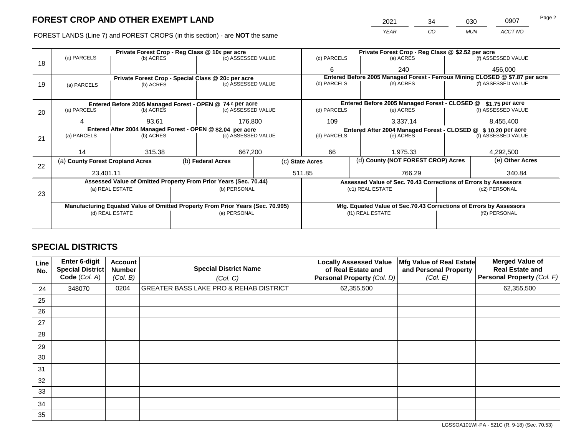FOREST LANDS (Line 7) and FOREST CROPS (in this section) - are NOT the same

| 2021 | 34 | 030        | 0907    | Page 2 |
|------|----|------------|---------|--------|
| YEAR | CO | <b>MUN</b> | ACCT NO |        |

|    |                                                            |                 |                    | Private Forest Crop - Reg Class @ 10¢ per acre                                 |                                              | Private Forest Crop - Reg Class @ \$2.52 per acre     |                  |                                                                    |                    |                                                                              |
|----|------------------------------------------------------------|-----------------|--------------------|--------------------------------------------------------------------------------|----------------------------------------------|-------------------------------------------------------|------------------|--------------------------------------------------------------------|--------------------|------------------------------------------------------------------------------|
| 18 | (a) PARCELS                                                | (b) ACRES       |                    | (c) ASSESSED VALUE                                                             |                                              | (d) PARCELS                                           |                  | (e) ACRES                                                          |                    | (f) ASSESSED VALUE                                                           |
|    |                                                            |                 |                    |                                                                                |                                              | 6                                                     |                  | 240                                                                |                    | 456,000                                                                      |
|    |                                                            |                 |                    | Private Forest Crop - Special Class @ 20¢ per acre                             |                                              |                                                       |                  |                                                                    |                    | Entered Before 2005 Managed Forest - Ferrous Mining CLOSED @ \$7.87 per acre |
| 19 | (a) PARCELS                                                | (b) ACRES       |                    | (c) ASSESSED VALUE                                                             |                                              | (d) PARCELS                                           |                  | (e) ACRES                                                          |                    | (f) ASSESSED VALUE                                                           |
|    |                                                            |                 |                    |                                                                                |                                              |                                                       |                  |                                                                    |                    |                                                                              |
|    |                                                            |                 |                    | Entered Before 2005 Managed Forest - OPEN @ 74 ¢ per acre                      |                                              |                                                       |                  | Entered Before 2005 Managed Forest - CLOSED @                      |                    | \$1.75 per acre                                                              |
| 20 | (a) PARCELS<br>(b) ACRES                                   |                 | (c) ASSESSED VALUE |                                                                                | (d) PARCELS                                  |                                                       | (e) ACRES        |                                                                    | (f) ASSESSED VALUE |                                                                              |
|    | 4                                                          | 93.61           |                    | 176,800                                                                        |                                              | 109                                                   |                  | 3,337.14                                                           | 8,455,400          |                                                                              |
|    | Entered After 2004 Managed Forest - OPEN @ \$2.04 per acre |                 |                    |                                                                                | Entered After 2004 Managed Forest - CLOSED @ |                                                       | \$10.20 per acre |                                                                    |                    |                                                                              |
| 21 | (a) PARCELS                                                | (b) ACRES       |                    | (c) ASSESSED VALUE                                                             |                                              | (d) PARCELS                                           |                  | (e) ACRES                                                          |                    | (f) ASSESSED VALUE                                                           |
|    |                                                            |                 |                    |                                                                                |                                              |                                                       |                  |                                                                    |                    |                                                                              |
|    | 14                                                         | 315.38          |                    | 667,200                                                                        |                                              | 66                                                    |                  | 1,975.33                                                           |                    | 4,292,500                                                                    |
| 22 | (a) County Forest Cropland Acres                           |                 |                    | (b) Federal Acres                                                              |                                              | (d) County (NOT FOREST CROP) Acres<br>(c) State Acres |                  |                                                                    |                    | (e) Other Acres                                                              |
|    | 23,401.11                                                  |                 |                    |                                                                                |                                              | 511.85                                                |                  | 766.29                                                             |                    | 340.84                                                                       |
|    |                                                            |                 |                    | Assessed Value of Omitted Property From Prior Years (Sec. 70.44)               |                                              |                                                       |                  | Assessed Value of Sec. 70.43 Corrections of Errors by Assessors    |                    |                                                                              |
|    |                                                            | (a) REAL ESTATE |                    | (b) PERSONAL                                                                   |                                              |                                                       |                  | (c1) REAL ESTATE                                                   |                    | (c2) PERSONAL                                                                |
| 23 |                                                            |                 |                    |                                                                                |                                              |                                                       |                  |                                                                    |                    |                                                                              |
|    |                                                            |                 |                    | Manufacturing Equated Value of Omitted Property From Prior Years (Sec. 70.995) |                                              |                                                       |                  | Mfg. Equated Value of Sec.70.43 Corrections of Errors by Assessors |                    |                                                                              |
|    |                                                            | (d) REAL ESTATE |                    | (e) PERSONAL                                                                   |                                              | (f1) REAL ESTATE                                      |                  |                                                                    | (f2) PERSONAL      |                                                                              |
|    |                                                            |                 |                    |                                                                                |                                              |                                                       |                  |                                                                    |                    |                                                                              |
|    |                                                            |                 |                    |                                                                                |                                              |                                                       |                  |                                                                    |                    |                                                                              |

# **SPECIAL DISTRICTS**

| Line<br>No. | <b>Enter 6-digit</b><br>Special District<br>Code (Col. A) | <b>Account</b><br><b>Number</b><br>(Col. B) | <b>Special District Name</b><br>(Col. C)          | <b>Locally Assessed Value</b><br>of Real Estate and<br><b>Personal Property (Col. D)</b> | Mfg Value of Real Estate<br>and Personal Property<br>(Col. E) | <b>Merged Value of</b><br><b>Real Estate and</b><br>Personal Property (Col. F) |
|-------------|-----------------------------------------------------------|---------------------------------------------|---------------------------------------------------|------------------------------------------------------------------------------------------|---------------------------------------------------------------|--------------------------------------------------------------------------------|
| 24          | 348070                                                    | 0204                                        | <b>GREATER BASS LAKE PRO &amp; REHAB DISTRICT</b> | 62,355,500                                                                               |                                                               | 62,355,500                                                                     |
| 25          |                                                           |                                             |                                                   |                                                                                          |                                                               |                                                                                |
| 26          |                                                           |                                             |                                                   |                                                                                          |                                                               |                                                                                |
| 27          |                                                           |                                             |                                                   |                                                                                          |                                                               |                                                                                |
| 28          |                                                           |                                             |                                                   |                                                                                          |                                                               |                                                                                |
| 29          |                                                           |                                             |                                                   |                                                                                          |                                                               |                                                                                |
| 30          |                                                           |                                             |                                                   |                                                                                          |                                                               |                                                                                |
| 31          |                                                           |                                             |                                                   |                                                                                          |                                                               |                                                                                |
| 32          |                                                           |                                             |                                                   |                                                                                          |                                                               |                                                                                |
| 33          |                                                           |                                             |                                                   |                                                                                          |                                                               |                                                                                |
| 34          |                                                           |                                             |                                                   |                                                                                          |                                                               |                                                                                |
| 35          |                                                           |                                             |                                                   |                                                                                          |                                                               |                                                                                |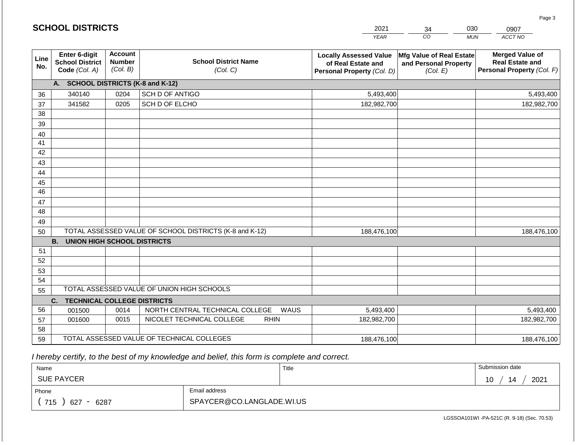|                 | <b>SCHOOL DISTRICTS</b>                                  |                                             |                                                         | 2021                                                                              | 030<br>34<br>0907                                             |                                                                                |  |
|-----------------|----------------------------------------------------------|---------------------------------------------|---------------------------------------------------------|-----------------------------------------------------------------------------------|---------------------------------------------------------------|--------------------------------------------------------------------------------|--|
|                 |                                                          |                                             |                                                         | <b>YEAR</b>                                                                       | CO                                                            | ACCT NO<br><b>MUN</b>                                                          |  |
| Line<br>No.     | Enter 6-digit<br><b>School District</b><br>Code (Col. A) | <b>Account</b><br><b>Number</b><br>(Col. B) | <b>School District Name</b><br>(Col. C)                 | <b>Locally Assessed Value</b><br>of Real Estate and<br>Personal Property (Col. D) | Mfg Value of Real Estate<br>and Personal Property<br>(Col. E) | <b>Merged Value of</b><br><b>Real Estate and</b><br>Personal Property (Col. F) |  |
|                 | <b>SCHOOL DISTRICTS (K-8 and K-12)</b><br>A.             |                                             |                                                         |                                                                                   |                                                               |                                                                                |  |
| 36              | 340140                                                   | 0204                                        | SCH D OF ANTIGO                                         | 5,493,400                                                                         |                                                               | 5,493,400                                                                      |  |
| 37              | 341582                                                   | 0205                                        | SCH D OF ELCHO                                          | 182,982,700                                                                       |                                                               | 182,982,700                                                                    |  |
| 38              |                                                          |                                             |                                                         |                                                                                   |                                                               |                                                                                |  |
| 39              |                                                          |                                             |                                                         |                                                                                   |                                                               |                                                                                |  |
| 40              |                                                          |                                             |                                                         |                                                                                   |                                                               |                                                                                |  |
| 41              |                                                          |                                             |                                                         |                                                                                   |                                                               |                                                                                |  |
| 42              |                                                          |                                             |                                                         |                                                                                   |                                                               |                                                                                |  |
| 43              |                                                          |                                             |                                                         |                                                                                   |                                                               |                                                                                |  |
| 44              |                                                          |                                             |                                                         |                                                                                   |                                                               |                                                                                |  |
| 45              |                                                          |                                             |                                                         |                                                                                   |                                                               |                                                                                |  |
| $\overline{46}$ |                                                          |                                             |                                                         |                                                                                   |                                                               |                                                                                |  |
| 47              |                                                          |                                             |                                                         |                                                                                   |                                                               |                                                                                |  |
| 48              |                                                          |                                             |                                                         |                                                                                   |                                                               |                                                                                |  |
| 49              |                                                          |                                             |                                                         |                                                                                   |                                                               |                                                                                |  |
| 50              |                                                          |                                             | TOTAL ASSESSED VALUE OF SCHOOL DISTRICTS (K-8 and K-12) | 188,476,100                                                                       |                                                               | 188,476,100                                                                    |  |
|                 | <b>B.</b><br><b>UNION HIGH SCHOOL DISTRICTS</b>          |                                             |                                                         |                                                                                   |                                                               |                                                                                |  |
| 51<br>52        |                                                          |                                             |                                                         |                                                                                   |                                                               |                                                                                |  |
| 53              |                                                          |                                             |                                                         |                                                                                   |                                                               |                                                                                |  |
| 54              |                                                          |                                             |                                                         |                                                                                   |                                                               |                                                                                |  |
| 55              |                                                          |                                             | TOTAL ASSESSED VALUE OF UNION HIGH SCHOOLS              |                                                                                   |                                                               |                                                                                |  |
|                 | <b>TECHNICAL COLLEGE DISTRICTS</b><br>C.                 |                                             |                                                         |                                                                                   |                                                               |                                                                                |  |
| 56              | 001500                                                   | 0014                                        | NORTH CENTRAL TECHNICAL COLLEGE<br>WAUS                 | 5,493,400                                                                         |                                                               | 5,493,400                                                                      |  |
| 57              | 001600                                                   | 0015                                        | NICOLET TECHNICAL COLLEGE<br><b>RHIN</b>                | 182,982,700                                                                       |                                                               | 182,982,700                                                                    |  |
| 58              |                                                          |                                             |                                                         |                                                                                   |                                                               |                                                                                |  |
| 59              |                                                          |                                             | TOTAL ASSESSED VALUE OF TECHNICAL COLLEGES              | 188,476,100                                                                       |                                                               | 188,476,100                                                                    |  |

 *I hereby certify, to the best of my knowledge and belief, this form is complete and correct.*

**SCHOOL DISTRICTS**

| Name                                           |                           | Title | Submission date  |
|------------------------------------------------|---------------------------|-------|------------------|
| <b>SUE PAYCER</b>                              |                           |       | 2021<br>14<br>10 |
| Phone                                          | Email address             |       |                  |
| 715<br>6287<br>627<br>$\overline{\phantom{0}}$ | SPAYCER@CO.LANGLADE.WI.US |       |                  |

Page 3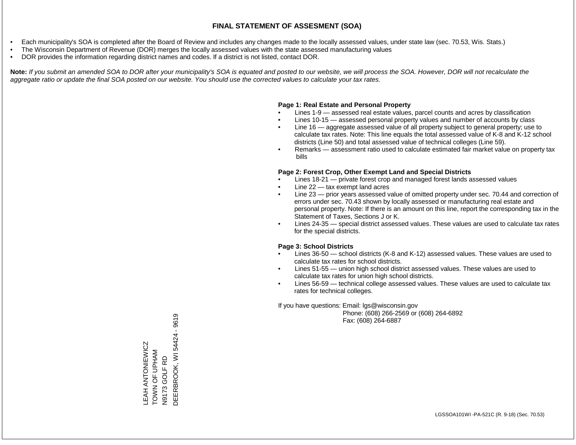- Each municipality's SOA is completed after the Board of Review and includes any changes made to the locally assessed values, under state law (sec. 70.53, Wis. Stats.)
- The Wisconsin Department of Revenue (DOR) merges the locally assessed values with the state assessed manufacturing values
- DOR provides the information regarding district names and codes. If a district is not listed, contact DOR.

Note: If you submit an amended SOA to DOR after your municipality's SOA is equated and posted to our website, we will process the SOA. However, DOR will not recalculate the *aggregate ratio or update the final SOA posted on our website. You should use the corrected values to calculate your tax rates.*

# **Page 1: Real Estate and Personal Property**

- Lines 1-9 assessed real estate values, parcel counts and acres by classification
- Lines 10-15 assessed personal property values and number of accounts by class
- Line 16 aggregate assessed value of all property subject to general property; use to calculate tax rates. Note: This line equals the total assessed value of K-8 and K-12 school districts (Line 50) and total assessed value of technical colleges (Line 59).
- Remarks assessment ratio used to calculate estimated fair market value on property tax bills

# **Page 2: Forest Crop, Other Exempt Land and Special Districts**

- Lines 18-21 private forest crop and managed forest lands assessed values
- Line  $22 -$  tax exempt land acres
- Line 23 prior years assessed value of omitted property under sec. 70.44 and correction of errors under sec. 70.43 shown by locally assessed or manufacturing real estate and personal property. Note: If there is an amount on this line, report the corresponding tax in the Statement of Taxes, Sections J or K.
- Lines 24-35 special district assessed values. These values are used to calculate tax rates for the special districts.

# **Page 3: School Districts**

- Lines 36-50 school districts (K-8 and K-12) assessed values. These values are used to calculate tax rates for school districts.
- Lines 51-55 union high school district assessed values. These values are used to calculate tax rates for union high school districts.
- Lines 56-59 technical college assessed values. These values are used to calculate tax rates for technical colleges.

If you have questions: Email: lgs@wisconsin.gov

 Phone: (608) 266-2569 or (608) 264-6892 Fax: (608) 264-6887

DEERBROOK, WI54424 - 9619 DEERBROOK, WI 54424 - 9619LEAH ANTONIEWICZ<br>TOWN OF UPHAM<br>N9173 GOLF RD LEAH ANTONIEWICZ TOWN OF UPHAM N9173 GOLF RD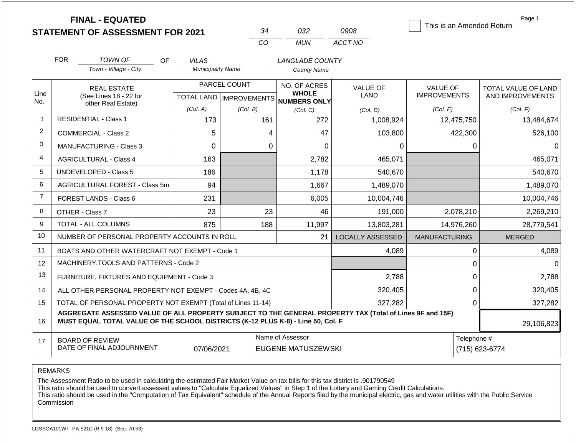|                | <b>FINAL - EQUATED</b><br><b>STATEMENT OF ASSESSMENT FOR 2021</b>                                                                                                                            |                                          | 34                                           | 032                                           | 0908                    | This is an Amended Return | Page 1                     |
|----------------|----------------------------------------------------------------------------------------------------------------------------------------------------------------------------------------------|------------------------------------------|----------------------------------------------|-----------------------------------------------|-------------------------|---------------------------|----------------------------|
|                |                                                                                                                                                                                              |                                          | CO                                           | <b>MUN</b>                                    | ACCT NO                 |                           |                            |
|                |                                                                                                                                                                                              |                                          |                                              |                                               |                         |                           |                            |
|                | <b>FOR</b><br><b>TOWN OF</b><br>OF.<br>Town - Village - City                                                                                                                                 | <b>VILAS</b><br><b>Municipality Name</b> |                                              | <b>LANGLADE COUNTY</b><br><b>County Name</b>  |                         |                           |                            |
|                |                                                                                                                                                                                              |                                          |                                              |                                               |                         |                           |                            |
| Line           | <b>REAL ESTATE</b>                                                                                                                                                                           |                                          | PARCEL COUNT<br>NO. OF ACRES<br><b>WHOLE</b> |                                               | <b>VALUE OF</b>         | <b>VALUE OF</b>           | <b>TOTAL VALUE OF LAND</b> |
| No.            | (See Lines 18 - 22 for<br>other Real Estate)                                                                                                                                                 |                                          | TOTAL LAND   IMPROVEMENTS                    | <b>NUMBERS ONLY</b>                           | <b>LAND</b>             | <b>IMPROVEMENTS</b>       | AND IMPROVEMENTS           |
|                |                                                                                                                                                                                              | (Col. A)                                 | (Col. B)                                     | (Col, C)                                      | (Col. D)                | (Col. E)                  | (Col. F)                   |
| 1              | <b>RESIDENTIAL - Class 1</b>                                                                                                                                                                 | 173                                      | 161                                          | 272                                           | 1,008,924               | 12,475,750                | 13,484,674                 |
| $\overline{2}$ | <b>COMMERCIAL - Class 2</b>                                                                                                                                                                  | 5                                        | 4                                            | 47                                            | 103,800                 | 422,300                   | 526,100                    |
| 3              | <b>MANUFACTURING - Class 3</b>                                                                                                                                                               | $\overline{0}$                           | $\mathbf 0$                                  | 0                                             | 0                       | $\Omega$                  | $\Omega$                   |
| 4              | <b>AGRICULTURAL - Class 4</b>                                                                                                                                                                | 163                                      |                                              | 2,782                                         | 465,071                 |                           | 465,071                    |
| 5              | <b>UNDEVELOPED - Class 5</b>                                                                                                                                                                 | 186                                      |                                              | 1,178                                         | 540,670                 |                           | 540,670                    |
| 6              | AGRICULTURAL FOREST - Class 5m                                                                                                                                                               | 94                                       |                                              | 1,667                                         | 1,489,070               |                           | 1,489,070                  |
| $\overline{7}$ | FOREST LANDS - Class 6                                                                                                                                                                       | 231                                      |                                              | 6,005                                         | 10,004,746              |                           | 10,004,746                 |
| 8              | OTHER - Class 7                                                                                                                                                                              | 23                                       | 23                                           | 46                                            | 191,000                 | 2,078,210                 | 2,269,210                  |
| 9              | <b>TOTAL - ALL COLUMNS</b>                                                                                                                                                                   | 875                                      | 188                                          | 11,997                                        | 13,803,281              | 14,976,260                | 28,779,541                 |
| 10             | NUMBER OF PERSONAL PROPERTY ACCOUNTS IN ROLL                                                                                                                                                 |                                          |                                              | 21                                            | <b>LOCALLY ASSESSED</b> | <b>MANUFACTURING</b>      | <b>MERGED</b>              |
| 11             | BOATS AND OTHER WATERCRAFT NOT EXEMPT - Code 1                                                                                                                                               |                                          |                                              |                                               | 4,089                   | 0                         | 4,089                      |
| 12             | MACHINERY, TOOLS AND PATTERNS - Code 2                                                                                                                                                       |                                          |                                              |                                               |                         | 0                         | $\Omega$                   |
| 13             | FURNITURE, FIXTURES AND EQUIPMENT - Code 3                                                                                                                                                   |                                          |                                              |                                               | 2,788                   | $\pmb{0}$                 | 2,788                      |
| 14             | ALL OTHER PERSONAL PROPERTY NOT EXEMPT - Codes 4A, 4B, 4C                                                                                                                                    |                                          |                                              |                                               | 320,405                 | $\mathbf 0$               | 320,405                    |
| 15             | TOTAL OF PERSONAL PROPERTY NOT EXEMPT (Total of Lines 11-14)                                                                                                                                 |                                          |                                              | 327,282                                       | 0                       | 327,282                   |                            |
| 16             | AGGREGATE ASSESSED VALUE OF ALL PROPERTY SUBJECT TO THE GENERAL PROPERTY TAX (Total of Lines 9F and 15F)<br>MUST EQUAL TOTAL VALUE OF THE SCHOOL DISTRICTS (K-12 PLUS K-8) - Line 50, Col. F |                                          |                                              |                                               |                         |                           | 29,106,823                 |
| 17             | <b>BOARD OF REVIEW</b><br>DATE OF FINAL ADJOURNMENT                                                                                                                                          | 07/06/2021                               |                                              | Name of Assessor<br><b>EUGENE MATUSZEWSKI</b> |                         | Telephone #               | (715) 623-6774             |

The Assessment Ratio to be used in calculating the estimated Fair Market Value on tax bills for this tax district is .901790549

This ratio should be used to convert assessed values to "Calculate Equalized Values" in Step 1 of the Lottery and Gaming Credit Calculations.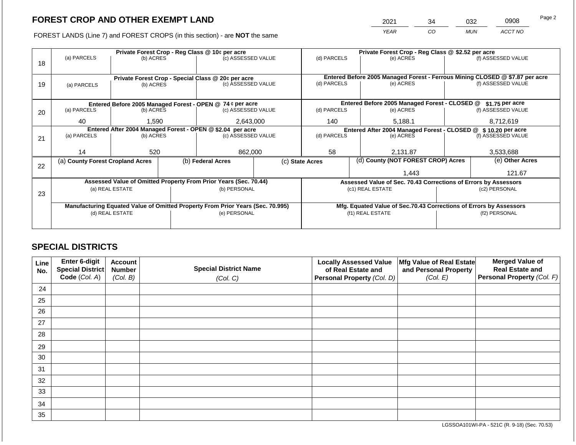2021 34 032 0908

FOREST LANDS (Line 7) and FOREST CROPS (in this section) - are **NOT** the same *YEAR CO MUN ACCT NO*

|    |                                                                                                   |           |              | Private Forest Crop - Reg Class @ 10¢ per acre                           |                                                                | Private Forest Crop - Reg Class @ \$2.52 per acre                                           |                  |                                                                 |                                                                    |                    |  |
|----|---------------------------------------------------------------------------------------------------|-----------|--------------|--------------------------------------------------------------------------|----------------------------------------------------------------|---------------------------------------------------------------------------------------------|------------------|-----------------------------------------------------------------|--------------------------------------------------------------------|--------------------|--|
|    | (a) PARCELS                                                                                       | (b) ACRES |              | (c) ASSESSED VALUE                                                       |                                                                | (d) PARCELS                                                                                 |                  | (e) ACRES                                                       |                                                                    | (f) ASSESSED VALUE |  |
| 18 |                                                                                                   |           |              |                                                                          |                                                                |                                                                                             |                  |                                                                 |                                                                    |                    |  |
|    |                                                                                                   |           |              |                                                                          |                                                                |                                                                                             |                  |                                                                 |                                                                    |                    |  |
|    |                                                                                                   |           |              | Private Forest Crop - Special Class @ 20¢ per acre<br>(c) ASSESSED VALUE |                                                                | Entered Before 2005 Managed Forest - Ferrous Mining CLOSED @ \$7.87 per acre<br>(d) PARCELS |                  | (e) ACRES                                                       |                                                                    | (f) ASSESSED VALUE |  |
| 19 | (a) PARCELS                                                                                       | (b) ACRES |              |                                                                          |                                                                |                                                                                             |                  |                                                                 |                                                                    |                    |  |
|    |                                                                                                   |           |              |                                                                          |                                                                |                                                                                             |                  |                                                                 |                                                                    |                    |  |
|    |                                                                                                   |           |              | Entered Before 2005 Managed Forest - OPEN @ 74 ¢ per acre                |                                                                |                                                                                             |                  | Entered Before 2005 Managed Forest - CLOSED @                   |                                                                    | \$1.75 per acre    |  |
| 20 | (a) PARCELS                                                                                       | (b) ACRES |              | (c) ASSESSED VALUE                                                       |                                                                | (d) PARCELS                                                                                 |                  | (e) ACRES                                                       |                                                                    | (f) ASSESSED VALUE |  |
|    |                                                                                                   |           |              |                                                                          |                                                                |                                                                                             |                  |                                                                 |                                                                    |                    |  |
|    | 40<br>1,590                                                                                       |           |              | 2,643,000                                                                |                                                                | 140                                                                                         |                  | 5,188.1                                                         |                                                                    | 8,712,619          |  |
|    | Entered After 2004 Managed Forest - OPEN @ \$2.04 per acre                                        |           |              |                                                                          | Entered After 2004 Managed Forest - CLOSED @ \$ 10.20 per acre |                                                                                             |                  |                                                                 |                                                                    |                    |  |
| 21 | (a) PARCELS<br>(b) ACRES                                                                          |           |              | (c) ASSESSED VALUE                                                       |                                                                | (d) PARCELS                                                                                 |                  | (e) ACRES                                                       |                                                                    | (f) ASSESSED VALUE |  |
|    |                                                                                                   |           |              |                                                                          |                                                                |                                                                                             |                  |                                                                 |                                                                    |                    |  |
|    | 14                                                                                                | 520       |              | 862,000                                                                  |                                                                | 58                                                                                          |                  | 2,131.87                                                        |                                                                    | 3,533,688          |  |
|    | (a) County Forest Cropland Acres                                                                  |           |              | (b) Federal Acres                                                        |                                                                | (c) State Acres                                                                             |                  | (d) County (NOT FOREST CROP) Acres                              |                                                                    | (e) Other Acres    |  |
| 22 |                                                                                                   |           |              |                                                                          |                                                                |                                                                                             |                  |                                                                 |                                                                    |                    |  |
|    |                                                                                                   |           |              |                                                                          |                                                                | 1,443                                                                                       |                  |                                                                 | 121.67                                                             |                    |  |
|    |                                                                                                   |           |              | Assessed Value of Omitted Property From Prior Years (Sec. 70.44)         |                                                                |                                                                                             |                  | Assessed Value of Sec. 70.43 Corrections of Errors by Assessors |                                                                    |                    |  |
|    | (a) REAL ESTATE                                                                                   |           | (b) PERSONAL |                                                                          |                                                                |                                                                                             | (c1) REAL ESTATE |                                                                 | (c2) PERSONAL                                                      |                    |  |
| 23 |                                                                                                   |           |              |                                                                          |                                                                |                                                                                             |                  |                                                                 |                                                                    |                    |  |
|    |                                                                                                   |           |              |                                                                          |                                                                |                                                                                             |                  |                                                                 | Mfg. Equated Value of Sec.70.43 Corrections of Errors by Assessors |                    |  |
|    | Manufacturing Equated Value of Omitted Property From Prior Years (Sec. 70.995)<br>(d) REAL ESTATE |           |              | (e) PERSONAL                                                             |                                                                |                                                                                             |                  | (f1) REAL ESTATE                                                |                                                                    | (f2) PERSONAL      |  |
|    |                                                                                                   |           |              |                                                                          |                                                                |                                                                                             |                  |                                                                 |                                                                    |                    |  |
|    |                                                                                                   |           |              |                                                                          |                                                                |                                                                                             |                  |                                                                 |                                                                    |                    |  |

# **SPECIAL DISTRICTS**

| Line<br>No. | Enter 6-digit<br>Special District<br>Code (Col. A) | <b>Account</b><br><b>Number</b><br>(Col. B) | <b>Special District Name</b><br>(Col. C) | <b>Locally Assessed Value</b><br>of Real Estate and<br><b>Personal Property (Col. D)</b> | Mfg Value of Real Estate<br>and Personal Property<br>(Col. E) | <b>Merged Value of</b><br><b>Real Estate and</b><br>Personal Property (Col. F) |
|-------------|----------------------------------------------------|---------------------------------------------|------------------------------------------|------------------------------------------------------------------------------------------|---------------------------------------------------------------|--------------------------------------------------------------------------------|
| 24          |                                                    |                                             |                                          |                                                                                          |                                                               |                                                                                |
| 25          |                                                    |                                             |                                          |                                                                                          |                                                               |                                                                                |
| 26          |                                                    |                                             |                                          |                                                                                          |                                                               |                                                                                |
| 27          |                                                    |                                             |                                          |                                                                                          |                                                               |                                                                                |
| 28          |                                                    |                                             |                                          |                                                                                          |                                                               |                                                                                |
| 29          |                                                    |                                             |                                          |                                                                                          |                                                               |                                                                                |
| 30          |                                                    |                                             |                                          |                                                                                          |                                                               |                                                                                |
| 31          |                                                    |                                             |                                          |                                                                                          |                                                               |                                                                                |
| 32          |                                                    |                                             |                                          |                                                                                          |                                                               |                                                                                |
| 33          |                                                    |                                             |                                          |                                                                                          |                                                               |                                                                                |
| 34          |                                                    |                                             |                                          |                                                                                          |                                                               |                                                                                |
| 35          |                                                    |                                             |                                          |                                                                                          |                                                               |                                                                                |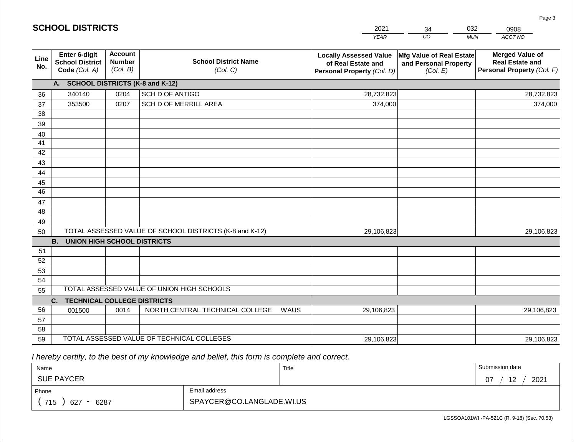|             | <b>SCHOOL DISTRICTS</b>                                  |                                             |                                                         | 2021                                                                              | 34                                                            | 032<br>0908                                                                    |
|-------------|----------------------------------------------------------|---------------------------------------------|---------------------------------------------------------|-----------------------------------------------------------------------------------|---------------------------------------------------------------|--------------------------------------------------------------------------------|
|             |                                                          |                                             |                                                         | <b>YEAR</b>                                                                       | CO                                                            | ACCT NO<br><b>MUN</b>                                                          |
| Line<br>No. | Enter 6-digit<br><b>School District</b><br>Code (Col. A) | <b>Account</b><br><b>Number</b><br>(Col. B) | <b>School District Name</b><br>(Col. C)                 | <b>Locally Assessed Value</b><br>of Real Estate and<br>Personal Property (Col. D) | Mfg Value of Real Estate<br>and Personal Property<br>(Col. E) | <b>Merged Value of</b><br><b>Real Estate and</b><br>Personal Property (Col. F) |
|             | A. SCHOOL DISTRICTS (K-8 and K-12)                       |                                             |                                                         |                                                                                   |                                                               |                                                                                |
| 36          | 340140                                                   | 0204                                        | SCH D OF ANTIGO                                         | 28,732,823                                                                        |                                                               | 28,732,823                                                                     |
| 37          | 353500                                                   | 0207                                        | SCH D OF MERRILL AREA                                   | 374,000                                                                           |                                                               | 374,000                                                                        |
| 38          |                                                          |                                             |                                                         |                                                                                   |                                                               |                                                                                |
| 39          |                                                          |                                             |                                                         |                                                                                   |                                                               |                                                                                |
| 40          |                                                          |                                             |                                                         |                                                                                   |                                                               |                                                                                |
| 41          |                                                          |                                             |                                                         |                                                                                   |                                                               |                                                                                |
| 42          |                                                          |                                             |                                                         |                                                                                   |                                                               |                                                                                |
| 43          |                                                          |                                             |                                                         |                                                                                   |                                                               |                                                                                |
| 44          |                                                          |                                             |                                                         |                                                                                   |                                                               |                                                                                |
| 45<br>46    |                                                          |                                             |                                                         |                                                                                   |                                                               |                                                                                |
| 47          |                                                          |                                             |                                                         |                                                                                   |                                                               |                                                                                |
| 48          |                                                          |                                             |                                                         |                                                                                   |                                                               |                                                                                |
| 49          |                                                          |                                             |                                                         |                                                                                   |                                                               |                                                                                |
| 50          |                                                          |                                             | TOTAL ASSESSED VALUE OF SCHOOL DISTRICTS (K-8 and K-12) | 29,106,823                                                                        |                                                               | 29,106,823                                                                     |
|             | <b>B.</b><br><b>UNION HIGH SCHOOL DISTRICTS</b>          |                                             |                                                         |                                                                                   |                                                               |                                                                                |
| 51          |                                                          |                                             |                                                         |                                                                                   |                                                               |                                                                                |
| 52          |                                                          |                                             |                                                         |                                                                                   |                                                               |                                                                                |
| 53          |                                                          |                                             |                                                         |                                                                                   |                                                               |                                                                                |
| 54          |                                                          |                                             |                                                         |                                                                                   |                                                               |                                                                                |
| 55          |                                                          |                                             | TOTAL ASSESSED VALUE OF UNION HIGH SCHOOLS              |                                                                                   |                                                               |                                                                                |
|             | <b>TECHNICAL COLLEGE DISTRICTS</b><br>C.                 |                                             |                                                         |                                                                                   |                                                               |                                                                                |
| 56          | 001500                                                   | 0014                                        | NORTH CENTRAL TECHNICAL COLLEGE                         | WAUS<br>29,106,823                                                                |                                                               | 29,106,823                                                                     |
| 57          |                                                          |                                             |                                                         |                                                                                   |                                                               |                                                                                |
| 58          |                                                          |                                             | TOTAL ASSESSED VALUE OF TECHNICAL COLLEGES              |                                                                                   |                                                               |                                                                                |
| 59          |                                                          |                                             |                                                         | 29,106,823                                                                        |                                                               | 29,106,823                                                                     |

 *I hereby certify, to the best of my knowledge and belief, this form is complete and correct.*

**SCHOOL DISTRICTS**

| Name               |                           | Title | Submission date                        |
|--------------------|---------------------------|-------|----------------------------------------|
| <b>SUE PAYCER</b>  |                           |       | 12<br>2021<br>07<br>υ.<br>. <u>. .</u> |
| Phone              | Email address             |       |                                        |
| 715<br>6287<br>627 | SPAYCER@CO.LANGLADE.WI.US |       |                                        |

Page 3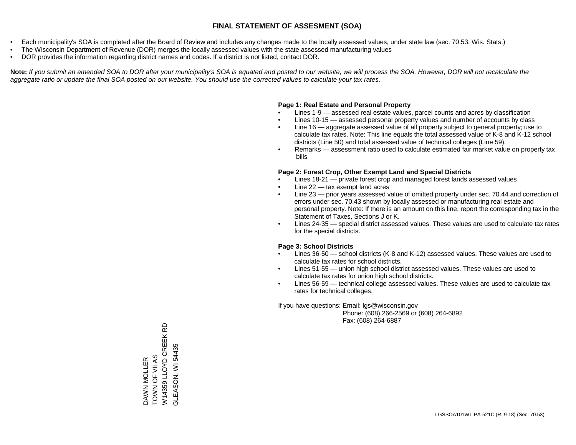- Each municipality's SOA is completed after the Board of Review and includes any changes made to the locally assessed values, under state law (sec. 70.53, Wis. Stats.)
- The Wisconsin Department of Revenue (DOR) merges the locally assessed values with the state assessed manufacturing values
- DOR provides the information regarding district names and codes. If a district is not listed, contact DOR.

Note: If you submit an amended SOA to DOR after your municipality's SOA is equated and posted to our website, we will process the SOA. However, DOR will not recalculate the *aggregate ratio or update the final SOA posted on our website. You should use the corrected values to calculate your tax rates.*

#### **Page 1: Real Estate and Personal Property**

- Lines 1-9 assessed real estate values, parcel counts and acres by classification
- Lines 10-15 assessed personal property values and number of accounts by class
- Line 16 aggregate assessed value of all property subject to general property; use to calculate tax rates. Note: This line equals the total assessed value of K-8 and K-12 school districts (Line 50) and total assessed value of technical colleges (Line 59).
- Remarks assessment ratio used to calculate estimated fair market value on property tax bills

#### **Page 2: Forest Crop, Other Exempt Land and Special Districts**

- Lines 18-21 private forest crop and managed forest lands assessed values
- Line  $22 -$  tax exempt land acres
- Line 23 prior years assessed value of omitted property under sec. 70.44 and correction of errors under sec. 70.43 shown by locally assessed or manufacturing real estate and personal property. Note: If there is an amount on this line, report the corresponding tax in the Statement of Taxes, Sections J or K.
- Lines 24-35 special district assessed values. These values are used to calculate tax rates for the special districts.

#### **Page 3: School Districts**

- Lines 36-50 school districts (K-8 and K-12) assessed values. These values are used to calculate tax rates for school districts.
- Lines 51-55 union high school district assessed values. These values are used to calculate tax rates for union high school districts.
- Lines 56-59 technical college assessed values. These values are used to calculate tax rates for technical colleges.

If you have questions: Email: lgs@wisconsin.gov

 Phone: (608) 266-2569 or (608) 264-6892 Fax: (608) 264-6887

6D W14359 LLOYD CREEK RD W14359 LLOYD CREEK GLEASON, WI54435 GLEASON, WI 54435DAWN MOLLER<br>TOWN OF VILAS TOWN OF VILAS DAWN MOLLER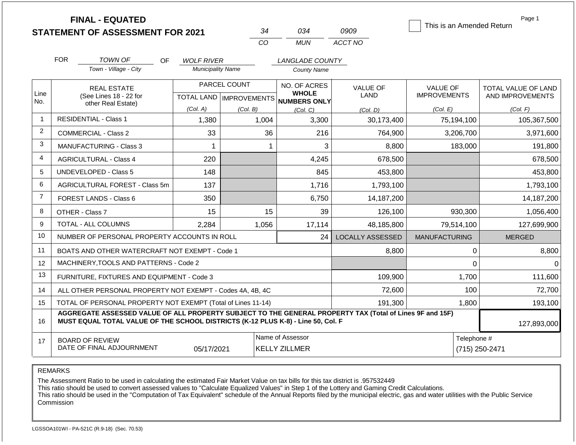|                |                                     | <b>FINAL - EQUATED</b><br><b>STATEMENT OF ASSESSMENT FOR 2021</b>                                                                                                                            |                                               |              | 34       | 034                                                 | 0909                           | This is an Amended Return              | Page 1                                  |  |
|----------------|-------------------------------------|----------------------------------------------------------------------------------------------------------------------------------------------------------------------------------------------|-----------------------------------------------|--------------|----------|-----------------------------------------------------|--------------------------------|----------------------------------------|-----------------------------------------|--|
|                |                                     |                                                                                                                                                                                              |                                               |              | CO       | <b>MUN</b>                                          | ACCT NO                        |                                        |                                         |  |
|                | <b>FOR</b>                          |                                                                                                                                                                                              |                                               |              |          |                                                     |                                |                                        |                                         |  |
|                |                                     | TOWN OF<br>OF.<br>Town - Village - City                                                                                                                                                      | <b>WOLF RIVER</b><br><b>Municipality Name</b> |              |          | LANGLADE COUNTY<br><b>County Name</b>               |                                |                                        |                                         |  |
| Line<br>No.    |                                     | <b>REAL ESTATE</b><br>(See Lines 18 - 22 for                                                                                                                                                 | TOTAL LAND   IMPROVEMENTS                     | PARCEL COUNT |          | NO. OF ACRES<br><b>WHOLE</b><br><b>NUMBERS ONLY</b> | <b>VALUE OF</b><br><b>LAND</b> | <b>VALUE OF</b><br><b>IMPROVEMENTS</b> | TOTAL VALUE OF LAND<br>AND IMPROVEMENTS |  |
|                |                                     | other Real Estate)                                                                                                                                                                           | (Col. A)<br>(Col. B)<br>(Col, C)<br>(Col. D)  |              | (Col. E) | (Col. F)                                            |                                |                                        |                                         |  |
| $\mathbf{1}$   |                                     | <b>RESIDENTIAL - Class 1</b>                                                                                                                                                                 | 1,380                                         |              | 1,004    | 3,300                                               | 30,173,400                     | 75,194,100                             | 105,367,500                             |  |
| 2              |                                     | COMMERCIAL - Class 2                                                                                                                                                                         | 33                                            |              | 36       | 216                                                 | 764,900                        | 3,206,700                              | 3,971,600                               |  |
| 3              | <b>MANUFACTURING - Class 3</b><br>1 |                                                                                                                                                                                              |                                               |              |          | 3                                                   | 8,800                          | 183,000                                | 191,800                                 |  |
| 4              |                                     | <b>AGRICULTURAL - Class 4</b>                                                                                                                                                                | 220                                           |              |          | 4,245                                               | 678,500                        |                                        | 678,500                                 |  |
| 5              | <b>UNDEVELOPED - Class 5</b>        |                                                                                                                                                                                              | 148                                           |              |          | 845                                                 | 453,800                        |                                        | 453,800                                 |  |
| 6              |                                     | AGRICULTURAL FOREST - Class 5m                                                                                                                                                               | 137                                           |              |          | 1,716                                               | 1,793,100                      |                                        | 1,793,100                               |  |
| $\overline{7}$ |                                     | FOREST LANDS - Class 6                                                                                                                                                                       | 350                                           |              |          | 6,750                                               | 14,187,200                     |                                        | 14,187,200                              |  |
| 8              |                                     | OTHER - Class 7                                                                                                                                                                              | 15                                            |              | 15       | 39                                                  | 126,100                        | 930,300                                | 1,056,400                               |  |
| 9              |                                     | <b>TOTAL - ALL COLUMNS</b>                                                                                                                                                                   | 2,284                                         |              | 1,056    | 17,114                                              | 48,185,800                     | 79,514,100                             | 127,699,900                             |  |
| 10             |                                     | NUMBER OF PERSONAL PROPERTY ACCOUNTS IN ROLL                                                                                                                                                 |                                               |              |          | 24                                                  | <b>LOCALLY ASSESSED</b>        | <b>MANUFACTURING</b>                   | <b>MERGED</b>                           |  |
| 11             |                                     | BOATS AND OTHER WATERCRAFT NOT EXEMPT - Code 1                                                                                                                                               |                                               |              |          |                                                     | 8.800                          | $\pmb{0}$                              | 8,800                                   |  |
| 12             |                                     | MACHINERY, TOOLS AND PATTERNS - Code 2                                                                                                                                                       |                                               |              |          |                                                     |                                | $\Omega$                               | $\Omega$                                |  |
| 13             |                                     | FURNITURE, FIXTURES AND EQUIPMENT - Code 3                                                                                                                                                   |                                               |              |          |                                                     | 109,900                        | 1,700                                  | 111,600                                 |  |
| 14             |                                     | ALL OTHER PERSONAL PROPERTY NOT EXEMPT - Codes 4A, 4B, 4C                                                                                                                                    |                                               |              |          |                                                     | 72,600                         | 100                                    | 72,700                                  |  |
| 15             |                                     | TOTAL OF PERSONAL PROPERTY NOT EXEMPT (Total of Lines 11-14)                                                                                                                                 |                                               |              |          |                                                     | 191,300                        | 1,800                                  | 193,100                                 |  |
| 16             |                                     | AGGREGATE ASSESSED VALUE OF ALL PROPERTY SUBJECT TO THE GENERAL PROPERTY TAX (Total of Lines 9F and 15F)<br>MUST EQUAL TOTAL VALUE OF THE SCHOOL DISTRICTS (K-12 PLUS K-8) - Line 50, Col. F |                                               |              |          |                                                     |                                |                                        | 127,893,000                             |  |
| 17             |                                     | <b>BOARD OF REVIEW</b><br>DATE OF FINAL ADJOURNMENT                                                                                                                                          | 05/17/2021                                    |              |          | Name of Assessor<br><b>KELLY ZILLMER</b>            |                                |                                        | Telephone #<br>(715) 250-2471           |  |

The Assessment Ratio to be used in calculating the estimated Fair Market Value on tax bills for this tax district is .957532449

This ratio should be used to convert assessed values to "Calculate Equalized Values" in Step 1 of the Lottery and Gaming Credit Calculations.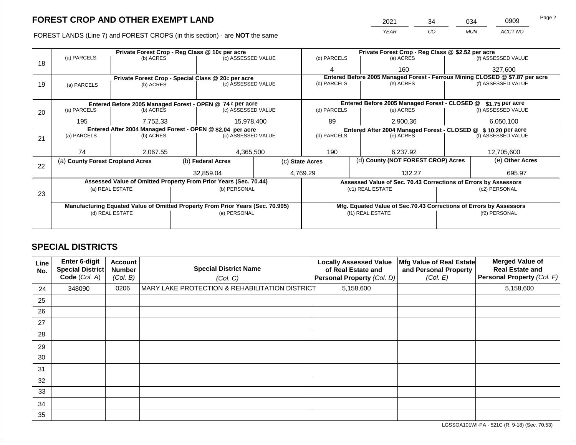FOREST LANDS (Line 7) and FOREST CROPS (in this section) - are NOT the san

|             | CROP AND OTHER EXEMPT LAND                                                 |                    |             | 2021                                              | 34  | 034 | 0909               | ι αγ <del>ο</del> ∠ |
|-------------|----------------------------------------------------------------------------|--------------------|-------------|---------------------------------------------------|-----|-----|--------------------|---------------------|
|             | ANDS (Line 7) and FOREST CROPS (in this section) - are <b>NOT</b> the same |                    |             | <b>YEAR</b>                                       | CO. | MUN | ACCT NO            |                     |
|             | Private Forest Crop - Reg Class @ 10¢ per acre                             |                    |             | Private Forest Crop - Reg Class @ \$2.52 per acre |     |     |                    |                     |
| (a) PARCELS | (b) ACRES                                                                  | (c) ASSESSED VALUE | (d) PARCELS | (e) ACRES                                         |     |     | (f) ASSESSED VALUE |                     |
|             |                                                                            |                    |             | 160                                               |     |     | 327.600            |                     |

| 18 | 101101120                                                                             |                 |  | (0, 0.0000000, 0.000000)                                                       |  |                                                                              | (0, 1, 0, 1, 0)                                                    |        |                    |  |
|----|---------------------------------------------------------------------------------------|-----------------|--|--------------------------------------------------------------------------------|--|------------------------------------------------------------------------------|--------------------------------------------------------------------|--------|--------------------|--|
|    |                                                                                       |                 |  |                                                                                |  |                                                                              | 160                                                                |        | 327,600            |  |
|    |                                                                                       |                 |  | Private Forest Crop - Special Class @ 20¢ per acre                             |  | Entered Before 2005 Managed Forest - Ferrous Mining CLOSED @ \$7.87 per acre |                                                                    |        |                    |  |
| 19 | (a) PARCELS                                                                           | (b) ACRES       |  | (c) ASSESSED VALUE                                                             |  | (d) PARCELS                                                                  | (e) ACRES                                                          |        | (f) ASSESSED VALUE |  |
|    |                                                                                       |                 |  |                                                                                |  |                                                                              |                                                                    |        |                    |  |
|    |                                                                                       |                 |  |                                                                                |  |                                                                              | Entered Before 2005 Managed Forest - CLOSED @ \$1.75 per acre      |        |                    |  |
|    | Entered Before 2005 Managed Forest - OPEN @ 74 ¢ per acre<br>(a) PARCELS<br>(b) ACRES |                 |  | (c) ASSESSED VALUE                                                             |  |                                                                              |                                                                    |        | (f) ASSESSED VALUE |  |
| 20 |                                                                                       |                 |  |                                                                                |  | (d) PARCELS                                                                  | (e) ACRES                                                          |        |                    |  |
|    | 195<br>7,752.33                                                                       |                 |  | 15,978,400                                                                     |  | 89                                                                           | 2,900.36                                                           |        |                    |  |
|    | Entered After 2004 Managed Forest - OPEN @ \$2.04 per acre                            |                 |  |                                                                                |  |                                                                              | Entered After 2004 Managed Forest - CLOSED @ \$10.20 per acre      |        |                    |  |
| 21 | (a) PARCELS<br>(b) ACRES                                                              |                 |  | (c) ASSESSED VALUE                                                             |  | (d) PARCELS                                                                  | (e) ACRES                                                          |        |                    |  |
|    |                                                                                       |                 |  |                                                                                |  |                                                                              |                                                                    |        |                    |  |
|    |                                                                                       |                 |  |                                                                                |  |                                                                              |                                                                    |        |                    |  |
|    | 74                                                                                    | 2,067.55        |  | 4,365,500                                                                      |  | 190                                                                          | 6,237.92                                                           |        | 12,705,600         |  |
|    | (a) County Forest Cropland Acres                                                      |                 |  | (b) Federal Acres                                                              |  | (c) State Acres                                                              | (d) County (NOT FOREST CROP) Acres                                 |        | (e) Other Acres    |  |
| 22 |                                                                                       |                 |  |                                                                                |  |                                                                              |                                                                    |        |                    |  |
|    |                                                                                       |                 |  | 32,859.04                                                                      |  | 132.27<br>4,769.29                                                           |                                                                    | 695.97 |                    |  |
|    |                                                                                       |                 |  | Assessed Value of Omitted Property From Prior Years (Sec. 70.44)               |  | Assessed Value of Sec. 70.43 Corrections of Errors by Assessors              |                                                                    |        |                    |  |
|    |                                                                                       | (a) REAL ESTATE |  | (b) PERSONAL                                                                   |  |                                                                              | (c1) REAL ESTATE                                                   |        | (c2) PERSONAL      |  |
| 23 |                                                                                       |                 |  |                                                                                |  |                                                                              |                                                                    |        |                    |  |
|    |                                                                                       |                 |  |                                                                                |  |                                                                              |                                                                    |        |                    |  |
|    |                                                                                       |                 |  | Manufacturing Equated Value of Omitted Property From Prior Years (Sec. 70.995) |  |                                                                              | Mfg. Equated Value of Sec.70.43 Corrections of Errors by Assessors |        |                    |  |
|    |                                                                                       | (d) REAL ESTATE |  | (e) PERSONAL                                                                   |  |                                                                              | (f1) REAL ESTATE                                                   |        | (f2) PERSONAL      |  |
|    |                                                                                       |                 |  |                                                                                |  |                                                                              |                                                                    |        |                    |  |
|    |                                                                                       |                 |  |                                                                                |  |                                                                              |                                                                    |        |                    |  |

# **SPECIAL DISTRICTS**

| <b>Line</b><br>No. | <b>Enter 6-digit</b><br>Special District<br>Code (Col. A) | <b>Account</b><br><b>Number</b><br>(Col. B) | <b>Special District Name</b><br>(Col. C)       | <b>Locally Assessed Value</b><br>of Real Estate and<br>Personal Property (Col. D) | Mfg Value of Real Estate<br>and Personal Property<br>(Col. E) | <b>Merged Value of</b><br><b>Real Estate and</b><br>Personal Property (Col. F) |
|--------------------|-----------------------------------------------------------|---------------------------------------------|------------------------------------------------|-----------------------------------------------------------------------------------|---------------------------------------------------------------|--------------------------------------------------------------------------------|
| 24                 | 348090                                                    | 0206                                        | MARY LAKE PROTECTION & REHABILITATION DISTRICT | 5,158,600                                                                         |                                                               | 5,158,600                                                                      |
| 25                 |                                                           |                                             |                                                |                                                                                   |                                                               |                                                                                |
| 26                 |                                                           |                                             |                                                |                                                                                   |                                                               |                                                                                |
| 27                 |                                                           |                                             |                                                |                                                                                   |                                                               |                                                                                |
| 28                 |                                                           |                                             |                                                |                                                                                   |                                                               |                                                                                |
| 29                 |                                                           |                                             |                                                |                                                                                   |                                                               |                                                                                |
| 30                 |                                                           |                                             |                                                |                                                                                   |                                                               |                                                                                |
| 31                 |                                                           |                                             |                                                |                                                                                   |                                                               |                                                                                |
| 32                 |                                                           |                                             |                                                |                                                                                   |                                                               |                                                                                |
| 33                 |                                                           |                                             |                                                |                                                                                   |                                                               |                                                                                |
| 34                 |                                                           |                                             |                                                |                                                                                   |                                                               |                                                                                |
| 35                 |                                                           |                                             |                                                |                                                                                   |                                                               |                                                                                |

LGSSOA101WI-PA - 521C (R. 9-18) (Sec. 70.53)

Page 2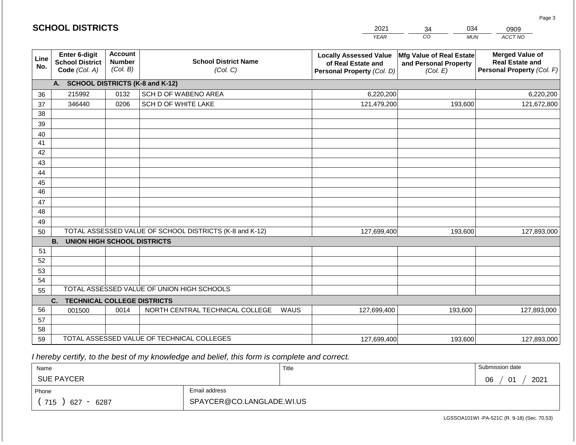|                 | <b>SCHOOL DISTRICTS</b>                                  |                                             |                                                         |      | 2021                                                                              | 034<br>34                                                     | 0909                                                                           |
|-----------------|----------------------------------------------------------|---------------------------------------------|---------------------------------------------------------|------|-----------------------------------------------------------------------------------|---------------------------------------------------------------|--------------------------------------------------------------------------------|
|                 |                                                          |                                             |                                                         |      | <b>YEAR</b>                                                                       | CO<br><b>MUN</b>                                              | ACCT NO                                                                        |
| Line<br>No.     | Enter 6-digit<br><b>School District</b><br>Code (Col. A) | <b>Account</b><br><b>Number</b><br>(Col. B) | <b>School District Name</b><br>(Col. C)                 |      | <b>Locally Assessed Value</b><br>of Real Estate and<br>Personal Property (Col. D) | Mfg Value of Real Estate<br>and Personal Property<br>(Col. E) | <b>Merged Value of</b><br><b>Real Estate and</b><br>Personal Property (Col. F) |
|                 | A. SCHOOL DISTRICTS (K-8 and K-12)                       |                                             |                                                         |      |                                                                                   |                                                               |                                                                                |
| 36              | 215992                                                   | 0132                                        | SCH D OF WABENO AREA                                    |      | 6,220,200                                                                         |                                                               | 6,220,200                                                                      |
| 37              | 346440                                                   | 0206                                        | SCH D OF WHITE LAKE                                     |      | 121,479,200                                                                       | 193,600                                                       | 121,672,800                                                                    |
| 38              |                                                          |                                             |                                                         |      |                                                                                   |                                                               |                                                                                |
| 39              |                                                          |                                             |                                                         |      |                                                                                   |                                                               |                                                                                |
| 40              |                                                          |                                             |                                                         |      |                                                                                   |                                                               |                                                                                |
| 41              |                                                          |                                             |                                                         |      |                                                                                   |                                                               |                                                                                |
| 42              |                                                          |                                             |                                                         |      |                                                                                   |                                                               |                                                                                |
| 43              |                                                          |                                             |                                                         |      |                                                                                   |                                                               |                                                                                |
| 44<br>45        |                                                          |                                             |                                                         |      |                                                                                   |                                                               |                                                                                |
| $\overline{46}$ |                                                          |                                             |                                                         |      |                                                                                   |                                                               |                                                                                |
| 47              |                                                          |                                             |                                                         |      |                                                                                   |                                                               |                                                                                |
| 48              |                                                          |                                             |                                                         |      |                                                                                   |                                                               |                                                                                |
| 49              |                                                          |                                             |                                                         |      |                                                                                   |                                                               |                                                                                |
| 50              |                                                          |                                             | TOTAL ASSESSED VALUE OF SCHOOL DISTRICTS (K-8 and K-12) |      | 127,699,400                                                                       | 193,600                                                       | 127,893,000                                                                    |
|                 | <b>B.</b><br><b>UNION HIGH SCHOOL DISTRICTS</b>          |                                             |                                                         |      |                                                                                   |                                                               |                                                                                |
| 51              |                                                          |                                             |                                                         |      |                                                                                   |                                                               |                                                                                |
| 52              |                                                          |                                             |                                                         |      |                                                                                   |                                                               |                                                                                |
| 53              |                                                          |                                             |                                                         |      |                                                                                   |                                                               |                                                                                |
| 54              |                                                          |                                             |                                                         |      |                                                                                   |                                                               |                                                                                |
| 55              |                                                          |                                             | TOTAL ASSESSED VALUE OF UNION HIGH SCHOOLS              |      |                                                                                   |                                                               |                                                                                |
|                 | C.<br><b>TECHNICAL COLLEGE DISTRICTS</b>                 |                                             |                                                         |      |                                                                                   |                                                               |                                                                                |
| 56              | 001500                                                   | 0014                                        | NORTH CENTRAL TECHNICAL COLLEGE                         | WAUS | 127,699,400                                                                       | 193,600                                                       | 127,893,000                                                                    |
| 57<br>58        |                                                          |                                             |                                                         |      |                                                                                   |                                                               |                                                                                |
| 59              |                                                          |                                             | TOTAL ASSESSED VALUE OF TECHNICAL COLLEGES              |      |                                                                                   | 193,600                                                       |                                                                                |
|                 |                                                          |                                             |                                                         |      | 127,699,400                                                                       |                                                               | 127,893,000                                                                    |

 *I hereby certify, to the best of my knowledge and belief, this form is complete and correct.*

**SCHOOL DISTRICTS**

| Name                                           |                           | Title | Submission date                        |
|------------------------------------------------|---------------------------|-------|----------------------------------------|
| <b>SUE PAYCER</b>                              |                           |       | 2021<br>∩ഭ<br>$\mathsf{A}$<br>νv<br>υ. |
| Phone                                          | Email address             |       |                                        |
| 715<br>6287<br>627<br>$\overline{\phantom{0}}$ | SPAYCER@CO.LANGLADE.WI.US |       |                                        |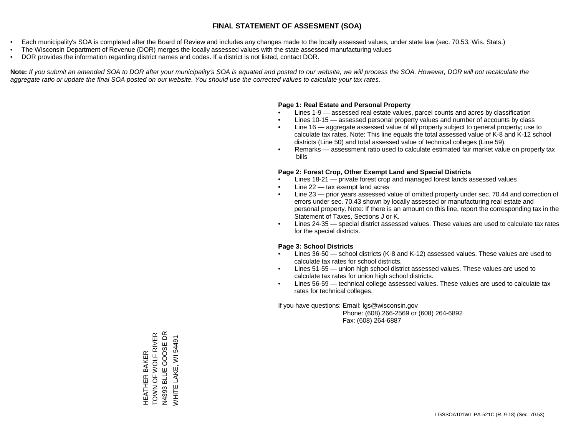- Each municipality's SOA is completed after the Board of Review and includes any changes made to the locally assessed values, under state law (sec. 70.53, Wis. Stats.)
- The Wisconsin Department of Revenue (DOR) merges the locally assessed values with the state assessed manufacturing values
- DOR provides the information regarding district names and codes. If a district is not listed, contact DOR.

Note: If you submit an amended SOA to DOR after your municipality's SOA is equated and posted to our website, we will process the SOA. However, DOR will not recalculate the *aggregate ratio or update the final SOA posted on our website. You should use the corrected values to calculate your tax rates.*

# **Page 1: Real Estate and Personal Property**

- Lines 1-9 assessed real estate values, parcel counts and acres by classification
- Lines 10-15 assessed personal property values and number of accounts by class
- Line 16 aggregate assessed value of all property subject to general property; use to calculate tax rates. Note: This line equals the total assessed value of K-8 and K-12 school districts (Line 50) and total assessed value of technical colleges (Line 59).
- Remarks assessment ratio used to calculate estimated fair market value on property tax bills

### **Page 2: Forest Crop, Other Exempt Land and Special Districts**

- Lines 18-21 private forest crop and managed forest lands assessed values
- Line  $22 -$  tax exempt land acres
- Line 23 prior years assessed value of omitted property under sec. 70.44 and correction of errors under sec. 70.43 shown by locally assessed or manufacturing real estate and personal property. Note: If there is an amount on this line, report the corresponding tax in the Statement of Taxes, Sections J or K.
- Lines 24-35 special district assessed values. These values are used to calculate tax rates for the special districts.

# **Page 3: School Districts**

- Lines 36-50 school districts (K-8 and K-12) assessed values. These values are used to calculate tax rates for school districts.
- Lines 51-55 union high school district assessed values. These values are used to calculate tax rates for union high school districts.
- Lines 56-59 technical college assessed values. These values are used to calculate tax rates for technical colleges.

If you have questions: Email: lgs@wisconsin.gov

 Phone: (608) 266-2569 or (608) 264-6892 Fax: (608) 264-6887

HEATHER BAKER<br>TOWN OF WOLF RIVER<br>N4393 BLUE GOOSE DR TOWN OF WOLF RIVER N4393 BLUE GOOSE DR WHITE LAKE, WI 54491 WHITE LAKE, WI 54491HEATHER BAKER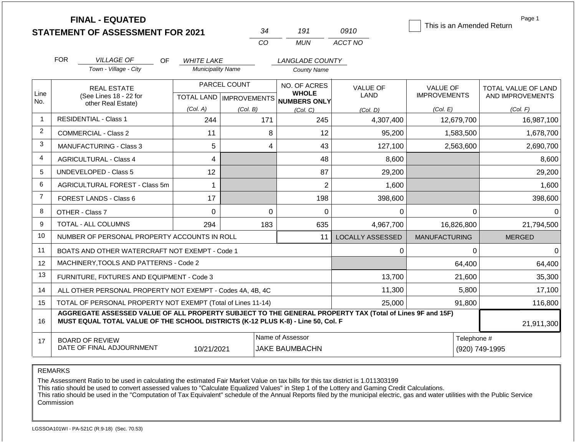|                | <b>FINAL - EQUATED</b><br><b>STATEMENT OF ASSESSMENT FOR 2021</b>                                                                                                                            |                                                      | 34                        | 191                                       | 0910                    | This is an Amended Return | Page 1                        |  |  |
|----------------|----------------------------------------------------------------------------------------------------------------------------------------------------------------------------------------------|------------------------------------------------------|---------------------------|-------------------------------------------|-------------------------|---------------------------|-------------------------------|--|--|
|                |                                                                                                                                                                                              |                                                      | <b>CO</b>                 | <b>MUN</b>                                | ACCT NO                 |                           |                               |  |  |
|                |                                                                                                                                                                                              |                                                      |                           |                                           |                         |                           |                               |  |  |
|                | <b>FOR</b><br><b>VILLAGE OF</b><br>OF.<br>Town - Village - City                                                                                                                              | <i><b>WHITE LAKE</b></i><br><b>Municipality Name</b> |                           | LANGLADE COUNTY<br><b>County Name</b>     |                         |                           |                               |  |  |
|                |                                                                                                                                                                                              |                                                      |                           |                                           |                         |                           |                               |  |  |
|                | <b>REAL ESTATE</b>                                                                                                                                                                           |                                                      | PARCEL COUNT              | NO. OF ACRES                              | <b>VALUE OF</b>         | <b>VALUE OF</b>           | TOTAL VALUE OF LAND           |  |  |
| Line<br>No.    | (See Lines 18 - 22 for<br>other Real Estate)                                                                                                                                                 |                                                      | TOTAL LAND   IMPROVEMENTS | <b>WHOLE</b><br>NUMBERS ONLY              | <b>LAND</b>             | <b>IMPROVEMENTS</b>       | AND IMPROVEMENTS              |  |  |
|                |                                                                                                                                                                                              | (Col. A)                                             | (Col. B)                  | (Col. C)                                  | (Col, D)                | (Col. E)                  | (Col. F)                      |  |  |
| $\mathbf{1}$   | <b>RESIDENTIAL - Class 1</b>                                                                                                                                                                 | 244                                                  | 171                       | 245                                       | 4,307,400               | 12,679,700                | 16,987,100                    |  |  |
| $\overline{2}$ | COMMERCIAL - Class 2                                                                                                                                                                         | 11                                                   |                           | 8<br>12                                   | 95,200                  | 1,583,500                 | 1,678,700                     |  |  |
| 3              | <b>MANUFACTURING - Class 3</b>                                                                                                                                                               | 5                                                    |                           | $\overline{4}$<br>43                      | 127,100                 | 2,563,600                 | 2,690,700                     |  |  |
| $\overline{4}$ | <b>AGRICULTURAL - Class 4</b>                                                                                                                                                                | 4                                                    |                           | 48<br>8,600                               |                         |                           | 8,600                         |  |  |
| 5              | UNDEVELOPED - Class 5                                                                                                                                                                        | 12                                                   |                           | 87                                        | 29,200                  |                           | 29,200                        |  |  |
| 6              | AGRICULTURAL FOREST - Class 5m                                                                                                                                                               | 1                                                    |                           | $\overline{2}$                            | 1,600                   |                           | 1,600                         |  |  |
| $\overline{7}$ | FOREST LANDS - Class 6                                                                                                                                                                       | 17                                                   |                           | 198                                       | 398,600                 |                           | 398,600                       |  |  |
| 8              | OTHER - Class 7                                                                                                                                                                              | $\Omega$                                             |                           | $\Omega$<br>0                             | 0                       | $\Omega$                  | $\Omega$                      |  |  |
| 9              | <b>TOTAL - ALL COLUMNS</b>                                                                                                                                                                   | 294                                                  | 183                       | 635                                       | 4,967,700               | 16,826,800                | 21,794,500                    |  |  |
| 10             | NUMBER OF PERSONAL PROPERTY ACCOUNTS IN ROLL                                                                                                                                                 |                                                      |                           | 11                                        | <b>LOCALLY ASSESSED</b> | <b>MANUFACTURING</b>      | <b>MERGED</b>                 |  |  |
| 11             | BOATS AND OTHER WATERCRAFT NOT EXEMPT - Code 1                                                                                                                                               |                                                      |                           |                                           | 0                       | $\Omega$                  | $\Omega$                      |  |  |
| 12             | MACHINERY, TOOLS AND PATTERNS - Code 2                                                                                                                                                       |                                                      |                           |                                           |                         | 64,400                    | 64,400                        |  |  |
| 13             | FURNITURE, FIXTURES AND EQUIPMENT - Code 3                                                                                                                                                   |                                                      |                           |                                           | 13,700                  | 21,600                    | 35,300                        |  |  |
| 14             | ALL OTHER PERSONAL PROPERTY NOT EXEMPT - Codes 4A, 4B, 4C                                                                                                                                    |                                                      |                           |                                           | 11,300                  | 5,800                     | 17,100                        |  |  |
| 15             | TOTAL OF PERSONAL PROPERTY NOT EXEMPT (Total of Lines 11-14)                                                                                                                                 |                                                      |                           |                                           | 25,000                  | 91,800                    | 116,800                       |  |  |
| 16             | AGGREGATE ASSESSED VALUE OF ALL PROPERTY SUBJECT TO THE GENERAL PROPERTY TAX (Total of Lines 9F and 15F)<br>MUST EQUAL TOTAL VALUE OF THE SCHOOL DISTRICTS (K-12 PLUS K-8) - Line 50, Col. F |                                                      |                           |                                           |                         |                           | 21,911,300                    |  |  |
| 17             | <b>BOARD OF REVIEW</b><br>DATE OF FINAL ADJOURNMENT                                                                                                                                          | 10/21/2021                                           |                           | Name of Assessor<br><b>JAKE BAUMBACHN</b> |                         |                           | Telephone #<br>(920) 749-1995 |  |  |

The Assessment Ratio to be used in calculating the estimated Fair Market Value on tax bills for this tax district is 1.011303199

This ratio should be used to convert assessed values to "Calculate Equalized Values" in Step 1 of the Lottery and Gaming Credit Calculations.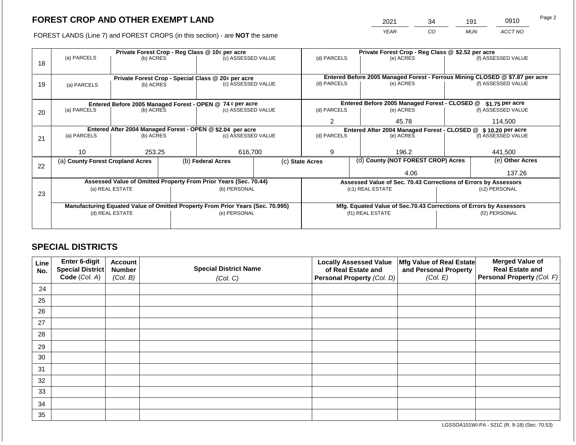2021 34 191 0910

FOREST LANDS (Line 7) and FOREST CROPS (in this section) - are **NOT** the same *YEAR CO MUN ACCT NO*

|    |                                                            |                 |  | Private Forest Crop - Reg Class @ 10¢ per acre                                 |  | Private Forest Crop - Reg Class @ \$2.52 per acre                  |                                                                              |                                                                 |               |                    |  |
|----|------------------------------------------------------------|-----------------|--|--------------------------------------------------------------------------------|--|--------------------------------------------------------------------|------------------------------------------------------------------------------|-----------------------------------------------------------------|---------------|--------------------|--|
| 18 | (a) PARCELS                                                | (b) ACRES       |  | (c) ASSESSED VALUE                                                             |  | (d) PARCELS                                                        |                                                                              | (e) ACRES                                                       |               | (f) ASSESSED VALUE |  |
|    |                                                            |                 |  | Private Forest Crop - Special Class @ 20¢ per acre                             |  |                                                                    | Entered Before 2005 Managed Forest - Ferrous Mining CLOSED @ \$7.87 per acre |                                                                 |               |                    |  |
| 19 | (a) PARCELS                                                | (b) ACRES       |  | (c) ASSESSED VALUE                                                             |  | (d) PARCELS                                                        |                                                                              | (e) ACRES                                                       |               | (f) ASSESSED VALUE |  |
|    |                                                            |                 |  |                                                                                |  |                                                                    |                                                                              |                                                                 |               |                    |  |
|    |                                                            |                 |  | Entered Before 2005 Managed Forest - OPEN @ 74 ¢ per acre                      |  |                                                                    |                                                                              | Entered Before 2005 Managed Forest - CLOSED @                   |               | $$1.75$ per acre   |  |
| 20 | (a) PARCELS<br>(b) ACRES                                   |                 |  | (c) ASSESSED VALUE                                                             |  | (d) PARCELS                                                        |                                                                              | (e) ACRES                                                       |               | (f) ASSESSED VALUE |  |
|    |                                                            |                 |  |                                                                                |  | $\overline{2}$                                                     |                                                                              | 45.78                                                           |               | 114,500            |  |
|    | Entered After 2004 Managed Forest - OPEN @ \$2.04 per acre |                 |  |                                                                                |  |                                                                    |                                                                              | Entered After 2004 Managed Forest - CLOSED @ \$10.20 per acre   |               |                    |  |
| 21 | (a) PARCELS                                                | (b) ACRES       |  | (c) ASSESSED VALUE                                                             |  | (d) PARCELS                                                        |                                                                              | (e) ACRES                                                       |               | (f) ASSESSED VALUE |  |
|    |                                                            |                 |  |                                                                                |  |                                                                    |                                                                              |                                                                 |               |                    |  |
|    | 10                                                         | 253.25          |  | 616,700                                                                        |  | 9                                                                  |                                                                              | 196.2                                                           |               | 441,500            |  |
| 22 | (a) County Forest Cropland Acres                           |                 |  | (b) Federal Acres                                                              |  | (c) State Acres                                                    |                                                                              | (d) County (NOT FOREST CROP) Acres                              |               | (e) Other Acres    |  |
|    |                                                            |                 |  |                                                                                |  |                                                                    |                                                                              | 4.06                                                            |               |                    |  |
|    |                                                            |                 |  | Assessed Value of Omitted Property From Prior Years (Sec. 70.44)               |  |                                                                    |                                                                              | Assessed Value of Sec. 70.43 Corrections of Errors by Assessors |               |                    |  |
|    |                                                            | (a) REAL ESTATE |  | (b) PERSONAL                                                                   |  |                                                                    |                                                                              | (c1) REAL ESTATE                                                | (c2) PERSONAL |                    |  |
| 23 |                                                            |                 |  |                                                                                |  |                                                                    |                                                                              |                                                                 |               |                    |  |
|    |                                                            |                 |  | Manufacturing Equated Value of Omitted Property From Prior Years (Sec. 70.995) |  | Mfg. Equated Value of Sec.70.43 Corrections of Errors by Assessors |                                                                              |                                                                 |               |                    |  |
|    |                                                            | (d) REAL ESTATE |  | (e) PERSONAL                                                                   |  |                                                                    |                                                                              | (f1) REAL ESTATE                                                | (f2) PERSONAL |                    |  |
|    |                                                            |                 |  |                                                                                |  |                                                                    |                                                                              |                                                                 |               |                    |  |
|    |                                                            |                 |  |                                                                                |  |                                                                    |                                                                              |                                                                 |               |                    |  |

# **SPECIAL DISTRICTS**

| Line<br>No. | Enter 6-digit<br><b>Special District</b><br>Code (Col. A) | <b>Account</b><br><b>Number</b><br>(Col. B) | <b>Special District Name</b><br>(Col. C) | <b>Locally Assessed Value</b><br>of Real Estate and<br>Personal Property (Col. D) | Mfg Value of Real Estate<br>and Personal Property<br>(Col. E) | <b>Merged Value of</b><br><b>Real Estate and</b><br>Personal Property (Col. F) |
|-------------|-----------------------------------------------------------|---------------------------------------------|------------------------------------------|-----------------------------------------------------------------------------------|---------------------------------------------------------------|--------------------------------------------------------------------------------|
| 24          |                                                           |                                             |                                          |                                                                                   |                                                               |                                                                                |
|             |                                                           |                                             |                                          |                                                                                   |                                                               |                                                                                |
| 25          |                                                           |                                             |                                          |                                                                                   |                                                               |                                                                                |
| 26          |                                                           |                                             |                                          |                                                                                   |                                                               |                                                                                |
| 27          |                                                           |                                             |                                          |                                                                                   |                                                               |                                                                                |
| 28          |                                                           |                                             |                                          |                                                                                   |                                                               |                                                                                |
| 29          |                                                           |                                             |                                          |                                                                                   |                                                               |                                                                                |
| 30          |                                                           |                                             |                                          |                                                                                   |                                                               |                                                                                |
| 31          |                                                           |                                             |                                          |                                                                                   |                                                               |                                                                                |
| 32          |                                                           |                                             |                                          |                                                                                   |                                                               |                                                                                |
| 33          |                                                           |                                             |                                          |                                                                                   |                                                               |                                                                                |
| 34          |                                                           |                                             |                                          |                                                                                   |                                                               |                                                                                |
| 35          |                                                           |                                             |                                          |                                                                                   |                                                               |                                                                                |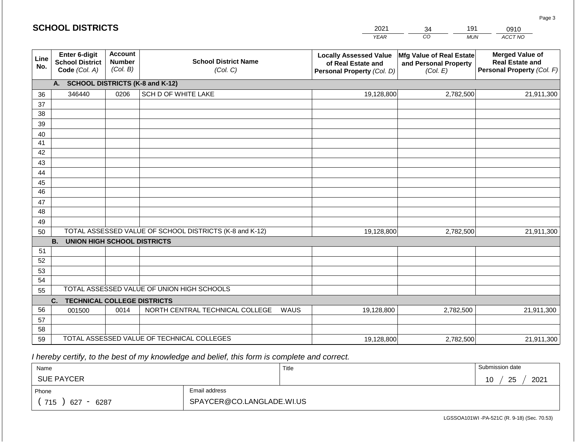|                 | <b>SCHOOL DISTRICTS</b>                                  |                                             |                                            | 2021       | 191<br>34                                                                         | 0910                                                          |                                                                                |
|-----------------|----------------------------------------------------------|---------------------------------------------|--------------------------------------------|------------|-----------------------------------------------------------------------------------|---------------------------------------------------------------|--------------------------------------------------------------------------------|
|                 |                                                          |                                             |                                            |            | <b>YEAR</b>                                                                       | CO<br><b>MUN</b>                                              | ACCT NO                                                                        |
| Line<br>No.     | Enter 6-digit<br><b>School District</b><br>Code (Col. A) | <b>Account</b><br><b>Number</b><br>(Col. B) | <b>School District Name</b><br>(Col. C)    |            | <b>Locally Assessed Value</b><br>of Real Estate and<br>Personal Property (Col. D) | Mfg Value of Real Estate<br>and Personal Property<br>(Col. E) | <b>Merged Value of</b><br><b>Real Estate and</b><br>Personal Property (Col. F) |
|                 | A. SCHOOL DISTRICTS (K-8 and K-12)                       |                                             |                                            |            |                                                                                   |                                                               |                                                                                |
| 36              | 346440                                                   | 0206                                        | SCH D OF WHITE LAKE                        |            | 19,128,800                                                                        | 2,782,500                                                     | 21,911,300                                                                     |
| 37              |                                                          |                                             |                                            |            |                                                                                   |                                                               |                                                                                |
| 38              |                                                          |                                             |                                            |            |                                                                                   |                                                               |                                                                                |
| 39              |                                                          |                                             |                                            |            |                                                                                   |                                                               |                                                                                |
| 40              |                                                          |                                             |                                            |            |                                                                                   |                                                               |                                                                                |
| 41              |                                                          |                                             |                                            |            |                                                                                   |                                                               |                                                                                |
| 42              |                                                          |                                             |                                            |            |                                                                                   |                                                               |                                                                                |
| 43              |                                                          |                                             |                                            |            |                                                                                   |                                                               |                                                                                |
| 44<br>45        |                                                          |                                             |                                            |            |                                                                                   |                                                               |                                                                                |
| $\overline{46}$ |                                                          |                                             |                                            |            |                                                                                   |                                                               |                                                                                |
| 47              |                                                          |                                             |                                            |            |                                                                                   |                                                               |                                                                                |
| 48              |                                                          |                                             |                                            |            |                                                                                   |                                                               |                                                                                |
| 49              |                                                          |                                             |                                            |            |                                                                                   |                                                               |                                                                                |
| 50              | TOTAL ASSESSED VALUE OF SCHOOL DISTRICTS (K-8 and K-12)  |                                             |                                            | 19,128,800 | 2,782,500                                                                         | 21,911,300                                                    |                                                                                |
|                 | <b>B.</b><br><b>UNION HIGH SCHOOL DISTRICTS</b>          |                                             |                                            |            |                                                                                   |                                                               |                                                                                |
| 51              |                                                          |                                             |                                            |            |                                                                                   |                                                               |                                                                                |
| 52              |                                                          |                                             |                                            |            |                                                                                   |                                                               |                                                                                |
| 53              |                                                          |                                             |                                            |            |                                                                                   |                                                               |                                                                                |
| 54              |                                                          |                                             |                                            |            |                                                                                   |                                                               |                                                                                |
| 55              |                                                          |                                             | TOTAL ASSESSED VALUE OF UNION HIGH SCHOOLS |            |                                                                                   |                                                               |                                                                                |
|                 | C.<br><b>TECHNICAL COLLEGE DISTRICTS</b>                 |                                             |                                            |            |                                                                                   |                                                               |                                                                                |
| 56              | 001500                                                   | 0014                                        | NORTH CENTRAL TECHNICAL COLLEGE            | WAUS       | 19,128,800                                                                        | 2,782,500                                                     | 21,911,300                                                                     |
| 57              |                                                          |                                             |                                            |            |                                                                                   |                                                               |                                                                                |
| 58<br>59        |                                                          |                                             |                                            |            |                                                                                   | 2,782,500                                                     |                                                                                |
|                 | TOTAL ASSESSED VALUE OF TECHNICAL COLLEGES               |                                             |                                            |            | 19,128,800                                                                        |                                                               | 21,911,300                                                                     |

 *I hereby certify, to the best of my knowledge and belief, this form is complete and correct.*

**SCHOOL DISTRICTS**

| Name                                            |               | Title | Submission date  |  |  |  |
|-------------------------------------------------|---------------|-------|------------------|--|--|--|
| <b>SUE PAYCER</b>                               |               |       | 25<br>2021<br>10 |  |  |  |
| Phone                                           | Email address |       |                  |  |  |  |
| SPAYCER@CO.LANGLADE.WI.US<br>715<br>6287<br>627 |               |       |                  |  |  |  |

Page 3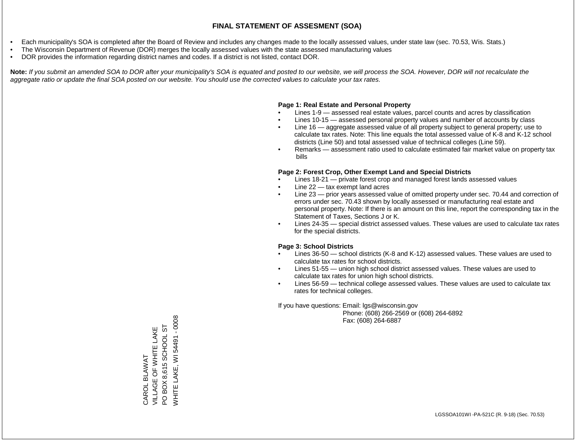- Each municipality's SOA is completed after the Board of Review and includes any changes made to the locally assessed values, under state law (sec. 70.53, Wis. Stats.)
- The Wisconsin Department of Revenue (DOR) merges the locally assessed values with the state assessed manufacturing values
- DOR provides the information regarding district names and codes. If a district is not listed, contact DOR.

Note: If you submit an amended SOA to DOR after your municipality's SOA is equated and posted to our website, we will process the SOA. However, DOR will not recalculate the *aggregate ratio or update the final SOA posted on our website. You should use the corrected values to calculate your tax rates.*

# **Page 1: Real Estate and Personal Property**

- Lines 1-9 assessed real estate values, parcel counts and acres by classification
- Lines 10-15 assessed personal property values and number of accounts by class
- Line 16 aggregate assessed value of all property subject to general property; use to calculate tax rates. Note: This line equals the total assessed value of K-8 and K-12 school districts (Line 50) and total assessed value of technical colleges (Line 59).
- Remarks assessment ratio used to calculate estimated fair market value on property tax bills

# **Page 2: Forest Crop, Other Exempt Land and Special Districts**

- Lines 18-21 private forest crop and managed forest lands assessed values
- Line  $22 -$  tax exempt land acres
- Line 23 prior years assessed value of omitted property under sec. 70.44 and correction of errors under sec. 70.43 shown by locally assessed or manufacturing real estate and personal property. Note: If there is an amount on this line, report the corresponding tax in the Statement of Taxes, Sections J or K.
- Lines 24-35 special district assessed values. These values are used to calculate tax rates for the special districts.

# **Page 3: School Districts**

- Lines 36-50 school districts (K-8 and K-12) assessed values. These values are used to calculate tax rates for school districts.
- Lines 51-55 union high school district assessed values. These values are used to calculate tax rates for union high school districts.
- Lines 56-59 technical college assessed values. These values are used to calculate tax rates for technical colleges.

If you have questions: Email: lgs@wisconsin.gov

 Phone: (608) 266-2569 or (608) 264-6892 Fax: (608) 264-6887

WHITE LAKE, WI 54491 - 0008 WHITE LAKE, WI 54491 - 0008PO BOX 8,615 SCHOOL ST PO BOX 8,615 SCHOOL ST VILLAGE OF WHITE LAKE VILLAGE OF WHITE LAKE CAROL BLAWAT CAROL BLAWAT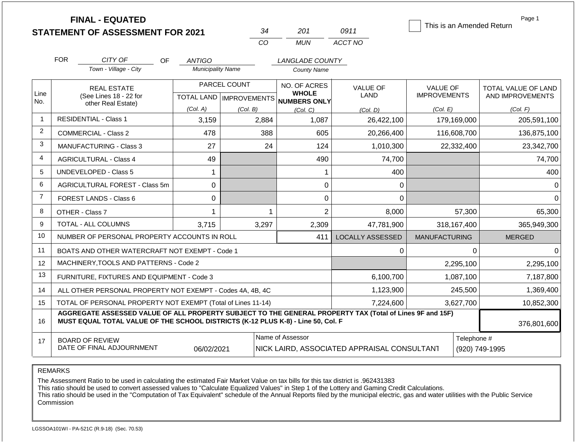| <b>FINAL - EQUATED</b><br>This is an Amended Return |                                                                                                                                                                                              |                                                                                                                |                           |                              |                                |                                        |                                         |  |
|-----------------------------------------------------|----------------------------------------------------------------------------------------------------------------------------------------------------------------------------------------------|----------------------------------------------------------------------------------------------------------------|---------------------------|------------------------------|--------------------------------|----------------------------------------|-----------------------------------------|--|
|                                                     | <b>STATEMENT OF ASSESSMENT FOR 2021</b>                                                                                                                                                      |                                                                                                                | 34                        | 201                          | 0911                           |                                        |                                         |  |
|                                                     |                                                                                                                                                                                              |                                                                                                                | CO                        | <b>MUN</b>                   | ACCT NO                        |                                        |                                         |  |
|                                                     | <b>FOR</b><br>CITY OF<br>OF.                                                                                                                                                                 | <b>ANTIGO</b>                                                                                                  | LANGLADE COUNTY           |                              |                                |                                        |                                         |  |
|                                                     | Town - Village - City                                                                                                                                                                        | <b>Municipality Name</b>                                                                                       |                           | <b>County Name</b>           |                                |                                        |                                         |  |
|                                                     | <b>REAL ESTATE</b>                                                                                                                                                                           |                                                                                                                | PARCEL COUNT              | NO. OF ACRES                 | <b>VALUE OF</b><br><b>LAND</b> | <b>VALUE OF</b><br><b>IMPROVEMENTS</b> | TOTAL VALUE OF LAND<br>AND IMPROVEMENTS |  |
| Line<br>No.                                         | (See Lines 18 - 22 for                                                                                                                                                                       |                                                                                                                | TOTAL LAND   IMPROVEMENTS | <b>WHOLE</b><br>NUMBERS ONLY |                                |                                        |                                         |  |
|                                                     | other Real Estate)                                                                                                                                                                           | (Col. A)                                                                                                       | (Col. B)                  | (Col. C)                     | (Col. D)                       | (Col. E)                               | (Col. F)                                |  |
| $\overline{1}$                                      | <b>RESIDENTIAL - Class 1</b>                                                                                                                                                                 | 3,159                                                                                                          | 2,884                     | 1,087                        | 26,422,100                     | 179,169,000                            | 205,591,100                             |  |
| $\overline{2}$                                      | <b>COMMERCIAL - Class 2</b>                                                                                                                                                                  | 478                                                                                                            | 388                       | 605                          | 20,266,400                     | 116,608,700                            | 136,875,100                             |  |
| 3                                                   | MANUFACTURING - Class 3                                                                                                                                                                      | 27                                                                                                             | 24                        | 124                          | 1,010,300                      | 22,332,400                             | 23,342,700                              |  |
| 4                                                   | <b>AGRICULTURAL - Class 4</b>                                                                                                                                                                | 49                                                                                                             |                           | 490                          | 74,700                         |                                        | 74,700                                  |  |
| 5                                                   | <b>UNDEVELOPED - Class 5</b>                                                                                                                                                                 | $\mathbf{1}$                                                                                                   |                           | 1                            | 400                            |                                        | 400                                     |  |
| 6                                                   | AGRICULTURAL FOREST - Class 5m                                                                                                                                                               | $\mathbf 0$                                                                                                    |                           | 0                            | 0                              |                                        | $\Omega$                                |  |
| $\overline{7}$                                      | <b>FOREST LANDS - Class 6</b>                                                                                                                                                                | $\Omega$                                                                                                       |                           | $\overline{0}$               | $\Omega$                       |                                        | <sup>0</sup>                            |  |
| 8                                                   | OTHER - Class 7                                                                                                                                                                              | $\mathbf 1$                                                                                                    | $\mathbf 1$               | $\overline{2}$               | 8,000                          | 57,300                                 | 65,300                                  |  |
| 9                                                   | TOTAL - ALL COLUMNS                                                                                                                                                                          | 3,715                                                                                                          | 3,297                     | 2,309                        | 47,781,900                     | 318,167,400                            | 365,949,300                             |  |
| 10                                                  | NUMBER OF PERSONAL PROPERTY ACCOUNTS IN ROLL                                                                                                                                                 |                                                                                                                |                           | 411                          | <b>LOCALLY ASSESSED</b>        | <b>MANUFACTURING</b>                   | <b>MERGED</b>                           |  |
| 11                                                  | BOATS AND OTHER WATERCRAFT NOT EXEMPT - Code 1                                                                                                                                               |                                                                                                                |                           |                              | 0                              | $\Omega$                               | $\Omega$                                |  |
| 12                                                  | MACHINERY, TOOLS AND PATTERNS - Code 2                                                                                                                                                       |                                                                                                                |                           |                              | 2,295,100                      | 2,295,100                              |                                         |  |
| 13                                                  | FURNITURE, FIXTURES AND EQUIPMENT - Code 3                                                                                                                                                   |                                                                                                                |                           | 6,100,700                    | 1,087,100                      | 7,187,800                              |                                         |  |
| 14                                                  | ALL OTHER PERSONAL PROPERTY NOT EXEMPT - Codes 4A, 4B, 4C                                                                                                                                    |                                                                                                                |                           | 1,123,900                    | 245,500                        | 1,369,400                              |                                         |  |
| 15                                                  | TOTAL OF PERSONAL PROPERTY NOT EXEMPT (Total of Lines 11-14)                                                                                                                                 |                                                                                                                |                           | 7,224,600                    | 3,627,700                      | 10,852,300                             |                                         |  |
| 16                                                  | AGGREGATE ASSESSED VALUE OF ALL PROPERTY SUBJECT TO THE GENERAL PROPERTY TAX (Total of Lines 9F and 15F)<br>MUST EQUAL TOTAL VALUE OF THE SCHOOL DISTRICTS (K-12 PLUS K-8) - Line 50, Col. F |                                                                                                                |                           |                              |                                |                                        |                                         |  |
|                                                     |                                                                                                                                                                                              |                                                                                                                |                           |                              |                                |                                        | 376,801,600                             |  |
| 17                                                  | <b>BOARD OF REVIEW</b><br>DATE OF FINAL ADJOURNMENT                                                                                                                                          | Name of Assessor<br>Telephone #<br>(920) 749-1995<br>06/02/2021<br>NICK LAIRD, ASSOCIATED APPRAISAL CONSULTANT |                           |                              |                                |                                        |                                         |  |

REMARKS

The Assessment Ratio to be used in calculating the estimated Fair Market Value on tax bills for this tax district is .962431383

This ratio should be used to convert assessed values to "Calculate Equalized Values" in Step 1 of the Lottery and Gaming Credit Calculations.

 This ratio should be used in the "Computation of Tax Equivalent" schedule of the Annual Reports filed by the municipal electric, gas and water utilities with the Public Service Commission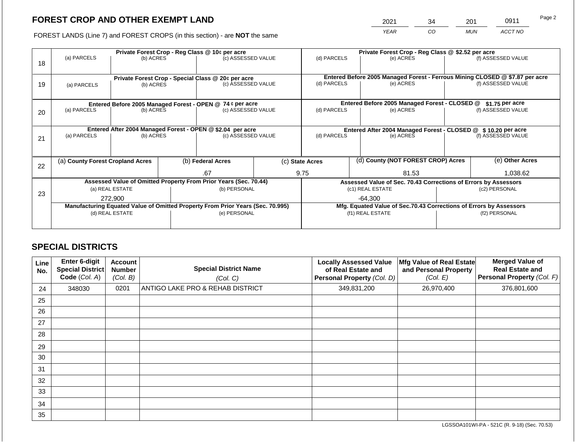# **FOREST CROP AND OTHER EXEMPT LAND**

2021 34 201 0911

FOREST LANDS (Line 7) and FOREST CROPS (in this section) - are **NOT** the same *YEAR CO MUN ACCT NO*

|    | Private Forest Crop - Reg Class @ 10¢ per acre                                 |                                                    |                                                                 |                                                           |               |                                                                              | Private Forest Crop - Reg Class @ \$2.52 per acre |                                               |  |                    |  |
|----|--------------------------------------------------------------------------------|----------------------------------------------------|-----------------------------------------------------------------|-----------------------------------------------------------|---------------|------------------------------------------------------------------------------|---------------------------------------------------|-----------------------------------------------|--|--------------------|--|
| 18 | (a) PARCELS                                                                    | (b) ACRES                                          |                                                                 | (c) ASSESSED VALUE                                        |               | (d) PARCELS                                                                  |                                                   | (e) ACRES                                     |  | (f) ASSESSED VALUE |  |
|    |                                                                                |                                                    |                                                                 |                                                           |               |                                                                              |                                                   |                                               |  |                    |  |
|    |                                                                                | Private Forest Crop - Special Class @ 20¢ per acre |                                                                 |                                                           |               | Entered Before 2005 Managed Forest - Ferrous Mining CLOSED @ \$7.87 per acre |                                                   |                                               |  |                    |  |
| 19 | (a) PARCELS                                                                    | (c) ASSESSED VALUE<br>(b) ACRES                    |                                                                 | (d) PARCELS<br>(e) ACRES                                  |               | (f) ASSESSED VALUE                                                           |                                                   |                                               |  |                    |  |
|    |                                                                                |                                                    |                                                                 |                                                           |               |                                                                              |                                                   |                                               |  |                    |  |
|    |                                                                                |                                                    |                                                                 | Entered Before 2005 Managed Forest - OPEN @ 74 ¢ per acre |               |                                                                              |                                                   | Entered Before 2005 Managed Forest - CLOSED @ |  | $$1.75$ per acre   |  |
| 20 | (a) PARCELS<br>(b) ACRES                                                       |                                                    |                                                                 | (c) ASSESSED VALUE                                        |               | (d) PARCELS                                                                  |                                                   | (e) ACRES                                     |  | (f) ASSESSED VALUE |  |
|    |                                                                                |                                                    |                                                                 |                                                           |               |                                                                              |                                                   |                                               |  |                    |  |
|    | Entered After 2004 Managed Forest - OPEN @ \$2.04 per acre                     |                                                    |                                                                 |                                                           |               | Entered After 2004 Managed Forest - CLOSED @ \$10.20 per acre                |                                                   |                                               |  |                    |  |
| 21 | (a) PARCELS<br>(b) ACRES                                                       |                                                    |                                                                 | (c) ASSESSED VALUE                                        |               | (d) PARCELS<br>(e) ACRES                                                     |                                                   | (f) ASSESSED VALUE                            |  |                    |  |
|    |                                                                                |                                                    |                                                                 |                                                           |               |                                                                              |                                                   |                                               |  |                    |  |
|    |                                                                                |                                                    |                                                                 |                                                           |               |                                                                              |                                                   |                                               |  |                    |  |
|    | (a) County Forest Cropland Acres                                               |                                                    |                                                                 | (b) Federal Acres                                         |               | (c) State Acres                                                              |                                                   | (d) County (NOT FOREST CROP) Acres            |  | (e) Other Acres    |  |
| 22 |                                                                                |                                                    | .67                                                             |                                                           | 9.75<br>81.53 |                                                                              | 1,038.62                                          |                                               |  |                    |  |
|    | Assessed Value of Omitted Property From Prior Years (Sec. 70.44)               |                                                    | Assessed Value of Sec. 70.43 Corrections of Errors by Assessors |                                                           |               |                                                                              |                                                   |                                               |  |                    |  |
|    | (a) REAL ESTATE                                                                |                                                    |                                                                 | (b) PERSONAL                                              |               | (c1) REAL ESTATE                                                             |                                                   | (c2) PERSONAL                                 |  |                    |  |
| 23 | 272,900                                                                        |                                                    |                                                                 |                                                           | $-64,300$     |                                                                              |                                                   |                                               |  |                    |  |
|    | Manufacturing Equated Value of Omitted Property From Prior Years (Sec. 70.995) |                                                    |                                                                 |                                                           |               | Mfg. Equated Value of Sec.70.43 Corrections of Errors by Assessors           |                                                   |                                               |  |                    |  |
|    | (d) REAL ESTATE                                                                |                                                    |                                                                 | (e) PERSONAL                                              |               | (f1) REAL ESTATE                                                             |                                                   | (f2) PERSONAL                                 |  |                    |  |
|    |                                                                                |                                                    |                                                                 |                                                           |               |                                                                              |                                                   |                                               |  |                    |  |
|    |                                                                                |                                                    |                                                                 |                                                           |               |                                                                              |                                                   |                                               |  |                    |  |

## **SPECIAL DISTRICTS**

| Line<br>No. | <b>Enter 6-digit</b><br>Special District<br>Code (Col. A) | <b>Account</b><br><b>Number</b><br>(Col. B) | <b>Special District Name</b><br>(Col. C) | <b>Locally Assessed Value</b><br>of Real Estate and<br>Personal Property (Col. D) | Mfg Value of Real Estate<br>and Personal Property<br>(Col. E) | <b>Merged Value of</b><br><b>Real Estate and</b><br>Personal Property (Col. F) |
|-------------|-----------------------------------------------------------|---------------------------------------------|------------------------------------------|-----------------------------------------------------------------------------------|---------------------------------------------------------------|--------------------------------------------------------------------------------|
| 24          | 348030                                                    | 0201                                        | ANTIGO LAKE PRO & REHAB DISTRICT         | 349,831,200                                                                       | 26,970,400                                                    | 376,801,600                                                                    |
| 25          |                                                           |                                             |                                          |                                                                                   |                                                               |                                                                                |
| 26          |                                                           |                                             |                                          |                                                                                   |                                                               |                                                                                |
| 27          |                                                           |                                             |                                          |                                                                                   |                                                               |                                                                                |
| 28          |                                                           |                                             |                                          |                                                                                   |                                                               |                                                                                |
| 29          |                                                           |                                             |                                          |                                                                                   |                                                               |                                                                                |
| 30          |                                                           |                                             |                                          |                                                                                   |                                                               |                                                                                |
| 31          |                                                           |                                             |                                          |                                                                                   |                                                               |                                                                                |
| 32          |                                                           |                                             |                                          |                                                                                   |                                                               |                                                                                |
| 33          |                                                           |                                             |                                          |                                                                                   |                                                               |                                                                                |
| 34          |                                                           |                                             |                                          |                                                                                   |                                                               |                                                                                |
| 35          |                                                           |                                             |                                          |                                                                                   |                                                               |                                                                                |

LGSSOA101WI-PA - 521C (R. 9-18) (Sec. 70.53)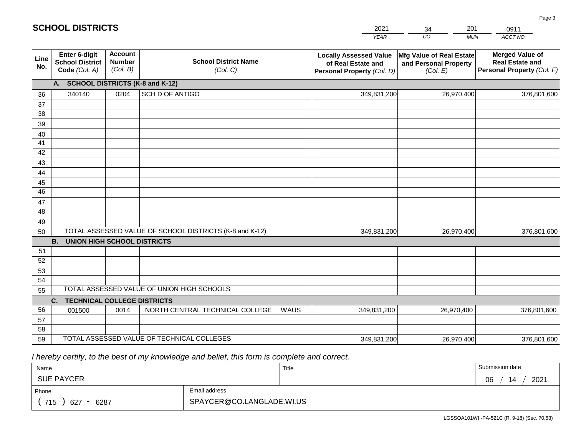| <b>SCHOOL DISTRICTS</b>                                                                |                                                          |                                                                                        |                                                         |             | 2021        | 201<br>34                                                     | 0911                                                                           |  |  |
|----------------------------------------------------------------------------------------|----------------------------------------------------------|----------------------------------------------------------------------------------------|---------------------------------------------------------|-------------|-------------|---------------------------------------------------------------|--------------------------------------------------------------------------------|--|--|
|                                                                                        |                                                          |                                                                                        |                                                         |             | <b>YEAR</b> | CO<br><b>MUN</b>                                              | ACCT NO                                                                        |  |  |
| Line<br>No.                                                                            | Enter 6-digit<br><b>School District</b><br>Code (Col. A) | <b>Account</b><br><b>School District Name</b><br><b>Number</b><br>(Col. B)<br>(Col. C) |                                                         |             |             | Mfg Value of Real Estate<br>and Personal Property<br>(Col. E) | <b>Merged Value of</b><br><b>Real Estate and</b><br>Personal Property (Col. F) |  |  |
|                                                                                        | <b>SCHOOL DISTRICTS (K-8 and K-12)</b><br>A.             |                                                                                        |                                                         |             |             |                                                               |                                                                                |  |  |
| 36                                                                                     | 340140                                                   | 0204                                                                                   | SCH D OF ANTIGO                                         |             | 349,831,200 | 26,970,400                                                    | 376,801,600                                                                    |  |  |
| 37                                                                                     |                                                          |                                                                                        |                                                         |             |             |                                                               |                                                                                |  |  |
| 38                                                                                     |                                                          |                                                                                        |                                                         |             |             |                                                               |                                                                                |  |  |
| 39                                                                                     |                                                          |                                                                                        |                                                         |             |             |                                                               |                                                                                |  |  |
| 40                                                                                     |                                                          |                                                                                        |                                                         |             |             |                                                               |                                                                                |  |  |
| 41<br>42                                                                               |                                                          |                                                                                        |                                                         |             |             |                                                               |                                                                                |  |  |
| 43                                                                                     |                                                          |                                                                                        |                                                         |             |             |                                                               |                                                                                |  |  |
| 44                                                                                     |                                                          |                                                                                        |                                                         |             |             |                                                               |                                                                                |  |  |
| 45                                                                                     |                                                          |                                                                                        |                                                         |             |             |                                                               |                                                                                |  |  |
| 46                                                                                     |                                                          |                                                                                        |                                                         |             |             |                                                               |                                                                                |  |  |
| 47                                                                                     |                                                          |                                                                                        |                                                         |             |             |                                                               |                                                                                |  |  |
| 48                                                                                     |                                                          |                                                                                        |                                                         |             |             |                                                               |                                                                                |  |  |
| 49                                                                                     |                                                          |                                                                                        |                                                         |             |             |                                                               |                                                                                |  |  |
| 50                                                                                     |                                                          |                                                                                        | TOTAL ASSESSED VALUE OF SCHOOL DISTRICTS (K-8 and K-12) | 349,831,200 | 26,970,400  | 376,801,600                                                   |                                                                                |  |  |
|                                                                                        | <b>B.</b><br><b>UNION HIGH SCHOOL DISTRICTS</b>          |                                                                                        |                                                         |             |             |                                                               |                                                                                |  |  |
| 51                                                                                     |                                                          |                                                                                        |                                                         |             |             |                                                               |                                                                                |  |  |
| 52                                                                                     |                                                          |                                                                                        |                                                         |             |             |                                                               |                                                                                |  |  |
| 53                                                                                     |                                                          |                                                                                        |                                                         |             |             |                                                               |                                                                                |  |  |
| 54                                                                                     |                                                          |                                                                                        |                                                         |             |             |                                                               |                                                                                |  |  |
| TOTAL ASSESSED VALUE OF UNION HIGH SCHOOLS<br>55<br><b>TECHNICAL COLLEGE DISTRICTS</b> |                                                          |                                                                                        |                                                         |             |             |                                                               |                                                                                |  |  |
| 56                                                                                     | C.                                                       |                                                                                        | NORTH CENTRAL TECHNICAL COLLEGE                         | <b>WAUS</b> |             |                                                               |                                                                                |  |  |
| 57                                                                                     | 001500                                                   | 0014                                                                                   |                                                         |             | 349,831,200 | 26,970,400                                                    | 376,801,600                                                                    |  |  |
| 58                                                                                     |                                                          |                                                                                        |                                                         |             |             |                                                               |                                                                                |  |  |
| 59                                                                                     |                                                          |                                                                                        | TOTAL ASSESSED VALUE OF TECHNICAL COLLEGES              | 349,831,200 | 26,970,400  | 376,801,600                                                   |                                                                                |  |  |

 *I hereby certify, to the best of my knowledge and belief, this form is complete and correct.*

| Name                                           |                           | Title | Submission date  |  |  |  |
|------------------------------------------------|---------------------------|-------|------------------|--|--|--|
| <b>SUE PAYCER</b>                              |                           |       | 2021<br>14<br>06 |  |  |  |
| Phone                                          | Email address             |       |                  |  |  |  |
| 715<br>6287<br>627<br>$\overline{\phantom{0}}$ | SPAYCER@CO.LANGLADE.WI.US |       |                  |  |  |  |

Page 3

LGSSOA101WI -PA-521C (R. 9-18) (Sec. 70.53)